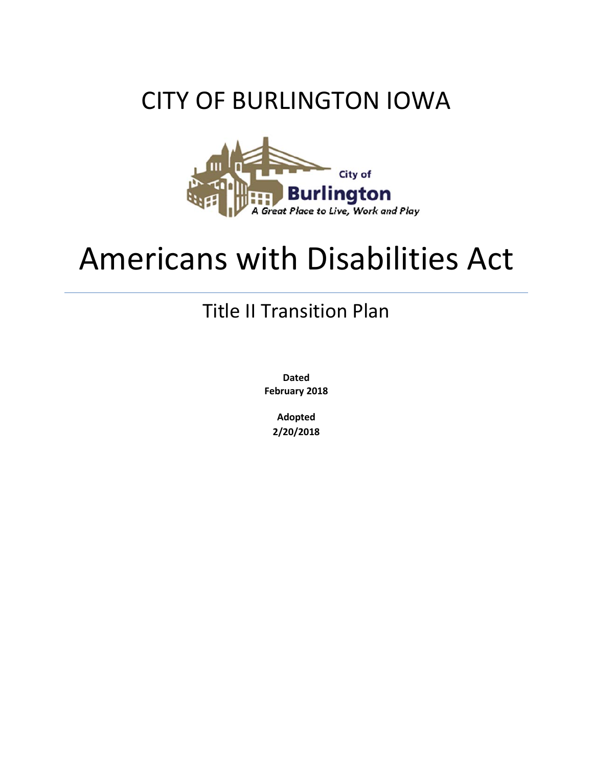# CITY OF BURLINGTON IOWA



# Americans with Disabilities Act

# Title II Transition Plan

**Dated February 2018**

> **Adopted 2/20/2018**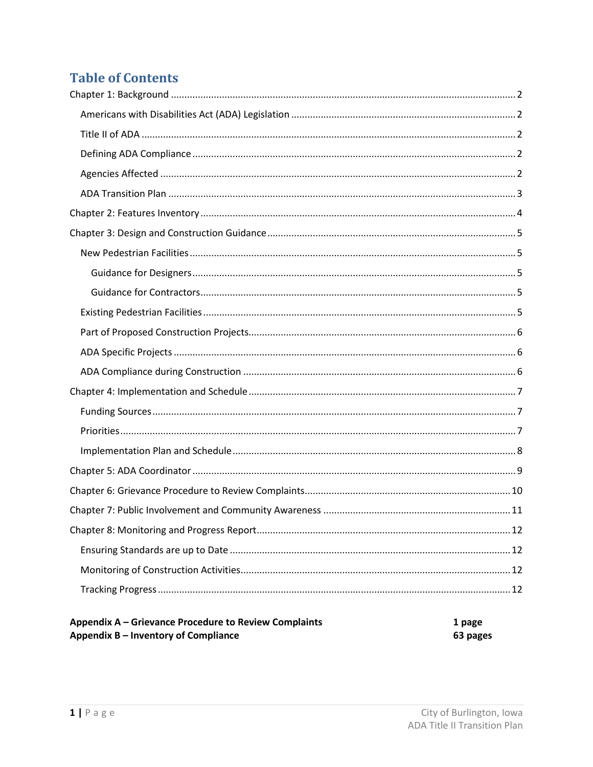# **Table of Contents**

<span id="page-1-0"></span>

| Appendix A – Grievance Procedure to Review Complaints | 1 page   |
|-------------------------------------------------------|----------|
| Appendix B – Inventory of Compliance                  | 63 pages |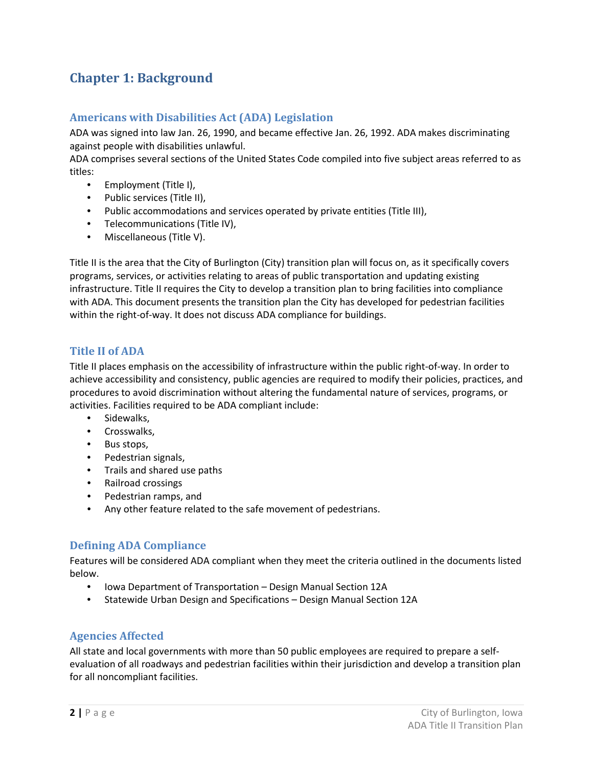## **Chapter 1: Background**

#### <span id="page-2-0"></span>**Americans with Disabilities Act (ADA) Legislation**

ADA was signed into law Jan. 26, 1990, and became effective Jan. 26, 1992. ADA makes discriminating against people with disabilities unlawful.

ADA comprises several sections of the United States Code compiled into five subject areas referred to as titles:

- Employment (Title I),
- Public services (Title II),
- Public accommodations and services operated by private entities (Title III),
- Telecommunications (Title IV),
- Miscellaneous (Title V).

Title II is the area that the City of Burlington (City) transition plan will focus on, as it specifically covers programs, services, or activities relating to areas of public transportation and updating existing infrastructure. Title II requires the City to develop a transition plan to bring facilities into compliance with ADA. This document presents the transition plan the City has developed for pedestrian facilities within the right-of-way. It does not discuss ADA compliance for buildings.

#### <span id="page-2-1"></span>**Title II of ADA**

Title II places emphasis on the accessibility of infrastructure within the public right-of-way. In order to achieve accessibility and consistency, public agencies are required to modify their policies, practices, and procedures to avoid discrimination without altering the fundamental nature of services, programs, or activities. Facilities required to be ADA compliant include:

- Sidewalks,
- Crosswalks,
- Bus stops,
- Pedestrian signals,
- Trails and shared use paths
- Railroad crossings
- Pedestrian ramps, and
- Any other feature related to the safe movement of pedestrians.

#### <span id="page-2-2"></span>**Defining ADA Compliance**

Features will be considered ADA compliant when they meet the criteria outlined in the documents listed below.

- Iowa Department of Transportation Design Manual Section 12A
- Statewide Urban Design and Specifications Design Manual Section 12A

#### <span id="page-2-3"></span>**Agencies Affected**

All state and local governments with more than 50 public employees are required to prepare a selfevaluation of all roadways and pedestrian facilities within their jurisdiction and develop a transition plan for all noncompliant facilities.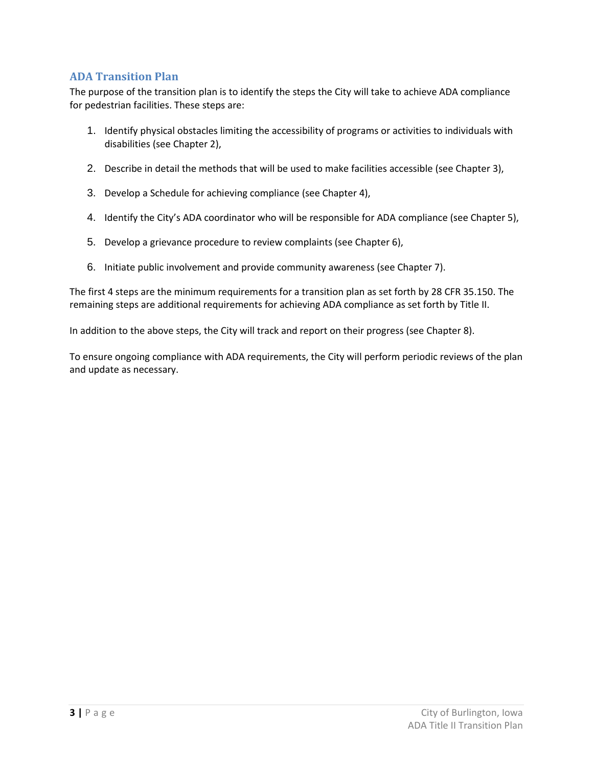#### <span id="page-3-0"></span>**ADA Transition Plan**

The purpose of the transition plan is to identify the steps the City will take to achieve ADA compliance for pedestrian facilities. These steps are:

- 1. Identify physical obstacles limiting the accessibility of programs or activities to individuals with disabilities (see Chapter 2),
- 2. Describe in detail the methods that will be used to make facilities accessible (see Chapter 3),
- 3. Develop a Schedule for achieving compliance (see Chapter 4),
- 4. Identify the City's ADA coordinator who will be responsible for ADA compliance (see Chapter 5),
- 5. Develop a grievance procedure to review complaints (see Chapter 6),
- 6. Initiate public involvement and provide community awareness (see Chapter 7).

The first 4 steps are the minimum requirements for a transition plan as set forth by 28 CFR 35.150. The remaining steps are additional requirements for achieving ADA compliance as set forth by Title II.

In addition to the above steps, the City will track and report on their progress (see Chapter 8).

To ensure ongoing compliance with ADA requirements, the City will perform periodic reviews of the plan and update as necessary.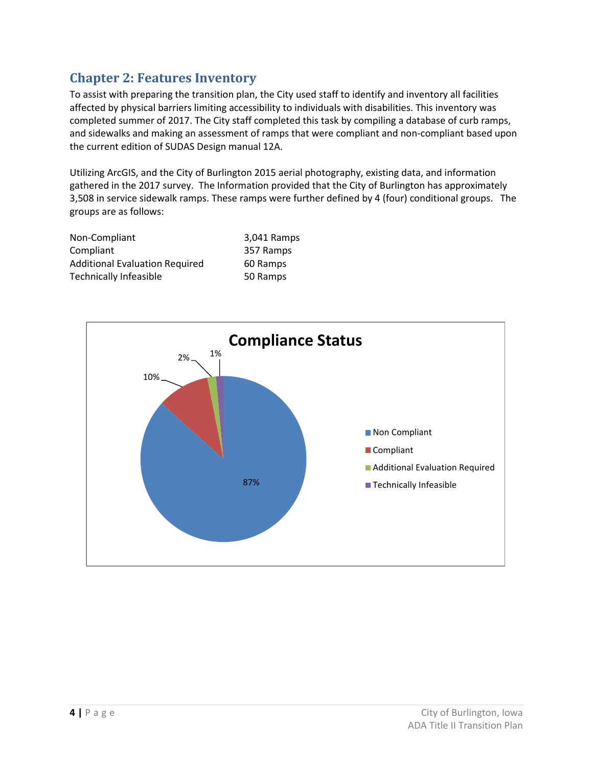## <span id="page-4-0"></span>**Chapter 2: Features Inventory**

To assist with preparing the transition plan, the City used staff to identify and inventory all facilities affected by physical barriers limiting accessibility to individuals with disabilities. This inventory was completed summer of 2017. The City staff completed this task by compiling a database of curb ramps, and sidewalks and making an assessment of ramps that were compliant and non-compliant based upon the current edition of SUDAS Design manual 12A.

Utilizing ArcGIS, and the City of Burlington 2015 aerial photography, existing data, and information gathered in the 2017 survey. The Information provided that the City of Burlington has approximately 3,508 in service sidewalk ramps. These ramps were further defined by 4 (four) conditional groups. The groups are as follows:

| Non-Compliant                         | 3,041 Ramps |
|---------------------------------------|-------------|
| Compliant                             | 357 Ramps   |
| <b>Additional Evaluation Required</b> | 60 Ramps    |
| <b>Technically Infeasible</b>         | 50 Ramps    |

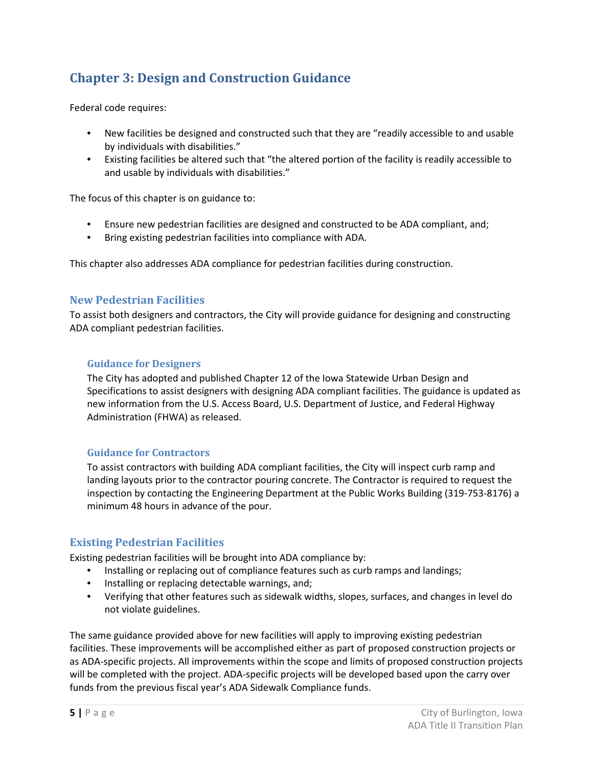# <span id="page-5-0"></span>**Chapter 3: Design and Construction Guidance**

Federal code requires:

- New facilities be designed and constructed such that they are "readily accessible to and usable by individuals with disabilities."
- Existing facilities be altered such that "the altered portion of the facility is readily accessible to and usable by individuals with disabilities."

The focus of this chapter is on guidance to:

- Ensure new pedestrian facilities are designed and constructed to be ADA compliant, and;
- Bring existing pedestrian facilities into compliance with ADA.

This chapter also addresses ADA compliance for pedestrian facilities during construction.

#### <span id="page-5-1"></span>**New Pedestrian Facilities**

To assist both designers and contractors, the City will provide guidance for designing and constructing ADA compliant pedestrian facilities.

#### <span id="page-5-2"></span>**Guidance for Designers**

The City has adopted and published Chapter 12 of the Iowa Statewide Urban Design and Specifications to assist designers with designing ADA compliant facilities. The guidance is updated as new information from the U.S. Access Board, U.S. Department of Justice, and Federal Highway Administration (FHWA) as released.

#### <span id="page-5-3"></span>**Guidance for Contractors**

To assist contractors with building ADA compliant facilities, the City will inspect curb ramp and landing layouts prior to the contractor pouring concrete. The Contractor is required to request the inspection by contacting the Engineering Department at the Public Works Building (319-753-8176) a minimum 48 hours in advance of the pour.

#### <span id="page-5-4"></span>**Existing Pedestrian Facilities**

Existing pedestrian facilities will be brought into ADA compliance by:

- Installing or replacing out of compliance features such as curb ramps and landings;
- Installing or replacing detectable warnings, and;
- Verifying that other features such as sidewalk widths, slopes, surfaces, and changes in level do not violate guidelines.

The same guidance provided above for new facilities will apply to improving existing pedestrian facilities. These improvements will be accomplished either as part of proposed construction projects or as ADA-specific projects. All improvements within the scope and limits of proposed construction projects will be completed with the project. ADA-specific projects will be developed based upon the carry over funds from the previous fiscal year's ADA Sidewalk Compliance funds.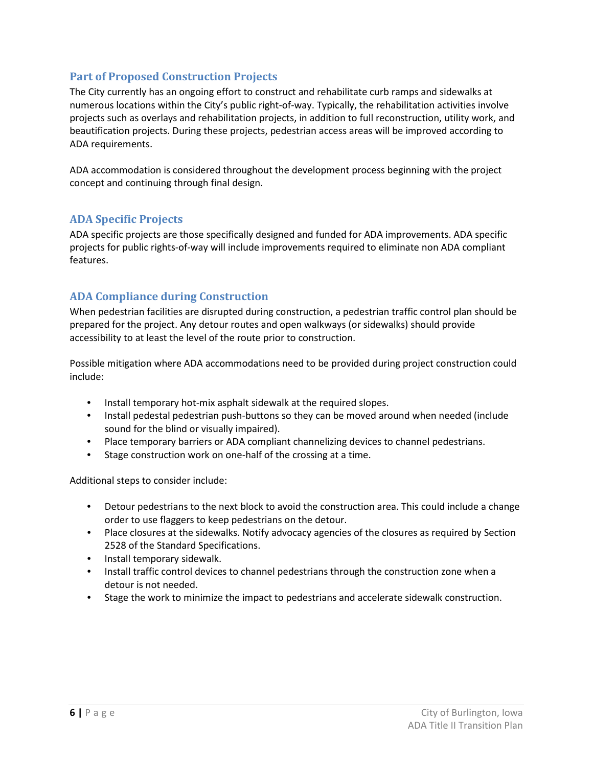#### <span id="page-6-0"></span>**Part of Proposed Construction Projects**

The City currently has an ongoing effort to construct and rehabilitate curb ramps and sidewalks at numerous locations within the City's public right-of-way. Typically, the rehabilitation activities involve projects such as overlays and rehabilitation projects, in addition to full reconstruction, utility work, and beautification projects. During these projects, pedestrian access areas will be improved according to ADA requirements.

ADA accommodation is considered throughout the development process beginning with the project concept and continuing through final design.

#### <span id="page-6-1"></span>**ADA Specific Projects**

ADA specific projects are those specifically designed and funded for ADA improvements. ADA specific projects for public rights-of-way will include improvements required to eliminate non ADA compliant features.

#### <span id="page-6-2"></span>**ADA Compliance during Construction**

When pedestrian facilities are disrupted during construction, a pedestrian traffic control plan should be prepared for the project. Any detour routes and open walkways (or sidewalks) should provide accessibility to at least the level of the route prior to construction.

Possible mitigation where ADA accommodations need to be provided during project construction could include:

- Install temporary hot-mix asphalt sidewalk at the required slopes.
- Install pedestal pedestrian push-buttons so they can be moved around when needed (include sound for the blind or visually impaired).
- Place temporary barriers or ADA compliant channelizing devices to channel pedestrians.
- Stage construction work on one-half of the crossing at a time.

Additional steps to consider include:

- Detour pedestrians to the next block to avoid the construction area. This could include a change order to use flaggers to keep pedestrians on the detour.
- Place closures at the sidewalks. Notify advocacy agencies of the closures as required by Section 2528 of the Standard Specifications.
- Install temporary sidewalk.
- Install traffic control devices to channel pedestrians through the construction zone when a detour is not needed.
- Stage the work to minimize the impact to pedestrians and accelerate sidewalk construction.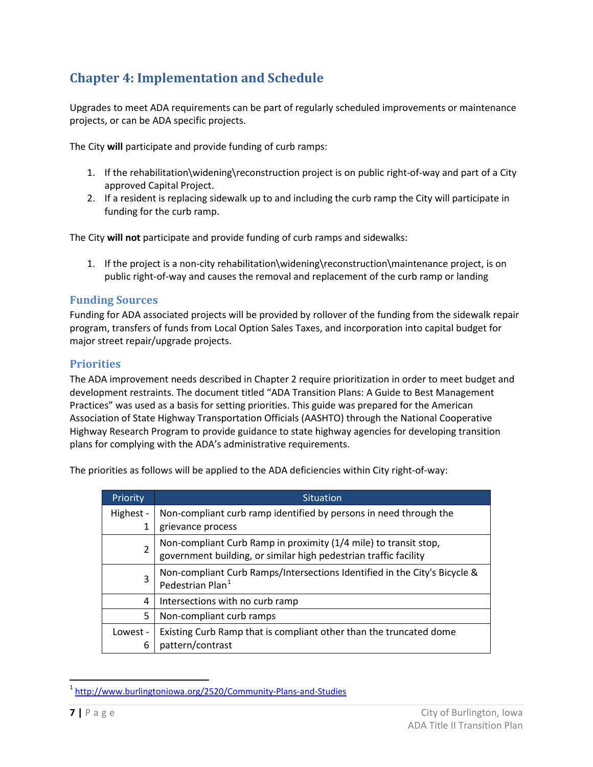# <span id="page-7-0"></span>**Chapter 4: Implementation and Schedule**

Upgrades to meet ADA requirements can be part of regularly scheduled improvements or maintenance projects, or can be ADA specific projects.

The City **will** participate and provide funding of curb ramps:

- 1. If the rehabilitation\widening\reconstruction project is on public right-of-way and part of a City approved Capital Project.
- 2. If a resident is replacing sidewalk up to and including the curb ramp the City will participate in funding for the curb ramp.

The City **will not** participate and provide funding of curb ramps and sidewalks:

1. If the project is a non-city rehabilitation\widening\reconstruction\maintenance project, is on public right-of-way and causes the removal and replacement of the curb ramp or landing

#### <span id="page-7-1"></span>**Funding Sources**

Funding for ADA associated projects will be provided by rollover of the funding from the sidewalk repair program, transfers of funds from Local Option Sales Taxes, and incorporation into capital budget for major street repair/upgrade projects.

#### <span id="page-7-2"></span>**Priorities**

The ADA improvement needs described in Chapter 2 require prioritization in order to meet budget and development restraints. The document titled "ADA Transition Plans: A Guide to Best Management Practices" was used as a basis for setting priorities. This guide was prepared for the American Association of State Highway Transportation Officials (AASHTO) through the National Cooperative Highway Research Program to provide guidance to state highway agencies for developing transition plans for complying with the ADA's administrative requirements.

The priorities as follows will be applied to the ADA deficiencies within City right-of-way:

| <b>Priority</b> | <b>Situation</b>                                                                                                                     |
|-----------------|--------------------------------------------------------------------------------------------------------------------------------------|
| Highest -       | Non-compliant curb ramp identified by persons in need through the                                                                    |
| 1               | grievance process                                                                                                                    |
| $\overline{2}$  | Non-compliant Curb Ramp in proximity (1/4 mile) to transit stop,<br>government building, or similar high pedestrian traffic facility |
| 3               | Non-compliant Curb Ramps/Intersections Identified in the City's Bicycle &<br>Pedestrian Plan <sup>1</sup>                            |
| 4               | Intersections with no curb ramp                                                                                                      |
| 5               | Non-compliant curb ramps                                                                                                             |
| Lowest -<br>6   | Existing Curb Ramp that is compliant other than the truncated dome<br>pattern/contrast                                               |

<span id="page-7-3"></span><sup>&</sup>lt;sup>1</sup> <http://www.burlingtoniowa.org/2520/Community-Plans-and-Studies>

 $\overline{a}$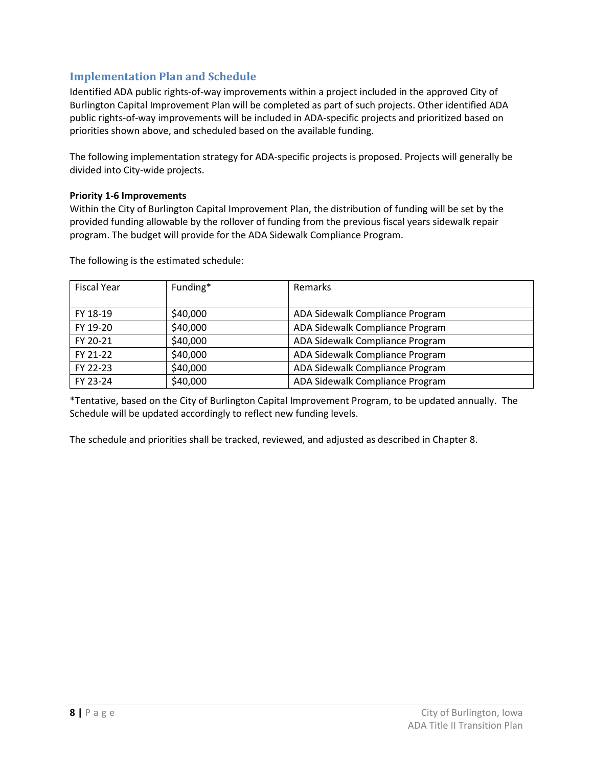#### <span id="page-8-0"></span>**Implementation Plan and Schedule**

Identified ADA public rights-of-way improvements within a project included in the approved City of Burlington Capital Improvement Plan will be completed as part of such projects. Other identified ADA public rights-of-way improvements will be included in ADA-specific projects and prioritized based on priorities shown above, and scheduled based on the available funding.

The following implementation strategy for ADA-specific projects is proposed. Projects will generally be divided into City-wide projects.

#### **Priority 1-6 Improvements**

Within the City of Burlington Capital Improvement Plan, the distribution of funding will be set by the provided funding allowable by the rollover of funding from the previous fiscal years sidewalk repair program. The budget will provide for the ADA Sidewalk Compliance Program.

| <b>Fiscal Year</b> | Funding* | Remarks                         |
|--------------------|----------|---------------------------------|
|                    |          |                                 |
| FY 18-19           | \$40,000 | ADA Sidewalk Compliance Program |
| FY 19-20           | \$40,000 | ADA Sidewalk Compliance Program |
| FY 20-21           | \$40,000 | ADA Sidewalk Compliance Program |
| FY 21-22           | \$40,000 | ADA Sidewalk Compliance Program |
| FY 22-23           | \$40,000 | ADA Sidewalk Compliance Program |
| FY 23-24           | \$40,000 | ADA Sidewalk Compliance Program |

The following is the estimated schedule:

\*Tentative, based on the City of Burlington Capital Improvement Program, to be updated annually. The Schedule will be updated accordingly to reflect new funding levels.

The schedule and priorities shall be tracked, reviewed, and adjusted as described in Chapter 8.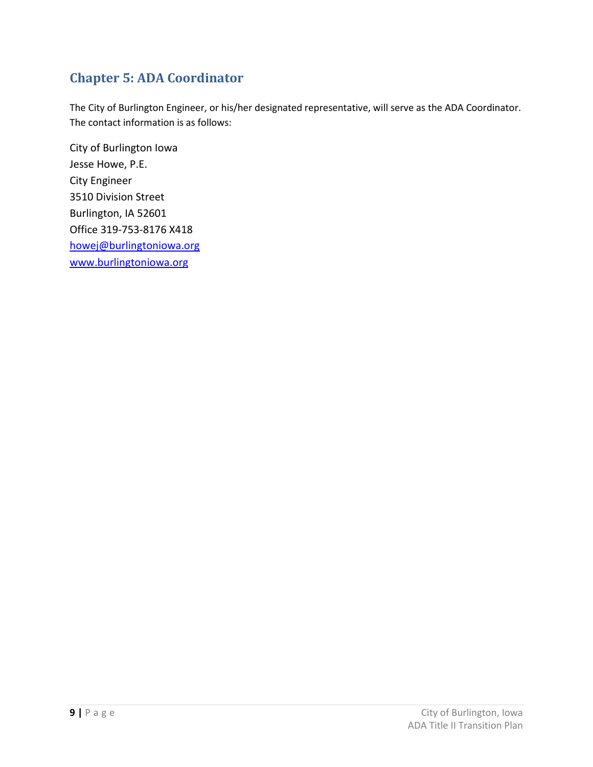# <span id="page-9-0"></span>**Chapter 5: ADA Coordinator**

The City of Burlington Engineer, or his/her designated representative, will serve as the ADA Coordinator. The contact information is as follows:

City of Burlington Iowa Jesse Howe, P.E. City Engineer 3510 Division Street Burlington, IA 52601 Office 319-753-8176 X418 [howej@burlingtoniowa.org](mailto:howej@burlingtoniowa.org) [www.burlingtoniowa.org](http://www.burlingtoniowa.org/)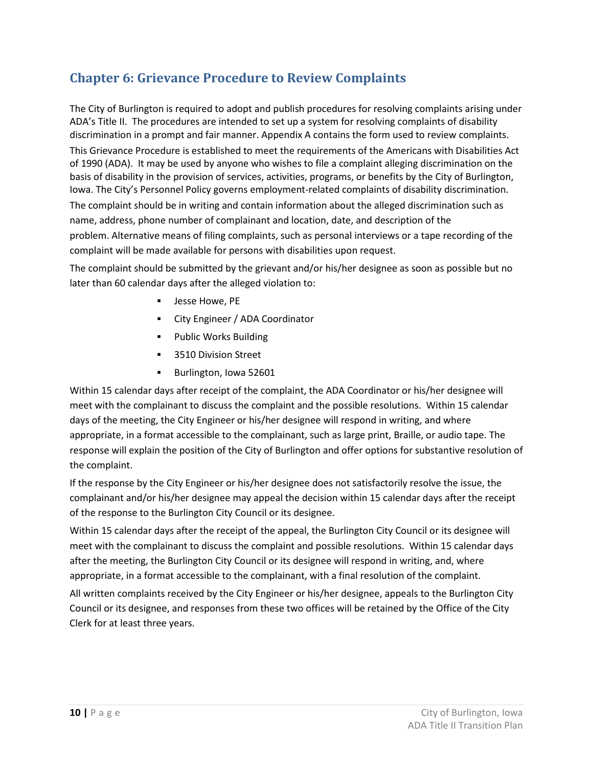# <span id="page-10-0"></span>**Chapter 6: Grievance Procedure to Review Complaints**

The City of Burlington is required to adopt and publish procedures for resolving complaints arising under ADA's Title II. The procedures are intended to set up a system for resolving complaints of disability discrimination in a prompt and fair manner. Appendix A contains the form used to review complaints.

This Grievance Procedure is established to meet the requirements of the Americans with Disabilities Act of 1990 (ADA). It may be used by anyone who wishes to file a complaint alleging discrimination on the basis of disability in the provision of services, activities, programs, or benefits by the City of Burlington, Iowa. The City's Personnel Policy governs employment-related complaints of disability discrimination. The complaint should be in writing and contain information about the alleged discrimination such as name, address, phone number of complainant and location, date, and description of the problem. Alternative means of filing complaints, such as personal interviews or a tape recording of the complaint will be made available for persons with disabilities upon request.

The complaint should be submitted by the grievant and/or his/her designee as soon as possible but no later than 60 calendar days after the alleged violation to:

- Jesse Howe, PE
- City Engineer / ADA Coordinator
- Public Works Building
- **3510 Division Street**
- Burlington, Iowa 52601

Within 15 calendar days after receipt of the complaint, the ADA Coordinator or his/her designee will meet with the complainant to discuss the complaint and the possible resolutions. Within 15 calendar days of the meeting, the City Engineer or his/her designee will respond in writing, and where appropriate, in a format accessible to the complainant, such as large print, Braille, or audio tape. The response will explain the position of the City of Burlington and offer options for substantive resolution of the complaint.

If the response by the City Engineer or his/her designee does not satisfactorily resolve the issue, the complainant and/or his/her designee may appeal the decision within 15 calendar days after the receipt of the response to the Burlington City Council or its designee.

Within 15 calendar days after the receipt of the appeal, the Burlington City Council or its designee will meet with the complainant to discuss the complaint and possible resolutions. Within 15 calendar days after the meeting, the Burlington City Council or its designee will respond in writing, and, where appropriate, in a format accessible to the complainant, with a final resolution of the complaint.

All written complaints received by the City Engineer or his/her designee, appeals to the Burlington City Council or its designee, and responses from these two offices will be retained by the Office of the City Clerk for at least three years.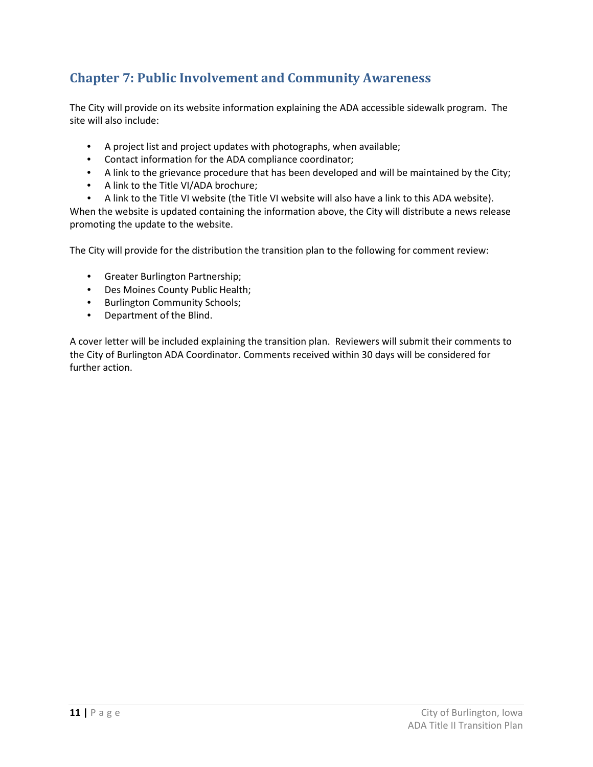# <span id="page-11-0"></span>**Chapter 7: Public Involvement and Community Awareness**

The City will provide on its website information explaining the ADA accessible sidewalk program. The site will also include:

- A project list and project updates with photographs, when available;
- Contact information for the ADA compliance coordinator;
- A link to the grievance procedure that has been developed and will be maintained by the City;
- A link to the Title VI/ADA brochure;
- A link to the Title VI website (the Title VI website will also have a link to this ADA website).

When the website is updated containing the information above, the City will distribute a news release promoting the update to the website.

The City will provide for the distribution the transition plan to the following for comment review:

- Greater Burlington Partnership;
- Des Moines County Public Health;
- Burlington Community Schools;
- Department of the Blind.

A cover letter will be included explaining the transition plan. Reviewers will submit their comments to the City of Burlington ADA Coordinator. Comments received within 30 days will be considered for further action.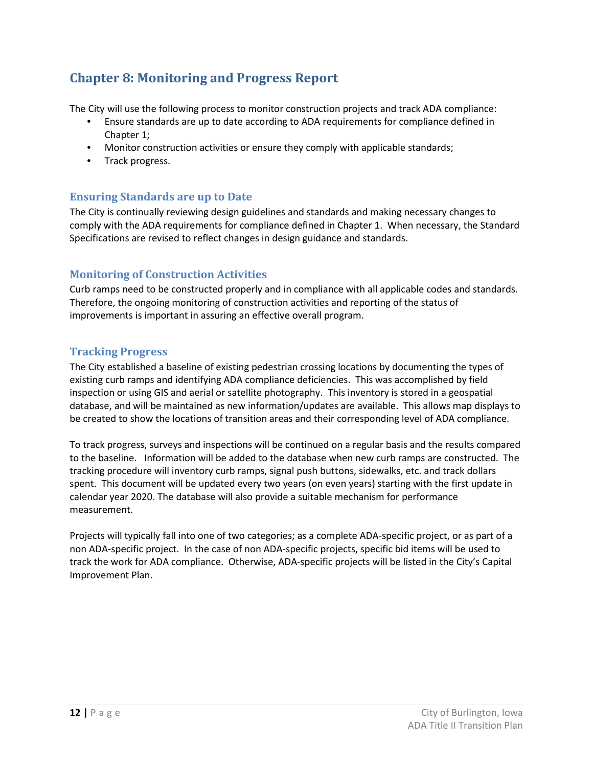# <span id="page-12-0"></span>**Chapter 8: Monitoring and Progress Report**

The City will use the following process to monitor construction projects and track ADA compliance:

- Ensure standards are up to date according to ADA requirements for compliance defined in Chapter 1;
- Monitor construction activities or ensure they comply with applicable standards;
- Track progress.

#### <span id="page-12-1"></span>**Ensuring Standards are up to Date**

The City is continually reviewing design guidelines and standards and making necessary changes to comply with the ADA requirements for compliance defined in Chapter 1. When necessary, the Standard Specifications are revised to reflect changes in design guidance and standards.

#### <span id="page-12-2"></span>**Monitoring of Construction Activities**

Curb ramps need to be constructed properly and in compliance with all applicable codes and standards. Therefore, the ongoing monitoring of construction activities and reporting of the status of improvements is important in assuring an effective overall program.

#### <span id="page-12-3"></span>**Tracking Progress**

The City established a baseline of existing pedestrian crossing locations by documenting the types of existing curb ramps and identifying ADA compliance deficiencies. This was accomplished by field inspection or using GIS and aerial or satellite photography. This inventory is stored in a geospatial database, and will be maintained as new information/updates are available. This allows map displays to be created to show the locations of transition areas and their corresponding level of ADA compliance.

To track progress, surveys and inspections will be continued on a regular basis and the results compared to the baseline. Information will be added to the database when new curb ramps are constructed. The tracking procedure will inventory curb ramps, signal push buttons, sidewalks, etc. and track dollars spent. This document will be updated every two years (on even years) starting with the first update in calendar year 2020. The database will also provide a suitable mechanism for performance measurement.

Projects will typically fall into one of two categories; as a complete ADA-specific project, or as part of a non ADA-specific project. In the case of non ADA-specific projects, specific bid items will be used to track the work for ADA compliance. Otherwise, ADA-specific projects will be listed in the City's Capital Improvement Plan.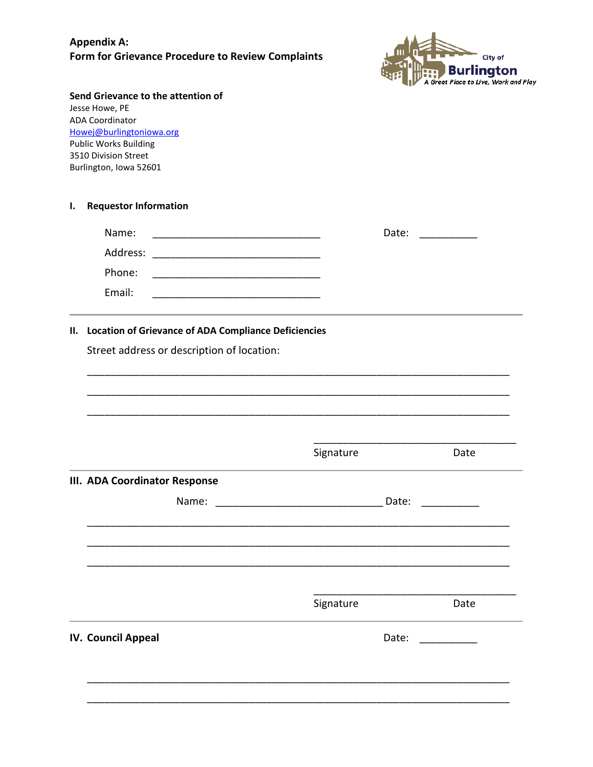### **Appendix A: Form for Grievance Procedure to Review Complaints**



|    | Send Grievance to the attention of<br>Jesse Howe, PE<br><b>ADA Coordinator</b><br>Howej@burlingtoniowa.org<br><b>Public Works Building</b><br>3510 Division Street<br>Burlington, Iowa 52601 |           |      |
|----|----------------------------------------------------------------------------------------------------------------------------------------------------------------------------------------------|-----------|------|
| Ι. | <b>Requestor Information</b>                                                                                                                                                                 |           |      |
|    | Name:                                                                                                                                                                                        | Date:     |      |
|    | Address:                                                                                                                                                                                     |           |      |
|    | Phone:                                                                                                                                                                                       |           |      |
|    | Email:<br><u> 1980 - Johann Barbara, martin da basar da basar da basar da basar da basar da basar da basar da basar da basa</u>                                                              |           |      |
|    | <b>Location of Grievance of ADA Compliance Deficiencies</b><br>Street address or description of location:                                                                                    |           |      |
|    |                                                                                                                                                                                              | Signature | Date |
|    | <b>III. ADA Coordinator Response</b>                                                                                                                                                         |           |      |
|    | Name:                                                                                                                                                                                        | Date:     |      |
|    |                                                                                                                                                                                              | Signature | Date |
|    | IV. Council Appeal                                                                                                                                                                           | Date:     |      |
|    |                                                                                                                                                                                              |           |      |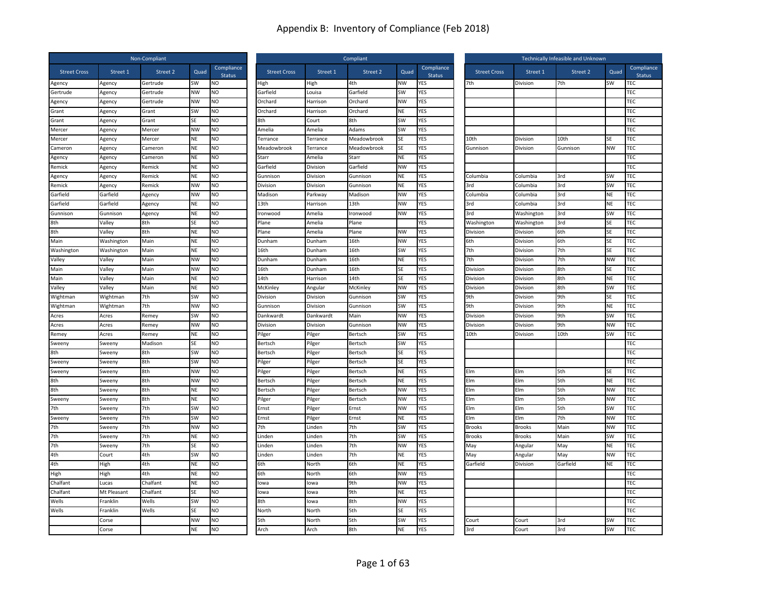|                     |             | Non-Compliant |           |                             |                     |           | Compliant   |           | Technically Infeasible and Unknown |                     |               |          |           |                             |
|---------------------|-------------|---------------|-----------|-----------------------------|---------------------|-----------|-------------|-----------|------------------------------------|---------------------|---------------|----------|-----------|-----------------------------|
| <b>Street Cross</b> | Street 1    | Street 2      | Quad      | Compliance<br><b>Status</b> | <b>Street Cross</b> | Street 1  | Street 2    | Quad      | Compliance<br><b>Status</b>        | <b>Street Cross</b> | Street 1      | Street 2 | Quad      | Compliance<br><b>Status</b> |
| Agency              | Agency      | Gertrude      | SW        | NO                          | High                | High      | 4th         | NW        | YES                                | 7th                 | Division      | 7th      | SW        | TEC                         |
| Gertrude            | Agency      | Gertrude      | <b>NW</b> | NO                          | Garfield            | Louisa    | Garfield    | SW        | YES                                |                     |               |          |           | TEC                         |
| Agency              | Agency      | Gertrude      | NW        | NO                          | Orchard             | Harrison  | Orchard     | NW        | YES                                |                     |               |          |           | TEC                         |
| Grant               | Agency      | Grant         | <b>SW</b> | <b>NO</b>                   | Orchard             | Harrison  | Orchard     | <b>NE</b> | YES                                |                     |               |          |           | TEC                         |
| Grant               | Agency      | Grant         | <b>SE</b> | NO                          | 8th                 | Court     | 8th         | SW        | YES                                |                     |               |          |           | TEC                         |
| Mercer              | Agency      | Mercer        | <b>NW</b> | NO                          | Amelia              | Amelia    | Adams       | SW        | <b>YES</b>                         |                     |               |          |           | TEC                         |
| Mercer              | Agency      | Mercer        | <b>NE</b> | NO.                         | Terrance            | Terrance  | Meadowbrook | SE        | YES                                | 10th                | Division      | 10th     | SE        | TEC                         |
| Cameron             | Agency      | Cameron       | <b>NE</b> | <b>NO</b>                   | Meadowbrook         | Terrance  | Meadowbrook | SE        | YES                                | Gunnison            | Division      | Gunnison | <b>NW</b> | <b>TEC</b>                  |
| Agency              | Agency      | Cameron       | <b>NE</b> | NO                          | Starr               | Amelia    | Starr       | NE        | YES                                |                     |               |          |           | TEC                         |
| Remick              | Agency      | Remick        | ΝF        | NO                          | Garfield            | Division  | Garfield    | <b>NW</b> | YES                                |                     |               |          |           | TEC                         |
| Agency              | Agency      | Remick        | <b>NE</b> | NO.                         | Gunnison            | Division  | Gunnison    | <b>NE</b> | YES                                | Columbia            | Columbia      | 3rd      | SW        | TEC                         |
| Remick              | Agency      | Remick        | <b>NW</b> | <b>NO</b>                   | Division            | Division  | Gunnison    | <b>NE</b> | <b>YES</b>                         | 3rd                 | Columbia      | 3rd      | <b>SW</b> | TEC                         |
| Garfield            | Garfield    | Agency        | <b>NW</b> | <b>NO</b>                   | Madison             | Parkway   | Madison     | <b>NW</b> | YES                                | Columbia            | Columbia      | 3rd      | NE        | TEC                         |
| Garfield            | Garfield    | Agency        | NE        | N <sub>O</sub>              | 13th                | Harrison  | 13th        | <b>NW</b> | <b>YES</b>                         | 3rd                 | Columbia      | 3rd      | NE        | TEC                         |
| Gunnison            | Gunnison    | Agency        | <b>NE</b> | <b>NO</b>                   | ronwood             | Amelia    | Ironwood    | <b>NW</b> | YES                                | 3rd                 | Washington    | 3rd      | SW        | TEC                         |
| 8th                 | Valley      | 8th           | <b>SE</b> | <b>NO</b>                   | Plane               | Amelia    | Plane       |           | YES                                | Washington          | Washington    | 3rd      | SE        | TEC                         |
| 8th                 | Valley      | 8th           | NE        | NO                          | Plane               | Amelia    | Plane       | <b>NW</b> | YES                                | Division            | Division      | 6th      | SE        | TEC                         |
| Main                | Washington  | Main          | NE        | NO                          | Dunham              | Dunham    | 16th        | <b>NW</b> | YES                                | 6th                 | Division      | 6th      | SE        | TEC                         |
| Washington          | Washington  | Main          | <b>NE</b> | NO.                         | 16th                | Dunham    | 16th        | <b>SW</b> | YES                                | 7th                 | Division      | 7th      | ςF        | TEC                         |
| Valley              | Valley      | Main          | <b>NW</b> | <b>NO</b>                   | Dunham              | Dunham    | 16th        | <b>NE</b> | YES                                | 7th                 | Division      | 7th      | <b>NW</b> | TEC                         |
| Main                | Valley      | Main          | <b>NW</b> | <b>NO</b>                   | 16th                | Dunham    | 16th        | SE        | <b>YES</b>                         | Division            | Division      | 8th      | SE        | TEC                         |
| Main                | Valley      | Main          | NE        | NO                          | 14th                | Harrison  | 14th        | SE        | <b>YES</b>                         | Division            | Division      | 8th      | ΝE        | TEC                         |
| Valley              | Valley      | Main          | <b>NE</b> | <b>NO</b>                   | McKinley            | Angular   | McKinley    | <b>NW</b> | YES                                | Division            | Division      | 8th      | <b>SW</b> | TEC                         |
| Wightman            | Wightman    | 7th           | SW        | NO                          | Division            | Division  | Gunnison    | SW        | YES                                | 9th                 | Division      | 9th      | SF        | TEC                         |
| Wightman            | Wightman    | 7th           | <b>NW</b> | NO                          | Gunnison            | Division  | Gunnison    | SW        | YES                                | 9th                 | Division      | 9th      | <b>NE</b> | TEC                         |
| Acres               | Acres       | Remey         | <b>SW</b> | N <sub>O</sub>              | Dankwardt           | Dankwardt | Main        | <b>NW</b> | YES                                | Division            | Division      | 9th      | <b>SW</b> | TEC                         |
| Acres               | Acres       | Remey         | <b>NW</b> | <b>NO</b>                   | Division            | Division  | Gunnison    | <b>NW</b> | YES                                | Division            | Division      | 9th      | <b>NW</b> | <b>TEC</b>                  |
| Remey               | Acres       | Remey         | <b>NE</b> | <b>NO</b>                   | Pilger              | Pilger    | Bertsch     | SW        | YES                                | 10th                | Division      | 10th     | SW        | TEC                         |
| Sweeny              | Sweeny      | Madison       | SE        | NO                          | Bertsch             | Pilger    | Bertsch     | SW        | <b>YES</b>                         |                     |               |          |           | TEC                         |
| 8th                 | Sweeny      | 8th           | SW        | <b>NO</b>                   | Bertsch             | Pilger    | Bertsch     | SE        | YES                                |                     |               |          |           | TEC                         |
| Sweeny              | Sweeny      | 8th           | SW        | <b>NO</b>                   | Pilger              | Pilger    | Bertsch     | SE        | YES                                |                     |               |          |           | TEC                         |
| Sweeny              | Sweeny      | 8th           | <b>NW</b> | NO                          | Pilger              | Pilger    | Bertsch     | NE        | YES                                | Elm                 | Elm           | 5th      | SE        | TEC                         |
| 8th                 | Sweeny      | 8th           | NW        | NO                          | Bertsch             | Pilger    | Bertsch     | NE        | YES                                | Elm                 | Elm           | 5th      | NE        | <b>TEC</b>                  |
| 8th                 | Sweeny      | 8th           | <b>NE</b> | NO.                         | Bertsch             | Pilger    | Bertsch     | <b>NW</b> | YES                                | Elm                 | Elm           | 5th      | <b>NW</b> | TEC                         |
| Sweeny              | Sweeny      | 8th           | <b>NE</b> | <b>NO</b>                   | Pilger              | Pilger    | Bertsch     | <b>NW</b> | YES                                | Elm                 | Elm           | 5th      | <b>NW</b> | TEC                         |
| 7th                 | Sweeny      | 7th           | SW        | NO                          | Ernst               | Pilger    | Ernst       | <b>NW</b> | YES                                | Elm                 | Elm           | 5th      | SW        | TEC                         |
| Sweeny              | Sweeny      | 7th           | SW        | <b>NO</b>                   | Ernst               | Pilger    | Ernst       | <b>NE</b> | <b>YES</b>                         | Elm                 | Elm           | 7th      | <b>NW</b> | TEC                         |
| 7th                 | Sweeny      | 7th           | <b>NW</b> | <b>NO</b>                   | 7th                 | Linden    | 7th         | SW        | YES                                | <b>Brooks</b>       | <b>Brooks</b> | Main     | <b>NW</b> | TEC                         |
| 7th                 | Sweeny      | 7th           | <b>NE</b> | <b>NO</b>                   | Linden              | Linden    | 7th         | SW        | YES                                | <b>Brooks</b>       | <b>Brooks</b> | Main     | SW        | TEC                         |
| 7th                 | Sweeny      | 7th           | <b>SE</b> | NO.                         | Linden              | Linden    | 7th         | <b>NW</b> | YES                                | May                 | Angular       | May      | <b>NE</b> | <b>TEC</b>                  |
| 4th                 | Court       | 4th           | SW        | NO                          | Linden              | Linden    | 7th         | NE        | <b>YES</b>                         | May                 | Angulaı       | May      | NW        | TEC                         |
| 4th                 | High        | 4th           | <b>NE</b> | NO.                         | 6th                 | North     | 6th         | <b>NE</b> | YES                                | Garfield            | Division      | Garfield | NF.       | TEC                         |
| High                | High        | 4th           | <b>NE</b> | <b>NO</b>                   | 6th                 | North     | 6th         | <b>NW</b> | YES                                |                     |               |          |           | TEC                         |
| Chalfant            | Lucas       | Chalfant      | NE        | NO                          | lowa                | lowa      | 9th         | <b>NW</b> | YES                                |                     |               |          |           | <b>TEC</b>                  |
| Chalfant            | Mt Pleasant | Chalfant      | SE        | NO                          | lowa                | lowa      | 9th         | NE        | YES                                |                     |               |          |           | TEC                         |
| Wells               | Franklin    | Wells         | SW        | <b>NO</b>                   | 8th                 | lowa      | 8th         | <b>NW</b> | <b>YES</b>                         |                     |               |          |           | TEC                         |
| Wells               | Franklin    | Wells         | SE        | NO                          | North               | North     | 5th         | SE        | YES                                |                     |               |          |           | TEC                         |
|                     | Corse       |               | <b>NW</b> | NO                          | 5th                 | North     | 5th         | <b>SW</b> | YES                                | Court               | Court         | 3rd      | SW        | <b>TEC</b>                  |
|                     | Corse       |               | NE        | NO                          | Arch                | Arch      | 8th         | NE        | YES                                | 3rd                 | Court         | 3rd      | SW        | TEC                         |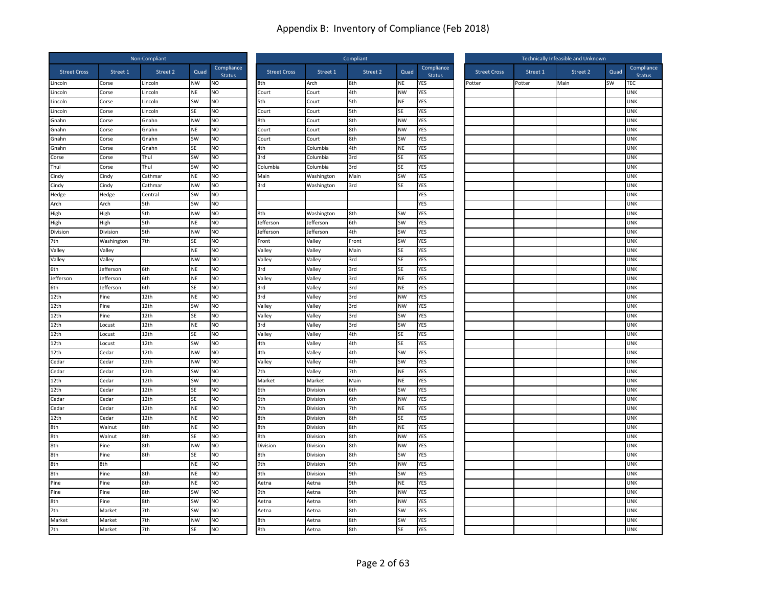|                     |            | Non-Compliant |           |                             | Compliant           |            |          |           |                             |        | Technically Infeasible and Unknown |          |          |      |                             |  |
|---------------------|------------|---------------|-----------|-----------------------------|---------------------|------------|----------|-----------|-----------------------------|--------|------------------------------------|----------|----------|------|-----------------------------|--|
| <b>Street Cross</b> | Street 1   | Street 2      | Quad      | Compliance<br><b>Status</b> | <b>Street Cross</b> | Street 1   | Street 2 | Quad      | Compliance<br><b>Status</b> |        | <b>Street Cross</b>                | Street 1 | Street 2 | Quad | Compliance<br><b>Status</b> |  |
| Lincoln             | Corse      | Lincoln       | <b>NW</b> | NO                          | 8th                 | Arch       | 8th      | NE        | YES                         | Potter |                                    | Potter   | Main     | SW   | TEC                         |  |
| Lincoln             | Corse      | Lincoln       | NE        | NO                          | Court               | Court      | 4th      | <b>NW</b> | YES                         |        |                                    |          |          |      | <b>UNK</b>                  |  |
| Lincoln             | Corse      | Lincoln       | SW        | <b>NO</b>                   | 5th                 | Court      | 5th      | <b>NE</b> | YES                         |        |                                    |          |          |      | <b>UNK</b>                  |  |
| Lincoln             | Corse      | Lincoln       | SE        | <b>NO</b>                   | Court               | Court      | 5th      | <b>SE</b> | YES                         |        |                                    |          |          |      | <b>UNK</b>                  |  |
| Gnahn               | Corse      | Gnahn         | <b>NW</b> | NO                          | 8th                 | Court      | 8th      | <b>NW</b> | YES                         |        |                                    |          |          |      | <b>UNK</b>                  |  |
| Gnahn               | Corse      | Gnahn         | NE        | NO                          | Court               | Court      | 8th      | <b>NW</b> | YES                         |        |                                    |          |          |      | <b>UNK</b>                  |  |
| Gnahn               | Corse      | Gnahn         | SW        | N <sub>O</sub>              | Court               | Court      | 8th      | <b>SW</b> | <b>YES</b>                  |        |                                    |          |          |      | <b>UNK</b>                  |  |
| Gnahn               | Corse      | Gnahn         | <b>SE</b> | <b>NO</b>                   | 4th                 | Columbia   | 4th      | <b>NE</b> | YES                         |        |                                    |          |          |      | <b>UNK</b>                  |  |
| Corse               | Corse      | Thul          | SW        | NO                          | 3rd                 | Columbia   | 3rd      | SE        | YES                         |        |                                    |          |          |      | <b>UNK</b>                  |  |
| Thul                | Corse      | Thul          | <b>SW</b> | NO                          | Columbia            | Columbia   | 3rd      | SE        | YES                         |        |                                    |          |          |      | <b>UNK</b>                  |  |
| Cindy               | Cindy      | Cathmar       | <b>NE</b> | <b>NO</b>                   | Main                | Washington | Main     | <b>SW</b> | YES                         |        |                                    |          |          |      | <b>UNK</b>                  |  |
| Cindy               | Cindy      | Cathmar       | <b>NW</b> | <b>NO</b>                   | 3rd                 | Washington | 3rd      | <b>SE</b> | YES                         |        |                                    |          |          |      | <b>UNK</b>                  |  |
| Hedge               | Hedge      | Central       | SW        | NO                          |                     |            |          |           | YES                         |        |                                    |          |          |      | <b>UNK</b>                  |  |
| Arch                | Arch       | 5th           | SW        | <b>NO</b>                   |                     |            |          |           | YES                         |        |                                    |          |          |      | <b>UNK</b>                  |  |
| High                | High       | 5th           | <b>NW</b> | <b>NO</b>                   | 8th                 | Washington | 8th      | SW        | YES                         |        |                                    |          |          |      | <b>UNK</b>                  |  |
| High                | High       | 5th           | NE        | <b>NO</b>                   | Jefferson           | Jefferson  | 6th      | <b>SW</b> | YES                         |        |                                    |          |          |      | <b>UNK</b>                  |  |
| Division            | Division   | 5th           | <b>NW</b> | NO                          | Jefferson           | Jefferson  | 4th      | SW        | <b>YES</b>                  |        |                                    |          |          |      | <b>UNK</b>                  |  |
| 7th                 | Washington | 7th           | <b>SE</b> | NO                          | Front               | Valley     | Front    | SW        | YES                         |        |                                    |          |          |      | <b>UNK</b>                  |  |
| Valley              | Valley     |               | <b>NE</b> | <b>NO</b>                   | Valley              | Valley     | Main     | SE        | YES                         |        |                                    |          |          |      | <b>UNK</b>                  |  |
| Valley              | Valley     |               | <b>NW</b> | <b>NO</b>                   | Valley              | Valley     | 3rd      | SE        | YES                         |        |                                    |          |          |      | <b>UNK</b>                  |  |
| 6th                 | Jefferson  | 6th           | NE        | <b>NO</b>                   | 3rd                 | Valley     | 3rd      | SE        | <b>YES</b>                  |        |                                    |          |          |      | <b>UNK</b>                  |  |
| Jefferson           | Jefferson  | 6th           | <b>NE</b> | N <sub>O</sub>              | Valley              | Valley     | 3rd      | <b>NE</b> | <b>YES</b>                  |        |                                    |          |          |      | <b>UNK</b>                  |  |
| 6th                 | Jefferson  | 6th           | <b>SE</b> | <b>NO</b>                   | 3rd                 | Valley     | 3rd      | <b>NE</b> | YES                         |        |                                    |          |          |      | <b>UNK</b>                  |  |
| 12th                | Pine       | 12th          | NE        | <b>NO</b>                   | 3rd                 | Valley     | 3rd      | <b>NW</b> | YES                         |        |                                    |          |          |      | <b>UNK</b>                  |  |
| 12th                | Pine       | 12th          | SW        | NO                          | Valley              | Valley     | 3rd      | <b>NW</b> | YES                         |        |                                    |          |          |      | <b>UNK</b>                  |  |
| 12th                | Pine       | 12th          | SE        | <b>NO</b>                   | Valley              | Valley     | 3rd      | <b>SW</b> | YES                         |        |                                    |          |          |      | <b>UNK</b>                  |  |
| 12th                | Locust     | 12th          | <b>NE</b> | N <sub>O</sub>              | 3rd                 | Valley     | 3rd      | <b>SW</b> | <b>YES</b>                  |        |                                    |          |          |      | <b>UNK</b>                  |  |
| 12th                | Locust     | 12th          | SE        | <b>NO</b>                   | Valley              | Valley     | 4th      | SE        | YES                         |        |                                    |          |          |      | <b>UNK</b>                  |  |
| 12th                | Locust     | 12th          | SW        | NO                          | 4th                 | Valley     | 4th      | SE        | YES                         |        |                                    |          |          |      | <b>UNK</b>                  |  |
| 12th                | Cedar      | 12th          | <b>NW</b> | <b>NO</b>                   | 4th                 | Valley     | 4th      | SW        | YES                         |        |                                    |          |          |      | <b>UNK</b>                  |  |
| Cedar               | Cedar      | 12th          | <b>NW</b> | <b>NO</b>                   | Valley              | Valley     | 4th      | <b>SW</b> | YES                         |        |                                    |          |          |      | <b>UNK</b>                  |  |
| Cedar               | Cedar      | 12th          | SW        | <b>NO</b>                   | 7th                 | Valley     | 7th      | <b>NE</b> | <b>YES</b>                  |        |                                    |          |          |      | <b>UNK</b>                  |  |
| 12th                | Cedar      | 12th          | SW        | NO                          | Market              | Market     | Main     | <b>NE</b> | YES                         |        |                                    |          |          |      | <b>UNK</b>                  |  |
| 12th                | Cedar      | 12th          | SF        | NO.                         | 6th                 | Division   | 6th      | <b>SW</b> | YES                         |        |                                    |          |          |      | <b>UNK</b>                  |  |
| Cedar               | Cedar      | 12th          | <b>SE</b> | <b>NO</b>                   | 6th                 | Division   | 6th      | <b>NW</b> | YES                         |        |                                    |          |          |      | <b>UNK</b>                  |  |
| Cedar               | Cedar      | 12th          | NE        | <b>NO</b>                   | 7th                 | Division   | 7th      | <b>NE</b> | YES                         |        |                                    |          |          |      | <b>UNK</b>                  |  |
| 12th                | Cedar      | 12th          | NE        | <b>NO</b>                   | 8th                 | Division   | 8th      | SE        | YES                         |        |                                    |          |          |      | <b>UNK</b>                  |  |
| 8th                 | Walnut     | 8th           | NE        | NO                          | 8th                 | Division   | 8th      | <b>NE</b> | YES                         |        |                                    |          |          |      | <b>UNK</b>                  |  |
| 8th                 | Walnut     | 8th           | <b>SE</b> | <b>NO</b>                   | 8th                 | Division   | 8th      | <b>NW</b> | YES                         |        |                                    |          |          |      | <b>UNK</b>                  |  |
| 8th                 | Pine       | 8th           | <b>NW</b> | NO                          | Division            | Division   | 8th      | <b>NW</b> | YES                         |        |                                    |          |          |      | <b>UNK</b>                  |  |
| 8th                 | Pine       | 8th           | SE        | NO                          | 8th                 | Division   | 8th      | SW        | <b>YES</b>                  |        |                                    |          |          |      | <b>UNK</b>                  |  |
| 8th                 | 8th        |               | <b>NE</b> | NO.                         | 9th                 | Division   | 9th      | <b>NW</b> | YES                         |        |                                    |          |          |      | <b>UNK</b>                  |  |
| 8th                 | Pine       | 8th           | <b>NE</b> | <b>NO</b>                   | 9th                 | Division   | 9th      | SW        | YES                         |        |                                    |          |          |      | <b>UNK</b>                  |  |
| Pine                | Pine       | 8th           | NE        | <b>NO</b>                   | Aetna               | Aetna      | 9th      | <b>NE</b> | YES                         |        |                                    |          |          |      | <b>UNK</b>                  |  |
| Pine                | Pine       | 8th           | SW        | NO                          | 9th                 | Aetna      | 9th      | <b>NW</b> | YES                         |        |                                    |          |          |      | <b>UNK</b>                  |  |
| 8th                 | Pine       | 8th           | SW        | <b>NO</b>                   | Aetna               | Aetna      | 9th      | <b>NW</b> | YES                         |        |                                    |          |          |      | <b>UNK</b>                  |  |
| 7th                 | Market     | 7th           | SW        | <b>NO</b>                   | Aetna               | Aetna      | 8th      | SW        | YES                         |        |                                    |          |          |      | <b>UNK</b>                  |  |
| Market              | Market     | 7th           | <b>NW</b> | <b>NO</b>                   | 8th                 | Aetna      | 8th      | SW        | YES                         |        |                                    |          |          |      | <b>UNK</b>                  |  |
| 7th                 | Market     | 7th           | SE        | <b>NO</b>                   | 8th                 | Aetna      | 8th      | SE        | <b>YES</b>                  |        |                                    |          |          |      | <b>UNK</b>                  |  |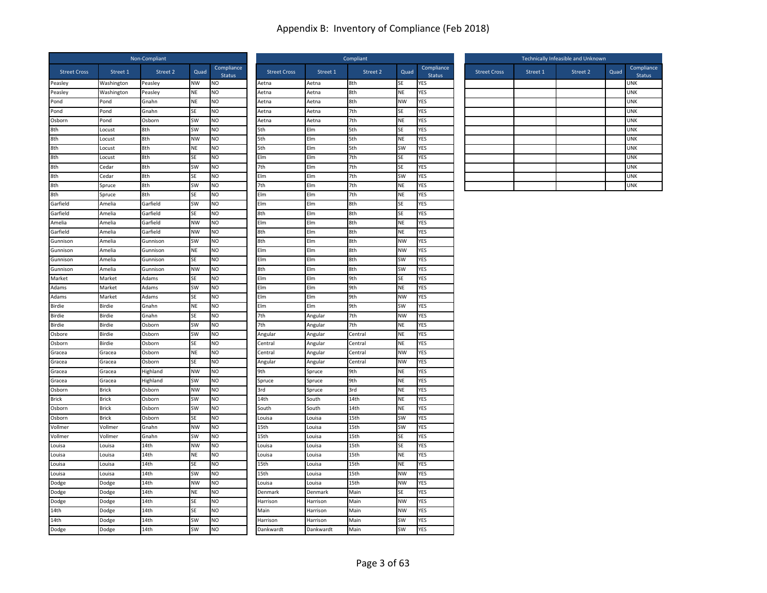| Compliance<br>Compliance<br><b>Street Cross</b><br>Street 1<br>Street 2<br>Quad<br><b>Street Cross</b><br>Street 1<br>Street 2<br>Quad<br><b>Street Cross</b><br>Street 1<br>Street 2<br>Quad<br>Status<br><b>Status</b><br>Peasley<br><b>NW</b><br>Aetna<br>8th<br>SE<br>YES<br>Peasley<br>Washington<br><b>NO</b><br>Aetna<br>8th<br>NE<br>YES<br>Peasley<br>Washington<br>Peasley<br>NE<br>NO<br>Aetna<br>Aetna<br><b>NE</b><br>8th<br><b>NW</b><br>YES<br>Pond<br>NO<br>Pond<br>Gnahn<br>Aetna<br>Aetna<br>N <sub>O</sub><br><b>YES</b><br>Pond<br>Pond<br>Gnahn<br>SE<br>Aetna<br>Aetna<br>7th<br>SE<br>Osborn<br><b>SW</b><br><b>NO</b><br>7th<br><b>NE</b><br>YES<br>Osborn<br>Pond<br>Aetna<br>Aetna<br>SW<br><b>YES</b><br>8th<br>8th<br><b>NO</b><br>5th<br>Elm<br>5th<br>SE<br>Locust<br>8th<br>8th<br><b>NW</b><br>N <sub>O</sub><br>Elm<br><b>NE</b><br><b>YES</b><br>5th<br>5th<br>Locust<br>8th<br>8th<br><b>NE</b><br><b>NO</b><br>5th<br>Elm<br>5th<br>SW<br>YES<br>Locust<br>8th<br>8th<br><b>SE</b><br><b>NO</b><br>Elm<br>Elm<br>7th<br>SE<br>YES<br>Locust<br>8th<br><b>YES</b><br>8th<br>7th<br>Elm<br>7th<br>Cedar<br>SW<br><b>NO</b><br>SE<br>8th<br>8th<br>SE<br>N <sub>O</sub><br>7th<br><b>SW</b><br><b>YES</b><br>Elm<br>Elm<br>Cedar<br>8th<br>8th<br>SW<br>NO<br>7th<br>Elm<br>7th<br><b>NE</b><br>YES<br>Spruce<br>8th<br>8th<br>SE<br><b>NO</b><br>Elm<br>Elm<br>7th<br><b>NE</b><br><b>YES</b><br>Spruce<br>SW<br>YES<br>Garfield<br>Amelia<br>Garfield<br><b>NO</b><br>Elm<br>Elm<br>8th<br>SE<br>SE<br><b>NO</b><br>8th<br>SE<br>YES<br>8th<br>Elm<br>Garfield<br>Amelia<br>Garfield<br><b>NW</b><br>NO<br>Elm<br>Elm<br>8th<br><b>NE</b><br>YES<br>Amelia<br>Amelia<br>Garfield<br><b>NW</b><br>N <sub>O</sub><br>8th<br>Elm<br>8th<br><b>NE</b><br><b>YES</b><br>Garfield<br>Amelia<br>Garfield<br>Amelia<br><b>SW</b><br><b>NO</b><br>8th<br>Elm<br>8th<br><b>NW</b><br><b>YES</b><br>Gunnison<br>Gunnison<br>Elm<br>8th<br><b>NW</b><br>YES<br>NE<br><b>NO</b><br>Elm<br>Gunnison<br>Amelia<br>Gunnison<br>SE<br><b>NO</b><br>SW<br><b>YES</b><br>Elm<br>Elm<br>8th<br>Gunnison<br>Gunnison<br>Amelia<br><b>NW</b><br><b>NO</b><br>8th<br>Elm<br>8th<br><b>SW</b><br>YES<br>Gunnison<br>Amelia<br>Gunnison<br>Market<br>Adams<br><b>SE</b><br>N <sub>O</sub><br>Elm<br>Elm<br>9th<br>SE<br>YES<br><b>SW</b><br>Adams<br>N <sub>O</sub><br>Elm<br>9th<br>NE<br>YES<br>Market<br>Adams<br>Elm<br><b>NO</b><br><b>NW</b><br><b>YES</b><br>Adams<br>Market<br>Adams<br>SE<br>Elm<br>Elm<br>9th<br>YES<br>Birdie<br>Birdie<br>Gnahn<br><b>NE</b><br>N <sub>O</sub><br>Elm<br>Elm<br>9th<br>SW<br>7th<br><b>NW</b><br><b>YES</b><br><b>Birdie</b><br>Birdie<br>Gnahn<br><b>SE</b><br><b>NO</b><br>7th<br>Angular<br><b>Birdie</b><br>SW<br>7th<br>7th<br><b>NE</b><br>YES<br>Birdie<br>Osborn<br><b>NO</b><br>Angular<br>SW<br>NE<br>YES<br>Osbore<br>Birdie<br>NO<br>Central<br>Osborn<br>Angular<br>Angular<br>N <sub>O</sub><br><b>YES</b><br>Osborn<br>Birdie<br>Osborn<br>SE<br>Central<br>NE<br>Angular<br>Central<br><b>NE</b><br><b>NO</b><br><b>NW</b><br>YES<br>Gracea<br>Gracea<br>Osborn<br>Central<br>Angular<br>Central<br><b>NO</b><br>NW<br>YES<br>Gracea<br>Gracea<br>Osborn<br>SE<br>Angular<br>Angular<br>Central<br><b>NW</b><br>N <sub>O</sub><br><b>YES</b><br>9th<br>9th<br>NE<br>Gracea<br>Gracea<br>Highland<br>Spruce<br>SW<br><b>NO</b><br>NE<br><b>YES</b><br>9th<br>Gracea<br>Gracea<br>Highland<br>Spruce<br>Spruce<br>Osborn<br><b>Brick</b><br>Osborn<br><b>NW</b><br>N <sub>O</sub><br>3rd<br>Spruce<br>3rd<br>NE<br>YES<br><b>YES</b><br><b>NE</b><br><b>Brick</b><br><b>Brick</b><br>Osborn<br>SW<br><b>NO</b><br>14th<br>South<br>14th<br><b>SW</b><br>Osborn<br><b>Brick</b><br>NO<br>14th<br><b>NE</b><br>YES<br>Osborn<br>South<br>South<br>NO<br>15th<br>SW<br>YES<br>Osborn<br><b>Brick</b><br>Osborn<br><b>SE</b><br>Louisa<br>Louisa<br><b>NO</b><br><b>SW</b><br><b>YES</b><br>Vollmer<br>Vollmer<br>Gnahn<br><b>NW</b><br>15th<br>15th<br>Louisa<br>SW<br>YES<br>Vollmer<br>Vollmer<br>Gnahn<br><b>NO</b><br>15th<br>Louisa<br>15th<br>SE<br><b>NW</b><br><b>NO</b><br><b>YES</b><br>14th<br>15th<br>SE<br>Louisa<br>Louisa<br>Louisa<br>Louisa<br>14th<br><b>NE</b><br>NO<br>15th<br>NE<br>YES<br>Louisa<br>Louisa<br>Louisa<br>Louisa<br>14th<br>N <sub>O</sub><br>15th<br>15th<br><b>NE</b><br><b>YES</b><br>Louisa<br>Louisa<br>SE<br>Louisa<br>14th<br>SW<br>N <sub>O</sub><br>15th<br>Louisa<br>15th<br><b>NW</b><br><b>YES</b><br>Louisa<br>Louisa<br>14th<br>15th<br><b>NW</b><br><b>YES</b><br><b>NW</b><br><b>NO</b><br>Dodge<br>Dodge<br>Louisa<br>Louisa<br>14th<br>NE<br>NO<br>Main<br>SE<br>YES<br>Dodge<br>Dodge<br>Denmark<br>Denmark<br>14th<br><b>NO</b><br>Main<br><b>NW</b><br>YES<br>Dodge<br>Dodge<br><b>SE</b><br>Harrison<br>Harrison<br>14th<br>14th<br>SE<br><b>NO</b><br>Main<br><b>NW</b><br>YES<br>Dodge<br>Main<br>Harrison<br>14th<br>SW<br>N <sub>O</sub><br>Main<br>SW<br>YES<br>14th<br>Dodge<br>Harrison<br>Harrison |        |       | Non-Compliant |    |                | Compliant |           |      |           |            |  | Technically Infeasible and Unknown |  |  |  |    |  |
|---------------------------------------------------------------------------------------------------------------------------------------------------------------------------------------------------------------------------------------------------------------------------------------------------------------------------------------------------------------------------------------------------------------------------------------------------------------------------------------------------------------------------------------------------------------------------------------------------------------------------------------------------------------------------------------------------------------------------------------------------------------------------------------------------------------------------------------------------------------------------------------------------------------------------------------------------------------------------------------------------------------------------------------------------------------------------------------------------------------------------------------------------------------------------------------------------------------------------------------------------------------------------------------------------------------------------------------------------------------------------------------------------------------------------------------------------------------------------------------------------------------------------------------------------------------------------------------------------------------------------------------------------------------------------------------------------------------------------------------------------------------------------------------------------------------------------------------------------------------------------------------------------------------------------------------------------------------------------------------------------------------------------------------------------------------------------------------------------------------------------------------------------------------------------------------------------------------------------------------------------------------------------------------------------------------------------------------------------------------------------------------------------------------------------------------------------------------------------------------------------------------------------------------------------------------------------------------------------------------------------------------------------------------------------------------------------------------------------------------------------------------------------------------------------------------------------------------------------------------------------------------------------------------------------------------------------------------------------------------------------------------------------------------------------------------------------------------------------------------------------------------------------------------------------------------------------------------------------------------------------------------------------------------------------------------------------------------------------------------------------------------------------------------------------------------------------------------------------------------------------------------------------------------------------------------------------------------------------------------------------------------------------------------------------------------------------------------------------------------------------------------------------------------------------------------------------------------------------------------------------------------------------------------------------------------------------------------------------------------------------------------------------------------------------------------------------------------------------------------------------------------------------------------------------------------------------------------------------------------------------------------------------------------------------------------------------------------------------------------------------------------------------------------------------------------------------------------------------------------------------------------------------------------------------------------------------------------------------------------------------------------------------------------------------------------------------------------------------------------------------------------------------------------------------------------------------------------------------------------------------------------------------------------------------------------------------------------------------------------------------------------------------------------|--------|-------|---------------|----|----------------|-----------|-----------|------|-----------|------------|--|------------------------------------|--|--|--|----|--|
| <b>UNK</b><br><b>UNK</b><br><b>UNK</b><br><b>UNK</b><br><b>UNK</b><br><b>UNK</b><br><b>UNK</b><br><b>UNK</b><br><b>UNK</b><br><b>UNK</b><br><b>UNK</b><br><b>UNK</b>                                                                                                                                                                                                                                                                                                                                                                                                                                                                                                                                                                                                                                                                                                                                                                                                                                                                                                                                                                                                                                                                                                                                                                                                                                                                                                                                                                                                                                                                                                                                                                                                                                                                                                                                                                                                                                                                                                                                                                                                                                                                                                                                                                                                                                                                                                                                                                                                                                                                                                                                                                                                                                                                                                                                                                                                                                                                                                                                                                                                                                                                                                                                                                                                                                                                                                                                                                                                                                                                                                                                                                                                                                                                                                                                                                                                                                                                                                                                                                                                                                                                                                                                                                                                                                                                                                                                                                                                                                                                                                                                                                                                                                                                                                                                                                                                                                                                  |        |       |               |    |                |           |           |      |           |            |  |                                    |  |  |  | Co |  |
|                                                                                                                                                                                                                                                                                                                                                                                                                                                                                                                                                                                                                                                                                                                                                                                                                                                                                                                                                                                                                                                                                                                                                                                                                                                                                                                                                                                                                                                                                                                                                                                                                                                                                                                                                                                                                                                                                                                                                                                                                                                                                                                                                                                                                                                                                                                                                                                                                                                                                                                                                                                                                                                                                                                                                                                                                                                                                                                                                                                                                                                                                                                                                                                                                                                                                                                                                                                                                                                                                                                                                                                                                                                                                                                                                                                                                                                                                                                                                                                                                                                                                                                                                                                                                                                                                                                                                                                                                                                                                                                                                                                                                                                                                                                                                                                                                                                                                                                                                                                                                                       |        |       |               |    |                |           |           |      |           |            |  |                                    |  |  |  |    |  |
|                                                                                                                                                                                                                                                                                                                                                                                                                                                                                                                                                                                                                                                                                                                                                                                                                                                                                                                                                                                                                                                                                                                                                                                                                                                                                                                                                                                                                                                                                                                                                                                                                                                                                                                                                                                                                                                                                                                                                                                                                                                                                                                                                                                                                                                                                                                                                                                                                                                                                                                                                                                                                                                                                                                                                                                                                                                                                                                                                                                                                                                                                                                                                                                                                                                                                                                                                                                                                                                                                                                                                                                                                                                                                                                                                                                                                                                                                                                                                                                                                                                                                                                                                                                                                                                                                                                                                                                                                                                                                                                                                                                                                                                                                                                                                                                                                                                                                                                                                                                                                                       |        |       |               |    |                |           |           |      |           |            |  |                                    |  |  |  |    |  |
|                                                                                                                                                                                                                                                                                                                                                                                                                                                                                                                                                                                                                                                                                                                                                                                                                                                                                                                                                                                                                                                                                                                                                                                                                                                                                                                                                                                                                                                                                                                                                                                                                                                                                                                                                                                                                                                                                                                                                                                                                                                                                                                                                                                                                                                                                                                                                                                                                                                                                                                                                                                                                                                                                                                                                                                                                                                                                                                                                                                                                                                                                                                                                                                                                                                                                                                                                                                                                                                                                                                                                                                                                                                                                                                                                                                                                                                                                                                                                                                                                                                                                                                                                                                                                                                                                                                                                                                                                                                                                                                                                                                                                                                                                                                                                                                                                                                                                                                                                                                                                                       |        |       |               |    |                |           |           |      |           |            |  |                                    |  |  |  |    |  |
|                                                                                                                                                                                                                                                                                                                                                                                                                                                                                                                                                                                                                                                                                                                                                                                                                                                                                                                                                                                                                                                                                                                                                                                                                                                                                                                                                                                                                                                                                                                                                                                                                                                                                                                                                                                                                                                                                                                                                                                                                                                                                                                                                                                                                                                                                                                                                                                                                                                                                                                                                                                                                                                                                                                                                                                                                                                                                                                                                                                                                                                                                                                                                                                                                                                                                                                                                                                                                                                                                                                                                                                                                                                                                                                                                                                                                                                                                                                                                                                                                                                                                                                                                                                                                                                                                                                                                                                                                                                                                                                                                                                                                                                                                                                                                                                                                                                                                                                                                                                                                                       |        |       |               |    |                |           |           |      |           |            |  |                                    |  |  |  |    |  |
|                                                                                                                                                                                                                                                                                                                                                                                                                                                                                                                                                                                                                                                                                                                                                                                                                                                                                                                                                                                                                                                                                                                                                                                                                                                                                                                                                                                                                                                                                                                                                                                                                                                                                                                                                                                                                                                                                                                                                                                                                                                                                                                                                                                                                                                                                                                                                                                                                                                                                                                                                                                                                                                                                                                                                                                                                                                                                                                                                                                                                                                                                                                                                                                                                                                                                                                                                                                                                                                                                                                                                                                                                                                                                                                                                                                                                                                                                                                                                                                                                                                                                                                                                                                                                                                                                                                                                                                                                                                                                                                                                                                                                                                                                                                                                                                                                                                                                                                                                                                                                                       |        |       |               |    |                |           |           |      |           |            |  |                                    |  |  |  |    |  |
|                                                                                                                                                                                                                                                                                                                                                                                                                                                                                                                                                                                                                                                                                                                                                                                                                                                                                                                                                                                                                                                                                                                                                                                                                                                                                                                                                                                                                                                                                                                                                                                                                                                                                                                                                                                                                                                                                                                                                                                                                                                                                                                                                                                                                                                                                                                                                                                                                                                                                                                                                                                                                                                                                                                                                                                                                                                                                                                                                                                                                                                                                                                                                                                                                                                                                                                                                                                                                                                                                                                                                                                                                                                                                                                                                                                                                                                                                                                                                                                                                                                                                                                                                                                                                                                                                                                                                                                                                                                                                                                                                                                                                                                                                                                                                                                                                                                                                                                                                                                                                                       |        |       |               |    |                |           |           |      |           |            |  |                                    |  |  |  |    |  |
|                                                                                                                                                                                                                                                                                                                                                                                                                                                                                                                                                                                                                                                                                                                                                                                                                                                                                                                                                                                                                                                                                                                                                                                                                                                                                                                                                                                                                                                                                                                                                                                                                                                                                                                                                                                                                                                                                                                                                                                                                                                                                                                                                                                                                                                                                                                                                                                                                                                                                                                                                                                                                                                                                                                                                                                                                                                                                                                                                                                                                                                                                                                                                                                                                                                                                                                                                                                                                                                                                                                                                                                                                                                                                                                                                                                                                                                                                                                                                                                                                                                                                                                                                                                                                                                                                                                                                                                                                                                                                                                                                                                                                                                                                                                                                                                                                                                                                                                                                                                                                                       |        |       |               |    |                |           |           |      |           |            |  |                                    |  |  |  |    |  |
|                                                                                                                                                                                                                                                                                                                                                                                                                                                                                                                                                                                                                                                                                                                                                                                                                                                                                                                                                                                                                                                                                                                                                                                                                                                                                                                                                                                                                                                                                                                                                                                                                                                                                                                                                                                                                                                                                                                                                                                                                                                                                                                                                                                                                                                                                                                                                                                                                                                                                                                                                                                                                                                                                                                                                                                                                                                                                                                                                                                                                                                                                                                                                                                                                                                                                                                                                                                                                                                                                                                                                                                                                                                                                                                                                                                                                                                                                                                                                                                                                                                                                                                                                                                                                                                                                                                                                                                                                                                                                                                                                                                                                                                                                                                                                                                                                                                                                                                                                                                                                                       |        |       |               |    |                |           |           |      |           |            |  |                                    |  |  |  |    |  |
|                                                                                                                                                                                                                                                                                                                                                                                                                                                                                                                                                                                                                                                                                                                                                                                                                                                                                                                                                                                                                                                                                                                                                                                                                                                                                                                                                                                                                                                                                                                                                                                                                                                                                                                                                                                                                                                                                                                                                                                                                                                                                                                                                                                                                                                                                                                                                                                                                                                                                                                                                                                                                                                                                                                                                                                                                                                                                                                                                                                                                                                                                                                                                                                                                                                                                                                                                                                                                                                                                                                                                                                                                                                                                                                                                                                                                                                                                                                                                                                                                                                                                                                                                                                                                                                                                                                                                                                                                                                                                                                                                                                                                                                                                                                                                                                                                                                                                                                                                                                                                                       |        |       |               |    |                |           |           |      |           |            |  |                                    |  |  |  |    |  |
|                                                                                                                                                                                                                                                                                                                                                                                                                                                                                                                                                                                                                                                                                                                                                                                                                                                                                                                                                                                                                                                                                                                                                                                                                                                                                                                                                                                                                                                                                                                                                                                                                                                                                                                                                                                                                                                                                                                                                                                                                                                                                                                                                                                                                                                                                                                                                                                                                                                                                                                                                                                                                                                                                                                                                                                                                                                                                                                                                                                                                                                                                                                                                                                                                                                                                                                                                                                                                                                                                                                                                                                                                                                                                                                                                                                                                                                                                                                                                                                                                                                                                                                                                                                                                                                                                                                                                                                                                                                                                                                                                                                                                                                                                                                                                                                                                                                                                                                                                                                                                                       |        |       |               |    |                |           |           |      |           |            |  |                                    |  |  |  |    |  |
|                                                                                                                                                                                                                                                                                                                                                                                                                                                                                                                                                                                                                                                                                                                                                                                                                                                                                                                                                                                                                                                                                                                                                                                                                                                                                                                                                                                                                                                                                                                                                                                                                                                                                                                                                                                                                                                                                                                                                                                                                                                                                                                                                                                                                                                                                                                                                                                                                                                                                                                                                                                                                                                                                                                                                                                                                                                                                                                                                                                                                                                                                                                                                                                                                                                                                                                                                                                                                                                                                                                                                                                                                                                                                                                                                                                                                                                                                                                                                                                                                                                                                                                                                                                                                                                                                                                                                                                                                                                                                                                                                                                                                                                                                                                                                                                                                                                                                                                                                                                                                                       |        |       |               |    |                |           |           |      |           |            |  |                                    |  |  |  |    |  |
|                                                                                                                                                                                                                                                                                                                                                                                                                                                                                                                                                                                                                                                                                                                                                                                                                                                                                                                                                                                                                                                                                                                                                                                                                                                                                                                                                                                                                                                                                                                                                                                                                                                                                                                                                                                                                                                                                                                                                                                                                                                                                                                                                                                                                                                                                                                                                                                                                                                                                                                                                                                                                                                                                                                                                                                                                                                                                                                                                                                                                                                                                                                                                                                                                                                                                                                                                                                                                                                                                                                                                                                                                                                                                                                                                                                                                                                                                                                                                                                                                                                                                                                                                                                                                                                                                                                                                                                                                                                                                                                                                                                                                                                                                                                                                                                                                                                                                                                                                                                                                                       |        |       |               |    |                |           |           |      |           |            |  |                                    |  |  |  |    |  |
|                                                                                                                                                                                                                                                                                                                                                                                                                                                                                                                                                                                                                                                                                                                                                                                                                                                                                                                                                                                                                                                                                                                                                                                                                                                                                                                                                                                                                                                                                                                                                                                                                                                                                                                                                                                                                                                                                                                                                                                                                                                                                                                                                                                                                                                                                                                                                                                                                                                                                                                                                                                                                                                                                                                                                                                                                                                                                                                                                                                                                                                                                                                                                                                                                                                                                                                                                                                                                                                                                                                                                                                                                                                                                                                                                                                                                                                                                                                                                                                                                                                                                                                                                                                                                                                                                                                                                                                                                                                                                                                                                                                                                                                                                                                                                                                                                                                                                                                                                                                                                                       |        |       |               |    |                |           |           |      |           |            |  |                                    |  |  |  |    |  |
|                                                                                                                                                                                                                                                                                                                                                                                                                                                                                                                                                                                                                                                                                                                                                                                                                                                                                                                                                                                                                                                                                                                                                                                                                                                                                                                                                                                                                                                                                                                                                                                                                                                                                                                                                                                                                                                                                                                                                                                                                                                                                                                                                                                                                                                                                                                                                                                                                                                                                                                                                                                                                                                                                                                                                                                                                                                                                                                                                                                                                                                                                                                                                                                                                                                                                                                                                                                                                                                                                                                                                                                                                                                                                                                                                                                                                                                                                                                                                                                                                                                                                                                                                                                                                                                                                                                                                                                                                                                                                                                                                                                                                                                                                                                                                                                                                                                                                                                                                                                                                                       |        |       |               |    |                |           |           |      |           |            |  |                                    |  |  |  |    |  |
|                                                                                                                                                                                                                                                                                                                                                                                                                                                                                                                                                                                                                                                                                                                                                                                                                                                                                                                                                                                                                                                                                                                                                                                                                                                                                                                                                                                                                                                                                                                                                                                                                                                                                                                                                                                                                                                                                                                                                                                                                                                                                                                                                                                                                                                                                                                                                                                                                                                                                                                                                                                                                                                                                                                                                                                                                                                                                                                                                                                                                                                                                                                                                                                                                                                                                                                                                                                                                                                                                                                                                                                                                                                                                                                                                                                                                                                                                                                                                                                                                                                                                                                                                                                                                                                                                                                                                                                                                                                                                                                                                                                                                                                                                                                                                                                                                                                                                                                                                                                                                                       |        |       |               |    |                |           |           |      |           |            |  |                                    |  |  |  |    |  |
|                                                                                                                                                                                                                                                                                                                                                                                                                                                                                                                                                                                                                                                                                                                                                                                                                                                                                                                                                                                                                                                                                                                                                                                                                                                                                                                                                                                                                                                                                                                                                                                                                                                                                                                                                                                                                                                                                                                                                                                                                                                                                                                                                                                                                                                                                                                                                                                                                                                                                                                                                                                                                                                                                                                                                                                                                                                                                                                                                                                                                                                                                                                                                                                                                                                                                                                                                                                                                                                                                                                                                                                                                                                                                                                                                                                                                                                                                                                                                                                                                                                                                                                                                                                                                                                                                                                                                                                                                                                                                                                                                                                                                                                                                                                                                                                                                                                                                                                                                                                                                                       |        |       |               |    |                |           |           |      |           |            |  |                                    |  |  |  |    |  |
|                                                                                                                                                                                                                                                                                                                                                                                                                                                                                                                                                                                                                                                                                                                                                                                                                                                                                                                                                                                                                                                                                                                                                                                                                                                                                                                                                                                                                                                                                                                                                                                                                                                                                                                                                                                                                                                                                                                                                                                                                                                                                                                                                                                                                                                                                                                                                                                                                                                                                                                                                                                                                                                                                                                                                                                                                                                                                                                                                                                                                                                                                                                                                                                                                                                                                                                                                                                                                                                                                                                                                                                                                                                                                                                                                                                                                                                                                                                                                                                                                                                                                                                                                                                                                                                                                                                                                                                                                                                                                                                                                                                                                                                                                                                                                                                                                                                                                                                                                                                                                                       |        |       |               |    |                |           |           |      |           |            |  |                                    |  |  |  |    |  |
|                                                                                                                                                                                                                                                                                                                                                                                                                                                                                                                                                                                                                                                                                                                                                                                                                                                                                                                                                                                                                                                                                                                                                                                                                                                                                                                                                                                                                                                                                                                                                                                                                                                                                                                                                                                                                                                                                                                                                                                                                                                                                                                                                                                                                                                                                                                                                                                                                                                                                                                                                                                                                                                                                                                                                                                                                                                                                                                                                                                                                                                                                                                                                                                                                                                                                                                                                                                                                                                                                                                                                                                                                                                                                                                                                                                                                                                                                                                                                                                                                                                                                                                                                                                                                                                                                                                                                                                                                                                                                                                                                                                                                                                                                                                                                                                                                                                                                                                                                                                                                                       |        |       |               |    |                |           |           |      |           |            |  |                                    |  |  |  |    |  |
|                                                                                                                                                                                                                                                                                                                                                                                                                                                                                                                                                                                                                                                                                                                                                                                                                                                                                                                                                                                                                                                                                                                                                                                                                                                                                                                                                                                                                                                                                                                                                                                                                                                                                                                                                                                                                                                                                                                                                                                                                                                                                                                                                                                                                                                                                                                                                                                                                                                                                                                                                                                                                                                                                                                                                                                                                                                                                                                                                                                                                                                                                                                                                                                                                                                                                                                                                                                                                                                                                                                                                                                                                                                                                                                                                                                                                                                                                                                                                                                                                                                                                                                                                                                                                                                                                                                                                                                                                                                                                                                                                                                                                                                                                                                                                                                                                                                                                                                                                                                                                                       |        |       |               |    |                |           |           |      |           |            |  |                                    |  |  |  |    |  |
|                                                                                                                                                                                                                                                                                                                                                                                                                                                                                                                                                                                                                                                                                                                                                                                                                                                                                                                                                                                                                                                                                                                                                                                                                                                                                                                                                                                                                                                                                                                                                                                                                                                                                                                                                                                                                                                                                                                                                                                                                                                                                                                                                                                                                                                                                                                                                                                                                                                                                                                                                                                                                                                                                                                                                                                                                                                                                                                                                                                                                                                                                                                                                                                                                                                                                                                                                                                                                                                                                                                                                                                                                                                                                                                                                                                                                                                                                                                                                                                                                                                                                                                                                                                                                                                                                                                                                                                                                                                                                                                                                                                                                                                                                                                                                                                                                                                                                                                                                                                                                                       |        |       |               |    |                |           |           |      |           |            |  |                                    |  |  |  |    |  |
|                                                                                                                                                                                                                                                                                                                                                                                                                                                                                                                                                                                                                                                                                                                                                                                                                                                                                                                                                                                                                                                                                                                                                                                                                                                                                                                                                                                                                                                                                                                                                                                                                                                                                                                                                                                                                                                                                                                                                                                                                                                                                                                                                                                                                                                                                                                                                                                                                                                                                                                                                                                                                                                                                                                                                                                                                                                                                                                                                                                                                                                                                                                                                                                                                                                                                                                                                                                                                                                                                                                                                                                                                                                                                                                                                                                                                                                                                                                                                                                                                                                                                                                                                                                                                                                                                                                                                                                                                                                                                                                                                                                                                                                                                                                                                                                                                                                                                                                                                                                                                                       |        |       |               |    |                |           |           |      |           |            |  |                                    |  |  |  |    |  |
|                                                                                                                                                                                                                                                                                                                                                                                                                                                                                                                                                                                                                                                                                                                                                                                                                                                                                                                                                                                                                                                                                                                                                                                                                                                                                                                                                                                                                                                                                                                                                                                                                                                                                                                                                                                                                                                                                                                                                                                                                                                                                                                                                                                                                                                                                                                                                                                                                                                                                                                                                                                                                                                                                                                                                                                                                                                                                                                                                                                                                                                                                                                                                                                                                                                                                                                                                                                                                                                                                                                                                                                                                                                                                                                                                                                                                                                                                                                                                                                                                                                                                                                                                                                                                                                                                                                                                                                                                                                                                                                                                                                                                                                                                                                                                                                                                                                                                                                                                                                                                                       | Market |       |               |    |                |           |           |      |           |            |  |                                    |  |  |  |    |  |
|                                                                                                                                                                                                                                                                                                                                                                                                                                                                                                                                                                                                                                                                                                                                                                                                                                                                                                                                                                                                                                                                                                                                                                                                                                                                                                                                                                                                                                                                                                                                                                                                                                                                                                                                                                                                                                                                                                                                                                                                                                                                                                                                                                                                                                                                                                                                                                                                                                                                                                                                                                                                                                                                                                                                                                                                                                                                                                                                                                                                                                                                                                                                                                                                                                                                                                                                                                                                                                                                                                                                                                                                                                                                                                                                                                                                                                                                                                                                                                                                                                                                                                                                                                                                                                                                                                                                                                                                                                                                                                                                                                                                                                                                                                                                                                                                                                                                                                                                                                                                                                       |        |       |               |    |                |           |           |      |           |            |  |                                    |  |  |  |    |  |
|                                                                                                                                                                                                                                                                                                                                                                                                                                                                                                                                                                                                                                                                                                                                                                                                                                                                                                                                                                                                                                                                                                                                                                                                                                                                                                                                                                                                                                                                                                                                                                                                                                                                                                                                                                                                                                                                                                                                                                                                                                                                                                                                                                                                                                                                                                                                                                                                                                                                                                                                                                                                                                                                                                                                                                                                                                                                                                                                                                                                                                                                                                                                                                                                                                                                                                                                                                                                                                                                                                                                                                                                                                                                                                                                                                                                                                                                                                                                                                                                                                                                                                                                                                                                                                                                                                                                                                                                                                                                                                                                                                                                                                                                                                                                                                                                                                                                                                                                                                                                                                       |        |       |               |    |                |           |           |      |           |            |  |                                    |  |  |  |    |  |
|                                                                                                                                                                                                                                                                                                                                                                                                                                                                                                                                                                                                                                                                                                                                                                                                                                                                                                                                                                                                                                                                                                                                                                                                                                                                                                                                                                                                                                                                                                                                                                                                                                                                                                                                                                                                                                                                                                                                                                                                                                                                                                                                                                                                                                                                                                                                                                                                                                                                                                                                                                                                                                                                                                                                                                                                                                                                                                                                                                                                                                                                                                                                                                                                                                                                                                                                                                                                                                                                                                                                                                                                                                                                                                                                                                                                                                                                                                                                                                                                                                                                                                                                                                                                                                                                                                                                                                                                                                                                                                                                                                                                                                                                                                                                                                                                                                                                                                                                                                                                                                       |        |       |               |    |                |           |           |      |           |            |  |                                    |  |  |  |    |  |
|                                                                                                                                                                                                                                                                                                                                                                                                                                                                                                                                                                                                                                                                                                                                                                                                                                                                                                                                                                                                                                                                                                                                                                                                                                                                                                                                                                                                                                                                                                                                                                                                                                                                                                                                                                                                                                                                                                                                                                                                                                                                                                                                                                                                                                                                                                                                                                                                                                                                                                                                                                                                                                                                                                                                                                                                                                                                                                                                                                                                                                                                                                                                                                                                                                                                                                                                                                                                                                                                                                                                                                                                                                                                                                                                                                                                                                                                                                                                                                                                                                                                                                                                                                                                                                                                                                                                                                                                                                                                                                                                                                                                                                                                                                                                                                                                                                                                                                                                                                                                                                       |        |       |               |    |                |           |           |      |           |            |  |                                    |  |  |  |    |  |
|                                                                                                                                                                                                                                                                                                                                                                                                                                                                                                                                                                                                                                                                                                                                                                                                                                                                                                                                                                                                                                                                                                                                                                                                                                                                                                                                                                                                                                                                                                                                                                                                                                                                                                                                                                                                                                                                                                                                                                                                                                                                                                                                                                                                                                                                                                                                                                                                                                                                                                                                                                                                                                                                                                                                                                                                                                                                                                                                                                                                                                                                                                                                                                                                                                                                                                                                                                                                                                                                                                                                                                                                                                                                                                                                                                                                                                                                                                                                                                                                                                                                                                                                                                                                                                                                                                                                                                                                                                                                                                                                                                                                                                                                                                                                                                                                                                                                                                                                                                                                                                       |        |       |               |    |                |           |           |      |           |            |  |                                    |  |  |  |    |  |
|                                                                                                                                                                                                                                                                                                                                                                                                                                                                                                                                                                                                                                                                                                                                                                                                                                                                                                                                                                                                                                                                                                                                                                                                                                                                                                                                                                                                                                                                                                                                                                                                                                                                                                                                                                                                                                                                                                                                                                                                                                                                                                                                                                                                                                                                                                                                                                                                                                                                                                                                                                                                                                                                                                                                                                                                                                                                                                                                                                                                                                                                                                                                                                                                                                                                                                                                                                                                                                                                                                                                                                                                                                                                                                                                                                                                                                                                                                                                                                                                                                                                                                                                                                                                                                                                                                                                                                                                                                                                                                                                                                                                                                                                                                                                                                                                                                                                                                                                                                                                                                       |        |       |               |    |                |           |           |      |           |            |  |                                    |  |  |  |    |  |
|                                                                                                                                                                                                                                                                                                                                                                                                                                                                                                                                                                                                                                                                                                                                                                                                                                                                                                                                                                                                                                                                                                                                                                                                                                                                                                                                                                                                                                                                                                                                                                                                                                                                                                                                                                                                                                                                                                                                                                                                                                                                                                                                                                                                                                                                                                                                                                                                                                                                                                                                                                                                                                                                                                                                                                                                                                                                                                                                                                                                                                                                                                                                                                                                                                                                                                                                                                                                                                                                                                                                                                                                                                                                                                                                                                                                                                                                                                                                                                                                                                                                                                                                                                                                                                                                                                                                                                                                                                                                                                                                                                                                                                                                                                                                                                                                                                                                                                                                                                                                                                       |        |       |               |    |                |           |           |      |           |            |  |                                    |  |  |  |    |  |
|                                                                                                                                                                                                                                                                                                                                                                                                                                                                                                                                                                                                                                                                                                                                                                                                                                                                                                                                                                                                                                                                                                                                                                                                                                                                                                                                                                                                                                                                                                                                                                                                                                                                                                                                                                                                                                                                                                                                                                                                                                                                                                                                                                                                                                                                                                                                                                                                                                                                                                                                                                                                                                                                                                                                                                                                                                                                                                                                                                                                                                                                                                                                                                                                                                                                                                                                                                                                                                                                                                                                                                                                                                                                                                                                                                                                                                                                                                                                                                                                                                                                                                                                                                                                                                                                                                                                                                                                                                                                                                                                                                                                                                                                                                                                                                                                                                                                                                                                                                                                                                       |        |       |               |    |                |           |           |      |           |            |  |                                    |  |  |  |    |  |
|                                                                                                                                                                                                                                                                                                                                                                                                                                                                                                                                                                                                                                                                                                                                                                                                                                                                                                                                                                                                                                                                                                                                                                                                                                                                                                                                                                                                                                                                                                                                                                                                                                                                                                                                                                                                                                                                                                                                                                                                                                                                                                                                                                                                                                                                                                                                                                                                                                                                                                                                                                                                                                                                                                                                                                                                                                                                                                                                                                                                                                                                                                                                                                                                                                                                                                                                                                                                                                                                                                                                                                                                                                                                                                                                                                                                                                                                                                                                                                                                                                                                                                                                                                                                                                                                                                                                                                                                                                                                                                                                                                                                                                                                                                                                                                                                                                                                                                                                                                                                                                       |        |       |               |    |                |           |           |      |           |            |  |                                    |  |  |  |    |  |
|                                                                                                                                                                                                                                                                                                                                                                                                                                                                                                                                                                                                                                                                                                                                                                                                                                                                                                                                                                                                                                                                                                                                                                                                                                                                                                                                                                                                                                                                                                                                                                                                                                                                                                                                                                                                                                                                                                                                                                                                                                                                                                                                                                                                                                                                                                                                                                                                                                                                                                                                                                                                                                                                                                                                                                                                                                                                                                                                                                                                                                                                                                                                                                                                                                                                                                                                                                                                                                                                                                                                                                                                                                                                                                                                                                                                                                                                                                                                                                                                                                                                                                                                                                                                                                                                                                                                                                                                                                                                                                                                                                                                                                                                                                                                                                                                                                                                                                                                                                                                                                       |        |       |               |    |                |           |           |      |           |            |  |                                    |  |  |  |    |  |
|                                                                                                                                                                                                                                                                                                                                                                                                                                                                                                                                                                                                                                                                                                                                                                                                                                                                                                                                                                                                                                                                                                                                                                                                                                                                                                                                                                                                                                                                                                                                                                                                                                                                                                                                                                                                                                                                                                                                                                                                                                                                                                                                                                                                                                                                                                                                                                                                                                                                                                                                                                                                                                                                                                                                                                                                                                                                                                                                                                                                                                                                                                                                                                                                                                                                                                                                                                                                                                                                                                                                                                                                                                                                                                                                                                                                                                                                                                                                                                                                                                                                                                                                                                                                                                                                                                                                                                                                                                                                                                                                                                                                                                                                                                                                                                                                                                                                                                                                                                                                                                       |        |       |               |    |                |           |           |      |           |            |  |                                    |  |  |  |    |  |
|                                                                                                                                                                                                                                                                                                                                                                                                                                                                                                                                                                                                                                                                                                                                                                                                                                                                                                                                                                                                                                                                                                                                                                                                                                                                                                                                                                                                                                                                                                                                                                                                                                                                                                                                                                                                                                                                                                                                                                                                                                                                                                                                                                                                                                                                                                                                                                                                                                                                                                                                                                                                                                                                                                                                                                                                                                                                                                                                                                                                                                                                                                                                                                                                                                                                                                                                                                                                                                                                                                                                                                                                                                                                                                                                                                                                                                                                                                                                                                                                                                                                                                                                                                                                                                                                                                                                                                                                                                                                                                                                                                                                                                                                                                                                                                                                                                                                                                                                                                                                                                       |        |       |               |    |                |           |           |      |           |            |  |                                    |  |  |  |    |  |
|                                                                                                                                                                                                                                                                                                                                                                                                                                                                                                                                                                                                                                                                                                                                                                                                                                                                                                                                                                                                                                                                                                                                                                                                                                                                                                                                                                                                                                                                                                                                                                                                                                                                                                                                                                                                                                                                                                                                                                                                                                                                                                                                                                                                                                                                                                                                                                                                                                                                                                                                                                                                                                                                                                                                                                                                                                                                                                                                                                                                                                                                                                                                                                                                                                                                                                                                                                                                                                                                                                                                                                                                                                                                                                                                                                                                                                                                                                                                                                                                                                                                                                                                                                                                                                                                                                                                                                                                                                                                                                                                                                                                                                                                                                                                                                                                                                                                                                                                                                                                                                       |        |       |               |    |                |           |           |      |           |            |  |                                    |  |  |  |    |  |
|                                                                                                                                                                                                                                                                                                                                                                                                                                                                                                                                                                                                                                                                                                                                                                                                                                                                                                                                                                                                                                                                                                                                                                                                                                                                                                                                                                                                                                                                                                                                                                                                                                                                                                                                                                                                                                                                                                                                                                                                                                                                                                                                                                                                                                                                                                                                                                                                                                                                                                                                                                                                                                                                                                                                                                                                                                                                                                                                                                                                                                                                                                                                                                                                                                                                                                                                                                                                                                                                                                                                                                                                                                                                                                                                                                                                                                                                                                                                                                                                                                                                                                                                                                                                                                                                                                                                                                                                                                                                                                                                                                                                                                                                                                                                                                                                                                                                                                                                                                                                                                       |        |       |               |    |                |           |           |      |           |            |  |                                    |  |  |  |    |  |
|                                                                                                                                                                                                                                                                                                                                                                                                                                                                                                                                                                                                                                                                                                                                                                                                                                                                                                                                                                                                                                                                                                                                                                                                                                                                                                                                                                                                                                                                                                                                                                                                                                                                                                                                                                                                                                                                                                                                                                                                                                                                                                                                                                                                                                                                                                                                                                                                                                                                                                                                                                                                                                                                                                                                                                                                                                                                                                                                                                                                                                                                                                                                                                                                                                                                                                                                                                                                                                                                                                                                                                                                                                                                                                                                                                                                                                                                                                                                                                                                                                                                                                                                                                                                                                                                                                                                                                                                                                                                                                                                                                                                                                                                                                                                                                                                                                                                                                                                                                                                                                       |        |       |               |    |                |           |           |      |           |            |  |                                    |  |  |  |    |  |
|                                                                                                                                                                                                                                                                                                                                                                                                                                                                                                                                                                                                                                                                                                                                                                                                                                                                                                                                                                                                                                                                                                                                                                                                                                                                                                                                                                                                                                                                                                                                                                                                                                                                                                                                                                                                                                                                                                                                                                                                                                                                                                                                                                                                                                                                                                                                                                                                                                                                                                                                                                                                                                                                                                                                                                                                                                                                                                                                                                                                                                                                                                                                                                                                                                                                                                                                                                                                                                                                                                                                                                                                                                                                                                                                                                                                                                                                                                                                                                                                                                                                                                                                                                                                                                                                                                                                                                                                                                                                                                                                                                                                                                                                                                                                                                                                                                                                                                                                                                                                                                       |        |       |               |    |                |           |           |      |           |            |  |                                    |  |  |  |    |  |
|                                                                                                                                                                                                                                                                                                                                                                                                                                                                                                                                                                                                                                                                                                                                                                                                                                                                                                                                                                                                                                                                                                                                                                                                                                                                                                                                                                                                                                                                                                                                                                                                                                                                                                                                                                                                                                                                                                                                                                                                                                                                                                                                                                                                                                                                                                                                                                                                                                                                                                                                                                                                                                                                                                                                                                                                                                                                                                                                                                                                                                                                                                                                                                                                                                                                                                                                                                                                                                                                                                                                                                                                                                                                                                                                                                                                                                                                                                                                                                                                                                                                                                                                                                                                                                                                                                                                                                                                                                                                                                                                                                                                                                                                                                                                                                                                                                                                                                                                                                                                                                       |        |       |               |    |                |           |           |      |           |            |  |                                    |  |  |  |    |  |
|                                                                                                                                                                                                                                                                                                                                                                                                                                                                                                                                                                                                                                                                                                                                                                                                                                                                                                                                                                                                                                                                                                                                                                                                                                                                                                                                                                                                                                                                                                                                                                                                                                                                                                                                                                                                                                                                                                                                                                                                                                                                                                                                                                                                                                                                                                                                                                                                                                                                                                                                                                                                                                                                                                                                                                                                                                                                                                                                                                                                                                                                                                                                                                                                                                                                                                                                                                                                                                                                                                                                                                                                                                                                                                                                                                                                                                                                                                                                                                                                                                                                                                                                                                                                                                                                                                                                                                                                                                                                                                                                                                                                                                                                                                                                                                                                                                                                                                                                                                                                                                       |        |       |               |    |                |           |           |      |           |            |  |                                    |  |  |  |    |  |
|                                                                                                                                                                                                                                                                                                                                                                                                                                                                                                                                                                                                                                                                                                                                                                                                                                                                                                                                                                                                                                                                                                                                                                                                                                                                                                                                                                                                                                                                                                                                                                                                                                                                                                                                                                                                                                                                                                                                                                                                                                                                                                                                                                                                                                                                                                                                                                                                                                                                                                                                                                                                                                                                                                                                                                                                                                                                                                                                                                                                                                                                                                                                                                                                                                                                                                                                                                                                                                                                                                                                                                                                                                                                                                                                                                                                                                                                                                                                                                                                                                                                                                                                                                                                                                                                                                                                                                                                                                                                                                                                                                                                                                                                                                                                                                                                                                                                                                                                                                                                                                       |        |       |               |    |                |           |           |      |           |            |  |                                    |  |  |  |    |  |
|                                                                                                                                                                                                                                                                                                                                                                                                                                                                                                                                                                                                                                                                                                                                                                                                                                                                                                                                                                                                                                                                                                                                                                                                                                                                                                                                                                                                                                                                                                                                                                                                                                                                                                                                                                                                                                                                                                                                                                                                                                                                                                                                                                                                                                                                                                                                                                                                                                                                                                                                                                                                                                                                                                                                                                                                                                                                                                                                                                                                                                                                                                                                                                                                                                                                                                                                                                                                                                                                                                                                                                                                                                                                                                                                                                                                                                                                                                                                                                                                                                                                                                                                                                                                                                                                                                                                                                                                                                                                                                                                                                                                                                                                                                                                                                                                                                                                                                                                                                                                                                       |        |       |               |    |                |           |           |      |           |            |  |                                    |  |  |  |    |  |
|                                                                                                                                                                                                                                                                                                                                                                                                                                                                                                                                                                                                                                                                                                                                                                                                                                                                                                                                                                                                                                                                                                                                                                                                                                                                                                                                                                                                                                                                                                                                                                                                                                                                                                                                                                                                                                                                                                                                                                                                                                                                                                                                                                                                                                                                                                                                                                                                                                                                                                                                                                                                                                                                                                                                                                                                                                                                                                                                                                                                                                                                                                                                                                                                                                                                                                                                                                                                                                                                                                                                                                                                                                                                                                                                                                                                                                                                                                                                                                                                                                                                                                                                                                                                                                                                                                                                                                                                                                                                                                                                                                                                                                                                                                                                                                                                                                                                                                                                                                                                                                       |        |       |               |    |                |           |           |      |           |            |  |                                    |  |  |  |    |  |
|                                                                                                                                                                                                                                                                                                                                                                                                                                                                                                                                                                                                                                                                                                                                                                                                                                                                                                                                                                                                                                                                                                                                                                                                                                                                                                                                                                                                                                                                                                                                                                                                                                                                                                                                                                                                                                                                                                                                                                                                                                                                                                                                                                                                                                                                                                                                                                                                                                                                                                                                                                                                                                                                                                                                                                                                                                                                                                                                                                                                                                                                                                                                                                                                                                                                                                                                                                                                                                                                                                                                                                                                                                                                                                                                                                                                                                                                                                                                                                                                                                                                                                                                                                                                                                                                                                                                                                                                                                                                                                                                                                                                                                                                                                                                                                                                                                                                                                                                                                                                                                       |        |       |               |    |                |           |           |      |           |            |  |                                    |  |  |  |    |  |
|                                                                                                                                                                                                                                                                                                                                                                                                                                                                                                                                                                                                                                                                                                                                                                                                                                                                                                                                                                                                                                                                                                                                                                                                                                                                                                                                                                                                                                                                                                                                                                                                                                                                                                                                                                                                                                                                                                                                                                                                                                                                                                                                                                                                                                                                                                                                                                                                                                                                                                                                                                                                                                                                                                                                                                                                                                                                                                                                                                                                                                                                                                                                                                                                                                                                                                                                                                                                                                                                                                                                                                                                                                                                                                                                                                                                                                                                                                                                                                                                                                                                                                                                                                                                                                                                                                                                                                                                                                                                                                                                                                                                                                                                                                                                                                                                                                                                                                                                                                                                                                       |        |       |               |    |                |           |           |      |           |            |  |                                    |  |  |  |    |  |
|                                                                                                                                                                                                                                                                                                                                                                                                                                                                                                                                                                                                                                                                                                                                                                                                                                                                                                                                                                                                                                                                                                                                                                                                                                                                                                                                                                                                                                                                                                                                                                                                                                                                                                                                                                                                                                                                                                                                                                                                                                                                                                                                                                                                                                                                                                                                                                                                                                                                                                                                                                                                                                                                                                                                                                                                                                                                                                                                                                                                                                                                                                                                                                                                                                                                                                                                                                                                                                                                                                                                                                                                                                                                                                                                                                                                                                                                                                                                                                                                                                                                                                                                                                                                                                                                                                                                                                                                                                                                                                                                                                                                                                                                                                                                                                                                                                                                                                                                                                                                                                       |        |       |               |    |                |           |           |      |           |            |  |                                    |  |  |  |    |  |
|                                                                                                                                                                                                                                                                                                                                                                                                                                                                                                                                                                                                                                                                                                                                                                                                                                                                                                                                                                                                                                                                                                                                                                                                                                                                                                                                                                                                                                                                                                                                                                                                                                                                                                                                                                                                                                                                                                                                                                                                                                                                                                                                                                                                                                                                                                                                                                                                                                                                                                                                                                                                                                                                                                                                                                                                                                                                                                                                                                                                                                                                                                                                                                                                                                                                                                                                                                                                                                                                                                                                                                                                                                                                                                                                                                                                                                                                                                                                                                                                                                                                                                                                                                                                                                                                                                                                                                                                                                                                                                                                                                                                                                                                                                                                                                                                                                                                                                                                                                                                                                       |        |       |               |    |                |           |           |      |           |            |  |                                    |  |  |  |    |  |
|                                                                                                                                                                                                                                                                                                                                                                                                                                                                                                                                                                                                                                                                                                                                                                                                                                                                                                                                                                                                                                                                                                                                                                                                                                                                                                                                                                                                                                                                                                                                                                                                                                                                                                                                                                                                                                                                                                                                                                                                                                                                                                                                                                                                                                                                                                                                                                                                                                                                                                                                                                                                                                                                                                                                                                                                                                                                                                                                                                                                                                                                                                                                                                                                                                                                                                                                                                                                                                                                                                                                                                                                                                                                                                                                                                                                                                                                                                                                                                                                                                                                                                                                                                                                                                                                                                                                                                                                                                                                                                                                                                                                                                                                                                                                                                                                                                                                                                                                                                                                                                       |        |       |               |    |                |           |           |      |           |            |  |                                    |  |  |  |    |  |
|                                                                                                                                                                                                                                                                                                                                                                                                                                                                                                                                                                                                                                                                                                                                                                                                                                                                                                                                                                                                                                                                                                                                                                                                                                                                                                                                                                                                                                                                                                                                                                                                                                                                                                                                                                                                                                                                                                                                                                                                                                                                                                                                                                                                                                                                                                                                                                                                                                                                                                                                                                                                                                                                                                                                                                                                                                                                                                                                                                                                                                                                                                                                                                                                                                                                                                                                                                                                                                                                                                                                                                                                                                                                                                                                                                                                                                                                                                                                                                                                                                                                                                                                                                                                                                                                                                                                                                                                                                                                                                                                                                                                                                                                                                                                                                                                                                                                                                                                                                                                                                       | Dodge  | Dodge | 14th          | SW | N <sub>O</sub> | Dankwardt | Dankwardt | Main | <b>SW</b> | <b>YES</b> |  |                                    |  |  |  |    |  |

|                           |                     |          | Technically Infeasible and Unknown |      |                             |
|---------------------------|---------------------|----------|------------------------------------|------|-----------------------------|
| mpliance<br><b>Status</b> | <b>Street Cross</b> | Street 1 | Street 2                           | Quad | Compliance<br><b>Status</b> |
|                           |                     |          |                                    |      | <b>UNK</b>                  |
|                           |                     |          |                                    |      | <b>UNK</b>                  |
|                           |                     |          |                                    |      | <b>UNK</b>                  |
|                           |                     |          |                                    |      | <b>UNK</b>                  |
|                           |                     |          |                                    |      | <b>UNK</b>                  |
|                           |                     |          |                                    |      | <b>UNK</b>                  |
|                           |                     |          |                                    |      | <b>UNK</b>                  |
|                           |                     |          |                                    |      | <b>UNK</b>                  |
|                           |                     |          |                                    |      | <b>UNK</b>                  |
|                           |                     |          |                                    |      | <b>UNK</b>                  |
|                           |                     |          |                                    |      | <b>UNK</b>                  |
|                           |                     |          |                                    |      | <b>UNK</b>                  |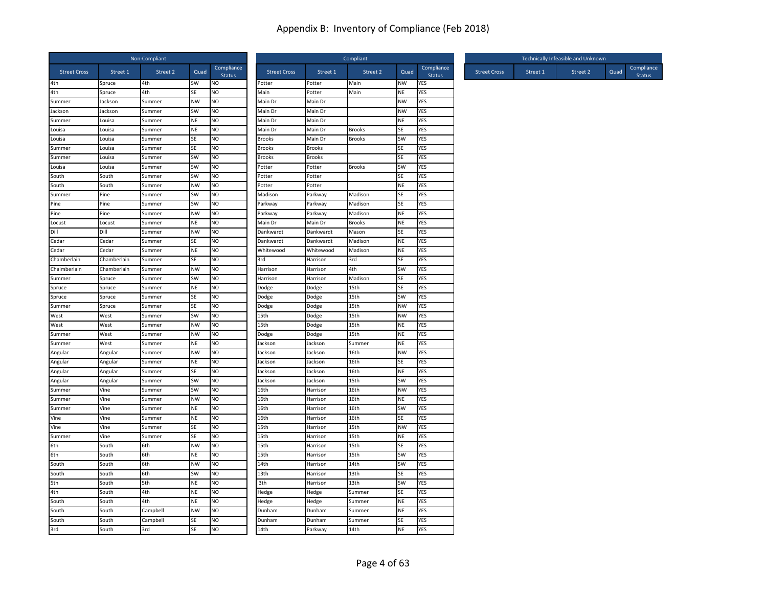|                     |             | Non-Compliant |           |                             |                     |               | Compliant     |           |                             |                     | Technically Infeasible and Unknown |          |      |                             |
|---------------------|-------------|---------------|-----------|-----------------------------|---------------------|---------------|---------------|-----------|-----------------------------|---------------------|------------------------------------|----------|------|-----------------------------|
| <b>Street Cross</b> | Street 1    | Street 2      | Quad      | Compliance<br><b>Status</b> | <b>Street Cross</b> | Street 1      | Street 2      | Quad      | Compliance<br><b>Status</b> | <b>Street Cross</b> | Street 1                           | Street 2 | Quad | Compliance<br><b>Status</b> |
| 4th                 | Spruce      | 4th           | SW        | NO.                         | Potter              | Potter        | Main          | NW        | YES                         |                     |                                    |          |      |                             |
| 4th                 | Spruce      | 4th           | SE        | NO                          | Main                | Potter        | Main          | NE        | YES                         |                     |                                    |          |      |                             |
| Summer              | Jackson     | Summer        | NW        | NO                          | Main Dr             | Main Dr       |               | <b>NW</b> | <b>YES</b>                  |                     |                                    |          |      |                             |
| Jackson             | Jackson     | Summer        | SW        | <b>NO</b>                   | Main Dr             | Main Dr       |               | <b>NW</b> | YES                         |                     |                                    |          |      |                             |
| Summer              | Louisa      | Summer        | <b>NE</b> | NO                          | Main Dr             | Main Dr       |               | NE        | YES                         |                     |                                    |          |      |                             |
| Louisa              | Louisa      | Summer        | NE        | N <sub>O</sub>              | Main Dr             | Main Dr       | <b>Brooks</b> | SE        | <b>YES</b>                  |                     |                                    |          |      |                             |
| Louisa              | Louisa      | Summer        | <b>SE</b> | NO                          | <b>Brooks</b>       | Main Dr       | <b>Brooks</b> | <b>SW</b> | YES                         |                     |                                    |          |      |                             |
| Summer              | Louisa      | Summer        | <b>SE</b> | NO                          | <b>Brooks</b>       | <b>Brooks</b> |               | <b>SE</b> | <b>YES</b>                  |                     |                                    |          |      |                             |
| Summer              | Louisa      | Summer        | SW        | NO                          | <b>Brooks</b>       | <b>Brooks</b> |               | SE        | YES                         |                     |                                    |          |      |                             |
| Louisa              | Louisa      | Summer        | SW        | NO                          | Potter              | Potter        | <b>Brooks</b> | SW        | YES                         |                     |                                    |          |      |                             |
| South               | South       | Summer        | <b>SW</b> | N <sub>O</sub>              | Potter              | Potter        |               | SE        | YES                         |                     |                                    |          |      |                             |
| South               | South       | Summer        | <b>NW</b> | NO                          | Potter              | Potter        |               | <b>NE</b> | <b>YES</b>                  |                     |                                    |          |      |                             |
| Summer              | Pine        | Summer        | SW        | <b>NO</b>                   | Madison             | Parkway       | Madison       | SE        | YES                         |                     |                                    |          |      |                             |
| Pine                | Pine        | Summer        | <b>SW</b> | N <sub>O</sub>              | Parkway             | Parkway       | Madison       | SE        | <b>YES</b>                  |                     |                                    |          |      |                             |
| Pine                | Pine        | Summer        | NW        | <b>NO</b>                   | Parkway             | Parkway       | Madison       | <b>NE</b> | YES                         |                     |                                    |          |      |                             |
| Locust              | Locust      | Summer        | <b>NE</b> | NO                          | Main Dr             | Main Dr       | <b>Brooks</b> | <b>NE</b> | YES                         |                     |                                    |          |      |                             |
| Dill                | Dill        | Summer        | NW        | NO                          | Dankwardt           | Dankwardt     | Mason         | <b>SE</b> | YES                         |                     |                                    |          |      |                             |
| Cedar               | Cedar       | Summer        | SE        | NO                          | Dankwardt           | Dankwardt     | Madison       | <b>NE</b> | YES                         |                     |                                    |          |      |                             |
| Cedar               | Cedar       | Summer        | NE        | N <sub>O</sub>              | Whitewood           | Whitewood     | Madison       | ΝE        | YES                         |                     |                                    |          |      |                             |
| Chamberlain         | Chamberlain | Summer        | <b>SE</b> | N <sub>O</sub>              | 3rd                 | Harrison      | 3rd           | <b>SE</b> | YES                         |                     |                                    |          |      |                             |
| Chaimberlain        | Chamberlain | Summer        | <b>NW</b> | NO                          | Harrison            | Harrison      | 4th           | SW        | YES                         |                     |                                    |          |      |                             |
| Summer              | Spruce      | Summer        | SW        | NO                          | Harrison            | Harrison      | Madison       | SE        | YES                         |                     |                                    |          |      |                             |
| Spruce              | Spruce      | Summer        | NE        | NO                          | Dodge               | Dodge         | 15th          | <b>SE</b> | YES                         |                     |                                    |          |      |                             |
| Spruce              | Spruce      | Summer        | SE        | N <sub>O</sub>              | Dodge               | Dodge         | 15th          | SW        | <b>YES</b>                  |                     |                                    |          |      |                             |
| Summer              | Spruce      | Summer        | <b>SE</b> | NO                          | Dodge               | Dodge         | 15th          | <b>NW</b> | YES                         |                     |                                    |          |      |                             |
| West                | West        | Summer        | SW        | NO                          | 15th                | Dodge         | 15th          | <b>NW</b> | YES                         |                     |                                    |          |      |                             |
| West                | West        | Summer        | NW        | NO                          | 15th                | Dodge         | 15th          | <b>NE</b> | YES                         |                     |                                    |          |      |                             |
| Summer              | West        | Summer        | NW        | NO                          | Dodge               | Dodge         | 15th          | ΝE        | YES                         |                     |                                    |          |      |                             |
| Summer              | West        | Summer        | <b>NE</b> | <b>NO</b>                   | Jackson             | Jackson       | Summer        | <b>NE</b> | YES                         |                     |                                    |          |      |                             |
| Angular             | Angular     | Summer        | <b>NW</b> | NO                          | Jackson             | Jackson       | 16th          | <b>NW</b> | YES                         |                     |                                    |          |      |                             |
| Angular             | Angular     | Summer        | NE        | N <sub>O</sub>              | Jackson             | Jackson       | 16th          | SE        | <b>YES</b>                  |                     |                                    |          |      |                             |
| Angular             | Angular     | Summer        | <b>SE</b> | NO                          | Jackson             | Jackson       | 16th          | <b>NE</b> | YES                         |                     |                                    |          |      |                             |
| Angular             | Angular     | Summer        | SW        | NO                          | Jackson             | Jackson       | 15th          | <b>SW</b> | <b>YES</b>                  |                     |                                    |          |      |                             |
| Summer              | Vine        | Summer        | SW        | <b>NO</b>                   | 16th                | Harrison      | 16th          | <b>NW</b> | YES                         |                     |                                    |          |      |                             |
| Summer              | Vine        | Summer        | NW        | NO                          | 16th                | Harrison      | 16th          | <b>NE</b> | YES                         |                     |                                    |          |      |                             |
| Summer              | Vine        | Summer        | NE        | NO                          | 16th                | Harrison      | 16th          | <b>SW</b> | <b>YES</b>                  |                     |                                    |          |      |                             |
| Vine                | Vine        | Summer        | NE        | N <sub>O</sub>              | 16th                | Harrison      | 16th          | SE        | <b>YES</b>                  |                     |                                    |          |      |                             |
| Vine                | Vine        | Summer        | <b>SE</b> | <b>NO</b>                   | 15th                | Harrison      | 15th          | <b>NW</b> | <b>YES</b>                  |                     |                                    |          |      |                             |
| Summer              | Vine        | Summer        | <b>SE</b> | N <sub>O</sub>              | 15th                | Harrison      | 15th          | <b>NE</b> | <b>YES</b>                  |                     |                                    |          |      |                             |
| 6th                 | South       | 6th           | <b>NW</b> | NO                          | 15th                | Harrison      | 15th          | SE        | YES                         |                     |                                    |          |      |                             |
| 6th                 | South       | 6th           | <b>NE</b> | NO                          | 15th                | Harrison      | 15th          | <b>SW</b> | <b>YES</b>                  |                     |                                    |          |      |                             |
| South               | South       | 6th           | NW        | NO                          | 14th                | Harrison      | 14th          | SW        | <b>YES</b>                  |                     |                                    |          |      |                             |
| South               | South       | 6th           | SW        | <b>NO</b>                   | 13th                | Harrison      | 13th          | SE        | YES                         |                     |                                    |          |      |                             |
| 5th                 | South       | 5th           | NE        | N <sub>O</sub>              | 3th                 | Harrison      | 13th          | <b>SW</b> | YES                         |                     |                                    |          |      |                             |
| 4th                 | South       | 4th           | <b>NE</b> | NO                          | Hedge               | Hedge         | Summer        | <b>SE</b> | YES                         |                     |                                    |          |      |                             |
| South               | South       | 4th           | <b>NE</b> | <b>NO</b>                   | Hedge               | Hedge         | Summer        | <b>NE</b> | YES                         |                     |                                    |          |      |                             |
| South               | South       | Campbell      | <b>NW</b> | NO                          | Dunham              | Dunham        | Summer        | NE        | YES                         |                     |                                    |          |      |                             |
| South               | South       | Campbell      | SE        | NO                          | Dunham              | Dunham        | Summer        | SE        | YES                         |                     |                                    |          |      |                             |
| 3rd                 | South       | 3rd           | SE        | N <sub>O</sub>              | 14th                | Parkway       | 14th          | <b>NE</b> | <b>YES</b>                  |                     |                                    |          |      |                             |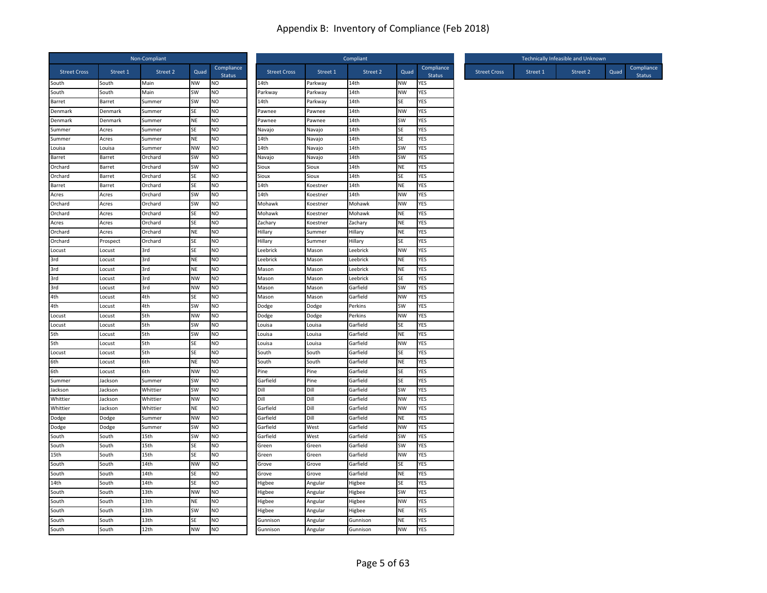|                     |                  | Non-Compliant    |                        |                             |                     |                  | Compliant    |           |                             |                     |          | Technically Infeasible and Unknown |      |                             |
|---------------------|------------------|------------------|------------------------|-----------------------------|---------------------|------------------|--------------|-----------|-----------------------------|---------------------|----------|------------------------------------|------|-----------------------------|
| <b>Street Cross</b> | Street 1         | Street 2         | Quad                   | Compliance<br><b>Status</b> | <b>Street Cross</b> | Street 1         | Street 2     | Quad      | Compliance<br><b>Status</b> | <b>Street Cross</b> | Street 1 | Street 2                           | Quad | Compliance<br><b>Status</b> |
| South               | South            | Main             | NW                     | <b>NO</b>                   | 14th                | Parkway          | 14th         | NW        | YES                         |                     |          |                                    |      |                             |
| South               | South            | Main             | SW                     | NO.                         | Parkway             | Parkway          | 14th         | <b>NW</b> | YES                         |                     |          |                                    |      |                             |
| Barret              | Barret           | Summer           | SW                     | NO                          | 14th                | Parkway          | 14th         | <b>SE</b> | YES                         |                     |          |                                    |      |                             |
| Denmark             | Denmark          | Summer           | <b>SE</b>              | NO.                         | Pawnee              | Pawnee           | 14th         | <b>NW</b> | YES                         |                     |          |                                    |      |                             |
| Denmark<br>Summer   | Denmark<br>Acres | Summer<br>Summer | <b>NE</b><br><b>SE</b> | NO<br>NO                    | Pawnee<br>Navajo    | Pawnee<br>Navajo | 14th<br>14th | SW<br>SE  | YES<br>YES                  |                     |          |                                    |      |                             |
| Summer              | Acres            | Summer           | <b>NE</b>              | N <sub>O</sub>              | 14th                | Navajo           | 14th         | <b>SE</b> | YES                         |                     |          |                                    |      |                             |
| Louisa              | Louisa           | Summer           | <b>NW</b>              | NO                          | 14th                | Navajo           | 14th         | <b>SW</b> | <b>YES</b>                  |                     |          |                                    |      |                             |
| Barret              | Barret           | Orchard          | SW                     | <b>NO</b>                   | Navajo              | Navajo           | 14th         | SW        | YES                         |                     |          |                                    |      |                             |
| Orchard             | Barret           | Orchard          | SW                     | NO                          | Sioux               | Sioux            | 14th         | NE        | YES                         |                     |          |                                    |      |                             |
| Orchard             | Barret           | Orchard          | <b>SE</b>              | NO                          | Sioux               | Sioux            | 14th         | SE        | YES                         |                     |          |                                    |      |                             |
| Barret              | Barret           | Orchard          | SE                     | N <sub>O</sub>              | 14th                | Koestner         | 14th         | <b>NE</b> | YES                         |                     |          |                                    |      |                             |
| Acres               | Acres            | Orchard          | SW                     | NO                          | 14th                | Koestner         | 14th         | <b>NW</b> | YES                         |                     |          |                                    |      |                             |
| Orchard             | Acres            | Orchard          | <b>SW</b>              | NO                          | Mohawk              | Koestner         | Mohawk       | NW        | <b>YES</b>                  |                     |          |                                    |      |                             |
| Orchard             | Acres            | Orchard          | <b>SE</b>              | NO                          | Mohawk              | Koestner         | Mohawk       | <b>NE</b> | <b>YES</b>                  |                     |          |                                    |      |                             |
| Acres               | Acres            | Orchard          | <b>SE</b>              | NO.                         | Zachary             | Koestner         | Zachary      | <b>NE</b> | <b>YES</b>                  |                     |          |                                    |      |                             |
| Orchard             | Acres            | Orchard          | <b>NE</b>              | <b>NO</b>                   | Hillary             | Summer           | Hillary      | <b>NE</b> | YES                         |                     |          |                                    |      |                             |
| Orchard             | Prospect         | Orchard          | SE                     | NO                          | Hillary             | Summer           | Hillary      | SE        | YES                         |                     |          |                                    |      |                             |
| Locust              | Locust           | 3rd              | SE                     | NO                          | _eebrick            | Mason            | Leebrick     | NW        | YES                         |                     |          |                                    |      |                             |
| 3rd                 | Locust           | 3rd              | <b>NE</b>              | NO                          | Leebrick            | Mason            | Leebrick     | <b>NE</b> | <b>YES</b>                  |                     |          |                                    |      |                             |
| 3rd                 | Locust           | 3rd              | <b>NE</b>              | NO                          | Mason               | Mason            | Leebrick     | <b>NE</b> | YES                         |                     |          |                                    |      |                             |
| 3rd                 | Locust           | 3rd              | <b>NW</b>              | NO                          | Mason               | Mason            | Leebrick     | SE        | YES                         |                     |          |                                    |      |                             |
| 3rd                 | Locust           | 3rd              | <b>NW</b>              | NO                          | Mason               | Mason            | Garfield     | SW        | YES                         |                     |          |                                    |      |                             |
| 4th                 | Locust           | 4th              | <b>SE</b>              | NO                          | Mason               | Mason            | Garfield     | <b>NW</b> | YES                         |                     |          |                                    |      |                             |
| 4th                 | Locust           | 4th              | SW                     | NO                          | Dodge               | Dodge            | Perkins      | SW        | YES                         |                     |          |                                    |      |                             |
| Locust              | Locust           | 5th              | <b>NW</b>              | NO                          | Dodge               | Dodge            | Perkins      | <b>NW</b> | YES                         |                     |          |                                    |      |                             |
| Locust              | Locust           | 5th              | SW                     | NO                          | Louisa              | Louisa           | Garfield     | SE        | YES                         |                     |          |                                    |      |                             |
| 5th                 | Locust           | 5th              | SW                     | NO                          | Louisa              | Louisa           | Garfield     | <b>NE</b> | <b>YES</b>                  |                     |          |                                    |      |                             |
| 5th                 | Locust           | 5th              | <b>SE</b>              | <b>NO</b>                   | Louisa              | Louisa           | Garfield     | NW        | YES                         |                     |          |                                    |      |                             |
| Locust              | Locust           | 5th              | SE                     | NO                          | South               | South            | Garfield     | SE        | YES                         |                     |          |                                    |      |                             |
| 6th                 | Locust           | 6th              | <b>NE</b>              | NO                          | South               | South            | Garfield     | <b>NE</b> | YES                         |                     |          |                                    |      |                             |
| 6th                 | Locust           | 6th              | <b>NW</b>              | NO                          | Pine                | Pine             | Garfield     | SE        | YES                         |                     |          |                                    |      |                             |
| Summer              | Jackson          | Summer           | SW                     | NO                          | Garfield            | Pine             | Garfield     | <b>SE</b> | YES                         |                     |          |                                    |      |                             |
| Jackson             | Jackson          | Whittier         | SW                     | <b>NO</b>                   | Dill                | Dill             | Garfield     | SW        | YES                         |                     |          |                                    |      |                             |
| Whittier            | Jackson          | Whittier         | <b>NW</b>              | NO                          | Dill                | Dill             | Garfield     | <b>NW</b> | <b>YES</b>                  |                     |          |                                    |      |                             |
| Whittier            | Jackson          | Whittier         | <b>NE</b>              | NO                          | Garfield            | Dill             | Garfield     | <b>NW</b> | YES                         |                     |          |                                    |      |                             |
| Dodge               | Dodge            | Summer           | <b>NW</b>              | NO                          | Garfield            | Dill             | Garfield     | NE        | YES                         |                     |          |                                    |      |                             |
| Dodge               | Dodge            | Summer           | SW                     | NO                          | Garfield            | West             | Garfield     | NW        | <b>YES</b>                  |                     |          |                                    |      |                             |
| South               | South            | 15th             | SW                     | NO                          | Garfield            | West             | Garfield     | SW        | YES                         |                     |          |                                    |      |                             |
| South               | South            | 15th             | <b>SE</b>              | NO                          | Green               | Green            | Garfield     | SW        | <b>YES</b>                  |                     |          |                                    |      |                             |
| 15th                | South            | 15th             | SE                     | NO                          | Green               | Green            | Garfield     | NW        | YES                         |                     |          |                                    |      |                             |
| South               | South            | 14th             | <b>NW</b>              | <b>NO</b>                   | Grove               | Grove            | Garfield     | SE        | YES                         |                     |          |                                    |      |                             |
| South               | South            | 14th             | SE                     | <b>NO</b>                   | Grove               | Grove            | Garfield     | <b>NE</b> | YES                         |                     |          |                                    |      |                             |
| 14th                | South            | 14th             | <b>SE</b>              | NO.                         | Higbee              | Angular          | Higbee       | <b>SE</b> | YES                         |                     |          |                                    |      |                             |
| South               | South            | 13th             | <b>NW</b>              | <b>NO</b>                   | Higbee              | Angular          | Higbee       | SW        | YES                         |                     |          |                                    |      |                             |
| South               | South            | 13th             | <b>NE</b>              | N <sub>O</sub>              | Higbee              | Angular          | Higbee       | NW        | <b>YES</b>                  |                     |          |                                    |      |                             |
| South               | South            | 13th             | SW                     | NO                          | Higbee              | Angular          | Higbee       | NE        | YES                         |                     |          |                                    |      |                             |
| South               | South            | 13th             | SE                     | NO                          | Gunnison            | Angular          | Gunnison     | <b>NE</b> | YES                         |                     |          |                                    |      |                             |
| South               | South            | 12th             | <b>NW</b>              | <b>NO</b>                   | Gunnison            | Angular          | Gunnison     | <b>NW</b> | YES                         |                     |          |                                    |      |                             |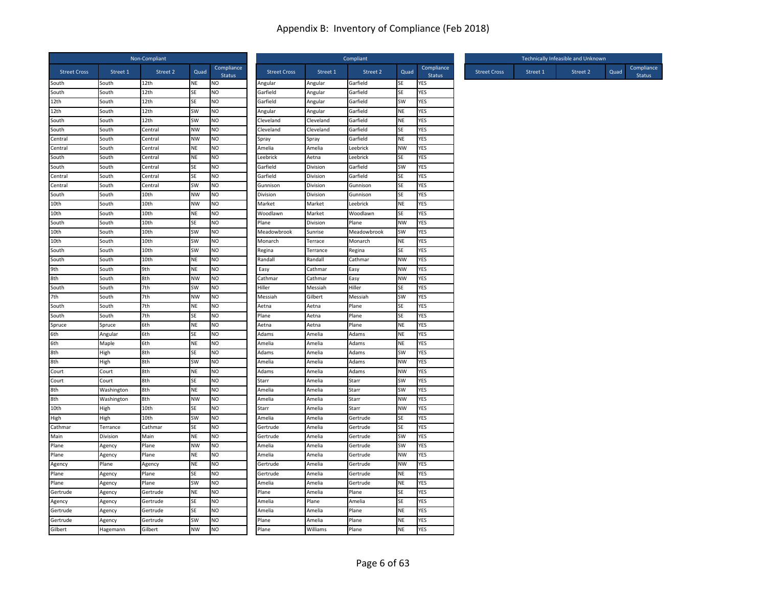|                     |            | Non-Compliant |           |                             |                     |           | Compliant   |           |                             |                     |          | Technically Infeasible and Unknown |      |                             |
|---------------------|------------|---------------|-----------|-----------------------------|---------------------|-----------|-------------|-----------|-----------------------------|---------------------|----------|------------------------------------|------|-----------------------------|
| <b>Street Cross</b> | Street 1   | Street 2      | Quad      | Compliance<br><b>Status</b> | <b>Street Cross</b> | Street 1  | Street 2    | Quad      | Compliance<br><b>Status</b> | <b>Street Cross</b> | Street 1 | Street 2                           | Quad | Compliance<br><b>Status</b> |
| South               | South      | 12th          | NE        | NO                          | Angular             | Angular   | Garfield    | SE        | YES                         |                     |          |                                    |      |                             |
| South               | South      | 12th          | <b>SE</b> | N <sub>O</sub>              | Garfield            | Angular   | Garfield    | <b>SE</b> | YES                         |                     |          |                                    |      |                             |
| 12th                | South      | 12th          | <b>SE</b> | NO                          | Garfield            | Angular   | Garfield    | <b>SW</b> | <b>YES</b>                  |                     |          |                                    |      |                             |
| 12th                | South      | 12th          | SW        | NO                          | Angular             | Angular   | Garfield    | NE        | YES                         |                     |          |                                    |      |                             |
| South               | South      | 12th          | SW        | NO.                         | Cleveland           | Cleveland | Garfield    | NE        | YES                         |                     |          |                                    |      |                             |
| South               | South      | Central       | <b>NW</b> | N <sub>O</sub>              | Cleveland           | Cleveland | Garfield    | SE        | YES                         |                     |          |                                    |      |                             |
| Central             | South      | Central       | <b>NW</b> | NO.                         | Spray               | Spray     | Garfield    | <b>NE</b> | YES                         |                     |          |                                    |      |                             |
| Central             | South      | Central       | NE        | NO                          | Amelia              | Amelia    | Leebrick    | <b>NW</b> | YES                         |                     |          |                                    |      |                             |
| South               | South      | Central       | NE        | N <sub>O</sub>              | Leebrick            | Aetna     | Leebrick    | SE        | YES                         |                     |          |                                    |      |                             |
| South               | South      | Central       | SE        | NO                          | Garfield            | Division  | Garfield    | <b>SW</b> | YES                         |                     |          |                                    |      |                             |
| Central             | South      | Central       | SE        | NO                          | Garfield            | Division  | Garfield    | SE        | YES                         |                     |          |                                    |      |                             |
| Central             | South      | Central       | SW        | NO                          | Gunnison            | Division  | Gunnison    | SE        | YES                         |                     |          |                                    |      |                             |
| South               | South      | 10th          | <b>NW</b> | NO                          | Division            | Division  | Gunnison    | SE        | YES                         |                     |          |                                    |      |                             |
| 10th                | South      | 10th          | <b>NW</b> | NO.                         | Market              | Market    | Leebrick    | <b>NE</b> | YES                         |                     |          |                                    |      |                             |
| 10th                | South      | 10th          | NE        | <b>NO</b>                   | Woodlawn            | Market    | Woodlawn    | SE        | <b>YES</b>                  |                     |          |                                    |      |                             |
| South               | South      | 10th          | SE        | NO                          | Plane               | Division  | Plane       | <b>NW</b> | <b>YES</b>                  |                     |          |                                    |      |                             |
| 10th                | South      | 10th          | SW        | N <sub>O</sub>              | Meadowbrook         | Sunrise   | Meadowbrook | SW        | YES                         |                     |          |                                    |      |                             |
| 10th                | South      | 10th          | SW        | <b>NO</b>                   | Monarch             | Terrace   | Monarch     | NE        | YES                         |                     |          |                                    |      |                             |
| South               | South      | 10th          | SW        | NO                          | Regina              | Terrance  | Regina      | SE        | <b>YES</b>                  |                     |          |                                    |      |                             |
| South               | South      | 10th          | <b>NE</b> | N <sub>O</sub>              | Randall             | Randall   | Cathmar     | <b>NW</b> | YES                         |                     |          |                                    |      |                             |
| 9th                 | South      | 9th           | <b>NE</b> | N <sub>O</sub>              | Easy                | Cathmar   | Easy        | <b>NW</b> | <b>YES</b>                  |                     |          |                                    |      |                             |
| 8th                 | South      | 8th           | <b>NW</b> | NO                          | Cathmar             | Cathmar   | Easy        | <b>NW</b> | <b>YES</b>                  |                     |          |                                    |      |                             |
| South               | South      | 7th           | SW        | NO.                         | Hiller              | Messiah   | Hiller      | SE        | YES                         |                     |          |                                    |      |                             |
| 7th                 | South      | 7th           | <b>NW</b> | <b>NO</b>                   | Messiah             | Gilbert   | Messiah     | SW        | <b>YES</b>                  |                     |          |                                    |      |                             |
| South               | South      | 7th           | <b>NE</b> | <b>NO</b>                   | Aetna               | Aetna     | Plane       | SE        | <b>YES</b>                  |                     |          |                                    |      |                             |
| South               | South      | 7th           | SE        | NO                          | Plane               | Aetna     | Plane       | SE        | YES                         |                     |          |                                    |      |                             |
| Spruce              | Spruce     | 6th           | <b>NE</b> | N <sub>O</sub>              | Aetna               | Aetna     | Plane       | <b>NE</b> | YES                         |                     |          |                                    |      |                             |
| 6th                 | Angular    | 6th           | SE        | NO                          | Adams               | Amelia    | Adams       | <b>NE</b> | <b>YES</b>                  |                     |          |                                    |      |                             |
| 6th                 | Maple      | 6th           | NE        | N <sub>O</sub>              | Amelia              | Amelia    | Adams       | NE        | YES                         |                     |          |                                    |      |                             |
| 8th                 | High       | 8th           | SE        | NO                          | Adams               | Amelia    | Adams       | SW        | YES                         |                     |          |                                    |      |                             |
| 8th                 | High       | 8th           | <b>SW</b> | NO.                         | Amelia              | Amelia    | Adams       | <b>NW</b> | YES                         |                     |          |                                    |      |                             |
| Court               | Court      | 8th           | NE        | NO                          | Adams               | Amelia    | Adams       | NW        | YES                         |                     |          |                                    |      |                             |
| Court               | Court      | 8th           | SE        | NO                          | Starr               | Amelia    | Starr       | SW        | YES                         |                     |          |                                    |      |                             |
| 8th                 | Washington | 8th           | <b>NE</b> | N <sub>O</sub>              | Amelia              | Amelia    | Starr       | <b>SW</b> | <b>YES</b>                  |                     |          |                                    |      |                             |
| 8th                 | Washington | 8th           | <b>NW</b> | N <sub>O</sub>              | Amelia              | Amelia    | Starr       | <b>NW</b> | <b>YES</b>                  |                     |          |                                    |      |                             |
| 10th                | High       | 10th          | SE        | <b>NO</b>                   | Starr               | Amelia    | Starr       | <b>NW</b> | YES                         |                     |          |                                    |      |                             |
| High                | High       | 10th          | SW        | <b>NO</b>                   | Amelia              | Amelia    | Gertrude    | SE        | YES                         |                     |          |                                    |      |                             |
| Cathmar             | Terrance   | Cathmar       | SE        | NO.                         | Gertrude            | Amelia    | Gertrude    | SE        | YES                         |                     |          |                                    |      |                             |
| Main                | Division   | Main          | NE        | N <sub>O</sub>              | Gertrude            | Amelia    | Gertrude    | SW        | YES                         |                     |          |                                    |      |                             |
| Plane               | Agency     | Plane         | <b>NW</b> | NO.                         | Amelia              | Amelia    | Gertrude    | <b>SW</b> | <b>YES</b>                  |                     |          |                                    |      |                             |
| Plane               | Agency     | Plane         | <b>NE</b> | NO                          | Amelia              | Amelia    | Gertrude    | <b>NW</b> | YES                         |                     |          |                                    |      |                             |
| Agency              | Plane      | Agency        | <b>NE</b> | N <sub>O</sub>              | Gertrude            | Amelia    | Gertrude    | <b>NW</b> | YES                         |                     |          |                                    |      |                             |
| Plane               | Agency     | Plane         | SE        | NO                          | Gertrude            | Amelia    | Gertrude    | <b>NE</b> | YES                         |                     |          |                                    |      |                             |
| Plane               | Agency     | Plane         | <b>SW</b> | NO                          | Amelia              | Amelia    | Gertrude    | <b>NE</b> | <b>YES</b>                  |                     |          |                                    |      |                             |
| Gertrude            | Agency     | Gertrude      | NE        | NO                          | Plane               | Amelia    | Plane       | SE        | YES                         |                     |          |                                    |      |                             |
| Agency              | Agency     | Gertrude      | SE        | NO                          | Amelia              | Plane     | Amelia      | SE        | <b>YES</b>                  |                     |          |                                    |      |                             |
| Gertrude            | Agency     | Gertrude      | SE        | NO.                         | Amelia              | Amelia    | Plane       | NE        | YES                         |                     |          |                                    |      |                             |
| Gertrude            | Agency     | Gertrude      | SW        | NO                          | Plane               | Amelia    | Plane       | <b>NE</b> | <b>YES</b>                  |                     |          |                                    |      |                             |
| Gilbert             | Hagemann   | Gilbert       | <b>NW</b> | N <sub>O</sub>              | Plane               | Williams  | Plane       | NE        | <b>YES</b>                  |                     |          |                                    |      |                             |
|                     |            |               |           |                             |                     |           |             |           |                             |                     |          |                                    |      |                             |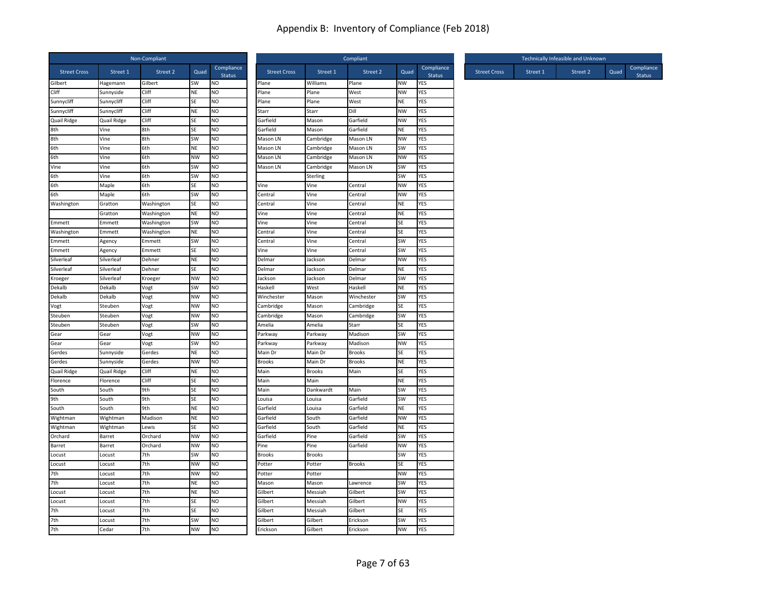|                           |                     | Non-Compliant  |                 |                             |                      |                | Compliant            |           |                             |                     |          | Technically Infeasible and Unknown |      |                             |
|---------------------------|---------------------|----------------|-----------------|-----------------------------|----------------------|----------------|----------------------|-----------|-----------------------------|---------------------|----------|------------------------------------|------|-----------------------------|
| <b>Street Cross</b>       | Street 1            | Street 2       | Quad            | Compliance<br><b>Status</b> | <b>Street Cross</b>  | Street 1       | Street 2             | Quad      | Compliance<br><b>Status</b> | <b>Street Cross</b> | Street 1 | Street 2                           | Quad | Compliance<br><b>Status</b> |
| Gilbert                   | Hagemann            | Gilbert        | SW              | NO.                         | Plane                | Williams       | Plane                | NW        | YES                         |                     |          |                                    |      |                             |
| Cliff                     | Sunnyside           | Cliff          | <b>NE</b>       | NO                          | Plane                | Plane          | West                 | <b>NW</b> | YES                         |                     |          |                                    |      |                             |
| Sunnycliff                | Sunnycliff          | Cliff          | SE              | NO                          | Plane                | Plane          | West                 | <b>NE</b> | YES                         |                     |          |                                    |      |                             |
| Sunnycliff                | Sunnycliff          | Cliff<br>Cliff | <b>NE</b>       | NO                          | Starr                | Starr          | Dill                 | NW        | YES                         |                     |          |                                    |      |                             |
| <b>Quail Ridge</b><br>8th | Quail Ridge<br>Vine | 8th            | <b>SE</b><br>SE | NO<br>N <sub>O</sub>        | Garfield<br>Garfield | Mason<br>Mason | Garfield<br>Garfield | NW<br>NE  | YES<br><b>YES</b>           |                     |          |                                    |      |                             |
| 8th                       | Vine                | 8th            | SW              | NO                          | Mason LN             | Cambridge      | Mason LN             | NW        | YES                         |                     |          |                                    |      |                             |
| 6th                       | Vine                | 6th            | <b>NE</b>       | NO                          | Mason LN             | Cambridge      | Mason LN             | SW        | <b>YES</b>                  |                     |          |                                    |      |                             |
| 6th                       | Vine                | 6th            | <b>NW</b>       | <b>NO</b>                   | Mason LN             | Cambridge      | Mason LN             | <b>NW</b> | YES                         |                     |          |                                    |      |                             |
| Vine                      | Vine                | 6th            | SW              | NO                          | Mason LN             | Cambridge      | Mason LN             | SW        | YES                         |                     |          |                                    |      |                             |
| 6th                       | Vine                | 6th            | SW              | NO.                         |                      | Sterling       |                      | <b>SW</b> | YES                         |                     |          |                                    |      |                             |
| 6th                       | Maple               | 6th            | <b>SE</b>       | NO.                         | Vine                 | Vine           | Central              | <b>NW</b> | YES                         |                     |          |                                    |      |                             |
| 6th                       | Maple               | 6th            | SW              | NO                          | Central              | Vine           | Central              | NW        | YES                         |                     |          |                                    |      |                             |
| Washington                | Gratton             | Washington     | <b>SE</b>       | N <sub>O</sub>              | Central              | Vine           | Central              | <b>NE</b> | YES                         |                     |          |                                    |      |                             |
|                           | Gratton             | Washington     | <b>NE</b>       | <b>NO</b>                   | Vine                 | Vine           | Central              | <b>NE</b> | YES                         |                     |          |                                    |      |                             |
| Emmett                    | Emmett              | Washington     | SW              | NO                          | Vine                 | Vine           | Central              | <b>SE</b> | YES                         |                     |          |                                    |      |                             |
| Washington                | Emmett              | Washington     | <b>NE</b>       | NO                          | Central              | Vine           | Central              | SE        | YES                         |                     |          |                                    |      |                             |
| Emmett                    | Agency              | Emmett         | SW              | NO                          | Central              | Vine           | Central              | SW        | YES                         |                     |          |                                    |      |                             |
| Emmett                    | Agency              | Emmett         | <b>SE</b>       | N <sub>O</sub>              | Vine                 | Vine           | Central              | SW        | <b>YES</b>                  |                     |          |                                    |      |                             |
| Silverleaf                | Silverleaf          | Dehner         | <b>NE</b>       | NO.                         | Delmar               | Jackson        | Delmar               | <b>NW</b> | YES                         |                     |          |                                    |      |                             |
| Silverleaf                | Silverleaf          | Dehner         | <b>SE</b>       | NO                          | Delmar               | Jackson        | Delmar               | NE        | YES                         |                     |          |                                    |      |                             |
| Kroeger                   | Silverleaf          | Kroeger        | <b>NW</b>       | NO                          | lackson              | Jackson        | Delmar               | SW        | YES                         |                     |          |                                    |      |                             |
| Dekalb                    | Dekalb              | Vogt           | SW              | NO                          | Haskell              | West           | Haskell              | NE        | YES                         |                     |          |                                    |      |                             |
| Dekalb                    | Dekalb              | Vogt           | NW              | N <sub>O</sub>              | Winchester           | Mason          | Winchester           | SW        | YES                         |                     |          |                                    |      |                             |
| Vogt                      | Steuben             | Vogt           | <b>NW</b>       | <b>NO</b>                   | Cambridge            | Mason          | Cambridge            | SE        | YES                         |                     |          |                                    |      |                             |
| Steuben                   | Steuben             | Vogt           | NW              | NO                          | Cambridge            | Mason          | Cambridge            | SW        | <b>YES</b>                  |                     |          |                                    |      |                             |
| Steuben                   | Steuben             | Vogt           | SW              | NO                          | Amelia               | Amelia         | Starr                | SE        | YES                         |                     |          |                                    |      |                             |
| Gear                      | Gear                | Vogt           | <b>NW</b>       | NO                          | Parkway              | Parkway        | Madison              | SW        | YES                         |                     |          |                                    |      |                             |
| Gear                      | Gear                | Vogt           | <b>SW</b>       | NO.                         | Parkway              | Parkway        | Madison              | NW        | YES                         |                     |          |                                    |      |                             |
| Gerdes                    | Sunnyside           | Gerdes         | <b>NE</b>       | NO                          | Main Dr              | Main Dr        | <b>Brooks</b>        | SE        | YES                         |                     |          |                                    |      |                             |
| Gerdes                    | Sunnyside           | Gerdes         | <b>NW</b>       | N <sub>O</sub>              | <b>Brooks</b>        | Main Dr        | <b>Brooks</b>        | <b>NE</b> | <b>YES</b>                  |                     |          |                                    |      |                             |
| Quail Ridge               | Quail Ridge         | Cliff          | <b>NE</b>       | NO                          | Main                 | <b>Brooks</b>  | Main                 | SE        | YES                         |                     |          |                                    |      |                             |
| Florence                  | Florence            | Cliff          | SE              | NO                          | Main                 | Main           |                      | <b>NE</b> | YES                         |                     |          |                                    |      |                             |
| South                     | South               | 9th            | <b>SE</b>       | <b>NO</b>                   | Main                 | Dankwardt      | Main                 | SW        | YES                         |                     |          |                                    |      |                             |
| 9th                       | South               | 9th            | SE              | NO                          | ouisa                | Louisa         | Garfield             | sw        | YES                         |                     |          |                                    |      |                             |
| South                     | South               | 9th            | <b>NE</b>       | NO                          | Garfield             | Louisa         | Garfield             | <b>NE</b> | YES                         |                     |          |                                    |      |                             |
| Wightman                  | Wightman            | Madison        | <b>NE</b>       | N <sub>O</sub>              | Garfield             | South          | Garfield             | <b>NW</b> | YES                         |                     |          |                                    |      |                             |
| Wightman                  | Wightman            | Lewis          | <b>SE</b>       | NO.                         | Garfield             | South          | Garfield             | <b>NE</b> | YES                         |                     |          |                                    |      |                             |
| Orchard                   | Barret              | Orchard        | <b>NW</b>       | NO                          | Garfield             | Pine           | Garfield             | SW        | <b>YES</b>                  |                     |          |                                    |      |                             |
| Barret                    | Barret              | Orchard        | <b>NW</b>       | NO                          | Pine                 | Pine           | Garfield             | <b>NW</b> | <b>YES</b>                  |                     |          |                                    |      |                             |
| Locust                    | Locust              | 7th            | SW              | NO                          | <b>Brooks</b>        | <b>Brooks</b>  |                      | SW        | YES                         |                     |          |                                    |      |                             |
| Locust                    | Locust              | 7th            | <b>NW</b>       | NO                          | Potter               | Potter         | <b>Brooks</b>        | SE        | YES                         |                     |          |                                    |      |                             |
| 7th                       | Locust              | 7th            | <b>NW</b>       | <b>NO</b>                   | Potter               | Potter         |                      | NW        | YES                         |                     |          |                                    |      |                             |
| 7th                       | Locust              | 7th            | NE              | N <sub>O</sub>              | Mason                | Mason          | Lawrence             | SW        | <b>YES</b>                  |                     |          |                                    |      |                             |
| Locust                    | Locust              | 7th            | <b>NE</b>       | NO.                         | Gilbert              | Messiah        | Gilbert              | <b>SW</b> | YES                         |                     |          |                                    |      |                             |
| Locust                    | Locust              | 7th            | <b>SE</b>       | NO                          | Gilbert              | Messiah        | Gilbert              | NW        | YES                         |                     |          |                                    |      |                             |
| 7th                       | Locust              | 7th            | <b>SE</b>       | NO                          | Gilbert              | Messiah        | Gilbert              | <b>SE</b> | YES                         |                     |          |                                    |      |                             |
| 7th                       | Locust              | 7th            | SW              | NO                          | Gilbert              | Gilbert        | Erickson             | SW        | YES                         |                     |          |                                    |      |                             |
| 7th                       | Cedar               | 7th            | <b>NW</b>       | N <sub>O</sub>              | Erickson             | Gilbert        | Erickson             | NW        | <b>YES</b>                  |                     |          |                                    |      |                             |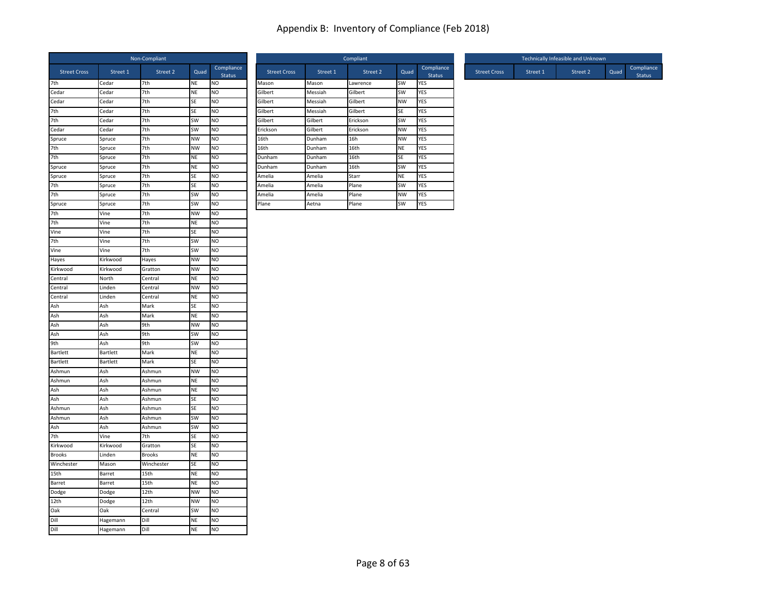|                     |                 | Non-Compliant |           |                             |                     |          | Compliant |           |                |
|---------------------|-----------------|---------------|-----------|-----------------------------|---------------------|----------|-----------|-----------|----------------|
| <b>Street Cross</b> | Street 1        | Street 2      | Quad      | Compliance<br><b>Status</b> | <b>Street Cross</b> | Street 1 | Street 2  | Quad      | C <sub>C</sub> |
| 7th                 | Cedar           | 7th           | NE        | N <sub>O</sub>              | Mason               | Mason    | Lawrence  | SW        | YES            |
| Cedar               | Cedar           | 7th           | <b>NE</b> | N <sub>O</sub>              | Gilbert             | Messiah  | Gilbert   | SW        | YES            |
| Cedar               | Cedar           | 7th           | SE        | N <sub>O</sub>              | Gilbert             | Messiah  | Gilbert   | <b>NW</b> | YES            |
| 7th                 | Cedar           | 7th           | SE        | N <sub>O</sub>              | Gilbert             | Messiah  | Gilbert   | SE        | YES            |
| 7th                 | Cedar           | 7th           | SW        | NO                          | Gilbert             | Gilbert  | Erickson  | SW        | YES            |
| Cedar               | Cedar           | 7th           | SW        | N <sub>O</sub>              | Erickson            | Gilbert  | Erickson  | NW        | YES            |
| Spruce              | Spruce          | 7th           | <b>NW</b> | N <sub>O</sub>              | 16th                | Dunham   | 16h       | <b>NW</b> | YES            |
| 7th                 | Spruce          | 7th           | <b>NW</b> | NO                          | 16th                | Dunham   | 16th      | <b>NE</b> | YES            |
| 7th                 | Spruce          | 7th           | <b>NE</b> | N <sub>O</sub>              | Dunham              | Dunham   | 16th      | SE        | YES            |
| Spruce              | Spruce          | 7th           | NE        | N <sub>O</sub>              | Dunham              | Dunham   | 16th      | SW        | YES            |
| Spruce              | Spruce          | 7th           | SE        | N <sub>O</sub>              | Amelia              | Amelia   | Starr     | <b>NE</b> | YES            |
| 7th                 | Spruce          | 7th           | SE        | N <sub>O</sub>              | Amelia              | Amelia   | Plane     | SW        | YES            |
| 7th                 | Spruce          | 7th           | SW        | N <sub>O</sub>              | Amelia              | Amelia   | Plane     | NW        | YES            |
| Spruce              | Spruce          | 7th           | SW        | N <sub>O</sub>              | Plane               | Aetna    | Plane     | SW        | YES            |
| 7th                 | Vine            | 7th           | <b>NW</b> | NO                          |                     |          |           |           |                |
| 7th                 | Vine            | 7th           | <b>NE</b> | N <sub>O</sub>              |                     |          |           |           |                |
| Vine                | Vine            | 7th           | SE        | NO                          |                     |          |           |           |                |
| 7th                 | Vine            | 7th           | SW        | NO                          |                     |          |           |           |                |
| Vine                | Vine            | 7th           | SW        | N <sub>O</sub>              |                     |          |           |           |                |
| Hayes               | Kirkwood        | Hayes         | <b>NW</b> | NO                          |                     |          |           |           |                |
| Kirkwood            | Kirkwood        | Gratton       | <b>NW</b> | N <sub>O</sub>              |                     |          |           |           |                |
| Central             | North           | Central       | <b>NE</b> | N <sub>O</sub>              |                     |          |           |           |                |
| Central             | Linden          | Central       | <b>NW</b> | N <sub>O</sub>              |                     |          |           |           |                |
| Central             | Linden          | Central       | NE        | N <sub>O</sub>              |                     |          |           |           |                |
| Ash                 | Ash             | Mark          | SE        | NO                          |                     |          |           |           |                |
| Ash                 | Ash             | Mark          | <b>NE</b> | N <sub>O</sub>              |                     |          |           |           |                |
| Ash                 | Ash             | 9th           | <b>NW</b> | N <sub>O</sub>              |                     |          |           |           |                |
| Ash                 | Ash             | 9th           | SW        | NO                          |                     |          |           |           |                |
| 9th                 | Ash             | 9th           | SW        | N <sub>O</sub>              |                     |          |           |           |                |
| Bartlett            | Bartlett        | Mark          | <b>NE</b> | N <sub>O</sub>              |                     |          |           |           |                |
| Bartlett            | <b>Bartlett</b> | Mark          | SE        | N <sub>O</sub>              |                     |          |           |           |                |
| Ashmun              | Ash             | Ashmun        | <b>NW</b> | N <sub>O</sub>              |                     |          |           |           |                |
| Ashmun              | Ash             | Ashmun        | <b>NE</b> | N <sub>O</sub>              |                     |          |           |           |                |
| Ash                 | Ash             | Ashmun        | NE        | N <sub>O</sub>              |                     |          |           |           |                |
| Ash                 | Ash             | Ashmun        | SE        | NO                          |                     |          |           |           |                |
| Ashmun              | Ash             | Ashmun        | SE        | N <sub>O</sub>              |                     |          |           |           |                |
| Ashmun              | Ash             | Ashmun        | SW        | N <sub>O</sub>              |                     |          |           |           |                |
| Ash                 | Ash             | Ashmun        | SW        | NO                          |                     |          |           |           |                |
| 7th                 | Vine            | 7th           | SE        | <b>NO</b>                   |                     |          |           |           |                |
| Kirkwood            | Kirkwood        | Gratton       | SE        | NO                          |                     |          |           |           |                |
| <b>Brooks</b>       | Linden          | <b>Brooks</b> | <b>NE</b> | N <sub>O</sub>              |                     |          |           |           |                |
| Winchester          | Mason           | Winchester    | SE        | N <sub>O</sub>              |                     |          |           |           |                |
| 15th                | Barret          | 15th          | <b>NE</b> | N <sub>O</sub>              |                     |          |           |           |                |
| Barret              | Barret          | 15th          | NE        | N <sub>O</sub>              |                     |          |           |           |                |
| Dodge               | Dodge           | 12th          | <b>NW</b> | NO                          |                     |          |           |           |                |
| 12th                | Dodge           | 12th          | <b>NW</b> | NO                          |                     |          |           |           |                |
| Oak                 | Oak             | Central       | <b>SW</b> | N <sub>O</sub>              |                     |          |           |           |                |
| Dill                | Hagemann        | Dill          | <b>NE</b> | NO                          |                     |          |           |           |                |
| Dill                | Hagemann        | Dill          | <b>NE</b> | NO                          |                     |          |           |           |                |

| Non-Compliant |           |                             |                     |          | Compliant |           |                             |                     |          | Technically Infeasible and Unknown |
|---------------|-----------|-----------------------------|---------------------|----------|-----------|-----------|-----------------------------|---------------------|----------|------------------------------------|
| Street 2      | Quad      | Compliance<br><b>Status</b> | <b>Street Cross</b> | Street 1 | Street 2  | Quad      | Compliance<br><b>Status</b> | <b>Street Cross</b> | Street 1 | Street 2                           |
| 7th           | <b>NE</b> | <b>NO</b>                   | Mason               | Mason    | Lawrence  | <b>SW</b> | <b>YES</b>                  |                     |          |                                    |
| 7th           | <b>NE</b> | <b>NO</b>                   | Gilbert             | Messiah  | Gilbert   | <b>SW</b> | <b>YES</b>                  |                     |          |                                    |
| 7th           | <b>SE</b> | <b>NO</b>                   | Gilbert             | Messiah  | Gilbert   | <b>NW</b> | <b>YES</b>                  |                     |          |                                    |
| 7th           | <b>SE</b> | <b>NO</b>                   | Gilbert             | Messiah  | Gilbert   | <b>SE</b> | <b>YES</b>                  |                     |          |                                    |
| 7th           | <b>SW</b> | <b>NO</b>                   | Gilbert             | Gilbert  | Erickson  | <b>SW</b> | <b>YES</b>                  |                     |          |                                    |
| 7th           | <b>SW</b> | <b>NO</b>                   | Erickson            | Gilbert  | Erickson  | <b>NW</b> | <b>YES</b>                  |                     |          |                                    |
| 7th           | <b>NW</b> | <b>NO</b>                   | 16th                | Dunham   | 16h       | <b>NW</b> | <b>YES</b>                  |                     |          |                                    |
| 7th           | <b>NW</b> | <b>NO</b>                   | 16th                | Dunham   | 16th      | <b>NE</b> | <b>YES</b>                  |                     |          |                                    |
| 7th           | <b>NE</b> | <b>NO</b>                   | Dunham              | Dunham   | 16th      | <b>SE</b> | <b>YES</b>                  |                     |          |                                    |
| 7th           | <b>NE</b> | <b>NO</b>                   | Dunham              | Dunham   | 16th      | <b>SW</b> | <b>YES</b>                  |                     |          |                                    |
| 7th           | <b>SE</b> | <b>NO</b>                   | Amelia              | Amelia   | Starr     | <b>NE</b> | <b>YES</b>                  |                     |          |                                    |
| 7th           | <b>SE</b> | <b>NO</b>                   | Amelia              | Amelia   | Plane     | <b>SW</b> | <b>YES</b>                  |                     |          |                                    |
| 7th           | <b>SW</b> | <b>NO</b>                   | Amelia              | Amelia   | Plane     | <b>NW</b> | <b>YES</b>                  |                     |          |                                    |
| 7th           | <b>SW</b> | <b>NO</b>                   | Plane               | Aetna    | Plane     | <b>SW</b> | <b>YES</b>                  |                     |          |                                    |

|                           |                     |          | Technically Infeasible and Unknown |      |                             |
|---------------------------|---------------------|----------|------------------------------------|------|-----------------------------|
| mpliance<br><b>Status</b> | <b>Street Cross</b> | Street 1 | Street 2                           | Quad | Compliance<br><b>Status</b> |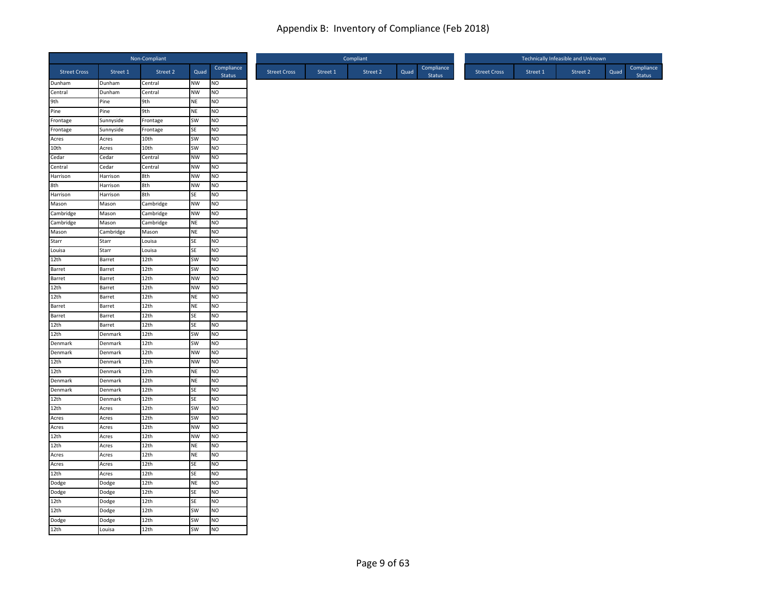|                     |                | Non-Compliant |           |                      |
|---------------------|----------------|---------------|-----------|----------------------|
| <b>Street Cross</b> | Street 1       | Street 2      | Quad      | Compliance<br>Status |
| Dunham              | Dunham         | Central       | NW        | <b>NO</b>            |
| Central             | Dunham         | Central       | <b>NW</b> | Ю                    |
| 9th                 | Pine           | 9th           | <b>NE</b> | <b>NO</b>            |
| Pine                | Pine           | 9th           | <b>NE</b> | <b>NO</b>            |
| Frontage            | Sunnyside      | Frontage      | SW        | NO                   |
| Frontage            | Sunnyside      | Frontage      | SE        | NO                   |
| Acres               | Acres          | 10th          | SW        | NO                   |
| 10th                | Acres          | 10th          | SW        | <b>NO</b>            |
| Cedar               | Cedar          | Central       | <b>NW</b> | <b>NO</b>            |
| Central             | Cedar          | Central       | <b>NW</b> | <b>NO</b>            |
| Harrison            | Harrison       | 8th           | <b>NW</b> | <b>NO</b>            |
| 8th                 | Harrison       | 8th           | <b>NW</b> | <b>NO</b>            |
| Harrison            | Harrison       | 8th           | SE        | <b>NO</b>            |
| Mason               | Mason          | Cambridge     | <b>NW</b> | NO                   |
| Cambridge           | Mason          | Cambridge     | <b>NW</b> | NO                   |
| Cambridge           | Mason          | Cambridge     | <b>NE</b> | NO                   |
| Mason               | Cambridge      | Mason         | <b>NE</b> | <b>NO</b>            |
| Starr               | Starr          | Louisa        | SE        | <b>NO</b>            |
| Louisa              | Starr          | Louisa        | SE        | <b>NO</b>            |
| 12th                | Barret         | 12th          | SW        | <b>NO</b>            |
| <b>Barret</b>       | Barret         | 12th          | SW        | <b>NO</b>            |
| Barret              | Barret         | 12th          | <b>NW</b> | <b>NO</b>            |
| 12th                | Barret         | 12th          | <b>NW</b> | <b>NO</b>            |
| 12th                | Barret         | 12th          | <b>NE</b> | NO                   |
| Barret              | Barret         | 12th          | <b>NE</b> | <b>NO</b>            |
| Barret              | Barret         | 12th          | SE        | NO                   |
| 12th                | Barret         | 12th          | <b>SE</b> | <b>NO</b>            |
| 12th                | Denmark        | 12th          | SW        | <b>NO</b>            |
| Denmark             | Denmark        | 12th          | SW        | <b>NO</b>            |
| Denmark             | Denmark        | 12th          | NW        | <b>NO</b>            |
| 12th                | Denmark        | 12th          | <b>NW</b> | <b>NO</b>            |
| 12th                | Denmark        | 12th          | <b>NE</b> | NO                   |
| Denmark             | Denmark        | 12th          | <b>NE</b> | NO                   |
| Denmark             | Denmark        | 12th          | SE        | NO                   |
| 12th                | Denmark        | 12th          | <b>SE</b> | <b>NO</b>            |
| 12th                | Acres          | 12th          | SW        | <b>NO</b>            |
| Acres               | Acres          | 12th          | SW        | <b>NO</b>            |
| Acres               |                | 12th          | <b>NW</b> | <b>NO</b>            |
| 12th                | Acres<br>Acres | 12th          |           | <b>NO</b>            |
|                     |                |               | <b>NW</b> |                      |
| 12th                | Acres          | 12th          | <b>NE</b> | <b>NO</b>            |
| Acres               | Acres          | 12th          | <b>NE</b> | NO                   |
| Acres               | Acres          | 12th          | SE        | NO                   |
| 12th                | Acres          | 12th          | SE        | <b>NO</b>            |
| Dodge               | Dodge          | 12th          | <b>NE</b> | <b>NO</b>            |
| Dodge               | Dodge          | 12th          | <b>SE</b> | <b>NO</b>            |
| 12th                | Dodge          | 12th          | SE        | Ю                    |
| 12th                | Dodge          | 12th          | SW        | <b>NO</b>            |
| Dodge               | Dodge          | 12th          | SW        | <b>NO</b>            |
| 12th                | Louisa         | 12th          | <b>SW</b> | <b>NO</b>            |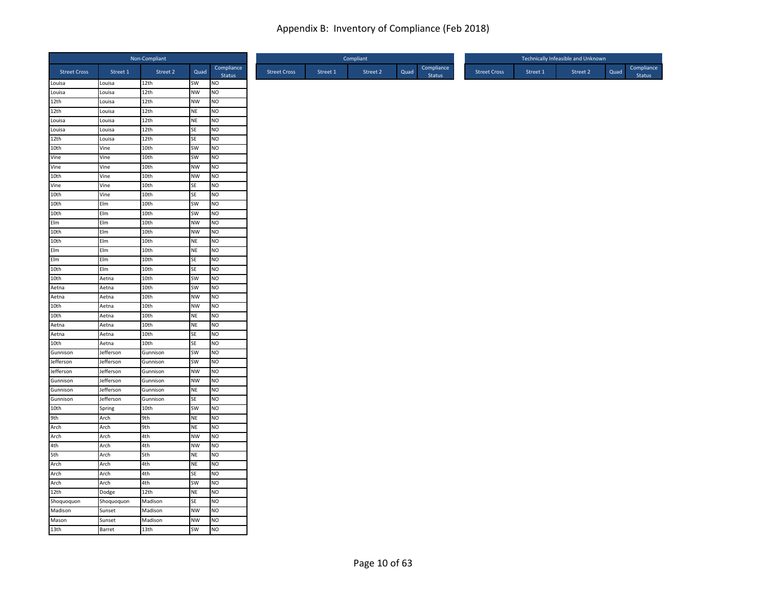| Compliance<br>Street 2<br>Street 2<br>Quad<br><b>Street Cross</b><br>Street 1<br>Quad<br><b>Street Cross</b><br>Street 1<br>Status<br>SW<br>NO<br>Louisa<br>Louisa<br>12th<br><b>NW</b><br>Louisa<br>12th<br>NO<br>Louisa<br>12th<br><b>NW</b><br>NO<br>12th<br>Louisa<br>12th<br>12th<br>NO<br>Louisa<br><b>NE</b><br>Louisa<br>12th<br><b>NE</b><br>NO.<br>Louisa<br>12th<br>SE<br>NO<br>Louisa<br>Louisa<br>N <sub>O</sub><br>12th<br>12th<br>SE<br>Louisa<br>10th<br>10th<br>SW<br>NO<br>Vine<br>Vine<br>10th<br>SW<br>NO.<br>Vine<br>Vine<br>10th<br><b>NW</b><br>NO<br>Vine<br>10th<br>10th<br><b>NW</b><br>NO<br>Vine<br>Vine<br>Vine<br>10th<br>SE<br>NO<br>10th<br>Vine<br>10th<br>SE<br>NO.<br>NO<br>10th<br>Elm<br>10th<br>SW<br>10th<br>SW<br>NO<br>10th<br>Elm<br>Elm<br>Elm<br>10th<br><b>NW</b><br>NO<br>10th<br>N <sub>O</sub><br>Elm<br>10th<br><b>NW</b><br>10th<br>10th<br><b>NE</b><br>NO<br>Elm<br>Elm<br>10th<br><b>NE</b><br>NO<br>Elm<br>NO<br>Elm<br>Elm<br>10th<br>SE<br>10th<br>Elm<br>10th<br><b>SE</b><br>NO<br>10th<br>10th<br>SW<br>NO<br>Aetna<br>10th<br><b>SW</b><br>NO<br>Aetna<br>Aetna<br>Aetna<br>10th<br><b>NW</b><br>NO<br>Aetna<br>10th<br>10th<br><b>NW</b><br>NO<br>Aetna<br>10th<br>NO<br>Aetna<br>10th<br><b>NE</b><br>Aetna<br>10th<br><b>NE</b><br>NO.<br>Aetna<br>NO<br>10th<br>SE<br>Aetna<br>Aetna<br>10th<br>NO<br>10th<br>Aetna<br>SE<br>Gunnison<br>Jefferson<br>SW<br>NO<br>Gunnison<br><b>SW</b><br>Jefferson<br>NO.<br>Jefferson<br>Gunnison<br>NO<br>Jefferson<br>Jefferson<br><b>NW</b><br>Gunnison<br><b>NW</b><br>NO<br>Gunnison<br>Jefferson<br>Gunnison<br>Jefferson<br><b>NE</b><br>NO<br>Gunnison<br>Gunnison<br>Gunnison<br>Jefferson<br><b>SE</b><br>NO.<br>Gunnison<br>SW<br>NO<br>10th<br>10th<br>Spring<br>9th<br>9th<br><b>NE</b><br>NO<br>Arch<br>9th<br><b>NE</b><br>NO<br>Arch<br>Arch<br>4th<br>Arch<br>Arch<br><b>NW</b><br>NO<br>4th<br>4th<br>Arch<br><b>NW</b><br>NO<br>5th<br>5th<br>NO<br>Arch<br><b>NE</b><br>NO<br>Arch<br>4th<br><b>NE</b><br>Arch<br>4th<br><b>SE</b><br>NO<br>Arch<br>Arch<br>Arch<br>4th<br>NO<br>Arch<br>SW<br>N <sub>O</sub><br>12th<br>12th<br><b>NE</b><br>Dodge<br>Shoquoquon<br>Madison<br>NO<br>Shoquoquon<br>SE<br>Madison<br><b>NW</b><br>NO<br>Madison<br>Sunset<br>Mason<br>Madison<br><b>NW</b><br>NO<br>Sunset |                  |        | Non-Compliant |           |                |
|-----------------------------------------------------------------------------------------------------------------------------------------------------------------------------------------------------------------------------------------------------------------------------------------------------------------------------------------------------------------------------------------------------------------------------------------------------------------------------------------------------------------------------------------------------------------------------------------------------------------------------------------------------------------------------------------------------------------------------------------------------------------------------------------------------------------------------------------------------------------------------------------------------------------------------------------------------------------------------------------------------------------------------------------------------------------------------------------------------------------------------------------------------------------------------------------------------------------------------------------------------------------------------------------------------------------------------------------------------------------------------------------------------------------------------------------------------------------------------------------------------------------------------------------------------------------------------------------------------------------------------------------------------------------------------------------------------------------------------------------------------------------------------------------------------------------------------------------------------------------------------------------------------------------------------------------------------------------------------------------------------------------------------------------------------------------------------------------------------------------------------------------------------------------------------------------------------------------------------------------------------------------------------------------------------------------------------------|------------------|--------|---------------|-----------|----------------|
| <b>Status</b>                                                                                                                                                                                                                                                                                                                                                                                                                                                                                                                                                                                                                                                                                                                                                                                                                                                                                                                                                                                                                                                                                                                                                                                                                                                                                                                                                                                                                                                                                                                                                                                                                                                                                                                                                                                                                                                                                                                                                                                                                                                                                                                                                                                                                                                                                                                     |                  |        |               |           |                |
|                                                                                                                                                                                                                                                                                                                                                                                                                                                                                                                                                                                                                                                                                                                                                                                                                                                                                                                                                                                                                                                                                                                                                                                                                                                                                                                                                                                                                                                                                                                                                                                                                                                                                                                                                                                                                                                                                                                                                                                                                                                                                                                                                                                                                                                                                                                                   |                  |        |               |           |                |
|                                                                                                                                                                                                                                                                                                                                                                                                                                                                                                                                                                                                                                                                                                                                                                                                                                                                                                                                                                                                                                                                                                                                                                                                                                                                                                                                                                                                                                                                                                                                                                                                                                                                                                                                                                                                                                                                                                                                                                                                                                                                                                                                                                                                                                                                                                                                   |                  |        |               |           |                |
|                                                                                                                                                                                                                                                                                                                                                                                                                                                                                                                                                                                                                                                                                                                                                                                                                                                                                                                                                                                                                                                                                                                                                                                                                                                                                                                                                                                                                                                                                                                                                                                                                                                                                                                                                                                                                                                                                                                                                                                                                                                                                                                                                                                                                                                                                                                                   |                  |        |               |           |                |
|                                                                                                                                                                                                                                                                                                                                                                                                                                                                                                                                                                                                                                                                                                                                                                                                                                                                                                                                                                                                                                                                                                                                                                                                                                                                                                                                                                                                                                                                                                                                                                                                                                                                                                                                                                                                                                                                                                                                                                                                                                                                                                                                                                                                                                                                                                                                   |                  |        |               |           |                |
|                                                                                                                                                                                                                                                                                                                                                                                                                                                                                                                                                                                                                                                                                                                                                                                                                                                                                                                                                                                                                                                                                                                                                                                                                                                                                                                                                                                                                                                                                                                                                                                                                                                                                                                                                                                                                                                                                                                                                                                                                                                                                                                                                                                                                                                                                                                                   |                  |        |               |           |                |
|                                                                                                                                                                                                                                                                                                                                                                                                                                                                                                                                                                                                                                                                                                                                                                                                                                                                                                                                                                                                                                                                                                                                                                                                                                                                                                                                                                                                                                                                                                                                                                                                                                                                                                                                                                                                                                                                                                                                                                                                                                                                                                                                                                                                                                                                                                                                   |                  |        |               |           |                |
|                                                                                                                                                                                                                                                                                                                                                                                                                                                                                                                                                                                                                                                                                                                                                                                                                                                                                                                                                                                                                                                                                                                                                                                                                                                                                                                                                                                                                                                                                                                                                                                                                                                                                                                                                                                                                                                                                                                                                                                                                                                                                                                                                                                                                                                                                                                                   |                  |        |               |           |                |
|                                                                                                                                                                                                                                                                                                                                                                                                                                                                                                                                                                                                                                                                                                                                                                                                                                                                                                                                                                                                                                                                                                                                                                                                                                                                                                                                                                                                                                                                                                                                                                                                                                                                                                                                                                                                                                                                                                                                                                                                                                                                                                                                                                                                                                                                                                                                   |                  |        |               |           |                |
|                                                                                                                                                                                                                                                                                                                                                                                                                                                                                                                                                                                                                                                                                                                                                                                                                                                                                                                                                                                                                                                                                                                                                                                                                                                                                                                                                                                                                                                                                                                                                                                                                                                                                                                                                                                                                                                                                                                                                                                                                                                                                                                                                                                                                                                                                                                                   |                  |        |               |           |                |
|                                                                                                                                                                                                                                                                                                                                                                                                                                                                                                                                                                                                                                                                                                                                                                                                                                                                                                                                                                                                                                                                                                                                                                                                                                                                                                                                                                                                                                                                                                                                                                                                                                                                                                                                                                                                                                                                                                                                                                                                                                                                                                                                                                                                                                                                                                                                   |                  |        |               |           |                |
|                                                                                                                                                                                                                                                                                                                                                                                                                                                                                                                                                                                                                                                                                                                                                                                                                                                                                                                                                                                                                                                                                                                                                                                                                                                                                                                                                                                                                                                                                                                                                                                                                                                                                                                                                                                                                                                                                                                                                                                                                                                                                                                                                                                                                                                                                                                                   |                  |        |               |           |                |
|                                                                                                                                                                                                                                                                                                                                                                                                                                                                                                                                                                                                                                                                                                                                                                                                                                                                                                                                                                                                                                                                                                                                                                                                                                                                                                                                                                                                                                                                                                                                                                                                                                                                                                                                                                                                                                                                                                                                                                                                                                                                                                                                                                                                                                                                                                                                   |                  |        |               |           |                |
|                                                                                                                                                                                                                                                                                                                                                                                                                                                                                                                                                                                                                                                                                                                                                                                                                                                                                                                                                                                                                                                                                                                                                                                                                                                                                                                                                                                                                                                                                                                                                                                                                                                                                                                                                                                                                                                                                                                                                                                                                                                                                                                                                                                                                                                                                                                                   |                  |        |               |           |                |
|                                                                                                                                                                                                                                                                                                                                                                                                                                                                                                                                                                                                                                                                                                                                                                                                                                                                                                                                                                                                                                                                                                                                                                                                                                                                                                                                                                                                                                                                                                                                                                                                                                                                                                                                                                                                                                                                                                                                                                                                                                                                                                                                                                                                                                                                                                                                   |                  |        |               |           |                |
|                                                                                                                                                                                                                                                                                                                                                                                                                                                                                                                                                                                                                                                                                                                                                                                                                                                                                                                                                                                                                                                                                                                                                                                                                                                                                                                                                                                                                                                                                                                                                                                                                                                                                                                                                                                                                                                                                                                                                                                                                                                                                                                                                                                                                                                                                                                                   |                  |        |               |           |                |
|                                                                                                                                                                                                                                                                                                                                                                                                                                                                                                                                                                                                                                                                                                                                                                                                                                                                                                                                                                                                                                                                                                                                                                                                                                                                                                                                                                                                                                                                                                                                                                                                                                                                                                                                                                                                                                                                                                                                                                                                                                                                                                                                                                                                                                                                                                                                   |                  |        |               |           |                |
|                                                                                                                                                                                                                                                                                                                                                                                                                                                                                                                                                                                                                                                                                                                                                                                                                                                                                                                                                                                                                                                                                                                                                                                                                                                                                                                                                                                                                                                                                                                                                                                                                                                                                                                                                                                                                                                                                                                                                                                                                                                                                                                                                                                                                                                                                                                                   |                  |        |               |           |                |
|                                                                                                                                                                                                                                                                                                                                                                                                                                                                                                                                                                                                                                                                                                                                                                                                                                                                                                                                                                                                                                                                                                                                                                                                                                                                                                                                                                                                                                                                                                                                                                                                                                                                                                                                                                                                                                                                                                                                                                                                                                                                                                                                                                                                                                                                                                                                   |                  |        |               |           |                |
|                                                                                                                                                                                                                                                                                                                                                                                                                                                                                                                                                                                                                                                                                                                                                                                                                                                                                                                                                                                                                                                                                                                                                                                                                                                                                                                                                                                                                                                                                                                                                                                                                                                                                                                                                                                                                                                                                                                                                                                                                                                                                                                                                                                                                                                                                                                                   |                  |        |               |           |                |
|                                                                                                                                                                                                                                                                                                                                                                                                                                                                                                                                                                                                                                                                                                                                                                                                                                                                                                                                                                                                                                                                                                                                                                                                                                                                                                                                                                                                                                                                                                                                                                                                                                                                                                                                                                                                                                                                                                                                                                                                                                                                                                                                                                                                                                                                                                                                   |                  |        |               |           |                |
|                                                                                                                                                                                                                                                                                                                                                                                                                                                                                                                                                                                                                                                                                                                                                                                                                                                                                                                                                                                                                                                                                                                                                                                                                                                                                                                                                                                                                                                                                                                                                                                                                                                                                                                                                                                                                                                                                                                                                                                                                                                                                                                                                                                                                                                                                                                                   |                  |        |               |           |                |
|                                                                                                                                                                                                                                                                                                                                                                                                                                                                                                                                                                                                                                                                                                                                                                                                                                                                                                                                                                                                                                                                                                                                                                                                                                                                                                                                                                                                                                                                                                                                                                                                                                                                                                                                                                                                                                                                                                                                                                                                                                                                                                                                                                                                                                                                                                                                   |                  |        |               |           |                |
|                                                                                                                                                                                                                                                                                                                                                                                                                                                                                                                                                                                                                                                                                                                                                                                                                                                                                                                                                                                                                                                                                                                                                                                                                                                                                                                                                                                                                                                                                                                                                                                                                                                                                                                                                                                                                                                                                                                                                                                                                                                                                                                                                                                                                                                                                                                                   |                  |        |               |           |                |
|                                                                                                                                                                                                                                                                                                                                                                                                                                                                                                                                                                                                                                                                                                                                                                                                                                                                                                                                                                                                                                                                                                                                                                                                                                                                                                                                                                                                                                                                                                                                                                                                                                                                                                                                                                                                                                                                                                                                                                                                                                                                                                                                                                                                                                                                                                                                   |                  |        |               |           |                |
|                                                                                                                                                                                                                                                                                                                                                                                                                                                                                                                                                                                                                                                                                                                                                                                                                                                                                                                                                                                                                                                                                                                                                                                                                                                                                                                                                                                                                                                                                                                                                                                                                                                                                                                                                                                                                                                                                                                                                                                                                                                                                                                                                                                                                                                                                                                                   |                  |        |               |           |                |
|                                                                                                                                                                                                                                                                                                                                                                                                                                                                                                                                                                                                                                                                                                                                                                                                                                                                                                                                                                                                                                                                                                                                                                                                                                                                                                                                                                                                                                                                                                                                                                                                                                                                                                                                                                                                                                                                                                                                                                                                                                                                                                                                                                                                                                                                                                                                   |                  |        |               |           |                |
|                                                                                                                                                                                                                                                                                                                                                                                                                                                                                                                                                                                                                                                                                                                                                                                                                                                                                                                                                                                                                                                                                                                                                                                                                                                                                                                                                                                                                                                                                                                                                                                                                                                                                                                                                                                                                                                                                                                                                                                                                                                                                                                                                                                                                                                                                                                                   |                  |        |               |           |                |
|                                                                                                                                                                                                                                                                                                                                                                                                                                                                                                                                                                                                                                                                                                                                                                                                                                                                                                                                                                                                                                                                                                                                                                                                                                                                                                                                                                                                                                                                                                                                                                                                                                                                                                                                                                                                                                                                                                                                                                                                                                                                                                                                                                                                                                                                                                                                   |                  |        |               |           |                |
|                                                                                                                                                                                                                                                                                                                                                                                                                                                                                                                                                                                                                                                                                                                                                                                                                                                                                                                                                                                                                                                                                                                                                                                                                                                                                                                                                                                                                                                                                                                                                                                                                                                                                                                                                                                                                                                                                                                                                                                                                                                                                                                                                                                                                                                                                                                                   |                  |        |               |           |                |
|                                                                                                                                                                                                                                                                                                                                                                                                                                                                                                                                                                                                                                                                                                                                                                                                                                                                                                                                                                                                                                                                                                                                                                                                                                                                                                                                                                                                                                                                                                                                                                                                                                                                                                                                                                                                                                                                                                                                                                                                                                                                                                                                                                                                                                                                                                                                   |                  |        |               |           |                |
|                                                                                                                                                                                                                                                                                                                                                                                                                                                                                                                                                                                                                                                                                                                                                                                                                                                                                                                                                                                                                                                                                                                                                                                                                                                                                                                                                                                                                                                                                                                                                                                                                                                                                                                                                                                                                                                                                                                                                                                                                                                                                                                                                                                                                                                                                                                                   |                  |        |               |           |                |
|                                                                                                                                                                                                                                                                                                                                                                                                                                                                                                                                                                                                                                                                                                                                                                                                                                                                                                                                                                                                                                                                                                                                                                                                                                                                                                                                                                                                                                                                                                                                                                                                                                                                                                                                                                                                                                                                                                                                                                                                                                                                                                                                                                                                                                                                                                                                   |                  |        |               |           |                |
|                                                                                                                                                                                                                                                                                                                                                                                                                                                                                                                                                                                                                                                                                                                                                                                                                                                                                                                                                                                                                                                                                                                                                                                                                                                                                                                                                                                                                                                                                                                                                                                                                                                                                                                                                                                                                                                                                                                                                                                                                                                                                                                                                                                                                                                                                                                                   |                  |        |               |           |                |
|                                                                                                                                                                                                                                                                                                                                                                                                                                                                                                                                                                                                                                                                                                                                                                                                                                                                                                                                                                                                                                                                                                                                                                                                                                                                                                                                                                                                                                                                                                                                                                                                                                                                                                                                                                                                                                                                                                                                                                                                                                                                                                                                                                                                                                                                                                                                   |                  |        |               |           |                |
|                                                                                                                                                                                                                                                                                                                                                                                                                                                                                                                                                                                                                                                                                                                                                                                                                                                                                                                                                                                                                                                                                                                                                                                                                                                                                                                                                                                                                                                                                                                                                                                                                                                                                                                                                                                                                                                                                                                                                                                                                                                                                                                                                                                                                                                                                                                                   |                  |        |               |           |                |
|                                                                                                                                                                                                                                                                                                                                                                                                                                                                                                                                                                                                                                                                                                                                                                                                                                                                                                                                                                                                                                                                                                                                                                                                                                                                                                                                                                                                                                                                                                                                                                                                                                                                                                                                                                                                                                                                                                                                                                                                                                                                                                                                                                                                                                                                                                                                   |                  |        |               |           |                |
|                                                                                                                                                                                                                                                                                                                                                                                                                                                                                                                                                                                                                                                                                                                                                                                                                                                                                                                                                                                                                                                                                                                                                                                                                                                                                                                                                                                                                                                                                                                                                                                                                                                                                                                                                                                                                                                                                                                                                                                                                                                                                                                                                                                                                                                                                                                                   |                  |        |               |           |                |
|                                                                                                                                                                                                                                                                                                                                                                                                                                                                                                                                                                                                                                                                                                                                                                                                                                                                                                                                                                                                                                                                                                                                                                                                                                                                                                                                                                                                                                                                                                                                                                                                                                                                                                                                                                                                                                                                                                                                                                                                                                                                                                                                                                                                                                                                                                                                   |                  |        |               |           |                |
|                                                                                                                                                                                                                                                                                                                                                                                                                                                                                                                                                                                                                                                                                                                                                                                                                                                                                                                                                                                                                                                                                                                                                                                                                                                                                                                                                                                                                                                                                                                                                                                                                                                                                                                                                                                                                                                                                                                                                                                                                                                                                                                                                                                                                                                                                                                                   |                  |        |               |           |                |
|                                                                                                                                                                                                                                                                                                                                                                                                                                                                                                                                                                                                                                                                                                                                                                                                                                                                                                                                                                                                                                                                                                                                                                                                                                                                                                                                                                                                                                                                                                                                                                                                                                                                                                                                                                                                                                                                                                                                                                                                                                                                                                                                                                                                                                                                                                                                   |                  |        |               |           |                |
|                                                                                                                                                                                                                                                                                                                                                                                                                                                                                                                                                                                                                                                                                                                                                                                                                                                                                                                                                                                                                                                                                                                                                                                                                                                                                                                                                                                                                                                                                                                                                                                                                                                                                                                                                                                                                                                                                                                                                                                                                                                                                                                                                                                                                                                                                                                                   |                  |        |               |           |                |
|                                                                                                                                                                                                                                                                                                                                                                                                                                                                                                                                                                                                                                                                                                                                                                                                                                                                                                                                                                                                                                                                                                                                                                                                                                                                                                                                                                                                                                                                                                                                                                                                                                                                                                                                                                                                                                                                                                                                                                                                                                                                                                                                                                                                                                                                                                                                   |                  |        |               |           |                |
|                                                                                                                                                                                                                                                                                                                                                                                                                                                                                                                                                                                                                                                                                                                                                                                                                                                                                                                                                                                                                                                                                                                                                                                                                                                                                                                                                                                                                                                                                                                                                                                                                                                                                                                                                                                                                                                                                                                                                                                                                                                                                                                                                                                                                                                                                                                                   |                  |        |               |           |                |
|                                                                                                                                                                                                                                                                                                                                                                                                                                                                                                                                                                                                                                                                                                                                                                                                                                                                                                                                                                                                                                                                                                                                                                                                                                                                                                                                                                                                                                                                                                                                                                                                                                                                                                                                                                                                                                                                                                                                                                                                                                                                                                                                                                                                                                                                                                                                   |                  |        |               |           |                |
|                                                                                                                                                                                                                                                                                                                                                                                                                                                                                                                                                                                                                                                                                                                                                                                                                                                                                                                                                                                                                                                                                                                                                                                                                                                                                                                                                                                                                                                                                                                                                                                                                                                                                                                                                                                                                                                                                                                                                                                                                                                                                                                                                                                                                                                                                                                                   |                  |        |               |           |                |
|                                                                                                                                                                                                                                                                                                                                                                                                                                                                                                                                                                                                                                                                                                                                                                                                                                                                                                                                                                                                                                                                                                                                                                                                                                                                                                                                                                                                                                                                                                                                                                                                                                                                                                                                                                                                                                                                                                                                                                                                                                                                                                                                                                                                                                                                                                                                   |                  |        |               |           |                |
|                                                                                                                                                                                                                                                                                                                                                                                                                                                                                                                                                                                                                                                                                                                                                                                                                                                                                                                                                                                                                                                                                                                                                                                                                                                                                                                                                                                                                                                                                                                                                                                                                                                                                                                                                                                                                                                                                                                                                                                                                                                                                                                                                                                                                                                                                                                                   |                  |        |               |           |                |
|                                                                                                                                                                                                                                                                                                                                                                                                                                                                                                                                                                                                                                                                                                                                                                                                                                                                                                                                                                                                                                                                                                                                                                                                                                                                                                                                                                                                                                                                                                                                                                                                                                                                                                                                                                                                                                                                                                                                                                                                                                                                                                                                                                                                                                                                                                                                   |                  |        |               |           |                |
|                                                                                                                                                                                                                                                                                                                                                                                                                                                                                                                                                                                                                                                                                                                                                                                                                                                                                                                                                                                                                                                                                                                                                                                                                                                                                                                                                                                                                                                                                                                                                                                                                                                                                                                                                                                                                                                                                                                                                                                                                                                                                                                                                                                                                                                                                                                                   | 13 <sub>th</sub> | Barret | 13th          | <b>SW</b> | N <sub>O</sub> |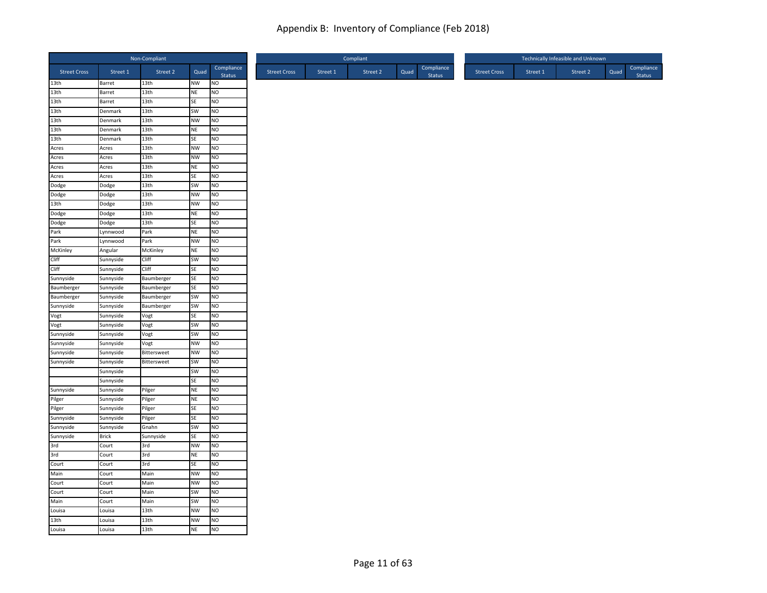|                     |              | Non-Compliant    |           |                      |                     |          | Compliant |      |                             |                     |          | Technically Infeasible and Unknown |      |                      |
|---------------------|--------------|------------------|-----------|----------------------|---------------------|----------|-----------|------|-----------------------------|---------------------|----------|------------------------------------|------|----------------------|
| <b>Street Cross</b> | Street 1     | Street 2         | Quad      | Compliance<br>Status | <b>Street Cross</b> | Street 1 | Street 2  | Quad | Compliance<br><b>Status</b> | <b>Street Cross</b> | Street 1 | Street 2                           | Quad | Compliance<br>Status |
| 13th                | Barret       | 13th             | NW        | NO                   |                     |          |           |      |                             |                     |          |                                    |      |                      |
| 13th                | Barret       | 13 <sub>th</sub> | <b>NE</b> | NO                   |                     |          |           |      |                             |                     |          |                                    |      |                      |
| 13th                | Barret       | 13th             | SE        | NO                   |                     |          |           |      |                             |                     |          |                                    |      |                      |
| 13th                | Denmark      | 13 <sub>th</sub> | SW        | N <sub>O</sub>       |                     |          |           |      |                             |                     |          |                                    |      |                      |
| 13th                | Denmark      | 13th             | <b>NW</b> | <b>NO</b>            |                     |          |           |      |                             |                     |          |                                    |      |                      |
| 13th                | Denmark      | 13th             | <b>NE</b> | NO                   |                     |          |           |      |                             |                     |          |                                    |      |                      |
| 13th                | Denmark      | 13th             | SE        | N <sub>O</sub>       |                     |          |           |      |                             |                     |          |                                    |      |                      |
| Acres               | Acres        | 13th             | <b>NW</b> | NO                   |                     |          |           |      |                             |                     |          |                                    |      |                      |
| Acres               | Acres        | 13th             | <b>NW</b> | NO.                  |                     |          |           |      |                             |                     |          |                                    |      |                      |
| Acres               | Acres        | 13th             | <b>NE</b> | NO                   |                     |          |           |      |                             |                     |          |                                    |      |                      |
| Acres               | Acres        | 13 <sub>th</sub> | SE        | NO                   |                     |          |           |      |                             |                     |          |                                    |      |                      |
| Dodge               | Dodge        | 13 <sub>th</sub> | SW        | NO                   |                     |          |           |      |                             |                     |          |                                    |      |                      |
| Dodge               | Dodge        | 13th             | <b>NW</b> | <b>NO</b>            |                     |          |           |      |                             |                     |          |                                    |      |                      |
| 13th                | Dodge        | 13th             | <b>NW</b> | N <sub>O</sub>       |                     |          |           |      |                             |                     |          |                                    |      |                      |
| Dodge               | Dodge        | 13th             | <b>NE</b> | NO                   |                     |          |           |      |                             |                     |          |                                    |      |                      |
| Dodge               | Dodge        | 13th             | SE        | N <sub>O</sub>       |                     |          |           |      |                             |                     |          |                                    |      |                      |
| Park                | Lynnwood     | Park             | <b>NE</b> | NO                   |                     |          |           |      |                             |                     |          |                                    |      |                      |
| Park                | Lynnwood     | Park             | <b>NW</b> | <b>NO</b>            |                     |          |           |      |                             |                     |          |                                    |      |                      |
| McKinley            | Angular      | McKinley         | <b>NE</b> | NO                   |                     |          |           |      |                             |                     |          |                                    |      |                      |
| Cliff               | Sunnyside    | Cliff            | SW        | NO                   |                     |          |           |      |                             |                     |          |                                    |      |                      |
| Cliff               | Sunnyside    | Cliff            | SE        | N <sub>O</sub>       |                     |          |           |      |                             |                     |          |                                    |      |                      |
| Sunnyside           | Sunnyside    | Baumberger       | SE        | NO                   |                     |          |           |      |                             |                     |          |                                    |      |                      |
| Baumberger          | Sunnyside    | Baumberger       | SE        | NO                   |                     |          |           |      |                             |                     |          |                                    |      |                      |
| Baumberger          | Sunnyside    | Baumberger       | SW        | NO                   |                     |          |           |      |                             |                     |          |                                    |      |                      |
| Sunnyside           | Sunnyside    | Baumberger       | SW        | NO                   |                     |          |           |      |                             |                     |          |                                    |      |                      |
| Vogt                | Sunnyside    | Vogt             | SE        | N <sub>O</sub>       |                     |          |           |      |                             |                     |          |                                    |      |                      |
| Vogt                | Sunnyside    | Vogt             | SW        | NO                   |                     |          |           |      |                             |                     |          |                                    |      |                      |
| Sunnyside           | Sunnyside    | Vogt             | <b>SW</b> | NO                   |                     |          |           |      |                             |                     |          |                                    |      |                      |
| Sunnyside           | Sunnyside    | Vogt             | <b>NW</b> | NO                   |                     |          |           |      |                             |                     |          |                                    |      |                      |
| Sunnyside           | Sunnyside    | Bittersweet      | NW        | NO                   |                     |          |           |      |                             |                     |          |                                    |      |                      |
| Sunnyside           | Sunnyside    | Bittersweet      | <b>SW</b> | <b>NO</b>            |                     |          |           |      |                             |                     |          |                                    |      |                      |
|                     | Sunnyside    |                  | SW        | N <sub>O</sub>       |                     |          |           |      |                             |                     |          |                                    |      |                      |
|                     | Sunnyside    |                  | SE        | NO                   |                     |          |           |      |                             |                     |          |                                    |      |                      |
| Sunnyside           | Sunnyside    | Pilger           | <b>NE</b> | N <sub>O</sub>       |                     |          |           |      |                             |                     |          |                                    |      |                      |
| Pilger              | Sunnyside    | Pilger           | <b>NE</b> | NO                   |                     |          |           |      |                             |                     |          |                                    |      |                      |
| Pilger              | Sunnyside    | Pilger           | SE        | NO                   |                     |          |           |      |                             |                     |          |                                    |      |                      |
| Sunnyside           | Sunnyside    | Pilger           | SE        | NO                   |                     |          |           |      |                             |                     |          |                                    |      |                      |
| Sunnyside           | Sunnyside    | Gnahn            | SW        | NO                   |                     |          |           |      |                             |                     |          |                                    |      |                      |
| Sunnyside           | <b>Brick</b> | Sunnyside        | SE        | NO.                  |                     |          |           |      |                             |                     |          |                                    |      |                      |
| 3rd                 | Court        | 3rd              | <b>NW</b> | <b>NO</b>            |                     |          |           |      |                             |                     |          |                                    |      |                      |
| 3rd                 | Court        | 3rd              | <b>NE</b> | NO                   |                     |          |           |      |                             |                     |          |                                    |      |                      |
| Court               | Court        | 3rd              | SE        | NO                   |                     |          |           |      |                             |                     |          |                                    |      |                      |
| Main                | Court        | Main             | <b>NW</b> | NO                   |                     |          |           |      |                             |                     |          |                                    |      |                      |
| Court               | Court        | Main             | <b>NW</b> | NO                   |                     |          |           |      |                             |                     |          |                                    |      |                      |
| Court               | Court        | Main             | <b>SW</b> | N <sub>O</sub>       |                     |          |           |      |                             |                     |          |                                    |      |                      |
| Main                | Court        | Main             | SW        | NO                   |                     |          |           |      |                             |                     |          |                                    |      |                      |
| Louisa              | Louisa       | 13th             | <b>NW</b> | NO                   |                     |          |           |      |                             |                     |          |                                    |      |                      |
| 13th                | Louisa       | 13th             | <b>NW</b> | N <sub>O</sub>       |                     |          |           |      |                             |                     |          |                                    |      |                      |
| Louisa              | Louisa       | 13 <sub>th</sub> | <b>NE</b> | <b>NO</b>            |                     |          |           |      |                             |                     |          |                                    |      |                      |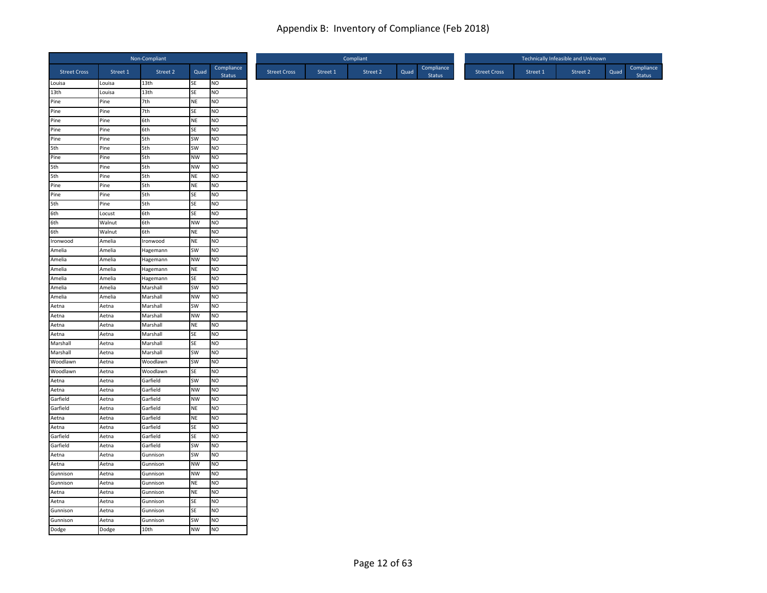|                     |                  | Non-Compliant    |                        |                                  |
|---------------------|------------------|------------------|------------------------|----------------------------------|
| <b>Street Cross</b> | Street 1         | Street 2         | Quad                   | Compliance<br>Status             |
| Louisa              | Louisa           | 13th             | <b>SE</b>              | NO                               |
| 13th                | Louisa           | 13 <sub>th</sub> | SE                     | NO                               |
| Pine                | Pine             | 7th              | <b>NE</b>              | NO                               |
| Pine                | Pine             | 7th              | SE                     | NO                               |
| Pine                | Pine             | 6th              | <b>NE</b>              | <b>NO</b>                        |
| Pine                | Pine             | 6th              | SE                     | NO                               |
| Pine                | Pine             | 5th              | SW                     | NO                               |
| 5th                 | Pine             | 5th              | <b>SW</b>              | N <sub>O</sub>                   |
| Pine                | Pine             | 5th              | <b>NW</b>              | N <sub>O</sub>                   |
| 5th                 | Pine             | 5th              | <b>NW</b>              | <b>NO</b>                        |
| 5th                 | Pine             | 5th              | <b>NE</b>              | NO                               |
| Pine                | Pine             | 5th              | <b>NE</b>              | NO                               |
| Pine                | Pine             | 5th              | SE                     | NO                               |
| 5th                 | Pine             | 5th              | SE                     | NO                               |
| 6th                 | Locust           | 6th              | SE                     | NO                               |
| 6th                 | Walnut<br>Walnut | 6th<br>6th       | <b>NW</b><br><b>NE</b> | N <sub>O</sub><br>N <sub>O</sub> |
| 6th<br>Ironwood     | Amelia           | Ironwood         | <b>NE</b>              | NO.                              |
| Amelia              | Amelia           | Hagemann         | SW                     | N <sub>O</sub>                   |
| Amelia              | Amelia           | Hagemann         | NW                     | NO                               |
| Amelia              | Amelia           | Hagemann         | NE                     | NO                               |
| Amelia              | Amelia           | Hagemann         | <b>SE</b>              | NO.                              |
| Amelia              | Amelia           | Marshall         | SW                     | <b>NO</b>                        |
| Amelia              | Amelia           | Marshall         | <b>NW</b>              | NO                               |
| Aetna               | Aetna            | Marshall         | SW                     | N <sub>O</sub>                   |
| Aetna               | Aetna            | Marshall         | <b>NW</b>              | NO                               |
| Aetna               | Aetna            | Marshall         | <b>NE</b>              | NO                               |
| Aetna               | Aetna            | Marshall         | <b>SE</b>              | NO                               |
| Marshall            | Aetna            | Marshall         | SE                     | NO                               |
| Marshall            | Aetna            | Marshall         | SW                     | NO                               |
| Woodlawn            | Aetna            | Woodlawn         | SW                     | N <sub>O</sub>                   |
| Woodlawn            | Aetna            | Woodlawn         | SE                     | N <sub>O</sub>                   |
| Aetna               | Aetna            | Garfield         | <b>SW</b>              | N <sub>O</sub>                   |
| Aetna               | Aetna            | Garfield         | <b>NW</b>              | N <sub>O</sub>                   |
| Garfield            | Aetna            | Garfield         | <b>NW</b>              | NO                               |
| Garfield            | Aetna            | Garfield         | <b>NE</b>              | NO                               |
| Aetna               | Aetna            | Garfield         | <b>NE</b>              | N <sub>O</sub>                   |
| Aetna               | Aetna            | Garfield         | SE                     | NO                               |
| Garfield            | Aetna            | Garfield         | SE                     | NO.                              |
| Garfield            | Aetna            | Garfield         | SW                     | <b>NO</b>                        |
| Aetna               | Aetna            | Gunnison         | SW                     | N <sub>O</sub>                   |
| Aetna               | Aetna            | Gunnison         | <b>NW</b>              | NO                               |
| Gunnison            | Aetna            | Gunnison         | <b>NW</b>              | NO                               |
| Gunnison            | Aetna            | Gunnison         | <b>NE</b>              | NO                               |
| Aetna               | Aetna            | Gunnison         | <b>NE</b>              | NO                               |
| Aetna               | Aetna            | Gunnison         | SE                     | NO                               |
| Gunnison            | Aetna            | Gunnison         | SE                     | NO                               |
| Gunnison            | Aetna            | Gunnison         | SW                     | <b>NO</b>                        |
| Dodge               | Dodge            | 10th             | <b>NW</b>              | N <sub>O</sub>                   |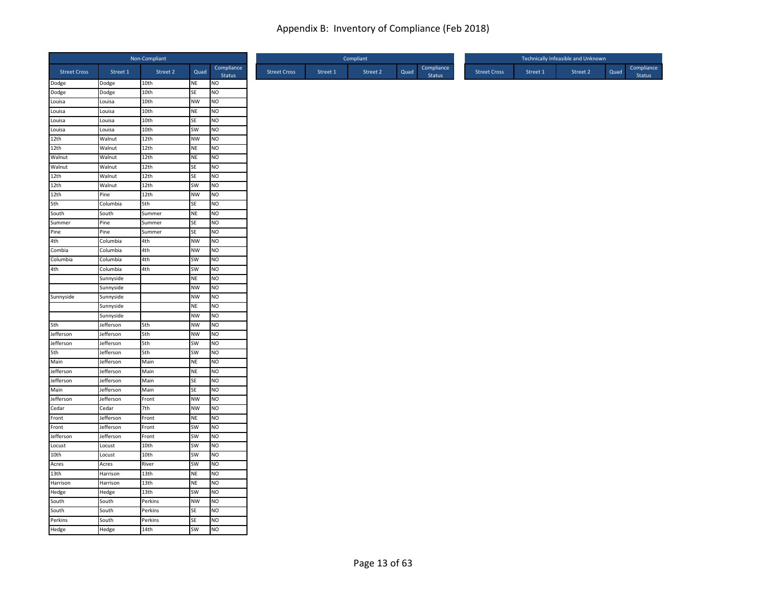|                     |                  | Non-Compliant |           |                             |
|---------------------|------------------|---------------|-----------|-----------------------------|
| <b>Street Cross</b> | Street 1         | Street 2      | Quad      | Compliance<br>Status        |
| Dodge               | Dodge            | 10th          | NE        | <b>NO</b>                   |
| Dodge               | Dodge            | 10th          | SE        | NO                          |
| Louisa              | Louisa           | 10th          | <b>NW</b> | NO                          |
| Louisa              | Louisa           | 10th          | NE        | NO                          |
| Louisa<br>Louisa    | Louisa<br>Louisa | 10th<br>10th  | SE<br>SW  | <b>NO</b><br>N <sub>O</sub> |
| 12th                | Walnut           | 12th          | <b>NW</b> | N <sub>O</sub>              |
| 12th                | Walnut           | 12th          | <b>NE</b> | NO                          |
| Walnut              | Walnut           | 12th          | <b>NE</b> | <b>NO</b>                   |
| Walnut              | Walnut           | 12th          | SE        | N <sub>O</sub>              |
| 12th                | Walnut           | 12th          | SE        | NO                          |
| 12th                | Walnut           | 12th          | SW        | N <sub>O</sub>              |
| 12th                | Pine             | 12th          | <b>NW</b> | <b>NO</b>                   |
| 5th                 | Columbia         | 5th           | SE        | N <sub>O</sub>              |
| South               | South            | Summer        | NE        | <b>NO</b>                   |
| Summer              | Pine             | Summer        | SE        | N <sub>O</sub>              |
| Pine                | Pine             | Summer        | SE        | N <sub>O</sub>              |
| 4th                 | Columbia         | 4th           | <b>NW</b> | <b>NO</b>                   |
| Combia              | Columbia         | 4th           | <b>NW</b> | NO                          |
| Columbia            | Columbia         | 4th           | <b>SW</b> | NO                          |
| 4th                 | Columbia         | 4th           | SW        | <b>NO</b>                   |
|                     | Sunnyside        |               | <b>NE</b> | NO                          |
|                     | Sunnyside        |               | <b>NW</b> | <b>NO</b>                   |
| Sunnyside           | Sunnyside        |               | <b>NW</b> | NO                          |
|                     | Sunnyside        |               | NE        | <b>NO</b>                   |
|                     | Sunnyside        |               | <b>NW</b> | NO                          |
| 5th                 | Jefferson        | 5th           | <b>NW</b> | N <sub>O</sub>              |
| Jefferson           | Jefferson        | 5th           | <b>NW</b> | N <sub>O</sub>              |
| Jefferson           | Jefferson        | 5th           | SW        | NO                          |
| 5th                 | Jefferson        | 5th           | SW        | <b>NO</b>                   |
| Main                | Jefferson        | Main          | <b>NE</b> | <b>NO</b>                   |
| Jefferson           | Jefferson        | Main          | NE        | N <sub>O</sub>              |
| Jefferson           | Jefferson        | Main          | SE        | <b>NO</b>                   |
| Main                | Jefferson        | Main          | SE        | N <sub>O</sub>              |
| Jefferson           | Jefferson        | Front         | <b>NW</b> | <b>NO</b>                   |
| Cedar               | Cedar            | 7th           | <b>NW</b> | NO                          |
| Front               | Jefferson        | Front         | NE        | NO                          |
| Front               | Jefferson        | Front         | <b>SW</b> | NO                          |
| Jefferson           | Jefferson        | Front         | SW        | <b>NO</b>                   |
| Locust              | Locust           | 10th          | SW        | <b>NO</b>                   |
| 10th                | Locust           | 10th          | SW        | N <sub>O</sub>              |
| Acres               | Acres            | River         | SW        | N <sub>O</sub>              |
| 13th                | Harrison         | 13th          | NE        | <b>NO</b>                   |
| Harrison            | Harrison         | 13th          | NE        | N <sub>O</sub>              |
| Hedge               | Hedge            | 13th          | SW        | <b>NO</b>                   |
| South               | South            | Perkins       | <b>NW</b> | NO                          |
| South               | South            | Perkins       | SE        | N <sub>O</sub>              |
| Perkins             | South            | Perkins       | SE        | <b>NO</b>                   |
| Hedge               | Hedge            | 14th          | SW        | <b>NO</b>                   |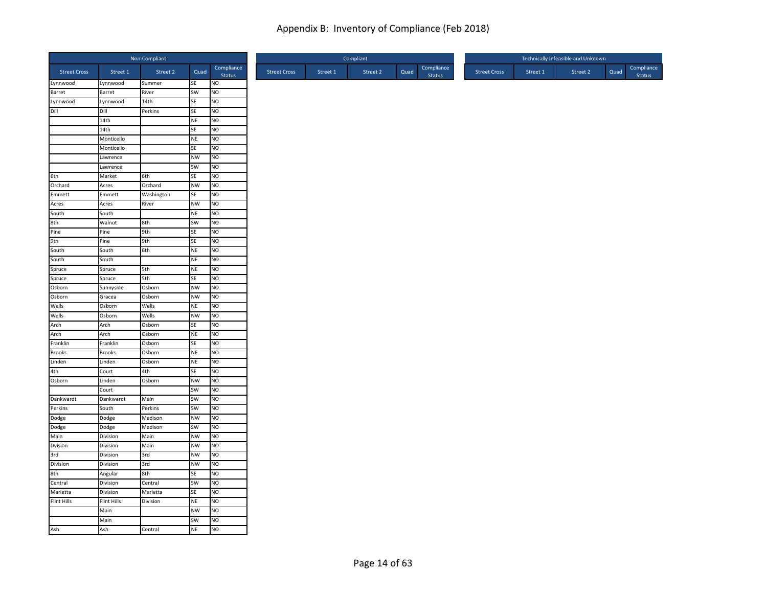|                         |                         | Non-Compliant    |                        |                        |
|-------------------------|-------------------------|------------------|------------------------|------------------------|
| <b>Street Cross</b>     | Street 1                | Street 2         | Quad                   | Compliance<br>Status   |
| Lynnwood                | Lynnwood                | Summer           | SE                     | <b>NO</b>              |
| Barret                  | Barret                  | River            | SW                     | Ю                      |
| Lynnwood                | Lynnwood                | 14th             | SE                     | <b>NO</b>              |
| $\frac{1}{\text{Diff}}$ | Dill                    | Perkins          | SE                     | <b>NO</b>              |
|                         | 14th                    |                  | <b>NE</b>              | NO                     |
|                         | 14th                    |                  | SE                     | NO                     |
|                         | Monticello              |                  | <b>NE</b>              | <b>NO</b>              |
|                         | Monticello              |                  | SE                     | <b>NO</b>              |
|                         | Lawrence                |                  | <b>NW</b>              | <b>NO</b>              |
|                         | Lawrence                |                  | SW                     | <b>NO</b>              |
| 6th                     | Market                  | 6th              | SE                     | <b>NO</b>              |
| Orchard                 | Acres                   | Orchard          | <b>NW</b>              | <b>NO</b>              |
| Emmett                  | Emmett                  | Washington       | SE                     | <b>NO</b>              |
| Acres                   | Acres                   | River            | <b>NW</b>              | NO                     |
| South                   | South                   |                  | <b>NE</b>              | NO                     |
| 8th<br>Pine             | Walnut                  | 8th              | SW                     | NO                     |
|                         | Pine                    | 9th              | SE                     | <b>NO</b>              |
| 9th<br>South<br>South   | Pine                    | 9th              | SE                     | <b>NO</b>              |
|                         | South                   | 6th              | <b>NE</b>              | <b>NO</b>              |
|                         | South                   |                  | <b>NE</b>              | <b>NO</b>              |
| Spruce<br>Spruce        | Spruce                  | 5th              | <b>NE</b>              | <b>NO</b>              |
|                         | Spruce                  | 5th              | SE                     | <b>NO</b>              |
| Osborn                  | Sunnyside               | Osborn           | <b>NW</b>              | <b>NO</b>              |
| Osborn                  | Gracea                  | Osborn           | <b>NW</b>              | Ю                      |
| Wells                   | Osborn                  | Wells            | <b>NE</b>              | <b>NO</b>              |
| Wells                   | Osborn                  | Wells            | NW                     | NO                     |
| Arch<br>Arch            | Arch                    | Osborn           | <b>SE</b>              | <b>NO</b>              |
| Franklin                | Arch                    | Osborn           | <b>NE</b>              | <b>NO</b>              |
| <b>Brooks</b>           | Franklin                | Osborn           | SE                     | <b>NO</b>              |
| Linden                  | <b>Brooks</b><br>Linden | Osborn<br>Osborn | <b>NE</b><br><b>NE</b> | <b>NO</b><br><b>NO</b> |
| 4th                     |                         | 4th              | SE                     | NO                     |
| Osborn                  | Court                   | Osborn           | <b>NW</b>              | <b>NO</b>              |
|                         | Linden<br>Court         |                  | SW                     | NO                     |
| Dankwardt               | Dankwardt               | Main             | SW                     | <b>NO</b>              |
| Perkins                 | South                   | Perkins          | SW                     | <b>NO</b>              |
| Dodge                   | Dodge                   | Madison          | <b>NW</b>              | <b>NO</b>              |
| Dodge                   | Dodge                   | Madison          | SW                     | <b>NO</b>              |
| Main                    | Division                | Main             | <b>NW</b>              | <b>NO</b>              |
| Dvision                 | Division                | Main             | <b>NW</b>              | <b>NO</b>              |
| 3rd                     | Division                | 3rd              | <b>NW</b>              | NO                     |
| Division                | Division                | 3rd              | <b>NW</b>              | NO                     |
| 8th                     |                         | 8th              | SE                     | <b>NO</b>              |
| Central                 | Angular<br>Division     | Central          | SW                     | NO                     |
| Marietta                | Division                | Marietta         | <b>SE</b>              | <b>NO</b>              |
| Flint Hills             | <b>Flint Hills</b>      | Division         | <b>NE</b>              | Ю                      |
|                         | Main                    |                  | <b>NW</b>              | <b>NO</b>              |
|                         | Main                    |                  | SW                     | <b>NO</b>              |
| Ash                     | Ash                     | Central          | <b>NE</b>              | <b>NO</b>              |
|                         |                         |                  |                        |                        |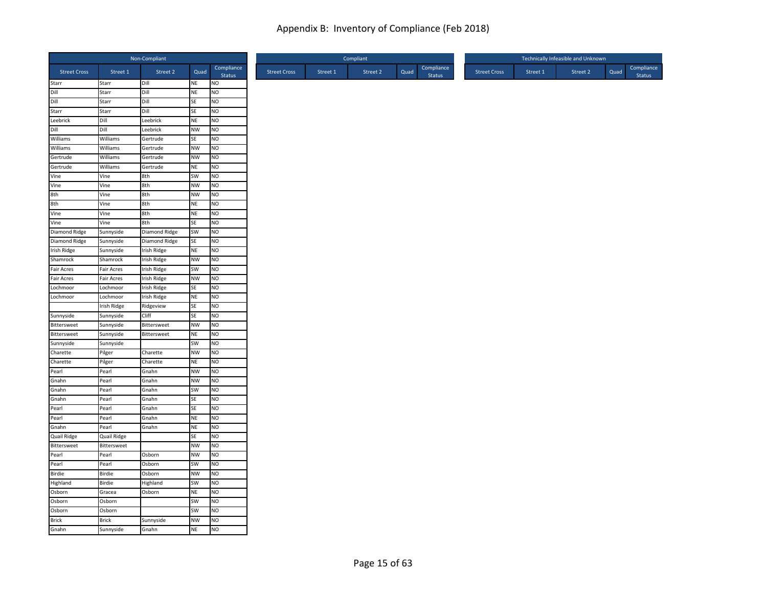|                      |                      | Non-Compliant   |                 |                             |
|----------------------|----------------------|-----------------|-----------------|-----------------------------|
| <b>Street Cross</b>  | Street 1             | Street 2        | Quad            | Compliance<br><b>Status</b> |
| Starr                | Starr                | Dill            | NE              | <b>NO</b>                   |
| Dill                 | Starr                | Dill            | NE              | NO                          |
| Dill                 | Starr                | Dill            | SE              | <b>NO</b>                   |
| Starr                | Starr                | Dill            | SE              | <b>NO</b>                   |
| Leebrick             | Dill                 | Leebrick        | NE              | NO                          |
| Dill                 | Dill                 | Leebrick        | <b>NW</b>       | N <sub>O</sub>              |
| Williams             | Williams             | Gertrude        | <b>SE</b>       | <b>NO</b>                   |
| Williams<br>Gertrude | Williams<br>Williams | Gertrude        | <b>NW</b><br>NW | <b>NO</b><br>NO             |
| Gertrude             | Williams             | Gertrude        | NE              | <b>NO</b>                   |
| Vine                 | Vine                 | Gertrude<br>8th | SW              | N <sub>O</sub>              |
| Vine                 | Vine                 | 8th             | <b>NW</b>       | <b>NO</b>                   |
| 8th                  | Vine                 | 8th             | <b>NW</b>       | <b>NO</b>                   |
| 8th                  | Vine                 | 8th             | <b>NE</b>       | N <sub>O</sub>              |
| Vine                 | Vine                 | 8th             | <b>NE</b>       | <b>NO</b>                   |
| Vine                 | Vine                 | 8th             | SE              | N <sub>O</sub>              |
| Diamond Ridge        | Sunnyside            | Diamond Ridge   | SW              | N <sub>O</sub>              |
| Diamond Ridge        | Sunnyside            | Diamond Ridge   | SE              | NO                          |
| <b>Irish Ridge</b>   | Sunnyside            | Irish Ridge     | NE              | NO                          |
| Shamrock             | Shamrock             | Irish Ridge     | <b>NW</b>       | <b>NO</b>                   |
| <b>Fair Acres</b>    | Fair Acres           | Irish Ridge     | SW              | N <sub>O</sub>              |
| <b>Fair Acres</b>    | Fair Acres           | Irish Ridge     | <b>NW</b>       | N <sub>O</sub>              |
| Lochmoor             | Lochmoor             | Irish Ridge     | <b>SE</b>       | <b>NO</b>                   |
| Lochmoor             | Lochmoor             | Irish Ridge     | <b>NE</b>       | <b>NO</b>                   |
|                      | Irish Ridge          | Ridgeview       | SE              | N <sub>O</sub>              |
| Sunnyside            | Sunnyside            | Cliff           | SE              | NO                          |
| Bittersweet          | Sunnyside            | Bittersweet     | <b>NW</b>       | N <sub>O</sub>              |
| Bittersweet          | Sunnyside            | Bittersweet     | <b>NE</b>       | <b>NO</b>                   |
| Sunnyside            | Sunnyside            |                 | SW              | N <sub>O</sub>              |
| Charette             | Pilger               | Charette        | <b>NW</b>       | NO                          |
| Charette             | Pilger               | Charette        | NE              | N <sub>O</sub>              |
| Pearl                | Pearl                | Gnahn           | <b>NW</b>       | N <sub>O</sub>              |
| Gnahn                | Pearl                | Gnahn           | <b>NW</b>       | <b>NO</b>                   |
| Gnahn                | Pearl                | Gnahn           | SW              | NO                          |
| Gnahn                | Pearl                | Gnahn           | SE              | <b>NO</b>                   |
| Pearl                | Pearl                | Gnahn           | SE              | NO                          |
| Pearl                | Pearl                | Gnahn           | <b>NE</b>       | N <sub>O</sub>              |
| Gnahn                | Pearl                | Gnahn           | NE              | <b>NO</b>                   |
| <b>Quail Ridge</b>   | <b>Quail Ridge</b>   |                 | <b>SE</b>       | N <sub>O</sub>              |
| Bittersweet          | Bittersweet          |                 | <b>NW</b>       | NO                          |
| Pearl                | Pearl                | Osborn          | NW              | NO                          |
| Pearl                | Pearl                | Osborn          | SW              | NO                          |
| Birdie               | Birdie               | Osborn          | <b>NW</b>       | <b>NO</b>                   |
| Highland             | Birdie               | Highland        | SW              | N <sub>O</sub>              |
| Osborn               | Gracea               | Osborn          | <b>NE</b>       | <b>NO</b>                   |
| Osborn               | Osborn               |                 | SW              | N <sub>O</sub>              |
| Osborn               | Osborn               |                 | SW              | N <sub>O</sub>              |
| <b>Brick</b>         | <b>Brick</b>         | Sunnyside       | <b>NW</b>       | <b>NO</b>                   |
| Gnahn                | Sunnyside            | Gnahn           | NE              | N <sub>O</sub>              |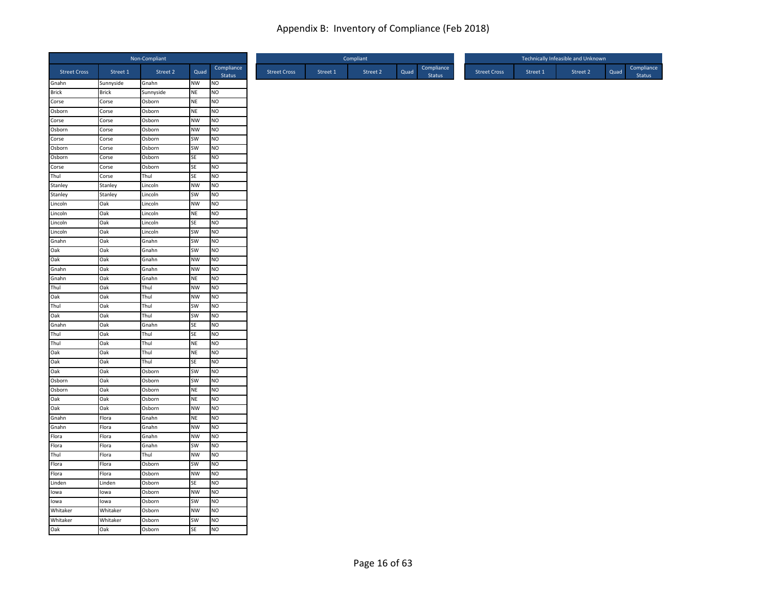|                     |              | Non-Compliant |           |                      |
|---------------------|--------------|---------------|-----------|----------------------|
| <b>Street Cross</b> | Street 1     | Street 2      | Quad      | Compliance<br>Status |
| Gnahn               | Sunnyside    | Gnahn         | <b>NW</b> | <b>NO</b>            |
| <b>Brick</b>        | <b>Brick</b> | Sunnyside     | <b>NE</b> | NO                   |
| Corse               | Corse        | Osborn        | <b>NE</b> | NO                   |
| Osborn              | Corse        | Osborn        | <b>NE</b> | NO                   |
| Corse               | Corse        | Osborn        | <b>NW</b> | NO.                  |
| Osborn              | Corse        | Osborn        | <b>NW</b> | NO                   |
| Corse               | Corse        | Osborn        | SW        | N <sub>O</sub>       |
| Osborn              | Corse        | Osborn        | SW        | NO                   |
| Osborn              | Corse        | Osborn        | SE        | NO.                  |
| Corse               | Corse        | Osborn        | SE        | NO                   |
| Thul                | Corse        | Thul          | SE        | NO                   |
| Stanley             | Stanley      | Lincoln       | <b>NW</b> | NO                   |
| Stanley             | Stanley      | Lincoln       | SW        | NO                   |
| Lincoln             | Oak          | Lincoln       | <b>NW</b> | NO                   |
| Lincoln             | Oak          | Lincoln       | <b>NE</b> | NO                   |
| Lincoln             | Oak          | Lincoln       | SE        | N <sub>O</sub>       |
| Lincoln             | Oak          | Lincoln       | SW        | NO.                  |
| Gnahn               | Oak          | Gnahn         | SW        | NO                   |
| Oak                 | Oak          | Gnahn         | SW        | NO                   |
| Oak                 | Oak          | Gnahn         | <b>NW</b> | NO                   |
| Gnahn               | Oak          | Gnahn         | <b>NW</b> | NO.                  |
| Gnahn               | Oak          | Gnahn         | <b>NE</b> | NO                   |
| Thul                | Oak          | Thul          | <b>NW</b> | NO.                  |
| Oak                 | Oak          | Thul          | <b>NW</b> | NO                   |
| Thul                | Oak          | Thul          | SW        | NO                   |
| Oak                 | Oak          | Thul          | SW        | NO                   |
| Gnahn               | Oak          | Gnahn         | SE        | NO.                  |
| Thul                | Oak          | Thul          | SE        | NO                   |
| Thul                | Oak          | Thul          | <b>NE</b> | NO                   |
| Oak                 | Oak          | Thul          | $\sf NE$  | NO                   |
| Oak                 | Oak          | Thul          | <b>SE</b> | NO.                  |
|                     |              |               |           |                      |
| Oak                 | Oak          | Osborn        | SW        | NO                   |
| Osborn              | Oak          | Osborn        | SW        | NO                   |
| Osborn              | Oak          | Osborn        | <b>NE</b> | NO                   |
| Oak                 | Oak          | Osborn        | <b>NE</b> | NO.                  |
| Oak                 | Oak          | Osborn        | <b>NW</b> | NO                   |
| Gnahn               | Flora        | Gnahn         | <b>NE</b> | NO                   |
| Gnahn               | Flora        | Gnahn         | <b>NW</b> | NO                   |
| Flora               | Flora        | Gnahn         | <b>NW</b> | NO.                  |
| Flora               | Flora        | Gnahn         | SW        | NO                   |
| Thul                | Flora        | Thul          | <b>NW</b> | NO                   |
| Flora               | Flora        | Osborn        | SW        | NO                   |
| Flora               | Flora        | Osborn        | <b>NW</b> | NO                   |
| Linden              | Linden       | Osborn        | <b>SE</b> | NO                   |
| lowa                | lowa         | Osborn        | <b>NW</b> | NO                   |
| lowa                | lowa         | Osborn        | SW        | NO                   |
| Whitaker            | Whitaker     | Osborn        | <b>NW</b> | NO                   |
| Whitaker            | Whitaker     | Osborn        | <b>SW</b> | NO                   |
| Oak                 | Oak          | Osborn        | SE        | N <sub>O</sub>       |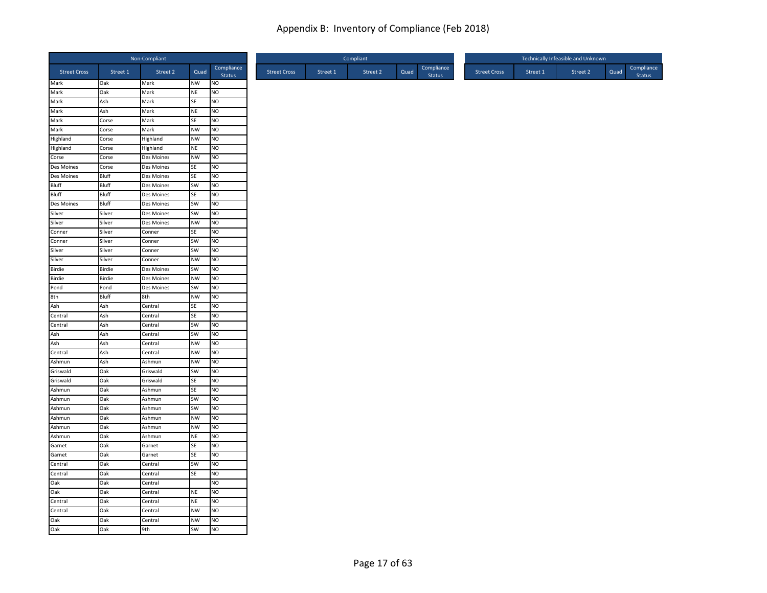|                          |                | Non-Compliant            |                 |                             |
|--------------------------|----------------|--------------------------|-----------------|-----------------------------|
| <b>Street Cross</b>      | Street 1       | Street 2                 | Quad            | Compliance<br>Status        |
| Mark                     | Oak            | Mark                     | NW              | <b>NO</b>                   |
| Mark                     | Oak            | Mark                     | NE              | NO                          |
| Mark                     | Ash            | Mark                     | SE              | NO                          |
| Mark                     | Ash            | Mark                     | NE              | NO                          |
| Mark                     | Corse          | Mark                     | SE              | <b>NO</b>                   |
| Mark                     | Corse          | Mark                     | <b>NW</b>       | N <sub>O</sub>              |
| Highland                 | Corse          | Highland                 | <b>NW</b>       | N <sub>O</sub>              |
| Highland                 | Corse          | Highland                 | NE              | NO                          |
| Corse                    | Corse          | Des Moines               | <b>NW</b>       | <b>NO</b>                   |
| Des Moines<br>Des Moines | Corse          | Des Moines               | SE              | <b>NO</b>                   |
| Bluff                    | Bluff          | Des Moines               | SE              | NO                          |
| Bluff                    | Bluff          | Des Moines               | SW<br>SE        | N <sub>O</sub>              |
| Des Moines               | Bluff<br>Bluff | Des Moines               | SW              | <b>NO</b><br>N <sub>O</sub> |
| Silver                   | Silver         | Des Moines<br>Des Moines | SW              | NO                          |
| Silver                   | Silver         | Des Moines               | <b>NW</b>       | N <sub>O</sub>              |
| Conner                   | Silver         | Conner                   | SE              | <b>NO</b>                   |
| Conner                   | Silver         | Conner                   | SW              | <b>NO</b>                   |
| Silver                   | Silver         | Conner                   | SW              | N <sub>O</sub>              |
| Silver                   | Silver         | Conner                   | NW              | NO                          |
| Birdie                   | Birdie         | Des Moines               | SW              | <b>NO</b>                   |
| Birdie                   | Birdie         | Des Moines               | <b>NW</b>       | N <sub>O</sub>              |
| Pond                     | Pond           | Des Moines               | SW              | <b>NO</b>                   |
| 8th                      | Bluff          | 8th                      | <b>NW</b>       | N <sub>O</sub>              |
|                          | Ash            | Central                  | <b>SE</b>       | <b>NO</b>                   |
| Ash<br>Central           | Ash            | Central                  | SE              | N <sub>O</sub>              |
| Central                  | Ash            | Central                  | SW              | <b>NO</b>                   |
| Ash                      | Ash            | Central                  | SW              | <b>NO</b>                   |
| Ash                      | Ash            | Central                  | <b>NW</b>       | NO                          |
| Central                  | Ash            | Central                  | <b>NW</b>       | <b>NO</b>                   |
| Ashmun                   | Ash            | Ashmun                   | <b>NW</b>       | <b>NO</b>                   |
| Griswald                 | Oak            | Griswald                 | SW              | N <sub>O</sub>              |
| Griswald                 | Oak            | Griswald                 | SE              | <b>NO</b>                   |
| Ashmun                   | Oak            | Ashmun                   | <b>SE</b>       | N <sub>O</sub>              |
| Ashmun                   | Oak            | Ashmun                   | SW              | <b>NO</b>                   |
| Ashmun                   | Oak            | Ashmun                   | SW              | N <sub>O</sub>              |
| Ashmun                   | Oak            | Ashmun                   | <b>NW</b>       | NO                          |
| Ashmun                   | Oak            | Ashmun                   | <b>NW</b>       | <b>NO</b>                   |
| Ashmun                   | Oak            | Ashmun                   | <b>NE</b>       | <b>NO</b>                   |
| Garnet                   | Oak            | Garnet                   | SE              | <b>NO</b>                   |
| Garnet                   | Oak            | Garnet                   | SE              | N <sub>O</sub>              |
| Central                  | Oak            | Central                  | SW              | N <sub>O</sub>              |
| Central                  | Oak            | Central                  | <b>SE</b>       | <b>NO</b>                   |
| Oak                      | Oak            | Central                  |                 | N <sub>O</sub>              |
| Oak                      | Oak            | Central                  | <b>NE</b>       | <b>NO</b>                   |
| Central                  | Oak            | Central                  | <b>NE</b>       | NO                          |
| Central                  | Oak            | Central                  | <b>NW</b>       | N <sub>O</sub>              |
| Oak<br>Oak               | Oak<br>Oak     | Central<br>9th           | <b>NW</b><br>SW | <b>NO</b><br><b>NO</b>      |
|                          |                |                          |                 |                             |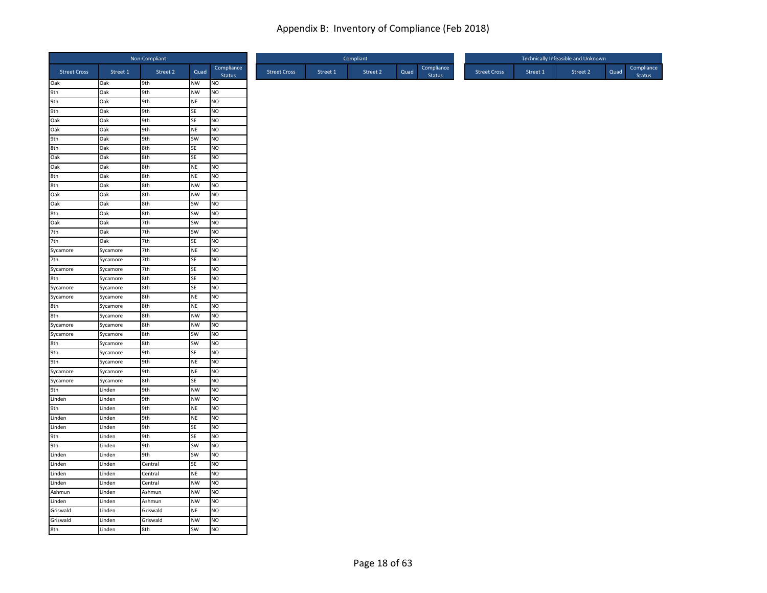|                     |            | Non-Compliant |                        |                      |
|---------------------|------------|---------------|------------------------|----------------------|
| <b>Street Cross</b> | Street 1   | Street 2      | Quad                   | Compliance<br>Status |
| Oak                 | Oak        | 9th           | <b>NW</b>              | <b>NO</b>            |
| 9th                 | Oak        | 9th           | <b>NW</b>              | N <sub>O</sub>       |
| 9th                 | Oak        | 9th           | $\sf NE$               | NO                   |
| 9th                 | Oak        | 9th           | SE                     | NO                   |
| Oak                 | Oak        | 9th           | SE                     | <b>NO</b>            |
| Oak                 | Oak        | 9th           | <b>NE</b>              | NO                   |
| 9th                 | Oak        | 9th           | <b>SW</b>              | N <sub>O</sub>       |
| 8th                 | Oak        | 8th           | SE                     | N <sub>O</sub>       |
| Oak<br>Oak          | Oak        | 8th           | SE                     | N <sub>O</sub>       |
|                     | Oak<br>Oak | 8th<br>8th    | <b>NE</b><br><b>NE</b> | <b>NO</b><br>NO      |
| 8th<br>8th          | Oak        | 8th           | <b>NW</b>              | NO                   |
| Oak                 | Oak        | 8th           | <b>NW</b>              | <b>NO</b>            |
| Oak                 | Oak        | 8th           | SW                     | <b>NO</b>            |
| 8th                 | Oak        | 8th           | SW                     | NO                   |
| Oak                 | Oak        | 7th           | SW                     | N <sub>O</sub>       |
| 7th                 | Oak        | 7th           | SW                     | N <sub>O</sub>       |
| 7th                 | Oak        | 7th           | <b>SE</b>              | <b>NO</b>            |
| Sycamore            | Sycamore   | 7th           | <b>NE</b>              | N <sub>O</sub>       |
| 7th                 | Sycamore   | 7th           | SE                     | NO                   |
| Sycamore            | Sycamore   | 7th           | SE                     | NO                   |
| 8th                 | Sycamore   | 8th           | SE                     | NO.                  |
| Sycamore            | Sycamore   | 8th           | SE                     | <b>NO</b>            |
| Sycamore            | Sycamore   | 8th           | <b>NE</b>              | NO                   |
| 8th                 | Sycamore   | 8th           | <b>NE</b>              | N <sub>O</sub>       |
| 8th                 | Sycamore   | 8th           | <b>NW</b>              | N <sub>O</sub>       |
| Sycamore            | Sycamore   | 8th           | <b>NW</b>              | NO                   |
| Sycamore            | Sycamore   | 8th           | <b>SW</b>              | NO                   |
| 8th                 | Sycamore   | 8th           | SW                     | NO                   |
| 9th                 | Sycamore   | 9th           | SE                     | <b>NO</b>            |
| 9th                 | Sycamore   | 9th           | <b>NE</b>              | N <sub>O</sub>       |
| Sycamore            | Sycamore   | 9th           | <b>NE</b>              | N <sub>O</sub>       |
| Sycamore            | Sycamore   | 8th           | SE                     | NO                   |
| 9th                 | Linden     | 9th           | <b>NW</b>              | N <sub>O</sub>       |
| Linden              | Linden     | 9th           | <b>NW</b>              | NO                   |
| 9th                 | Linden     | 9th           | <b>NE</b>              | N <sub>O</sub>       |
| Linden              | Linden     | 9th           | <b>NE</b>              | N <sub>O</sub>       |
| Linden              | Linden     | 9th           | SE                     | NO                   |
| 9th                 | Linden     | 9th           | SE                     | <b>NO</b>            |
| 9th                 | Linden     | 9th           | <b>SW</b>              | <b>NO</b>            |
| Linden              | Linden     | 9th           | SW                     | N <sub>O</sub>       |
| Linden              | Linden     | Central       | SE                     | NO                   |
| Linden              | Linden     | Central       | NE                     | NO                   |
| Linden              | Linden     | Central       | <b>NW</b>              | N <sub>O</sub>       |
| Ashmun              | Linden     | Ashmun        | <b>NW</b>              | NO                   |
| Linden              | Linden     | Ashmun        | <b>NW</b>              | NO                   |
| Griswald            | Linden     | Griswald      | <b>NE</b>              | NO                   |
| Griswald            | Linden     | Griswald      | <b>NW</b>              | NO                   |
| 8th                 | Linden     | 8th           | SW                     | <b>NO</b>            |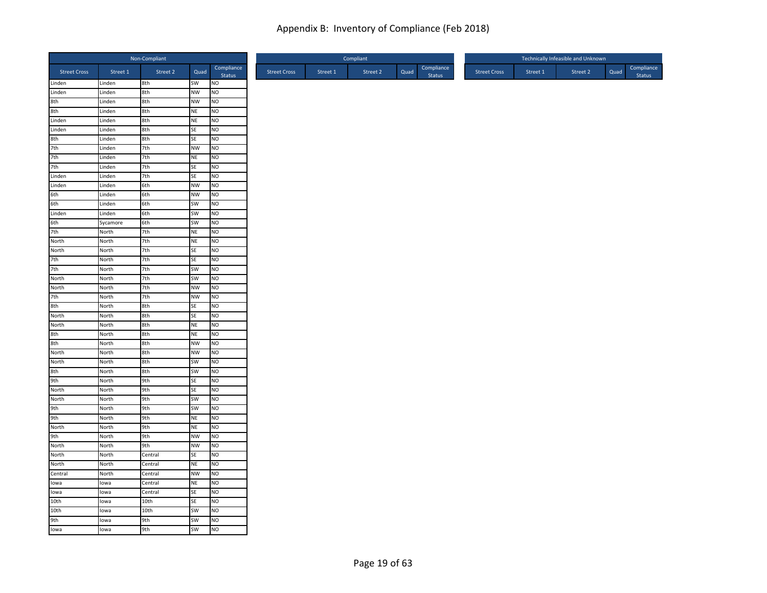|                                    |                | Non-Compliant |           |                             |
|------------------------------------|----------------|---------------|-----------|-----------------------------|
| <b>Street Cross</b>                | Street 1       | Street 2      | Quad      | Compliance                  |
| Linden                             | Linden         | 8th           | SW        | Status<br><b>NO</b>         |
| Linden                             | Linden         | 8th           | NW        | NO                          |
| 8th                                | Linden         | 8th           | <b>NW</b> | NO                          |
| 8th                                | Linden         | 8th           | NE        | NO                          |
| Linden                             | Linden         | 8th           | NE        | <b>NO</b>                   |
| Linden                             | Linden         | 8th           | SE        | NO                          |
|                                    | Linden         | 8th           | SE        | N <sub>O</sub>              |
|                                    | Linden         | 7th           | <b>NW</b> | <b>NO</b>                   |
|                                    | Linden         | 7th           | <b>NE</b> | <b>NO</b>                   |
| 8th<br>7th<br>7th<br>7th<br>Linden | Linden         | 7th           | SE        | N <sub>O</sub>              |
|                                    | Linden         | 7th           | SE        | NO                          |
| Linden                             | Linden         | 6th           | <b>NW</b> | N <sub>O</sub>              |
| 6th                                | Linden         | 6th           | <b>NW</b> | <b>NO</b>                   |
| 6th                                | Linden         | 6th           | SW        | N <sub>O</sub>              |
| Linden                             | Linden         | 6th           | SW        | <b>NO</b>                   |
| 6th                                | Sycamore       | 6th           | SW        | N <sub>O</sub>              |
| 7th<br>North                       | North          | 7th           | <b>NE</b> | NO                          |
|                                    | North          | 7th           | NE        | <b>NO</b>                   |
| North                              | North          | 7th           | SE        | NO                          |
| 7th                                | North          | 7th           | SE        | NO                          |
| 7th                                | North          | 7th           | SW        | <b>NO</b>                   |
| North                              | North          | 7th           | SW        | NO                          |
| North                              | North          | 7th           | <b>NW</b> | <b>NO</b>                   |
| 7th                                | North          | 7th           | <b>NW</b> | NO                          |
| 8th<br>North                       | North          | 8th           | SE        | <b>NO</b>                   |
| North                              | North          | 8th           | SE        | NO                          |
|                                    | North          | 8th           | <b>NE</b> | N <sub>O</sub>              |
| 8th<br>8th                         | North          | 8th           | NE        | N <sub>O</sub>              |
| North                              | North          | 8th           | <b>NW</b> | NO                          |
| North                              | North          | 8th<br>8th    | <b>NW</b> | <b>NO</b><br><b>NO</b>      |
|                                    | North          |               | SW        | <b>NO</b>                   |
| 8th<br>9th                         | North          | 8th           | SW        |                             |
|                                    | North<br>North | 9th<br>9th    | SE<br>SE  | <b>NO</b><br>N <sub>O</sub> |
| North                              | North          |               | SW        | <b>NO</b>                   |
|                                    | North          | 9th<br>9th    | SW        | <b>NO</b>                   |
| North<br>9th<br>9th                | North          | 9th           | <b>NE</b> | NO                          |
| North                              | North          | 9th           | <b>NE</b> | NO                          |
| 9th                                | North          | 9th           | <b>NW</b> | <b>NO</b>                   |
| North                              | North          | 9th           | <b>NW</b> | <b>NO</b>                   |
| North                              | North          | Central       | SE        | N <sub>O</sub>              |
| North                              | North          | Central       | <b>NE</b> | NO                          |
| Central                            | North          | Central       | <b>NW</b> | <b>NO</b>                   |
| lowa                               | lowa           | Central       | <b>NE</b> | NO                          |
| lowa                               | lowa           | Central       | SE        | N <sub>O</sub>              |
| 10th                               | lowa           | 10th          | SE        | NO                          |
| 10th                               | lowa           | 10th          | SW        | NO                          |
|                                    | lowa           | 9th           | SW        | Ю                           |
| 9th<br>Iowa                        | lowa           | 9th           | SW        | <b>NO</b>                   |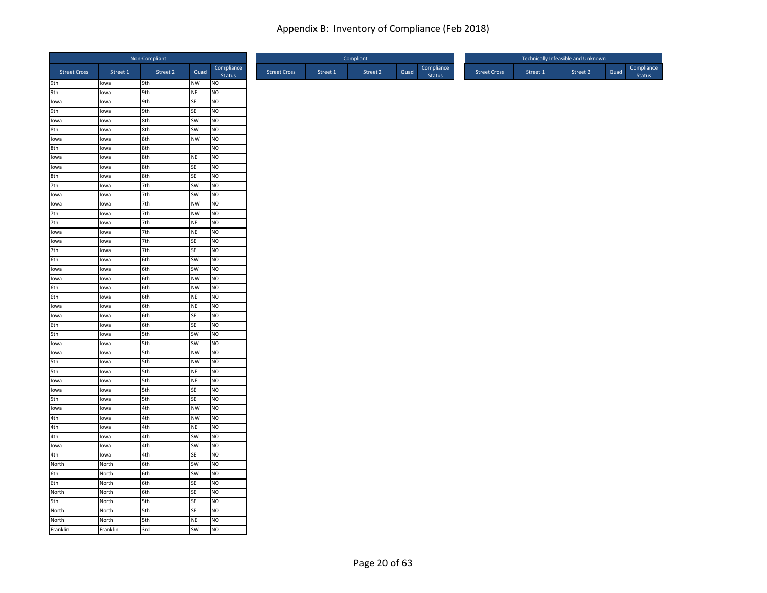|                     |          | Non-Compliant |           |                      |
|---------------------|----------|---------------|-----------|----------------------|
| <b>Street Cross</b> | Street 1 | Street 2      | Quad      | Compliance<br>Status |
| 9th                 | lowa     | 9th           | <b>NW</b> | NO                   |
| 9th                 | lowa     | 9th           | <b>NE</b> | NO                   |
| Iowa                | lowa     | 9th           | SE        | NO                   |
| 9th                 | lowa     | 9th           | SE        | NO                   |
| lowa                | lowa     | 8th           | <b>SW</b> | NO                   |
| 8th                 | lowa     | 8th           | SW        | NO                   |
| Iowa                | lowa     | 8th           | <b>NW</b> | N <sub>O</sub>       |
| 8th                 | lowa     | 8th           |           | NO                   |
| lowa                | lowa     | 8th           | <b>NE</b> | N <sub>O</sub>       |
| lowa                | lowa     | 8th           | SE        | NO                   |
| 8th                 | lowa     | 8th           | SE        | NO                   |
| 7th                 | lowa     | 7th           | SW        | NO                   |
| lowa                | lowa     | 7th           | SW        | NO                   |
| lowa                | lowa     | 7th           | <b>NW</b> | NO                   |
| 7th                 | lowa     | 7th           | <b>NW</b> | NO                   |
| 7th                 | lowa     | 7th           | <b>NE</b> | N <sub>O</sub>       |
| lowa                | lowa     | 7th           | <b>NE</b> | NO                   |
| Iowa                | lowa     | 7th           | <b>SE</b> | NO                   |
| 7th                 | lowa     | 7th           | SE        | NO                   |
| 6th                 | lowa     | 6th           | SW        | NO                   |
| lowa                | lowa     | 6th           | SW        | NO                   |
| lowa                | lowa     | 6th           | <b>NW</b> | NO.                  |
| 6th                 | lowa     | 6th           | <b>NW</b> | NO                   |
| 6th                 | lowa     | 6th           | <b>NE</b> | NO                   |
| lowa                | lowa     | 6th           | <b>NE</b> | NO                   |
| lowa                | lowa     | 6th           | SE        | NO                   |
| 6th                 | lowa     | 6th           | SE        | NO                   |
| 5th                 | lowa     | 5th           | SW        | NO                   |
| lowa                | lowa     | 5th           | SW        | NO                   |
| Iowa                | lowa     | 5th           | <b>NW</b> | NO                   |
| 5th                 | lowa     | 5th           | <b>NW</b> | NO                   |
|                     |          |               |           |                      |
| 5th                 | lowa     | 5th           | <b>NE</b> | NO                   |
| lowa                | lowa     | 5th           | <b>NE</b> | NO                   |
| lowa                | lowa     | 5th           | <b>SE</b> | N <sub>O</sub>       |
| 5th                 | lowa     | 5th           | <b>SE</b> | NO                   |
| lowa                | lowa     | 4th           | <b>NW</b> | NO                   |
| 4th                 | lowa     | 4th           | <b>NW</b> | NO                   |
| 4th                 | lowa     | 4th           | $\sf NE$  | NO                   |
| 4th                 | lowa     | 4th           | SW        | NO.                  |
| Iowa                | lowa     | 4th           | SW        | NO                   |
| 4th                 | lowa     | 4th           | SE        | NO                   |
| North               | North    | 6th           | SW        | NO                   |
| 6th                 | North    | 6th           | <b>SW</b> | NO                   |
| 6th                 | North    | 6th           | SE        | NO                   |
| North               | North    | 6th           | SE        | NO                   |
| 5th                 | North    | 5th           | SE        | NO                   |
| North               | North    | 5th           | SE        | NO                   |
| North               | North    | 5th           | <b>NE</b> | NO                   |
| Franklin            | Franklin | 3rd           | SW        | NO                   |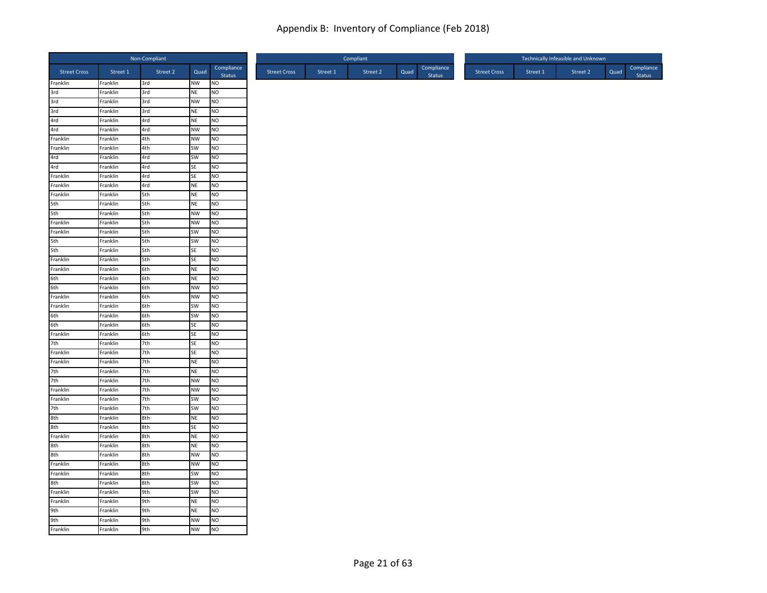|                        |          | Non-Compliant |           |                      |                     |          | Compliant |      |                             |                     |          | Technically Infeasible and Unknown |      |                      |
|------------------------|----------|---------------|-----------|----------------------|---------------------|----------|-----------|------|-----------------------------|---------------------|----------|------------------------------------|------|----------------------|
| <b>Street Cross</b>    | Street 1 | Street 2      | Quad      | Compliance<br>Status | <b>Street Cross</b> | Street 1 | Street 2  | Quad | Compliance<br><b>Status</b> | <b>Street Cross</b> | Street 1 | Street 2                           | Quad | Compliance<br>Status |
| Franklin               | Franklin | 3rd           | NW        | <b>NO</b>            |                     |          |           |      |                             |                     |          |                                    |      |                      |
| 3rd                    | Franklin | 3rd           | <b>NE</b> | NO                   |                     |          |           |      |                             |                     |          |                                    |      |                      |
| 3rd                    | Franklin | 3rd           | <b>NW</b> | <b>NO</b>            |                     |          |           |      |                             |                     |          |                                    |      |                      |
| $rac{1}{3}$ rd         | Franklin | 3rd           | <b>NE</b> | <b>NO</b>            |                     |          |           |      |                             |                     |          |                                    |      |                      |
| 4rd<br>4rd             | Franklin | 4rd           | <b>NE</b> | <b>NO</b>            |                     |          |           |      |                             |                     |          |                                    |      |                      |
|                        | Franklin | 4rd           | <b>NW</b> | N <sub>O</sub>       |                     |          |           |      |                             |                     |          |                                    |      |                      |
| Franklin               | Franklin | 4th           | <b>NW</b> | NO                   |                     |          |           |      |                             |                     |          |                                    |      |                      |
| Franklin               | Franklin | 4th           | SW        | <b>NO</b>            |                     |          |           |      |                             |                     |          |                                    |      |                      |
| 4rd<br>4rd<br>Franklin | Franklin | 4rd           | SW        | <b>NO</b>            |                     |          |           |      |                             |                     |          |                                    |      |                      |
|                        | Franklin | 4rd           | <b>SE</b> | <b>NO</b>            |                     |          |           |      |                             |                     |          |                                    |      |                      |
|                        | Franklin | 4rd           | SE        | NO                   |                     |          |           |      |                             |                     |          |                                    |      |                      |
| Franklin               | Franklin | 4rd           | <b>NE</b> | N <sub>O</sub>       |                     |          |           |      |                             |                     |          |                                    |      |                      |
| Franklin               | Franklin | 5th           | <b>NE</b> | <b>NO</b>            |                     |          |           |      |                             |                     |          |                                    |      |                      |
|                        | Franklin | 5th           | <b>NE</b> | N <sub>O</sub>       |                     |          |           |      |                             |                     |          |                                    |      |                      |
| 5th<br>5th<br>Franklin | Franklin | 5th           | <b>NW</b> | NO                   |                     |          |           |      |                             |                     |          |                                    |      |                      |
|                        | Franklin | 5th           | <b>NW</b> | N <sub>O</sub>       |                     |          |           |      |                             |                     |          |                                    |      |                      |
| Franklin               | Franklin | 5th           | SW        | <b>NO</b>            |                     |          |           |      |                             |                     |          |                                    |      |                      |
| 5th                    | Franklin | 5th           | SW        | <b>NO</b>            |                     |          |           |      |                             |                     |          |                                    |      |                      |
| 5th<br>Franklin        | Franklin | 5th           | SE        | N <sub>O</sub>       |                     |          |           |      |                             |                     |          |                                    |      |                      |
|                        | Franklin | 5th           | <b>SE</b> | NO                   |                     |          |           |      |                             |                     |          |                                    |      |                      |
| Franklin               | Franklin | 6th           | <b>NE</b> | <b>NO</b>            |                     |          |           |      |                             |                     |          |                                    |      |                      |
| 6th                    | Franklin | 6th           | <b>NE</b> | <b>NO</b>            |                     |          |           |      |                             |                     |          |                                    |      |                      |
| 6th                    | Franklin | 6th           | <b>NW</b> | <b>NO</b>            |                     |          |           |      |                             |                     |          |                                    |      |                      |
| Franklin               | Franklin | 6th           | <b>NW</b> | N <sub>O</sub>       |                     |          |           |      |                             |                     |          |                                    |      |                      |
| Franklin               | Franklin | 6th           | SW        | <b>NO</b>            |                     |          |           |      |                             |                     |          |                                    |      |                      |
| 6th                    | Franklin | 6th           | SW        | NO                   |                     |          |           |      |                             |                     |          |                                    |      |                      |
| 6th<br>Franklin        | Franklin | 6th           | <b>SE</b> | <b>NO</b>            |                     |          |           |      |                             |                     |          |                                    |      |                      |
|                        | Franklin | 6th           | SE        | <b>NO</b>            |                     |          |           |      |                             |                     |          |                                    |      |                      |
| 7th                    | Franklin | 7th           | SE        | NO                   |                     |          |           |      |                             |                     |          |                                    |      |                      |
| Franklin               | Franklin | 7th           | SE        | <b>NO</b>            |                     |          |           |      |                             |                     |          |                                    |      |                      |
| Franklin               | Franklin | 7th           | <b>NE</b> | <b>NO</b>            |                     |          |           |      |                             |                     |          |                                    |      |                      |
| 7th                    | Franklin | 7th           | <b>NE</b> | N <sub>O</sub>       |                     |          |           |      |                             |                     |          |                                    |      |                      |
| 7th<br>Franklin        | Franklin | 7th           | <b>NW</b> | <b>NO</b>            |                     |          |           |      |                             |                     |          |                                    |      |                      |
|                        | Franklin | 7th           | <b>NW</b> | N <sub>O</sub>       |                     |          |           |      |                             |                     |          |                                    |      |                      |
| Franklin               | Franklin | 7th           | SW        | <b>NO</b>            |                     |          |           |      |                             |                     |          |                                    |      |                      |
| 7th                    | Franklin | 7th           | SW        | NO                   |                     |          |           |      |                             |                     |          |                                    |      |                      |
| 8th<br>8th             | Franklin | 8th           | <b>NE</b> | NO                   |                     |          |           |      |                             |                     |          |                                    |      |                      |
|                        | Franklin | 8th           | <b>SE</b> | NO                   |                     |          |           |      |                             |                     |          |                                    |      |                      |
| Franklin               | Franklin | 8th           | <b>NE</b> | <b>NO</b>            |                     |          |           |      |                             |                     |          |                                    |      |                      |
| 8th                    | Franklin | 8th           | <b>NE</b> | <b>NO</b>            |                     |          |           |      |                             |                     |          |                                    |      |                      |
| 8th                    | Franklin | 8th           | <b>NW</b> | N <sub>O</sub>       |                     |          |           |      |                             |                     |          |                                    |      |                      |
| Franklin               | Franklin | 8th           | <b>NW</b> | N <sub>O</sub>       |                     |          |           |      |                             |                     |          |                                    |      |                      |
| Franklin               | Franklin | 8th           | SW        | <b>NO</b>            |                     |          |           |      |                             |                     |          |                                    |      |                      |
| 8th                    | Franklin | 8th           | SW        | <b>NO</b>            |                     |          |           |      |                             |                     |          |                                    |      |                      |
| Franklin               | Franklin | 9th           | <b>SW</b> | <b>NO</b>            |                     |          |           |      |                             |                     |          |                                    |      |                      |
| Franklin               | Franklin | 9th           | <b>NE</b> | NO                   |                     |          |           |      |                             |                     |          |                                    |      |                      |
| 9th                    | Franklin | 9th           | <b>NE</b> | NO                   |                     |          |           |      |                             |                     |          |                                    |      |                      |
| 9th<br>Franklin        | Franklin | 9th           | <b>NW</b> | <b>NO</b>            |                     |          |           |      |                             |                     |          |                                    |      |                      |
|                        | Franklin | 9th           | <b>NW</b> | N <sub>O</sub>       |                     |          |           |      |                             |                     |          |                                    |      |                      |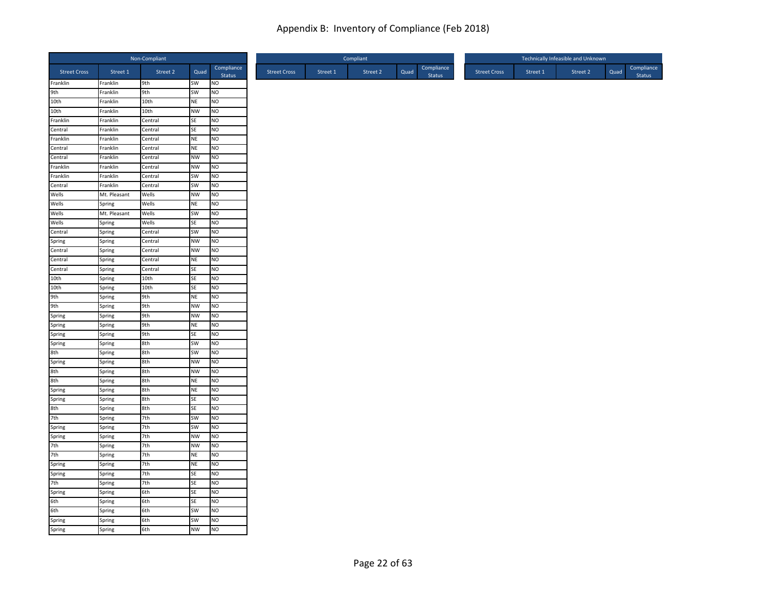|                                   |              | Non-Compliant |                 |                             |
|-----------------------------------|--------------|---------------|-----------------|-----------------------------|
| <b>Street Cross</b>               | Street 1     | Street 2      | Quad            | Compliance<br>Status        |
| Franklin                          | Franklin     | 9th           | SW              | <b>NO</b>                   |
| 9th                               | Franklin     | 9th           | SW              | NO                          |
| 10th                              | Franklin     | 10th          | NE              | <b>NO</b>                   |
| 10th                              | Franklin     | 10th          | <b>NW</b>       | <b>NO</b>                   |
| Franklin                          | Franklin     | Central       | SE              | <b>NO</b>                   |
| Central                           | Franklin     | Central       | SE              | N <sub>O</sub>              |
| Franklin                          | Franklin     | Central       | <b>NE</b>       | N <sub>O</sub>              |
| Central                           | Franklin     | Central       | <b>NE</b>       | <b>NO</b>                   |
| Central                           | Franklin     | Central       | <b>NW</b>       | <b>NO</b>                   |
| Franklin                          | Franklin     | Central       | <b>NW</b>       | <b>NO</b>                   |
| Franklin                          | Franklin     | Central       | SW              | NO                          |
| Central                           | Franklin     | Central       | SW              | N <sub>O</sub>              |
| Wells                             | Mt. Pleasant | Wells         | <b>NW</b>       | <b>NO</b>                   |
| Wells                             | Spring       | Wells         | NE              | N <sub>O</sub>              |
| Wells                             | Mt. Pleasant | Wells         | SW              | <b>NO</b>                   |
| Wells                             | Spring       | Wells         | SE              | N <sub>O</sub>              |
| Central                           | Spring       | Central       | SW              | N <sub>O</sub>              |
|                                   | Spring       | Central       | <b>NW</b>       | <b>NO</b>                   |
| Spring<br>Central                 | Spring       | Central       | <b>NW</b>       | NO                          |
| Central                           | Spring       | Central       | NE              | NO                          |
| Central                           | Spring       | Central       | SE              | <b>NO</b>                   |
| 10th                              | Spring       | 10th          | SE              | NO                          |
| 10th                              | Spring       | 10th          | SE              | <b>NO</b>                   |
| 9th                               | Spring       | 9th           | <b>NE</b>       | NO                          |
|                                   | Spring       | 9th           | <b>NW</b>       | <b>NO</b>                   |
|                                   | Spring       | 9th           | <b>NW</b>       | NO                          |
|                                   | Spring       | 9th           | <b>NE</b>       | N <sub>O</sub>              |
| 9th<br>Spring<br>Spring<br>Spring | Spring       | 9th           | SE              | N <sub>O</sub>              |
| Spring                            | Spring       | 8th           | SW              | NO                          |
|                                   | Spring       | 8th           | SW              | <b>NO</b>                   |
| 8th<br>Spring                     | Spring       | 8th           | <b>NW</b>       | <b>NO</b>                   |
| 8th                               | Spring       | 8th           | <b>NW</b>       | N <sub>O</sub>              |
| 8th                               | Spring       | 8th           | NE              | <b>NO</b>                   |
| Spring                            | Spring       | 8th           | <b>NE</b>       | N <sub>O</sub>              |
|                                   | Spring       | 8th           | SE              | <b>NO</b>                   |
|                                   | Spring       | 8th           | SE              | N <sub>O</sub>              |
| Spring<br>8th<br>7th              | Spring       | 7th           | SW              | NO                          |
| Spring                            | Spring       | 7th           | <b>SW</b>       | NO                          |
|                                   | Spring       | 7th           | <b>NW</b>       | <b>NO</b>                   |
| Spring<br>7th                     | Spring       | 7th           | <b>NW</b>       | <b>NO</b>                   |
| 7th                               |              | 7th           | NE              | N <sub>O</sub>              |
|                                   | Spring       |               |                 |                             |
| Spring                            | Spring       | 7th           | <b>NE</b><br>SE | N <sub>O</sub><br><b>NO</b> |
| Spring<br>7th                     | Spring       | 7th           |                 |                             |
|                                   | Spring       | 7th           | SE              | N <sub>O</sub>              |
| Spring<br>6th                     | Spring       | 6th           | SE              | <b>NO</b>                   |
|                                   | Spring       | 6th           | SE              | NO                          |
| 6th                               | Spring       | 6th           | SW              | NO                          |
| Spring<br>Spring                  | Spring       | 6th           | SW              | <b>NO</b>                   |
|                                   | Spring       | 6th           | <b>NW</b>       | <b>NO</b>                   |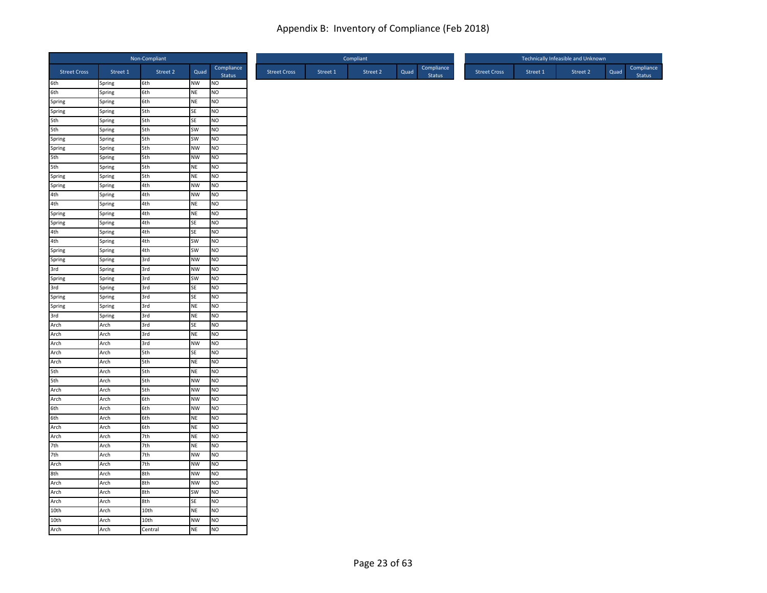|                                          |                  | Non-Compliant |                 |                             |
|------------------------------------------|------------------|---------------|-----------------|-----------------------------|
| <b>Street Cross</b>                      | Street 1         | Street 2      | Quad            | Compliance<br>Status        |
| 6th<br>6th                               | Spring           | 6th           | NW              | <b>NO</b>                   |
|                                          | Spring           | 6th           | NE              | NO                          |
|                                          | Spring           | 6th           | NE              | <b>NO</b>                   |
| Spring<br>Spring<br>5th<br>5th           | Spring           | 5th           | SE              | NO                          |
|                                          | Spring           | 5th           | SE              | <b>NO</b>                   |
|                                          | Spring           | 5th           | SW              | NO                          |
| Spring<br>Spring<br>5th<br>5th<br>Spring | Spring           | 5th<br>5th    | SW<br><b>NW</b> | N <sub>O</sub><br><b>NO</b> |
|                                          | Spring<br>Spring | 5th           | <b>NW</b>       | <b>NO</b>                   |
|                                          | Spring           | 5th           | <b>NE</b>       | NO                          |
|                                          | Spring           | 5th           | NE              | NO                          |
| Spring                                   | Spring           | 4th           | <b>NW</b>       | N <sub>O</sub>              |
| 4th                                      | Spring           | 4th           | <b>NW</b>       | <b>NO</b>                   |
| 4th<br>Spring                            | Spring           | 4th           | NE              | N <sub>O</sub>              |
|                                          | Spring           | 4th           | NE              | <b>NO</b>                   |
| Spring                                   | Spring           | 4th           | SE              | Ю                           |
|                                          | Spring           | 4th           | SE              | NO                          |
|                                          | Spring           | 4th           | SW              | <b>NO</b>                   |
| 4th<br>4th<br>Spring<br>Spring           | Spring           | 4th           | SW              | NO                          |
|                                          | Spring           | 3rd           | <b>NW</b>       | NO                          |
| 3rd                                      | Spring           | 3rd           | <b>NW</b>       | <b>NO</b>                   |
| Spring<br>3rd                            | Spring           | 3rd           | SW              | <b>NO</b>                   |
|                                          | Spring           | 3rd           | SE              | <b>NO</b>                   |
| Spring                                   | Spring           | 3rd           | SE              | NO                          |
|                                          | Spring           | 3rd           | NE              | <b>NO</b>                   |
|                                          | Spring           | 3rd           | <b>NE</b>       | NO                          |
| Spring<br>3rd<br>Arch<br>Arch            | Arch             | 3rd           | <b>SE</b>       | N <sub>O</sub>              |
|                                          | Arch             | 3rd           | NE              | N <sub>O</sub>              |
| Arch                                     | Arch             | 3rd           | <b>NW</b>       | <b>NO</b>                   |
| Arch                                     | Arch             | 5th           | SE              | <b>NO</b>                   |
| Arch                                     | Arch             | 5th           | <b>NE</b>       | <b>NO</b>                   |
| 5th<br>5th                               | Arch             | 5th           | <b>NE</b>       | N <sub>O</sub>              |
|                                          | Arch             | 5th           | <b>NW</b>       | <b>NO</b>                   |
|                                          | Arch             | 5th           | <b>NW</b>       | <b>NO</b>                   |
| Arch<br>Arch<br>6th<br>6th               | Arch<br>Arch     | 6th<br>6th    | <b>NW</b><br>NW | <b>NO</b><br><b>NO</b>      |
|                                          | Arch             | 6th           | <b>NE</b>       | NO                          |
| Arch                                     | Arch             | 6th           | <b>NE</b>       | NO                          |
|                                          | Arch             | 7th           | NE              | <b>NO</b>                   |
| Arch<br>7th                              | Arch             | 7th           | <b>NE</b>       | <b>NO</b>                   |
| 7th                                      | Arch             | 7th           | <b>NW</b>       | N <sub>O</sub>              |
| Arch                                     | Arch             | 7th           | <b>NW</b>       | NO                          |
| 8th                                      | Arch             | 8th           | <b>NW</b>       | <b>NO</b>                   |
|                                          | Arch             | 8th           | <b>NW</b>       | Ю                           |
| Arch<br>Arch<br>Arch                     | Arch             | 8th           | <b>SW</b>       | NO                          |
|                                          | Arch             | 8th           | SE              | NO                          |
| 10th                                     | Arch             | 10th          | NE              | NO                          |
|                                          | Arch             | 10th          | <b>NW</b>       | Ю                           |
| 10th<br>Arch                             | Arch             | Central       | <b>NE</b>       | N <sub>O</sub>              |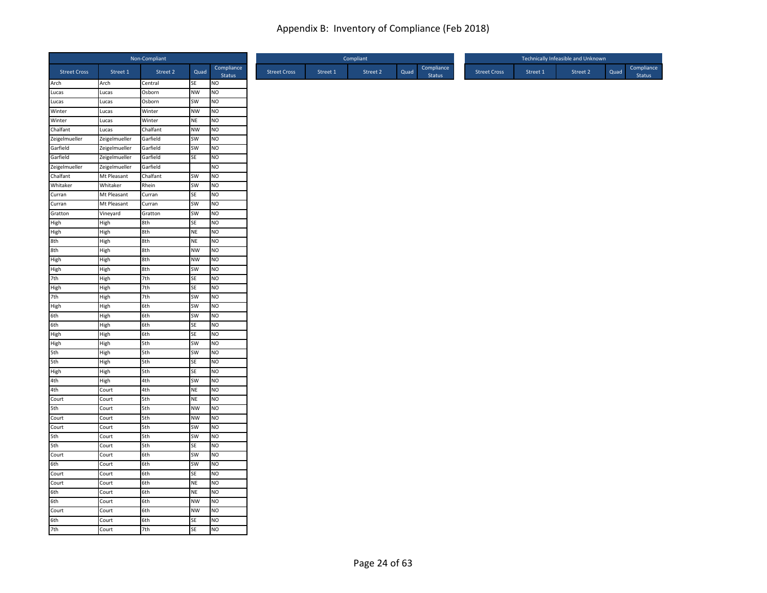|                             |                | Non-Compliant    |                 |                             |
|-----------------------------|----------------|------------------|-----------------|-----------------------------|
| <b>Street Cross</b>         | Street 1       | Street 2         | Quad            | Compliance<br><b>Status</b> |
| Arch<br>Lucas               | Arch           | Central          | SE              | NO                          |
|                             | Lucas          | Osborn           | <b>NW</b>       | NO                          |
| Lucas<br>Winter             | Lucas          | Osborn           | SW<br><b>NW</b> | NO.<br>NO                   |
| Winter                      | Lucas<br>Lucas | Winter<br>Winter | NE              | NO                          |
| Chalfant                    | Lucas          | Chalfant         | <b>NW</b>       | <b>NO</b>                   |
| Zeigelmueller               | Zeigelmueller  | Garfield         | SW              | NO.                         |
| Garfield                    | Zeigelmueller  | Garfield         | SW              | NO                          |
| Garfield                    | Zeigelmueller  | Garfield         | SE              | NO                          |
| Zeigelmueller               | Zeigelmueller  | Garfield         |                 | NO                          |
| Chalfant                    | Mt Pleasant    | Chalfant         | SW              | <b>NO</b>                   |
| Whitaker                    | Whitaker       | Rhein            | SW              | NO                          |
| Curran                      | Mt Pleasant    | Curran           | <b>SE</b>       | NO.                         |
|                             | Mt Pleasant    | Curran           | SW              | NO                          |
| Curran<br>Gratton<br>High   | Vineyard       | Gratton          | SW              | <b>NO</b>                   |
|                             | High           | 8th              | SE              | NO                          |
| $\frac{1}{\text{High}}$     | High           | 8th              | <b>NE</b>       | NO.                         |
|                             | High           | 8th              | <b>NE</b>       | NO                          |
| s<br>8th<br>High            | High           | 8th              | <b>NW</b>       | NO                          |
|                             | High           | 8th              | <b>NW</b>       | <b>NO</b>                   |
| High                        | High           | 8th              | SW              | <b>NO</b>                   |
| 7th                         | High           | 7th              | SE              | NO                          |
|                             | High           | 7th              | <b>SE</b>       | NO                          |
| High<br>7th<br>High         | High           | 7th              | SW              | <b>NO</b>                   |
|                             | High           | 6th              | SW              | NO                          |
| $rac{6}{6}$<br>$6th$        | High           | 6th              | SW              | NO                          |
|                             | High           | 6th              | <b>SE</b>       | NO                          |
| High<br>High                | High           | 6th              | SE              | NO                          |
|                             | High           | 5th              | SW              | <b>NO</b>                   |
| $rac{1}{5}$<br>$rac{5}{10}$ | High           | 5th              | <b>SW</b>       | NO.                         |
|                             | High           | 5th              | SE              | NO                          |
|                             | High           | 5th              | <b>SE</b>       | NO                          |
| High<br>4th<br>4th          | High           | 4th              | SW              | <b>NO</b>                   |
| Court                       | Court          | 4th              | <b>NE</b>       | NO.                         |
| 5th                         | Court          | 5th              | <b>NE</b>       | NO                          |
| Court                       | Court          | 5th              | <b>NW</b>       | <b>NO</b>                   |
| Court                       | Court          | 5th              | <b>NW</b>       | NO                          |
|                             | Court          | 5th              | <b>SW</b>       | <b>NO</b>                   |
| 5th                         | Court          | 5th              | SW              | NO                          |
| 5th<br>Court                | Court          | 5th<br>6th       | SE<br>SW        | NO<br>N <sub>O</sub>        |
| 6th                         | Court<br>Court | 6th              | SW              | <b>NO</b>                   |
| Court                       | Court          | 6th              | <b>SE</b>       | N <sub>O</sub>              |
| Court                       | Court          | 6th              | <b>NE</b>       | NO                          |
| 6th                         | Court          | 6th              | <b>NE</b>       | NO                          |
| 6th                         | Court          | 6th              | NW              | NO                          |
| Court                       | Court          | 6th              | <b>NW</b>       | NO                          |
|                             | Court          | 6th              | <b>SE</b>       | NO                          |
| 6th<br>7th                  | Court          | 7th              | <b>SE</b>       | <b>NO</b>                   |
|                             |                |                  |                 |                             |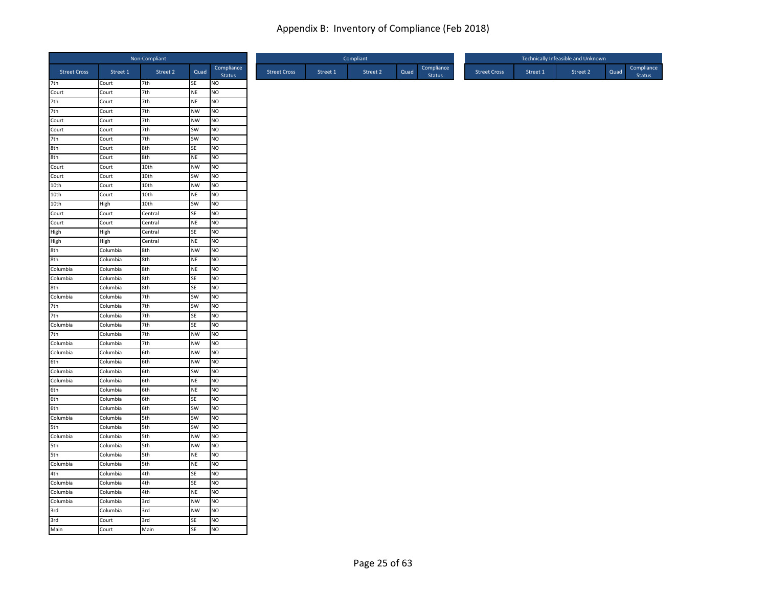|                               |                | Non-Compliant |                 |                      |
|-------------------------------|----------------|---------------|-----------------|----------------------|
| <b>Street Cross</b>           | Street 1       | Street 2      | Quad            | Compliance<br>Status |
| 7th                           | Court          | 7th           | SE              | <b>NO</b>            |
| Court                         | Court          | 7th           | NE              | NO                   |
| 7th                           | Court          | 7th           | NE              | NO                   |
| 7th                           | Court          | 7th           | <b>NW</b>       | NO                   |
| Court                         | Court          | 7th           | <b>NW</b>       | <b>NO</b>            |
| Court                         | Court          | 7th           | SW              | N <sub>O</sub>       |
| 7th                           | Court          | 7th           | SW              | N <sub>O</sub>       |
| 8th<br>8th                    | Court<br>Court | 8th<br>8th    | SE<br><b>NE</b> | NO<br><b>NO</b>      |
|                               | Court          | 10th          | <b>NW</b>       | N <sub>O</sub>       |
| Court<br>Court                | Court          | 10th          | SW              | NO                   |
| 10th                          | Court          | 10th          | <b>NW</b>       | N <sub>O</sub>       |
| 10th                          | Court          | 10th          | NE              | <b>NO</b>            |
| 10th                          | High           | 10th          | SW              | N <sub>O</sub>       |
| Court                         | Court          | Central       | SE              | <b>NO</b>            |
| Court                         | Court          | Central       | <b>NE</b>       | N <sub>O</sub>       |
|                               | High           | Central       | SE              | N <sub>O</sub>       |
|                               | High           | Central       | NE              | <b>NO</b>            |
| High<br>High<br>8th           | Columbia       | 8th           | <b>NW</b>       | NO                   |
| 8th                           | Columbia       | 8th           | NE              | NO                   |
| Columbia                      | Columbia       | 8th           | NE              | <b>NO</b>            |
| Columbia                      | Columbia       | 8th           | SE              | NO                   |
| 8th                           | Columbia       | 8th           | SE              | <b>NO</b>            |
| Columbia                      | Columbia       | 7th           | SW              | NO                   |
|                               | Columbia       | 7th           | SW              | <b>NO</b>            |
| 7th<br>7th                    | Columbia       | 7th           | SE              | N <sub>O</sub>       |
| Columbia                      | Columbia       | 7th           | SE              | N <sub>O</sub>       |
| 7th                           | Columbia       | 7th           | <b>NW</b>       | N <sub>O</sub>       |
| Columbia                      | Columbia       | 7th           | <b>NW</b>       | NO                   |
| Columbia                      | Columbia       | 6th           | <b>NW</b>       | <b>NO</b>            |
| 6th                           | Columbia       | 6th           | <b>NW</b>       | <b>NO</b>            |
| Columbia                      | Columbia       | 6th           | SW              | N <sub>O</sub>       |
| Columbia                      | Columbia       | 6th           | NE              | <b>NO</b>            |
|                               | Columbia       | 6th           | <b>NE</b>       | N <sub>O</sub>       |
| 6th<br>6th<br>6th<br>Columbia | Columbia       | 6th           | SE              | <b>NO</b>            |
|                               | Columbia       | 6th           | SW              | N <sub>O</sub>       |
|                               | Columbia       | 5th           | SW              | NO                   |
| 5th                           | Columbia       | 5th           | <b>SW</b>       | NO                   |
| Columbia                      | Columbia       | 5th           | <b>NW</b>       | <b>NO</b>            |
| 5th                           | Columbia       | 5th           | <b>NW</b>       | <b>NO</b>            |
| 5th                           | Columbia       | 5th           | NE              | N <sub>O</sub>       |
| Columbia                      | Columbia       | 5th           | <b>NE</b>       | N <sub>O</sub>       |
| 4th                           | Columbia       | 4th           | SE              | <b>NO</b>            |
| Columbia                      | Columbia       | 4th           | SE              | N <sub>O</sub>       |
| Columbia                      | Columbia       | 4th           | <b>NE</b>       | <b>NO</b>            |
| Columbia                      | Columbia       | 3rd           | <b>NW</b>       | NO                   |
| 3rd                           | Columbia       | 3rd           | <b>NW</b>       | NO                   |
| 3rd<br>Main                   | Court          | 3rd           | SE              | <b>NO</b>            |
|                               | Court          | Main          | <b>SE</b>       | N <sub>O</sub>       |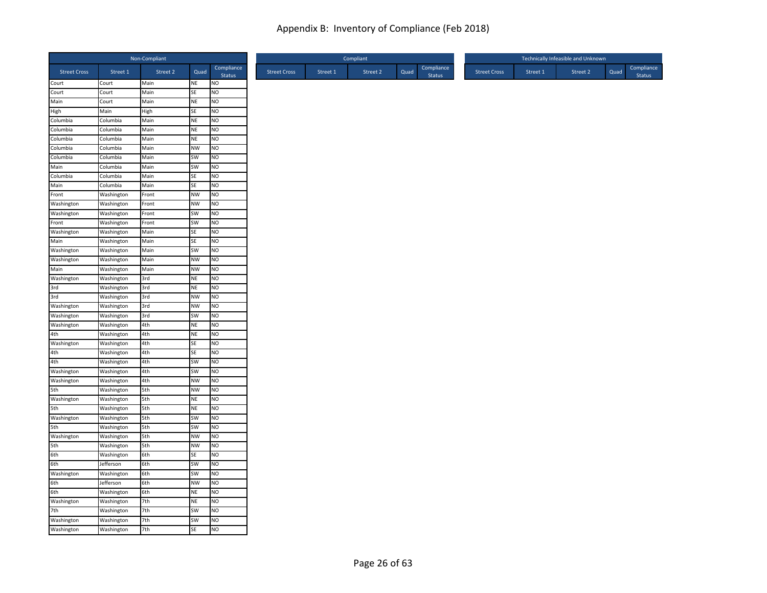|                      |                          | Non-Compliant |                 |                             |
|----------------------|--------------------------|---------------|-----------------|-----------------------------|
| <b>Street Cross</b>  | Street 1                 | Street 2      | Quad            | Compliance<br><b>Status</b> |
| Court                | Court                    | Main          | NE              | <b>NO</b>                   |
| Court                | Court                    | Main          | SE              | NO                          |
| Main                 | Court                    | Main          | NE              | <b>NO</b>                   |
| High                 | Main                     | High          | SE              | <b>NO</b>                   |
| Columbia             | Columbia                 | Main          | NE              | NO                          |
| Columbia             | Columbia                 | Main          | <b>NE</b>       | N <sub>O</sub>              |
| Columbia             | Columbia                 | Main          | <b>NE</b>       | <b>NO</b>                   |
| Columbia<br>Columbia | Columbia                 | Main          | <b>NW</b>       | <b>NO</b>                   |
|                      | Columbia                 | Main          | SW              | NO                          |
| Main                 | Columbia                 | Main          | SW              | <b>NO</b><br>N <sub>O</sub> |
| Columbia             | Columbia                 | Main          | SE              |                             |
| Main                 | Columbia                 | Main          | SE              | <b>NO</b>                   |
| Front                | Washington               | Front         | <b>NW</b>       | <b>NO</b>                   |
| Washington           | Washington               | Front         | <b>NW</b>       | NO                          |
| Washington           | Washington               | Front         | SW              | NO                          |
| Front                | Washington               | Front         | SW              | N <sub>O</sub>              |
| Washington           | Washington               | Main          | SE<br>SE        | N <sub>O</sub>              |
| Main                 | Washington               | Main          |                 | NO                          |
| Washington           | Washington               | Main<br>Main  | SW<br><b>NW</b> | NO<br><b>NO</b>             |
| Washington<br>Main   | Washington<br>Washington | Main          | <b>NW</b>       | N <sub>O</sub>              |
| Washington           |                          | 3rd           | <b>NE</b>       | N <sub>O</sub>              |
|                      | Washington               |               |                 |                             |
| 3rd<br>3rd           | Washington               | 3rd           | NE              | <b>NO</b>                   |
| Washington           | Washington               | 3rd           | <b>NW</b>       | <b>NO</b>                   |
|                      | Washington               | 3rd           | <b>NW</b>       | N <sub>O</sub>              |
| Washington           | Washington               | 3rd           | SW              | NO                          |
| Washington           | Washington               | 4th           | NE              | N <sub>O</sub>              |
| 4th<br>Washington    | Washington               | 4th           | <b>NE</b>       | <b>NO</b>                   |
|                      | Washington               | 4th           | SE              | N <sub>O</sub>              |
| 4th                  | Washington               | 4th           | SE              | NO                          |
| 4th                  | Washington               | 4th           | SW              | N <sub>O</sub>              |
| Washington           | Washington               | 4th           | SW              | N <sub>O</sub>              |
| Washington<br>5th    | Washington               | 4th<br>5th    | <b>NW</b><br>NW | <b>NO</b><br>NO             |
| Washington           | Washington               |               |                 |                             |
| 5th                  | Washington               | 5th<br>5th    | NE<br>NE        | NO<br>NO                    |
| Washington           | Washington               | 5th           | SW              | N <sub>O</sub>              |
|                      | Washington               |               |                 |                             |
| 5th<br>Washington    | Washington               | 5th           | SW<br><b>NW</b> | <b>NO</b><br>N <sub>O</sub> |
|                      | Washington               | 5th           |                 |                             |
| 5th<br>6th           | Washington               | 5th           | <b>NW</b>       | NO                          |
|                      | Washington               | 6th           | SE              | N <sub>O</sub>              |
| 6th                  | Jefferson                | 6th           | SW              | NO                          |
| Washington           | Washington               | 6th           | SW              | <b>NO</b>                   |
| 6th                  | Jefferson                | 6th           | <b>NW</b>       | N <sub>O</sub>              |
| 6th                  | Washington               | 6th           | <b>NE</b>       | <b>NO</b>                   |
| Washington           | Washington               | 7th           | <b>NE</b>       | N <sub>O</sub>              |
| 7th                  | Washington               | 7th           | SW              | N <sub>O</sub>              |
| Washington           | Washington               | 7th           | SW              | <b>NO</b>                   |
| Washington           | Washington               | 7th           | SE              | N <sub>O</sub>              |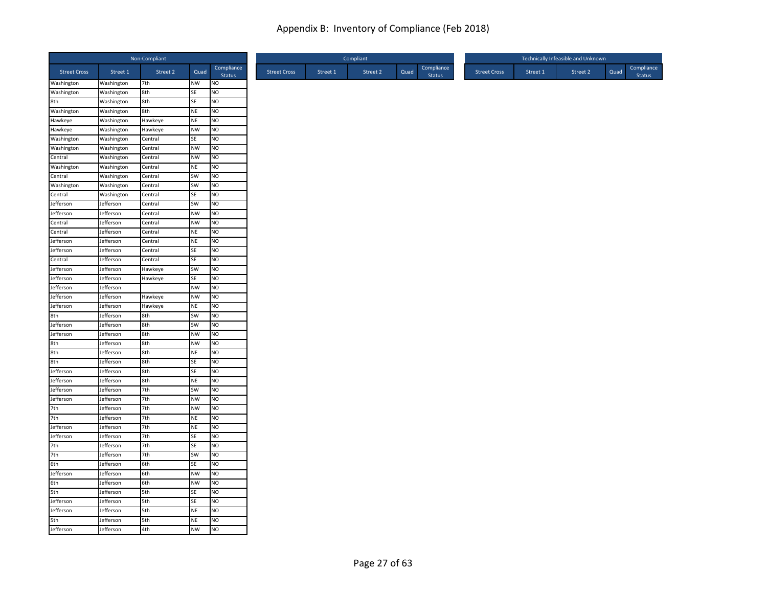|                     |                          | Non-Compliant      |                        |                      |
|---------------------|--------------------------|--------------------|------------------------|----------------------|
| <b>Street Cross</b> | Street 1                 | Street 2           | Quad                   | Compliance<br>Status |
| Washington          | Washington               | 7th                | <b>NW</b>              | <b>NO</b>            |
| Washington          | Washington               | 8th                | SE                     | Ю                    |
| 8th                 | Washington               | 8th                | SE                     | NO                   |
| Washington          | Washington               | 8th                | <b>NE</b>              | <b>NO</b>            |
| Hawkeye<br>Hawkeye  | Washington<br>Washington | Hawkeye<br>Hawkeye | <b>NE</b><br><b>NW</b> | NO<br>NO             |
| Washington          | Washington               | Central            | SE                     | NO                   |
| Washington          | Washington               | Central            | <b>NW</b>              | <b>NO</b>            |
| Central             | Washington               | Central            | <b>NW</b>              | <b>NO</b>            |
| Washington          | Washington               | Central            | <b>NE</b>              | NO                   |
| Central             | Washington               | Central            | SW                     | <b>NO</b>            |
| Washington          | Washington               | Central            | SW                     | N <sub>O</sub>       |
| Central             | Washington               | Central            | SE                     | <b>NO</b>            |
| Jefferson           | Jefferson                | Central            | SW                     | N <sub>O</sub>       |
| Jefferson           | lefferson                | Central            | <b>NW</b>              | NO                   |
| Central             | Jefferson                | Central            | <b>NW</b>              | N <sub>O</sub>       |
| Central             | Jefferson                | Central            | <b>NE</b>              | <b>NO</b>            |
| Jefferson           | Jefferson                | Central            | <b>NE</b>              | <b>NO</b>            |
| Jefferson           | Jefferson                | Central            | SE                     | <b>NO</b>            |
| Central             | Jefferson                | Central            | SE                     | NO                   |
| Jefferson           | Jefferson                | Hawkeye            | SW                     | <b>NO</b>            |
| Jefferson           | Jefferson                | Hawkeye            | SE                     | <b>NO</b>            |
| Jefferson           | Jefferson                |                    | <b>NW</b>              | NO                   |
| Jefferson           | Jefferson                | Hawkeye            | <b>NW</b>              | NO                   |
| Jefferson           | Jefferson                | Hawkeye            | <b>NE</b>              | <b>NO</b>            |
| 8th                 | Jefferson                | 8th                | SW                     | <b>NO</b>            |
| Jefferson           | Jefferson                | 8th                | SW                     | <b>NO</b>            |
| Jefferson           | Jefferson                | 8th                | <b>NW</b>              | <b>NO</b>            |
| 8th                 | Jefferson                | 8th                | <b>NW</b>              | <b>NO</b>            |
| 8th                 | Jefferson                | 8th                | <b>NE</b>              | <b>NO</b>            |
| 8th                 | Jefferson                | 8th                | SE                     | <b>NO</b>            |
| Jefferson           | Jefferson                | 8th                | SE                     | N <sub>O</sub>       |
| Jefferson           | lefferson                | 8th                | <b>NE</b>              | NO                   |
| Jefferson           | Jefferson                | 7th                | SW                     | N <sub>O</sub>       |
| Jefferson           | Jefferson                | 7th                | <b>NW</b>              | <b>NO</b>            |
| 7th                 | Jefferson                | 7th                | <b>NW</b>              | <b>NO</b>            |
| 7th                 | Jefferson                | 7th                | <b>NE</b>              | <b>NO</b>            |
| Jefferson           | Jefferson                | 7th                | <b>NE</b>              | <b>NO</b>            |
| Jefferson           | Jefferson                | 7th                | <b>SE</b>              | <b>NO</b>            |
| 7th                 | Jefferson                | 7th                | <b>SE</b>              | <b>NO</b>            |
| 7th                 | Jefferson                | 7th                | <b>SW</b>              | N <sub>O</sub>       |
| 6th                 | Jefferson                | 6th                | SE                     | N <sub>O</sub>       |
| Jefferson           | Jefferson                | 6th                | <b>NW</b>              | <b>NO</b>            |
| 6th                 | Jefferson                | 6th                | <b>NW</b>              | <b>NO</b>            |
| 5th                 | Jefferson                | 5th                | SE                     | <b>NO</b>            |
| Jefferson           | Jefferson                | 5th                | SE                     | NO                   |
| Jefferson           | Jefferson                | 5th                | <b>NE</b>              | NO                   |
| 5th                 | Jefferson                | 5th                | <b>NE</b>              | <b>NO</b>            |
| Jefferson           | Jefferson                | 4th                | <b>NW</b>              | <b>NO</b>            |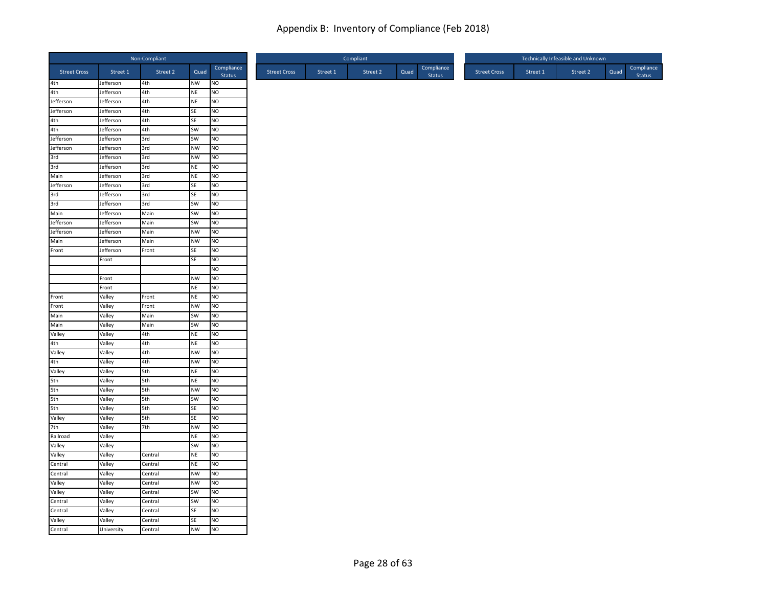|                                        |                        | Non-Compliant |           |                             |
|----------------------------------------|------------------------|---------------|-----------|-----------------------------|
| <b>Street Cross</b>                    | Street 1               | Street 2      | Quad      | Compliance<br>Status        |
| 4th<br>4th                             | Jefferson              | 4th           | NW        | <b>NO</b>                   |
|                                        | Jefferson              | 4th           | NE        | NO                          |
| Jefferson                              | Jefferson              | 4th           | NE        | <b>NO</b>                   |
| Jefferson                              | Jefferson              | 4th           | SE        | NO                          |
| 4th<br>4th                             | Jefferson              | 4th           | SE        | <b>NO</b>                   |
|                                        | Jefferson              | 4th           | SW        | N <sub>O</sub>              |
| Jefferson                              | Jefferson              | 3rd           | SW        | N <sub>O</sub>              |
|                                        | Jefferson              | 3rd           | <b>NW</b> | <b>NO</b>                   |
| Jefferson<br>3rd<br>3rd<br>3rd<br>Main | Jefferson              | 3rd<br>3rd    | <b>NW</b> | <b>NO</b><br>N <sub>O</sub> |
|                                        | Jefferson              | 3rd           | NE<br>NE  | NO                          |
| Jefferson                              | Jefferson<br>Jefferson | 3rd           | SE        | N <sub>O</sub>              |
| 3rd                                    |                        | 3rd           | <b>SE</b> | <b>NO</b>                   |
| 3rd                                    | Jefferson<br>Jefferson | 3rd           | SW        | N <sub>O</sub>              |
| Main                                   | Jefferson              | Main          | SW        | <b>NO</b>                   |
| Jefferson                              | Jefferson              | Main          | SW        | N <sub>O</sub>              |
| Jefferson                              | Jefferson              | Main          | <b>NW</b> | <b>NO</b>                   |
| Main                                   | Jefferson              | Main          | <b>NW</b> | <b>NO</b>                   |
| Front                                  | Jefferson              | Front         | SE        | NO                          |
|                                        | Front                  |               | SE        | NO                          |
|                                        |                        |               |           | N <sub>O</sub>              |
|                                        | Front                  |               | <b>NW</b> | NO                          |
|                                        | Front                  |               | <b>NE</b> | <b>NO</b>                   |
| Front                                  | Valley                 | Front         | <b>NE</b> | NO                          |
| Front                                  | Valley                 | Front         | <b>NW</b> | <b>NO</b>                   |
| Main                                   | Valley                 | Main          | SW        | NO                          |
| Main                                   | Valley                 | Main          | SW        | N <sub>O</sub>              |
| Valley                                 | Valley                 | 4th           | <b>NE</b> | N <sub>O</sub>              |
| 4th                                    | Valley                 | 4th           | NE        | NO                          |
| Valley                                 | Valley                 | 4th           | <b>NW</b> | <b>NO</b>                   |
| 4th                                    | Valley                 | 4th           | <b>NW</b> | <b>NO</b>                   |
| Valley                                 | Valley                 | 5th           | NE        | N <sub>O</sub>              |
| 5th                                    | Valley                 | 5th           | NE        | <b>NO</b>                   |
|                                        | Valley                 | 5th           | <b>NW</b> | N <sub>O</sub>              |
| 5th<br>5th<br>5th<br>Valley            | Valley                 | 5th           | SW        | <b>NO</b>                   |
|                                        | Valley                 | 5th           | SE        | NO                          |
|                                        | Valley                 | 5th           | SE        | NO                          |
| 7th                                    | Valley                 | 7th           | <b>NW</b> | NO                          |
| Railroad                               | Valley                 |               | <b>NE</b> | <b>NO</b>                   |
| Valley                                 | Valley                 |               | SW        | <b>NO</b>                   |
| Valley                                 | Valley                 | Central       | NE        | N <sub>O</sub>              |
| Central                                | Valley                 | Central       | <b>NE</b> | N <sub>O</sub>              |
| Central                                | Valley                 | Central       | <b>NW</b> | <b>NO</b>                   |
| Valley                                 | Valley                 | Central       | <b>NW</b> | NO                          |
| Valley                                 | Valley                 | Central       | SW        | N <sub>O</sub>              |
| Central                                | Valley                 | Central       | SW        | NO                          |
| Central                                | Valley                 | Central       | SE        | NO                          |
| Valley                                 | Valley                 | Central       | SE        | NO                          |
| Central                                | University             | Central       | <b>NW</b> | <b>NO</b>                   |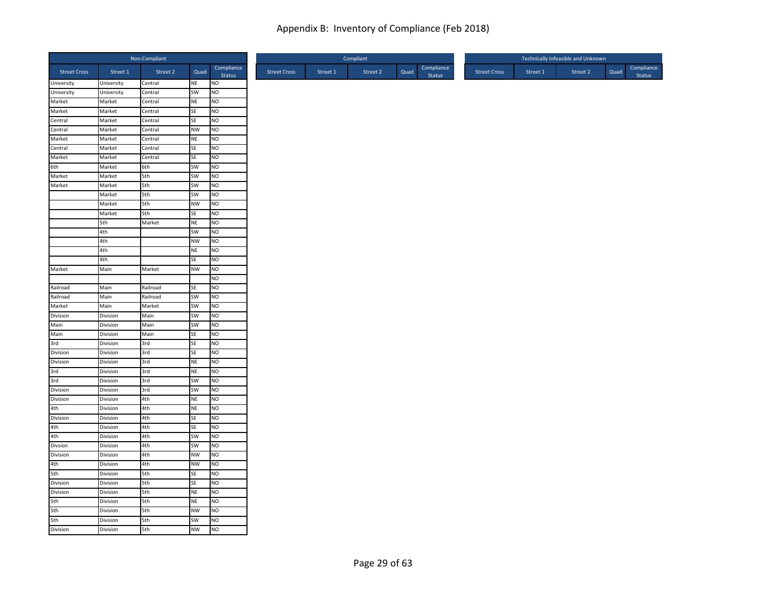|                        |            | Non-Compliant |           |                      |
|------------------------|------------|---------------|-----------|----------------------|
| <b>Street Cross</b>    | Street 1   | Street 2      | Quad      | Compliance<br>Status |
| University             | University | Central       | NE        | <b>NO</b>            |
| University             | University | Central       | <b>SW</b> | Ю                    |
| Market                 | Market     | Central       | <b>NE</b> | <b>NO</b>            |
| Market                 | Market     | Central       | SE        | <b>NO</b>            |
| Central                | Market     | Central       | SE        | NO                   |
| Central                | Market     | Central       | <b>NW</b> | Ю                    |
| Market                 | Market     | Central       | <b>NE</b> | N <sub>O</sub>       |
| Central                | Market     | Central       | SE        | <b>NO</b>            |
| Market                 | Market     | Central       | <b>SE</b> | <b>NO</b>            |
| 6th                    | Market     | 6th           | SW        | <b>NO</b>            |
| Market                 | Market     | 5th           | SW        | <b>NO</b>            |
| Market                 | Market     | 5th           | SW        | <b>NO</b>            |
|                        | Market     | 5th           | SW        | <b>NO</b>            |
|                        | Market     | 5th           | <b>NW</b> | NO                   |
|                        | Market     | 5th           | SE        | NO                   |
|                        | 5th        | Market        | <b>NE</b> | NO                   |
|                        | 4th        |               | SW        | <b>NO</b>            |
|                        | 4th        |               | NW        | <b>NO</b>            |
|                        | 4th        |               | <b>NE</b> | <b>NO</b>            |
|                        | 4th        |               | <b>SE</b> | <b>NO</b>            |
| Market                 | Main       | Market        | <b>NW</b> | <b>NO</b>            |
|                        |            |               |           | <b>NO</b>            |
| Railroad               | Main       | Railroad      | SE        | <b>NO</b>            |
| Railroad               | Main       | Railroad      | <b>SW</b> | Ю                    |
| Market                 | Main       | Market        | SW        | <b>NO</b>            |
| Division               | Division   | Main          | SW        | <b>NO</b>            |
| Main                   | Division   | Main          | SW        | <b>NO</b>            |
| Main                   | Division   | Main          | <b>SE</b> | <b>NO</b>            |
| 3rd                    | Division   | 3rd           | SE        | <b>NO</b>            |
| Division               | Division   | 3rd           | SE        | <b>NO</b>            |
| Division               | Division   | 3rd           | <b>NE</b> | <b>NO</b>            |
| 3rd                    | Division   | 3rd           | <b>NE</b> | <b>NO</b>            |
| 3rd<br>Division        | Division   | 3rd           | SW        | <b>NO</b>            |
|                        | Division   | 3rd           | SW        | NO                   |
| Division               | Division   | 4th           | <b>NE</b> | <b>NO</b>            |
| 4th                    | Division   | 4th           | <b>NE</b> | <b>NO</b>            |
| Division               | Division   | 4th           | SE        | <b>NO</b>            |
| 4th                    | Division   | 4th           | <b>SE</b> | Ю                    |
| 4th                    | Division   | 4th           | SW        | <b>NO</b>            |
| Divsion                | Division   | 4th           | <b>SW</b> | <b>NO</b>            |
| Division               | Division   | 4th           | <b>NW</b> | <b>NO</b>            |
| 4th                    | Division   | 4th           | <b>NW</b> | Ю                    |
| sth<br>5th<br>Division | Division   | 5th           | SE        | <b>NO</b>            |
|                        | Division   | 5th           | SE        | <b>NO</b>            |
| Division               | Division   | 5th           | <b>NE</b> | <b>NO</b>            |
| 5th                    | Division   | 5th           | <b>NE</b> | Ю                    |
| 5th                    | Division   | 5th           | <b>NW</b> | <b>NO</b>            |
| sth<br>Th<br>Division  | Division   | 5th           | SW        | <b>NO</b>            |
|                        | Division   | 5th           | <b>NW</b> | <b>NO</b>            |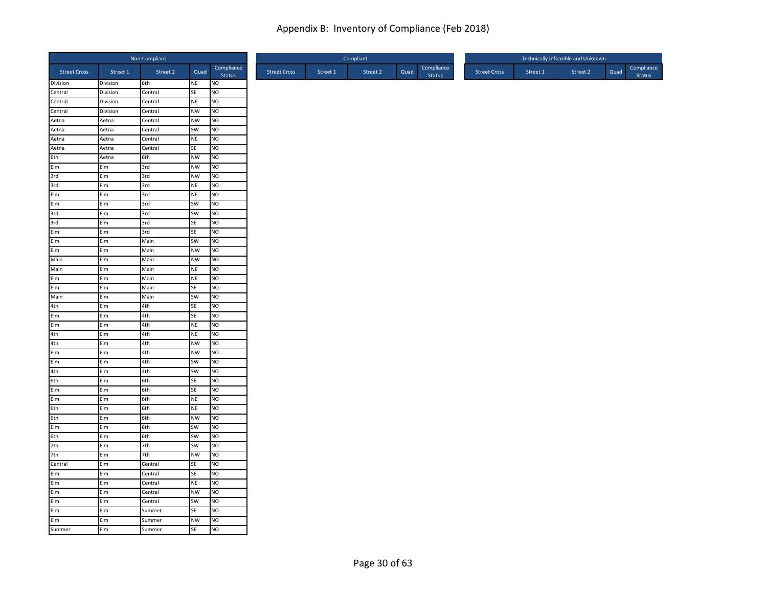|                                     |                | Non-Compliant  |                 |                        |
|-------------------------------------|----------------|----------------|-----------------|------------------------|
| <b>Street Cross</b>                 | Street 1       | Street 2       | Quad            | Compliance<br>Status   |
| Division                            | Division       | 6th            | NE              | <b>NO</b>              |
| Central                             | Division       | Central        | SE              | NO                     |
| Central                             | Division       | Central        | NE              | <b>NO</b>              |
| Central                             | Division       | Central        | <b>NW</b>       | <b>NO</b>              |
| Aetna                               | Aetna          | Central        | <b>NW</b>       | <b>NO</b>              |
| Aetna                               | Aetna          | Central        | SW              | NO                     |
| Aetna                               | Aetna          | Central        | NE              | N <sub>O</sub>         |
| Aetna<br>6th                        | Aetna<br>Aetna | Central<br>6th | SE<br><b>NW</b> | <b>NO</b><br><b>NO</b> |
|                                     | Elm            | 3rd            | <b>NW</b>       | <b>NO</b>              |
| Elm<br>3rd                          | Elm            | 3rd            | <b>NW</b>       | <b>NO</b>              |
| 3rd                                 | Elm            | 3rd            | NE              | N <sub>O</sub>         |
| Elm                                 | Elm            | 3rd            | <b>NE</b>       | <b>NO</b>              |
| Elm                                 | Elm            | 3rd            | SW              | <b>NO</b>              |
| 3rd                                 | Elm            | 3rd            | SW              | <b>NO</b>              |
| 3rd                                 | Elm            | 3rd            | SE              | N <sub>O</sub>         |
|                                     | Elm            | 3rd            | <b>SE</b>       | NO                     |
| Elm<br>Elm<br>Elm                   | Elm            | Main           | SW              | <b>NO</b>              |
|                                     | Elm            | Main           | <b>NW</b>       | NO                     |
| Main                                | Elm            | Main           | <b>NW</b>       | NO                     |
| Main                                | Elm            | Main           | NE              | <b>NO</b>              |
| Elm                                 | Elm            | Main           | <b>NE</b>       | NO                     |
|                                     | Elm            | Main           | SE              | <b>NO</b>              |
| Elm<br>Main                         | Elm            | Main           | SW              | NO                     |
|                                     | Elm            | 4th            | SE              | <b>NO</b>              |
| $\frac{4th}{Elm}$ $\frac{Elm}{Alh}$ | Elm            | 4th            | SE              | NO                     |
|                                     | Elm            | 4th            | <b>NE</b>       | NO                     |
|                                     | Elm            | 4th            | NE              | N <sub>O</sub>         |
|                                     | Elm            | 4th            | <b>NW</b>       | <b>NO</b>              |
| Elm<br>Elm                          | Elm            | 4th            | <b>NW</b>       | <b>NO</b>              |
|                                     | Elm            | 4th            | SW              | <b>NO</b>              |
|                                     | Elm            | 4th            | SW              | <b>NO</b>              |
| 4th<br>6th                          | Elm            | 6th            | SE              | <b>NO</b>              |
|                                     | Elm            | 6th            | SE              | <b>NO</b>              |
|                                     | Elm            | 6th            | <b>NE</b>       | <b>NO</b>              |
|                                     | Elm            | 6th            | <b>NE</b>       | NO                     |
| Elm<br>Elm<br>6th<br>6th            | Elm            | 6th            | <b>NW</b>       | NO                     |
| Elm                                 | Elm            | 6th            | <b>SW</b>       | Ю                      |
| 6th<br>7th                          | Elm            | 6th            | SW              | <b>NO</b>              |
|                                     | Elm            | 7th            | SW              | <b>NO</b>              |
| 7th                                 | Elm            | 7th            | <b>NW</b>       | N <sub>O</sub>         |
| Central                             | Elm            | Central        | SE              | NO                     |
|                                     | Elm            | Central        | SE              | <b>NO</b>              |
| Elm<br>Elm<br>Elm<br>Elm            | Elm            | Central        | <b>NE</b>       | NO                     |
|                                     | Elm            | Central        | <b>NW</b>       | <b>NO</b>              |
|                                     | Elm            | Central        | SW              | NO                     |
| Elm                                 | Elm            | Summer         | SE              | NO                     |
| Elm<br>Summer                       | Elm            | Summer         | <b>NW</b>       | Ю                      |
|                                     | Elm            | Summer         | <b>SE</b>       | <b>NO</b>              |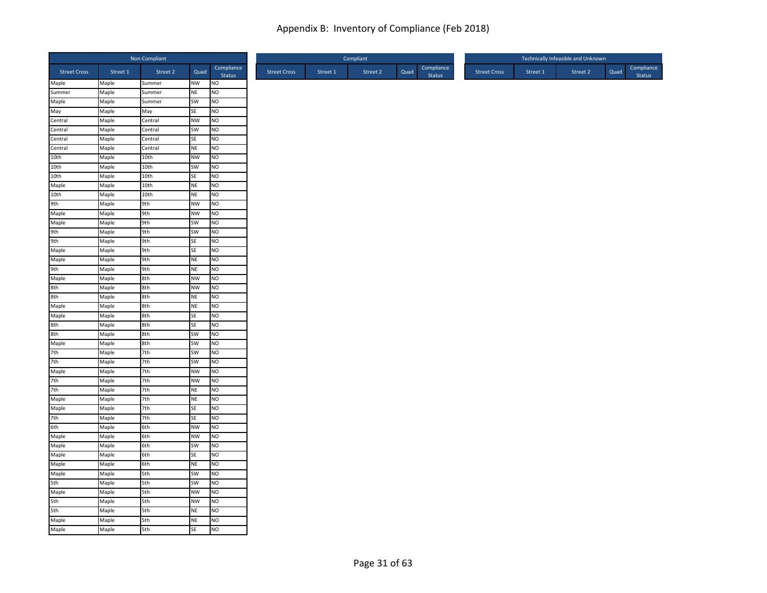|                              |          | Non-Compliant |           |                      |
|------------------------------|----------|---------------|-----------|----------------------|
| <b>Street Cross</b>          | Street 1 | Street 2      | Quad      | Compliance<br>Status |
| Maple                        | Maple    | Summer        | NW        | <b>NO</b>            |
| Summer                       | Maple    | Summer        | <b>NE</b> | Ю                    |
| Maple                        | Maple    | Summer        | SW        | <b>NO</b>            |
| .<br>May                     | Maple    | May           | SE        | <b>NO</b>            |
| Central                      | Maple    | Central       | <b>NW</b> | <b>NO</b>            |
| Central                      | Maple    | Central       | SW        | Ю                    |
| Central<br>Central           | Maple    | Central       | <b>SE</b> | NO                   |
|                              | Maple    | Central       | <b>NE</b> | <b>NO</b>            |
| 10th                         | Maple    | 10th          | <b>NW</b> | <b>NO</b>            |
| 10th<br>10th                 | Maple    | 10th          | SW        | <b>NO</b>            |
|                              | Maple    | 10th          | SE        | <b>NO</b>            |
| Maple                        | Maple    | 10th          | <b>NE</b> | <b>NO</b>            |
| 10th                         | Maple    | 10th          | <b>NE</b> | <b>NO</b>            |
| 9th<br>Maple<br>Maple        | Maple    | 9th           | <b>NW</b> | <b>NO</b>            |
|                              | Maple    | 9th           | <b>NW</b> | <b>NO</b>            |
|                              | Maple    | 9th           | SW        | NO                   |
|                              | Maple    | 9th           | SW        | <b>NO</b>            |
| 9th<br>9th<br>Maple<br>Maple | Maple    | 9th           | <b>SE</b> | <b>NO</b>            |
|                              | Maple    | 9th           | SE        | <b>NO</b>            |
|                              | Maple    | 9th           | <b>NE</b> | <b>NO</b>            |
| 9th                          | Maple    | 9th           | <b>NE</b> | <b>NO</b>            |
| Maple                        | Maple    | 8th           | <b>NW</b> | <b>NO</b>            |
|                              | Maple    | 8th           | <b>NW</b> | <b>NO</b>            |
| 8th<br>8th<br>Maple          | Maple    | 8th           | <b>NE</b> | Ю                    |
|                              | Maple    | 8th           | <b>NE</b> | <b>NO</b>            |
|                              | Maple    | 8th           | SE        | <b>NO</b>            |
|                              | Maple    | 8th           | <b>SE</b> | <b>NO</b>            |
|                              | Maple    | 8th           | SW        | <b>NO</b>            |
| Maple<br>Sth<br>Sth<br>Maple | Maple    | 8th           | SW        | <b>NO</b>            |
| 7th                          | Maple    | 7th           | SW        | <b>NO</b>            |
| 7th                          | Maple    | 7th           | SW        | <b>NO</b>            |
|                              | Maple    | 7th           | <b>NW</b> | NO                   |
| Maple<br>7th                 | Maple    | 7th           | <b>NW</b> | <b>NO</b>            |
|                              | Maple    | 7th           | <b>NE</b> | NO                   |
| 7th<br>Maple<br>Maple        | Maple    | 7th           | <b>NE</b> | <b>NO</b>            |
|                              | Maple    | 7th           | <b>SE</b> | <b>NO</b>            |
| 7th                          | Maple    | 7th           | SE        | <b>NO</b>            |
| 6th                          | Maple    | 6th           | <b>NW</b> | <b>NO</b>            |
| Maple                        | Maple    | 6th           | NW        | <b>NO</b>            |
| Maple                        | Maple    | 6th           | <b>SW</b> | <b>NO</b>            |
| Maple                        | Maple    | 6th           | SE        | <b>NO</b>            |
| Maple                        | Maple    | 6th           | <b>NE</b> | Ю                    |
| Maple                        | Maple    | 5th           | SW        | <b>NO</b>            |
| Sth<br>Maple                 | Maple    | 5th           | SW        | <b>NO</b>            |
|                              | Maple    | 5th           | <b>NW</b> | <b>NO</b>            |
| 5th                          | Maple    | 5th           | <b>NW</b> | Ю                    |
| 5th                          | Maple    | 5th           | <b>NE</b> | <b>NO</b>            |
| Maple                        | Maple    | 5th           | <b>NE</b> | <b>NO</b>            |
| Maple                        | Maple    | 5th           | <b>SE</b> | <b>NO</b>            |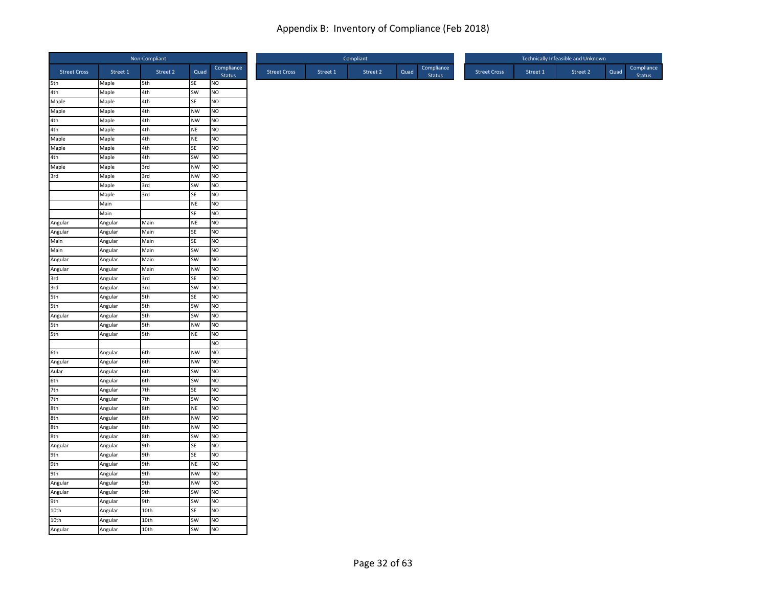|                                     |          | Non-Compliant |           |                      |                     |          | Compliant |      |                      |                     |          | Technically Infeasible and Unknown |      |                      |
|-------------------------------------|----------|---------------|-----------|----------------------|---------------------|----------|-----------|------|----------------------|---------------------|----------|------------------------------------|------|----------------------|
| <b>Street Cross</b>                 | Street 1 | Street 2      | Quad      | Compliance<br>Status | <b>Street Cross</b> | Street 1 | Street 2  | Quad | Compliance<br>Status | <b>Street Cross</b> | Street 1 | Street 2                           | Quad | Compliance<br>Status |
| 5th<br>4th                          | Maple    | 5th           | SE        | <b>NO</b>            |                     |          |           |      |                      |                     |          |                                    |      |                      |
|                                     | Maple    | 4th           | SW        | NO                   |                     |          |           |      |                      |                     |          |                                    |      |                      |
| Maple<br>Maple                      | Maple    | 4th           | SE        | <b>NO</b>            |                     |          |           |      |                      |                     |          |                                    |      |                      |
|                                     | Maple    | 4th           | <b>NW</b> | <b>NO</b>            |                     |          |           |      |                      |                     |          |                                    |      |                      |
| 4th<br>4th                          | Maple    | 4th           | <b>NW</b> | <b>NO</b>            |                     |          |           |      |                      |                     |          |                                    |      |                      |
|                                     | Maple    | 4th           | NE        | NO                   |                     |          |           |      |                      |                     |          |                                    |      |                      |
| Maple                               | Maple    | 4th           | <b>NE</b> | N <sub>O</sub>       |                     |          |           |      |                      |                     |          |                                    |      |                      |
| Maple<br>4th                        | Maple    | 4th           | SE        | Ю                    |                     |          |           |      |                      |                     |          |                                    |      |                      |
|                                     | Maple    | 4th           | SW        | <b>NO</b>            |                     |          |           |      |                      |                     |          |                                    |      |                      |
|                                     | Maple    | 3rd           | <b>NW</b> | N <sub>O</sub>       |                     |          |           |      |                      |                     |          |                                    |      |                      |
| Maple<br>3rd                        | Maple    | 3rd           | <b>NW</b> | NO                   |                     |          |           |      |                      |                     |          |                                    |      |                      |
|                                     | Maple    | 3rd           | SW        | N <sub>O</sub>       |                     |          |           |      |                      |                     |          |                                    |      |                      |
|                                     | Maple    | 3rd           | SE        | <b>NO</b>            |                     |          |           |      |                      |                     |          |                                    |      |                      |
|                                     | Main     |               | NE        | N <sub>O</sub>       |                     |          |           |      |                      |                     |          |                                    |      |                      |
|                                     | Main     |               | SE        | <b>NO</b>            |                     |          |           |      |                      |                     |          |                                    |      |                      |
| Angular                             | Angular  | Main          | <b>NE</b> | N <sub>O</sub>       |                     |          |           |      |                      |                     |          |                                    |      |                      |
| Angular                             | Angular  | Main          | SE        | N <sub>O</sub>       |                     |          |           |      |                      |                     |          |                                    |      |                      |
| Main                                | Angular  | Main          | SE        | <b>NO</b>            |                     |          |           |      |                      |                     |          |                                    |      |                      |
| Main                                | Angular  | Main          | SW        | NO                   |                     |          |           |      |                      |                     |          |                                    |      |                      |
| Angular                             | Angular  | Main          | SW        | NO                   |                     |          |           |      |                      |                     |          |                                    |      |                      |
| Angular                             | Angular  | Main          | <b>NW</b> | <b>NO</b>            |                     |          |           |      |                      |                     |          |                                    |      |                      |
| 3rd                                 | Angular  | 3rd           | SE        | NO                   |                     |          |           |      |                      |                     |          |                                    |      |                      |
| 3rd<br>5th                          | Angular  | 3rd           | SW        | <b>NO</b>            |                     |          |           |      |                      |                     |          |                                    |      |                      |
|                                     | Angular  | 5th           | SE        | NO                   |                     |          |           |      |                      |                     |          |                                    |      |                      |
|                                     | Angular  | 5th           | SW        | <b>NO</b>            |                     |          |           |      |                      |                     |          |                                    |      |                      |
|                                     | Angular  | 5th           | SW        | NO                   |                     |          |           |      |                      |                     |          |                                    |      |                      |
|                                     | Angular  | 5th           | <b>NW</b> | N <sub>O</sub>       |                     |          |           |      |                      |                     |          |                                    |      |                      |
| 5th<br>Sth<br>Angular<br>5th<br>5th | Angular  | 5th           | <b>NE</b> | N <sub>O</sub>       |                     |          |           |      |                      |                     |          |                                    |      |                      |
|                                     |          |               |           | NO                   |                     |          |           |      |                      |                     |          |                                    |      |                      |
|                                     | Angular  | 6th           | <b>NW</b> | <b>NO</b>            |                     |          |           |      |                      |                     |          |                                    |      |                      |
| 6th<br>Angular                      | Angular  | 6th           | <b>NW</b> | <b>NO</b>            |                     |          |           |      |                      |                     |          |                                    |      |                      |
| Aular                               | Angular  | 6th           | SW        | N <sub>O</sub>       |                     |          |           |      |                      |                     |          |                                    |      |                      |
| 6th                                 | Angular  | 6th           | SW        | <b>NO</b>            |                     |          |           |      |                      |                     |          |                                    |      |                      |
|                                     | Angular  | 7th           | SE        | N <sub>O</sub>       |                     |          |           |      |                      |                     |          |                                    |      |                      |
|                                     | Angular  | 7th           | SW        | <b>NO</b>            |                     |          |           |      |                      |                     |          |                                    |      |                      |
|                                     | Angular  | 8th           | <b>NE</b> | NO                   |                     |          |           |      |                      |                     |          |                                    |      |                      |
|                                     | Angular  | 8th           | <b>NW</b> | NO                   |                     |          |           |      |                      |                     |          |                                    |      |                      |
| 7th<br>7th<br>8th<br>8th            | Angular  | 8th           | <b>NW</b> | Ю                    |                     |          |           |      |                      |                     |          |                                    |      |                      |
|                                     | Angular  | 8th           | SW        | <b>NO</b>            |                     |          |           |      |                      |                     |          |                                    |      |                      |
|                                     | Angular  | 9th           | <b>SE</b> | <b>NO</b>            |                     |          |           |      |                      |                     |          |                                    |      |                      |
|                                     | Angular  | 9th           | SE        | N <sub>O</sub>       |                     |          |           |      |                      |                     |          |                                    |      |                      |
| 8th<br>Angular<br>9th<br>9th<br>9th | Angular  | 9th           | <b>NE</b> | NO                   |                     |          |           |      |                      |                     |          |                                    |      |                      |
|                                     | Angular  | 9th           | <b>NW</b> | <b>NO</b>            |                     |          |           |      |                      |                     |          |                                    |      |                      |
|                                     | Angular  | 9th           | <b>NW</b> | Ю                    |                     |          |           |      |                      |                     |          |                                    |      |                      |
|                                     | Angular  | 9th           | <b>SW</b> | N <sub>O</sub>       |                     |          |           |      |                      |                     |          |                                    |      |                      |
| Angular<br>Angular<br>9th           | Angular  | 9th           | SW        | NO                   |                     |          |           |      |                      |                     |          |                                    |      |                      |
| 10th                                | Angular  | 10th          | SE        | NO                   |                     |          |           |      |                      |                     |          |                                    |      |                      |
| 10th                                | Angular  | 10th          | SW        | Ю                    |                     |          |           |      |                      |                     |          |                                    |      |                      |
| Angular                             | Angular  | 10th          | SW        | N <sub>O</sub>       |                     |          |           |      |                      |                     |          |                                    |      |                      |
|                                     |          |               |           |                      |                     |          |           |      |                      |                     |          |                                    |      |                      |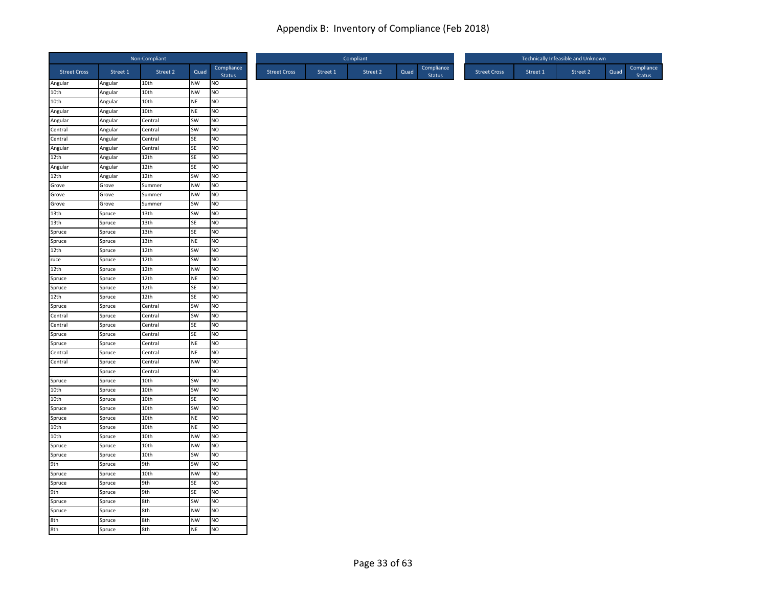|                     |                    | Non-Compliant      |                 |                             |
|---------------------|--------------------|--------------------|-----------------|-----------------------------|
| <b>Street Cross</b> | Street 1           | Street 2           | Quad            | Compliance<br>Status        |
| Angular             | Angular            | 10th               | NW              | <b>NO</b>                   |
| 10th                | Angular            | 10th               | <b>NW</b>       | NO                          |
| 10th                | Angular            | 10th               | NE              | NO                          |
| Angular             | Angular            | 10th               | NE              | NO                          |
| Angular<br>Central  | Angular            | Central<br>Central | SW<br><b>SW</b> | <b>NO</b><br>N <sub>O</sub> |
| Central             | Angular            | Central            | <b>SE</b>       | N <sub>O</sub>              |
| Angular             | Angular<br>Angular | Central            | SE              | NO                          |
| 12th                | Angular            | 12th               | SE              | <b>NO</b>                   |
| Angular             | Angular            | 12th               | SE              | N <sub>O</sub>              |
| 12th                | Angular            | 12th               | SW              | NO                          |
| Grove               | Grove              | Summer             | <b>NW</b>       | N <sub>O</sub>              |
| Grove               | Grove              | Summer             | <b>NW</b>       | <b>NO</b>                   |
| Grove               | Grove              | Summer             | SW              | N <sub>O</sub>              |
| 13th                | Spruce             | 13th               | SW              | <b>NO</b>                   |
| 13th                | Spruce             | 13 <sub>th</sub>   | SE              | N <sub>O</sub>              |
| Spruce<br>Spruce    | Spruce             | 13th               | SE              | N <sub>O</sub>              |
|                     | Spruce             | 13th               | <b>NE</b>       | <b>NO</b>                   |
| 12th                | Spruce             | 12th               | SW              | NO                          |
| ruce                | Spruce             | 12th               | <b>SW</b>       | NO                          |
| 12th                | Spruce             | 12th               | <b>NW</b>       | <b>NO</b>                   |
| Spruce              | Spruce             | 12th               | NE              | NO                          |
| Spruce              | Spruce             | 12th               | SE              | <b>NO</b>                   |
| 12th                | Spruce             | 12th               | SE              | N <sub>O</sub>              |
| Spruce              | Spruce             | Central            | SW              | <b>NO</b>                   |
| Central             | Spruce             | Central            | SW              | NO                          |
| Central             | Spruce             | Central            | SE              | N <sub>O</sub>              |
| Spruce              | Spruce             | Central            | SE              | N <sub>O</sub>              |
| Spruce              | Spruce             | Central            | NE              | NO                          |
| Central             | Spruce             | Central            | NE              | <b>NO</b>                   |
| Central             | Spruce             | Central            | <b>NW</b>       | <b>NO</b>                   |
|                     | Spruce             | Central            |                 | N <sub>O</sub>              |
| Spruce              | Spruce             | 10th               | SW              | <b>NO</b>                   |
| 10th                | Spruce             | 10th               | SW              | N <sub>O</sub>              |
| 10th<br>Spruce      | Spruce             | 10th<br>10th       | SE              | NO<br>N <sub>O</sub>        |
|                     | Spruce             |                    | SW              |                             |
| Spruce<br>10th      | Spruce             | 10th               | NE              | NO                          |
| 10th                | Spruce             | 10th<br>10th       | NE<br><b>NW</b> | NO<br><b>NO</b>             |
| Spruce              | Spruce<br>Spruce   | 10th               | <b>NW</b>       | <b>NO</b>                   |
|                     | Spruce             | 10th               | SW              | N <sub>O</sub>              |
| Spruce<br>9th       | Spruce             | 9th                | SW              | N <sub>O</sub>              |
|                     | Spruce             | 10th               | <b>NW</b>       | <b>NO</b>                   |
| Spruce              | Spruce             | 9th                | SE              | N <sub>O</sub>              |
| Spruce<br>9th       | Spruce             | 9th                | SE              | <b>NO</b>                   |
| Spruce              | Spruce             | 8th                | SW              | NO                          |
| Spruce              |                    | 8th                | <b>NW</b>       | NO                          |
|                     | Spruce<br>Spruce   | 8th                | NW              | <b>NO</b>                   |
| 8th<br>8th          | Spruce             | 8th                | <b>NE</b>       | <b>NO</b>                   |
|                     |                    |                    |                 |                             |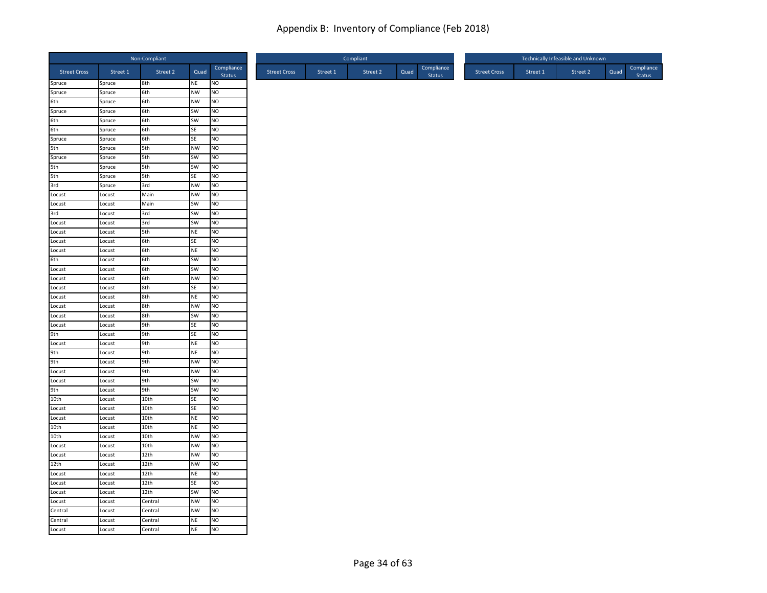|                       |                  | Non-Compliant |           |                             |
|-----------------------|------------------|---------------|-----------|-----------------------------|
| <b>Street Cross</b>   | Street 1         | Street 2      | Quad      | Compliance<br>Status        |
| Spruce                | Spruce           | 8th           | NE        | <b>NO</b>                   |
| Spruce                | Spruce           | 6th           | <b>NW</b> | NO                          |
| 6th                   | Spruce           | 6th           | <b>NW</b> | NO                          |
| Spruce                | Spruce           | 6th           | SW        | <b>NO</b>                   |
| 6th<br>6th            | Spruce           | 6th           | SW        | <b>NO</b>                   |
|                       | Spruce           | 6th           | SE        | NO                          |
| Spruce                | Spruce           | 6th           | <b>SE</b> | N <sub>O</sub>              |
| 5th                   | Spruce           | 5th           | <b>NW</b> | <b>NO</b>                   |
| Spruce                | Spruce           | 5th           | SW        | N <sub>O</sub>              |
| 5th<br>5th            | Spruce           | 5th           | SW        | N <sub>O</sub>              |
|                       | Spruce           | 5th           | SE        | NO                          |
| 3rd                   | Spruce           | 3rd           | <b>NW</b> | NO                          |
| Locust                | Locust           | Main          | <b>NW</b> | <b>NO</b>                   |
| Locust                | Locust           | Main          | <b>SW</b> | N <sub>O</sub>              |
| 3rd                   | Locust           | 3rd           | SW        | NO                          |
| Locust                | Locust           | 3rd           | SW        | <b>NO</b>                   |
| Locust<br>Locust      | Locust           | 5th           | <b>NE</b> | NO                          |
| Locust                | Locust           | 6th           | SE        | <b>NO</b>                   |
| 6th                   | Locust           | 6th<br>6th    | NE<br>SW  | NO<br><b>NO</b>             |
| Locust                | Locust<br>Locust | 6th           | SW        | NO                          |
| Locust                | Locust           | 6th           | <b>NW</b> | <b>NO</b>                   |
| Locust                |                  | 8th           | SE        | N <sub>O</sub>              |
|                       | Locust           | 8th           |           | N <sub>O</sub>              |
| Locust                | Locust           |               | <b>NE</b> |                             |
| Locust<br>Locust      | Locust           | 8th           | <b>NW</b> | <b>NO</b>                   |
| Locust                | Locust           | 8th           | SW<br>SE  | <b>NO</b><br>N <sub>O</sub> |
|                       | Locust           | 9th           |           |                             |
| 9th<br>Locust         | Locust           | 9th<br>9th    | SE<br>NE  | <b>NO</b><br>NO             |
| 9th                   | Locust<br>Locust | 9th           | NE        | <b>NO</b>                   |
| 9th                   | Locust           | 9th           | <b>NW</b> | <b>NO</b>                   |
| Locust                |                  | 9th           | <b>NW</b> | N <sub>O</sub>              |
|                       | Locust           | 9th           | SW        | Ю                           |
| Locust                | Locust<br>Locust | 9th           | SW        | NO                          |
| 9th<br>10th<br>Locust | Locust           | 10th          | SE        | N <sub>O</sub>              |
|                       | Locust           | 10th          | SE        | NO                          |
| Locust                | Locust           | 10th          | NE        | <b>NO</b>                   |
| 10th                  | Locust           | 10th          | NE        | <b>NO</b>                   |
| 10th                  | Locust           | 10th          | <b>NW</b> | <b>NO</b>                   |
| Locust                | Locust           | 10th          | <b>NW</b> | <b>NO</b>                   |
| Locust                | Locust           | 12th          | <b>NW</b> | N <sub>O</sub>              |
| 12th                  | Locust           | 12th          | <b>NW</b> | Ю                           |
| Locust                | Locust           | 12th          | NE        | <b>NO</b>                   |
| Locust                | Locust           | 12th          | SE        | N <sub>O</sub>              |
| Locust                |                  | 12th          | SW        | <b>NO</b>                   |
| Locust                | Locust           | Central       | <b>NW</b> | NO                          |
| Central               | Locust<br>Locust | Central       | <b>NW</b> | <b>NO</b>                   |
| Central               | Locust           | Central       | NE        | <b>NO</b>                   |
| Locust                |                  | Central       | <b>NE</b> | NO                          |
|                       | Locust           |               |           |                             |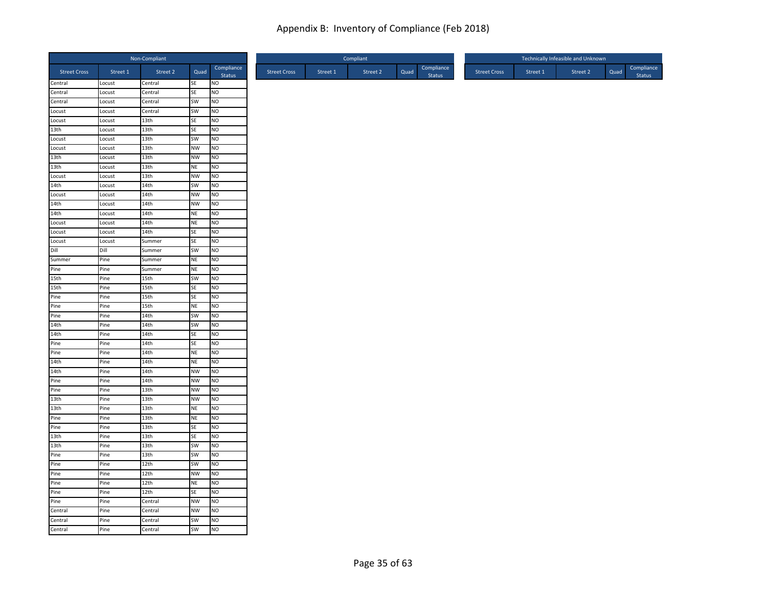|                              |                  | Non-Compliant    |                        |                        |
|------------------------------|------------------|------------------|------------------------|------------------------|
| <b>Street Cross</b>          | Street 1         | Street 2         | Quad                   | Compliance<br>Status   |
| Central                      | Locust           | Central          | SE                     | <b>NO</b>              |
| Central                      | Locust           | Central          | SE                     | NO                     |
| Central                      | Locust           | Central          | SW                     | <b>NO</b>              |
| Locust                       | Locust           | Central          | SW                     | NO                     |
| Locust                       | Locust           | 13th             | SE                     | <b>NO</b>              |
| 13th                         | Locust           | 13th             | SE                     | N <sub>O</sub>         |
| Locust                       | Locust           | 13th             | SW                     | N <sub>O</sub>         |
| Locust<br>13th               | Locust<br>Locust | 13th<br>13th     | <b>NW</b><br><b>NW</b> | <b>NO</b><br><b>NO</b> |
| 13th                         | Locust           | 13th             | NE                     | <b>NO</b>              |
| Locust                       | Locust           | 13th             | <b>NW</b>              | NO                     |
| 14th                         | Locust           | 14th             | SW                     | N <sub>O</sub>         |
| Locust                       | Locust           | 14th             | <b>NW</b>              | <b>NO</b>              |
| 14th                         | Locust           | 14th             | <b>NW</b>              | N <sub>O</sub>         |
| 14th                         | Locust           | 14th             | NE                     | <b>NO</b>              |
| Locust                       | Locust           | 14th             | <b>NE</b>              | N <sub>O</sub>         |
| Locust                       | Locust           | 14th             | SE                     | N <sub>O</sub>         |
| Locust                       | Locust           | Summer           | SE                     | <b>NO</b>              |
| Dill                         | Dill             | Summer           | SW                     | NO                     |
| Summer                       | Pine             | Summer           | NE                     | NO                     |
| Pine                         | Pine             | Summer           | NE                     | <b>NO</b>              |
| 15th                         | Pine             | 15th             | SW                     | NO                     |
| 15th                         | Pine             | 15th             | SE                     | <b>NO</b>              |
| Pine                         | Pine             | 15th             | SE                     | NO                     |
|                              | Pine             | 15th             | NE                     | <b>NO</b>              |
| Pine<br>Pine                 | Pine             | 14th             | SW                     | NO                     |
| 14th                         | Pine             | 14th             | SW                     | N <sub>O</sub>         |
| 14th                         | Pine             | 14th             | SE                     | N <sub>O</sub>         |
| Pine                         | Pine             | 14th             | SE                     | NO                     |
| Pine                         | Pine             | 14th             | <b>NE</b>              | <b>NO</b>              |
| 14th                         | Pine             | 14th             | <b>NE</b>              | <b>NO</b>              |
| 14th                         | Pine             | 14th             | <b>NW</b>              | N <sub>O</sub>         |
| Pine                         | Pine             | 14th             | <b>NW</b>              | <b>NO</b>              |
| Pine                         | Pine             | 13 <sub>th</sub> | <b>NW</b>              | N <sub>O</sub>         |
| 13th                         | Pine             | 13th             | <b>NW</b>              | <b>NO</b>              |
| 13th                         | Pine             | 13th             | NE                     | NO                     |
| Pine                         | Pine             | 13th             | NE                     | NO                     |
| Pine                         | Pine             | 13th             | SE                     | NO                     |
| 13th                         | Pine             | 13th             | SE                     | <b>NO</b>              |
| 13th                         | Pine             | 13th             | SW                     | <b>NO</b>              |
| Pine                         | Pine             | 13 <sub>th</sub> | SW                     | N <sub>O</sub>         |
| Pine                         | Pine             | 12th             | SW                     | NO                     |
|                              | Pine             | 12th             | <b>NW</b>              | <b>NO</b>              |
| Pine<br>Pine<br>Pine<br>Pine | Pine             | 12th             | <b>NE</b>              | NO                     |
|                              | Pine             | 12th             | SE                     | <b>NO</b>              |
|                              | Pine             | Central          | <b>NW</b>              | NO                     |
| Central                      | Pine             | Central          | <b>NW</b>              | NO                     |
| Central                      | Pine             | Central          | SW                     | <b>NO</b>              |
| Central                      | Pine             | Central          | SW                     | <b>NO</b>              |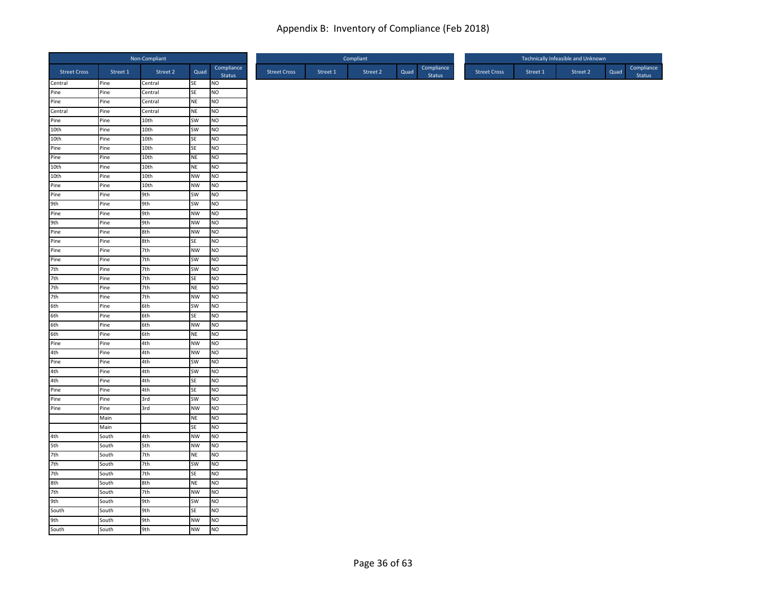|                                          |              | Non-Compliant |                 |                      |
|------------------------------------------|--------------|---------------|-----------------|----------------------|
| <b>Street Cross</b>                      | Street 1     | Street 2      | Quad            | Compliance<br>Status |
| Central                                  | Pine         | Central       | SE              | <b>NO</b>            |
| Pine                                     | Pine         | Central       | SE              | NO                   |
| Pine                                     | Pine         | Central       | NE              | <b>NO</b>            |
| Central                                  | Pine         | Central       | <b>NE</b>       | <b>NO</b>            |
| Pine<br>10th                             | Pine         | 10th          | SW              | <b>NO</b>            |
|                                          | Pine         | 10th          | SW              | <b>NO</b>            |
| 10th                                     | Pine         | 10th          | SE              | N <sub>O</sub>       |
|                                          | Pine<br>Pine | 10th<br>10th  | SE<br><b>NE</b> | Ю<br><b>NO</b>       |
| Pine<br>Pine<br>10th                     | Pine         | 10th          | NE              | NO                   |
| 10th                                     | Pine         | 10th          | <b>NW</b>       | <b>NO</b>            |
|                                          | Pine         | 10th          | <b>NW</b>       | N <sub>O</sub>       |
| Pine<br>Pine                             | Pine         | 9th           | SW              | <b>NO</b>            |
|                                          | Pine         | 9th           | SW              | <b>NO</b>            |
| 9th<br>Pine                              | Pine         | 9th           | <b>NW</b>       | <b>NO</b>            |
|                                          | Pine         | 9th           | <b>NW</b>       | Ю                    |
| 9th<br>Pine<br>Pine<br>Pine              | Pine         | 8th           | <b>NW</b>       | NO                   |
|                                          | Pine         | 8th           | <b>SE</b>       | <b>NO</b>            |
|                                          | Pine         | 7th           | <b>NW</b>       | <b>NO</b>            |
|                                          | Pine         | 7th           | SW              | NO                   |
| 7th                                      | Pine         | 7th           | SW              | <b>NO</b>            |
| 7th                                      | Pine         | 7th           | SE              | NO                   |
|                                          | Pine         | 7th           | NE              | <b>NO</b>            |
| 7th<br>7th                               | Pine         | 7th           | <b>NW</b>       | <b>NO</b>            |
|                                          | Pine         | 6th           | SW              | <b>NO</b>            |
|                                          | Pine         | 6th           | SE              | NO                   |
|                                          | Pine         | 6th           | <b>NW</b>       | NO                   |
| 6th<br>6th<br>6th<br>Pine                | Pine         | 6th           | <b>NE</b>       | N <sub>O</sub>       |
|                                          | Pine         | 4th           | <b>NW</b>       | <b>NO</b>            |
|                                          | Pine         | 4th           | <b>NW</b>       | <b>NO</b>            |
| 4th<br>Pine                              | Pine         | 4th           | SW              | <b>NO</b>            |
|                                          | Pine         | 4th           | SW              | <b>NO</b>            |
| 4th<br>4th                               | Pine         | 4th           | SE              | <b>NO</b>            |
|                                          | Pine         | 4th           | SE              | <b>NO</b>            |
|                                          | Pine         | 3rd           | SW              | <b>NO</b>            |
| Pine<br>Pine<br>Pine                     | Pine         | 3rd           | <b>NW</b>       | <b>NO</b>            |
|                                          | Main         |               | <b>NE</b>       | NO                   |
|                                          | Main         |               | SE              | NO                   |
|                                          | South        | 4th           | <b>NW</b>       | <b>NO</b>            |
| 4th<br>5th<br>7th                        | South        | 5th           | <b>NW</b>       | <b>NO</b>            |
|                                          | South        | 7th           | NE              | N <sub>O</sub>       |
| 7th                                      | South        | 7th           | SW              | NO                   |
|                                          | South        | 7th           | SE              | <b>NO</b>            |
| 7th<br>7th<br>8th<br>7th<br>9th<br>South | South        | 8th           | NE              | Ю                    |
|                                          | South        | 7th           | <b>NW</b>       | NO                   |
|                                          | South        | 9th           | SW              | <b>NO</b>            |
|                                          | South        | 9th           | SE              | NO                   |
| 9th<br>South                             | South        | 9th           | <b>NW</b>       | Ю                    |
|                                          | South        | 9th           | <b>NW</b>       | <b>NO</b>            |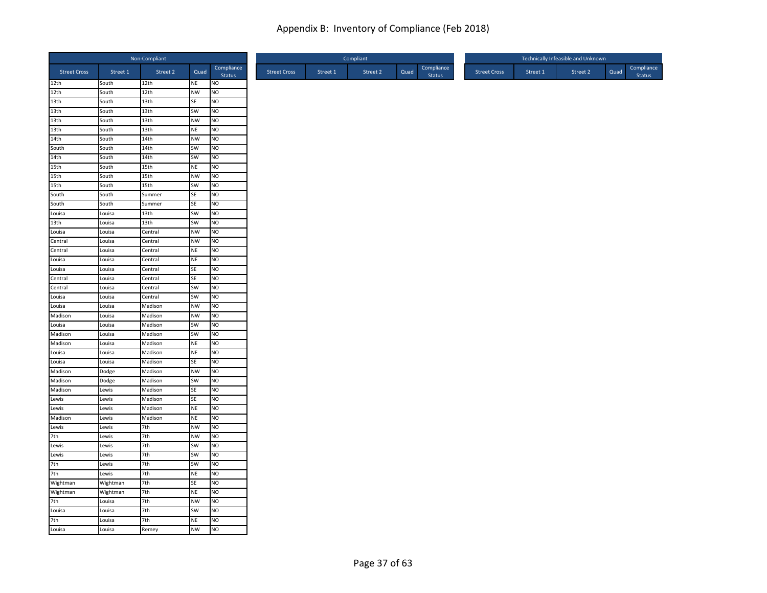|                     |          | Non-Compliant    |           |                      |                     |          | Compliant |      |                             |                     |          | Technically Infeasible and Unknown |      |                      |
|---------------------|----------|------------------|-----------|----------------------|---------------------|----------|-----------|------|-----------------------------|---------------------|----------|------------------------------------|------|----------------------|
| <b>Street Cross</b> | Street 1 | Street 2         | Quad      | Compliance<br>Status | <b>Street Cross</b> | Street 1 | Street 2  | Quad | Compliance<br><b>Status</b> | <b>Street Cross</b> | Street 1 | Street 2                           | Quad | Compliance<br>Status |
| 12th                | South    | 12th             | <b>NE</b> | NO                   |                     |          |           |      |                             |                     |          |                                    |      |                      |
| 12th                | South    | 12th             | <b>NW</b> | NO                   |                     |          |           |      |                             |                     |          |                                    |      |                      |
| 13th                | South    | 13th             | SE        | NO                   |                     |          |           |      |                             |                     |          |                                    |      |                      |
| 13th                | South    | 13 <sub>th</sub> | <b>SW</b> | NO                   |                     |          |           |      |                             |                     |          |                                    |      |                      |
| 13th                | South    | 13th             | <b>NW</b> | NO.                  |                     |          |           |      |                             |                     |          |                                    |      |                      |
| 13th                | South    | 13th             | <b>NE</b> | NO                   |                     |          |           |      |                             |                     |          |                                    |      |                      |
| 14th                | South    | 14th             | <b>NW</b> | N <sub>O</sub>       |                     |          |           |      |                             |                     |          |                                    |      |                      |
| South               | South    | 14th             | SW        | NO                   |                     |          |           |      |                             |                     |          |                                    |      |                      |
| 14th                | South    | 14th             | <b>SW</b> | NO.                  |                     |          |           |      |                             |                     |          |                                    |      |                      |
| 15th                | South    | 15th             | <b>NE</b> | NO                   |                     |          |           |      |                             |                     |          |                                    |      |                      |
| 15th                | South    | 15th             | <b>NW</b> | NO                   |                     |          |           |      |                             |                     |          |                                    |      |                      |
| 15th                | South    | 15 <sub>th</sub> | SW        | NO                   |                     |          |           |      |                             |                     |          |                                    |      |                      |
| South               | South    | Summer           | SE        | NO                   |                     |          |           |      |                             |                     |          |                                    |      |                      |
| South               | South    | Summer           | SE        | NO                   |                     |          |           |      |                             |                     |          |                                    |      |                      |
| Louisa              | Louisa   | 13th             | SW        | NO                   |                     |          |           |      |                             |                     |          |                                    |      |                      |
| 13 <sub>th</sub>    | Louisa   | 13 <sub>th</sub> | SW        | NO                   |                     |          |           |      |                             |                     |          |                                    |      |                      |
| Louisa              | Louisa   | Central          | <b>NW</b> | NO.                  |                     |          |           |      |                             |                     |          |                                    |      |                      |
| Central             | Louisa   | Central          | <b>NW</b> | NO                   |                     |          |           |      |                             |                     |          |                                    |      |                      |
| Central             | Louisa   | Central          | <b>NE</b> | NO                   |                     |          |           |      |                             |                     |          |                                    |      |                      |
| Louisa              | Louisa   | Central          | <b>NE</b> | NO                   |                     |          |           |      |                             |                     |          |                                    |      |                      |
| Louisa              | Louisa   | Central          | SE        | NO.                  |                     |          |           |      |                             |                     |          |                                    |      |                      |
| Central             | Louisa   | Central          | SE        | NO                   |                     |          |           |      |                             |                     |          |                                    |      |                      |
| Central             | Louisa   | Central          | SW        | NO.                  |                     |          |           |      |                             |                     |          |                                    |      |                      |
| Louisa              | Louisa   | Central          | SW        | NO                   |                     |          |           |      |                             |                     |          |                                    |      |                      |
| Louisa              | Louisa   | Madison          | <b>NW</b> | NO                   |                     |          |           |      |                             |                     |          |                                    |      |                      |
| Madison             | Louisa   | Madison          | <b>NW</b> | NO                   |                     |          |           |      |                             |                     |          |                                    |      |                      |
| Louisa              | Louisa   | Madison          | SW        | NO.                  |                     |          |           |      |                             |                     |          |                                    |      |                      |
| Madison             | Louisa   | Madison          | SW        | NO                   |                     |          |           |      |                             |                     |          |                                    |      |                      |
| Madison             | Louisa   | Madison          | <b>NE</b> | NO                   |                     |          |           |      |                             |                     |          |                                    |      |                      |
| Louisa              | Louisa   | Madison          | NE        | NO                   |                     |          |           |      |                             |                     |          |                                    |      |                      |
| Louisa              | Louisa   | Madison          | SE        | NO.                  |                     |          |           |      |                             |                     |          |                                    |      |                      |
| Madison             | Dodge    | Madison          | <b>NW</b> | NO                   |                     |          |           |      |                             |                     |          |                                    |      |                      |
| Madison             | Dodge    | Madison          | SW        | NO                   |                     |          |           |      |                             |                     |          |                                    |      |                      |
| Madison             | Lewis    | Madison          | SE        | NO                   |                     |          |           |      |                             |                     |          |                                    |      |                      |
| Lewis               | Lewis    | Madison          | <b>SE</b> | NO.                  |                     |          |           |      |                             |                     |          |                                    |      |                      |
| Lewis               | Lewis    | Madison          | <b>NE</b> | NO                   |                     |          |           |      |                             |                     |          |                                    |      |                      |
| Madison             | Lewis    | Madison          | <b>NE</b> | NO                   |                     |          |           |      |                             |                     |          |                                    |      |                      |
| Lewis               | Lewis    | 7th              | <b>NW</b> | NO                   |                     |          |           |      |                             |                     |          |                                    |      |                      |
| 7th                 | Lewis    | 7th              | <b>NW</b> | NO.                  |                     |          |           |      |                             |                     |          |                                    |      |                      |
| Lewis               | Lewis    | 7th              | SW        | NO                   |                     |          |           |      |                             |                     |          |                                    |      |                      |
| Lewis               | Lewis    | 7th              | SW        | NO                   |                     |          |           |      |                             |                     |          |                                    |      |                      |
| 7th                 | Lewis    | 7th              | SW        | NO                   |                     |          |           |      |                             |                     |          |                                    |      |                      |
| 7th                 | Lewis    | 7th              | <b>NE</b> | NO                   |                     |          |           |      |                             |                     |          |                                    |      |                      |
| Wightman            | Wightman | 7th              | SE        | NO                   |                     |          |           |      |                             |                     |          |                                    |      |                      |
| Wightman            | Wightman | 7th              | <b>NE</b> | NO                   |                     |          |           |      |                             |                     |          |                                    |      |                      |
| 7th                 | Louisa   | 7th              | <b>NW</b> | NO                   |                     |          |           |      |                             |                     |          |                                    |      |                      |
| Louisa              | Louisa   | 7th              | SW        | NO                   |                     |          |           |      |                             |                     |          |                                    |      |                      |
| 7th                 | Louisa   | 7th              | <b>NE</b> | NO                   |                     |          |           |      |                             |                     |          |                                    |      |                      |
| Louisa              | Louisa   | Remey            | <b>NW</b> | <b>NO</b>            |                     |          |           |      |                             |                     |          |                                    |      |                      |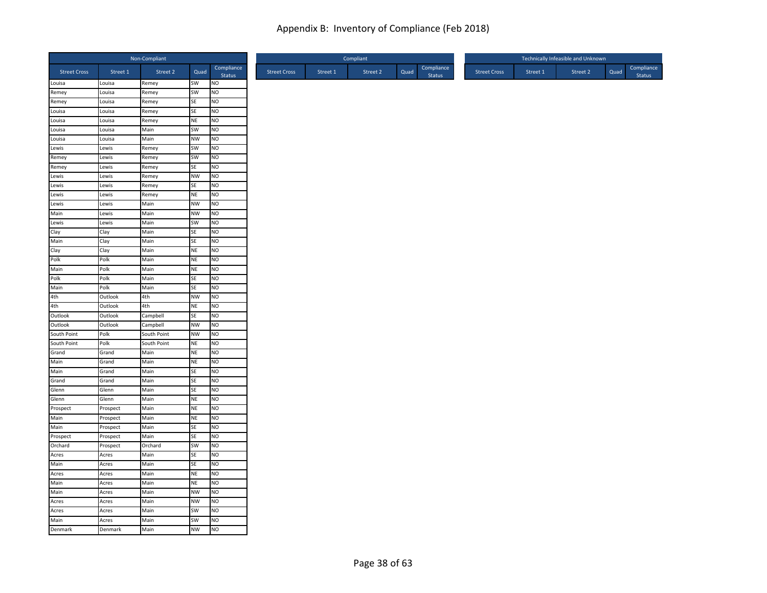|                     |                    | Non-Compliant |                 |                      |
|---------------------|--------------------|---------------|-----------------|----------------------|
| <b>Street Cross</b> | Street 1           | Street 2      | Quad            | Compliance<br>Status |
| Louisa              | Louisa             | Remey         | SW              | <b>NO</b>            |
| Remey               | Louisa             | Remey         | SW              | NO                   |
| Remey               | Louisa             | Remey         | SE              | <b>NO</b>            |
| Louisa              | Louisa             | Remey         | SE              | NO                   |
| Louisa              | Louisa             | Remey         | NE              | <b>NO</b>            |
| Louisa              | Louisa             | Main          | SW              | N <sub>O</sub>       |
| Louisa              | Louisa             | Main          | <b>NW</b>       | N <sub>O</sub>       |
| Lewis               | Lewis              | Remey         | SW              | <b>NO</b>            |
| Remey               | Lewis              | Remey         | SW              | <b>NO</b>            |
| Remey               | Lewis              | Remey         | SE              | N <sub>O</sub>       |
| Lewis               | Lewis              | Remey         | <b>NW</b>       | NO                   |
| Lewis               | Lewis              | Remey         | SE              | N <sub>O</sub>       |
| Lewis               | Lewis              | Remey         | NE              | <b>NO</b>            |
| Lewis               | Lewis              | Main          | <b>NW</b>       | N <sub>O</sub>       |
| Main                | Lewis              | Main          | <b>NW</b>       | <b>NO</b>            |
| Lewis               | Lewis              | Main          | SW              | N <sub>O</sub>       |
| Clay<br>Main        | Clay               | Main          | SE              | <b>NO</b>            |
|                     | Clay               | Main          | SE              | <b>NO</b><br>NO      |
| Clay<br>Polk        | Clay               | Main          | NE              | NO                   |
| Main                | Polk<br>Polk       | Main<br>Main  | NE<br>NE        | <b>NO</b>            |
| Polk                | Polk               | Main          | SE              | NO                   |
| Main                | Polk               | Main          | SE              | <b>NO</b>            |
|                     |                    |               |                 | NO                   |
| 4th                 | Outlook<br>Outlook | 4th<br>4th    | <b>NW</b><br>NE | <b>NO</b>            |
| 4th<br>Outlook      | Outlook            | Campbell      | SE              | N <sub>O</sub>       |
| Outlook             | Outlook            | Campbell      | <b>NW</b>       | N <sub>O</sub>       |
| South Point         | Polk               | South Point   | <b>NW</b>       | N <sub>O</sub>       |
| South Point         | Polk               | South Point   | NE              | NO                   |
| Grand               | Grand              | Main          | NE              | <b>NO</b>            |
| Main                | Grand              | Main          | <b>NE</b>       | <b>NO</b>            |
| Main                | Grand              | Main          | SE              | N <sub>O</sub>       |
| Grand               | Grand              | Main          | SE              | <b>NO</b>            |
| Glenn               | Glenn              | Main          | SE              | N <sub>O</sub>       |
| Glenn               | Glenn              | Main          | <b>NE</b>       | <b>NO</b>            |
| Prospect            | Prospect           | Main          | <b>NE</b>       | N <sub>O</sub>       |
| Main                | Prospect           | Main          | NE              | NO                   |
| Main                | Prospect           | Main          | SE              | NO                   |
| Prospect            | Prospect           | Main          | SE              | <b>NO</b>            |
| Orchard             | Prospect           | Orchard       | SW              | <b>NO</b>            |
| Acres               | Acres              | Main          | SE              | N <sub>O</sub>       |
| Main                | Acres              | Main          | SE              | N <sub>O</sub>       |
| Acres               | Acres              | Main          | NE              | <b>NO</b>            |
| Main                | Acres              | Main          | NE              | N <sub>O</sub>       |
| Main                | Acres              | Main          | <b>NW</b>       | <b>NO</b>            |
| Acres               | Acres              | Main          | <b>NW</b>       | NO                   |
| Acres               | Acres              | Main          | SW              | NO                   |
| Main                | Acres              | Main          | SW              | <b>NO</b>            |
| Denmark             | Denmark            | Main          | <b>NW</b>       | <b>NO</b>            |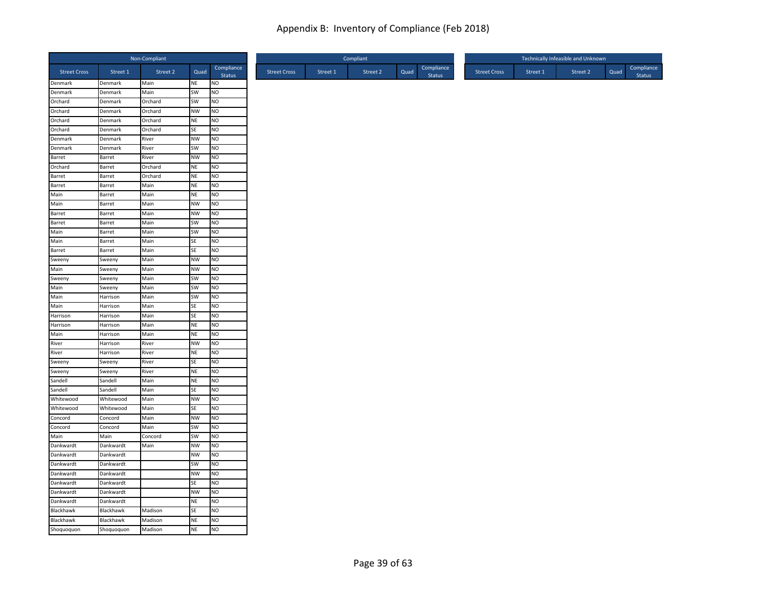|                     |            | Non-Compliant |           |                             |
|---------------------|------------|---------------|-----------|-----------------------------|
| <b>Street Cross</b> | Street 1   | Street 2      | Quad      | Compliance<br><b>Status</b> |
| Denmark             | Denmark    | Main          | NE        | <b>NO</b>                   |
| Denmark             | Denmark    | Main          | SW        | NO                          |
| Orchard             | Denmark    | Orchard       | SW        | NO                          |
| Orchard             | Denmark    | Orchard       | <b>NW</b> | <b>NO</b>                   |
| Orchard             | Denmark    | Orchard       | NE        | NO                          |
| Orchard             | Denmark    | Orchard       | SE        | N <sub>O</sub>              |
| Denmark             | Denmark    | River         | <b>NW</b> | <b>NO</b>                   |
| Denmark             | Denmark    | River         | SW        | NO                          |
| Barret              | Barret     | River         | <b>NW</b> | NO                          |
| Orchard             | Barret     | Orchard       | NE        | <b>NO</b>                   |
| Barret              | Barret     | Orchard       | <b>NE</b> | <b>NO</b>                   |
| Barret              | Barret     | Main          | NE        | <b>NO</b>                   |
| Main                | Barret     | Main          | NE        | <b>NO</b>                   |
| Main                | Barret     | Main          | <b>NW</b> | NO                          |
| Barret              | Barret     | Main          | <b>NW</b> | <b>NO</b>                   |
| Barret              | Barret     | Main          | SW        | <b>NO</b>                   |
| Main                | Barret     | Main          | SW        | N <sub>O</sub>              |
| Main                | Barret     | Main          | SE        | NO                          |
| Barret              | Barret     | Main          | SE        | NO                          |
| Sweeny              | Sweeny     | Main          | <b>NW</b> | <b>NO</b>                   |
| Main                | Sweeny     | Main          | <b>NW</b> | N <sub>O</sub>              |
| Sweeny              | Sweeny     | Main          | SW        | N <sub>O</sub>              |
| Main                | Sweeny     | Main          | SW        | <b>NO</b>                   |
| Main                | Harrison   | Main          | SW        | <b>NO</b>                   |
| Main                | Harrison   | Main          | SE        | N <sub>O</sub>              |
| Harrison            | Harrison   | Main          | SE        | NO                          |
| Harrison            | Harrison   | Main          | NE        | N <sub>O</sub>              |
| Main                | Harrison   | Main          | <b>NE</b> | <b>NO</b>                   |
| River               | Harrison   | River         | <b>NW</b> | N <sub>O</sub>              |
| River               | Harrison   | River         | NE        | <b>NO</b>                   |
| Sweeny              | Sweeny     | River         | SE        | N <sub>O</sub>              |
| Sweeny              | Sweeny     | River         | NE        | N <sub>O</sub>              |
| Sandell             | Sandell    | Main          | <b>NE</b> | <b>NO</b>                   |
| Sandell             | Sandell    | Main          | SE        | NO                          |
| Whitewood           | Whitewood  | Main          | <b>NW</b> | <b>NO</b>                   |
| Whitewood           | Whitewood  | Main          | SE        | <b>NO</b>                   |
| Concord             | Concord    | Main          | <b>NW</b> | N <sub>O</sub>              |
| Concord             | Concord    | Main          | SW        | <b>NO</b>                   |
| Main                | Main       | Concord       | <b>SW</b> | N <sub>O</sub>              |
| Dankwardt           | Dankwardt  | Main          | <b>NW</b> | NO                          |
| Dankwardt           | Dankwardt  |               | NW        | NO                          |
| Dankwardt           | Dankwardt  |               | SW        | NO                          |
| Dankwardt           | Dankwardt  |               | <b>NW</b> | <b>NO</b>                   |
| Dankwardt           | Dankwardt  |               | SE        | N <sub>O</sub>              |
| Dankwardt           | Dankwardt  |               | <b>NW</b> | <b>NO</b>                   |
| Dankwardt           | Dankwardt  |               | <b>NE</b> | N <sub>O</sub>              |
| Blackhawk           | Blackhawk  | Madison       | SE        | N <sub>O</sub>              |
| Blackhawk           | Blackhawk  | Madison       | <b>NE</b> | <b>NO</b>                   |
| Shoquoquon          | Shoquoquon | Madison       | NE        | N <sub>O</sub>              |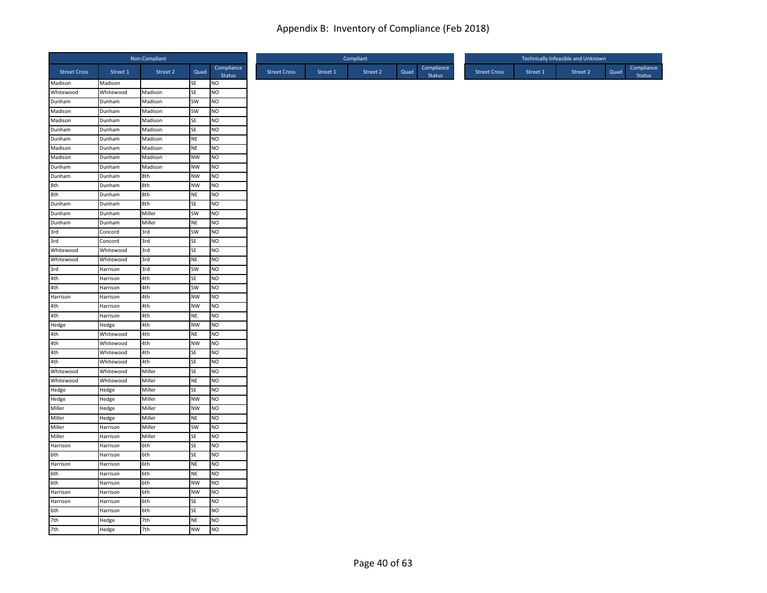| Non-Compliant       |                  |                    |                        |                             |  |
|---------------------|------------------|--------------------|------------------------|-----------------------------|--|
| <b>Street Cross</b> | Street 1         | Street 2           | Quad                   | Compliance<br><b>Status</b> |  |
| Madison             | Madison          |                    | SE                     | <b>NO</b>                   |  |
| Whitewood           | Whitewood        | Madison            | SE                     | NO                          |  |
| Dunham              | Dunham           | Madison            | SW                     | <b>NO</b>                   |  |
| Madison             | Dunham           | Madison            | <b>SW</b>              | <b>NO</b>                   |  |
| Madison             | Dunham           | Madison            | SE                     | NO                          |  |
| Dunham<br>Dunham    | Dunham           | Madison            | SE                     | Ю                           |  |
| Madison             | Dunham<br>Dunham | Madison<br>Madison | <b>NE</b><br><b>NE</b> | <b>NO</b><br><b>NO</b>      |  |
| Madison             | Dunham           | Madison            | <b>NW</b>              | <b>NO</b>                   |  |
| Dunham              | Dunham           | Madison            | NW                     | NO                          |  |
| Dunham              | Dunham           | 8th                | <b>NW</b>              | <b>NO</b>                   |  |
| 8th                 | Dunham           | 8th                | <b>NW</b>              | <b>NO</b>                   |  |
| 8th                 | Dunham           | 8th                | <b>NE</b>              | <b>NO</b>                   |  |
| Dunham              | Dunham           | 8th                | SE                     | NO                          |  |
| Dunham              | Dunham           | Miller             | SW                     | <b>NO</b>                   |  |
| Dunham              | Dunham           | Miller             | <b>NE</b>              | <b>NO</b>                   |  |
| 3rd                 | Concord          | 3rd                | SW                     | <b>NO</b>                   |  |
| 3rd                 | Concord          | 3rd                | <b>SE</b>              | <b>NO</b>                   |  |
| Whitewood           | Whitewood        | 3rd                | SE                     | Ю                           |  |
| Whitewood           | Whitewood        | 3rd                | <b>NE</b>              | <b>NO</b>                   |  |
| 3rd                 | Harrison         | 3rd                | SW                     | <b>NO</b>                   |  |
| 4th                 | Harrison         | 4th                | <b>SE</b>              | <b>NO</b>                   |  |
| 4th                 | Harrison         | 4th                | <b>SW</b>              | NO                          |  |
| Harrison            | Harrison         | 4th                | <b>NW</b>              | <b>NO</b>                   |  |
|                     | Harrison         | 4th                | <b>NW</b>              | <b>NO</b>                   |  |
| $rac{4th}{4th}$     | Harrison         | 4th                | <b>NE</b>              | <b>NO</b>                   |  |
| Hedge               | Hedge            | 4th                | <b>NW</b>              | NO                          |  |
| 4th                 | Whitewood        | 4th                | <b>NE</b>              | NO                          |  |
| 4th                 | Whitewood        | 4th                | <b>NW</b>              | <b>NO</b>                   |  |
| 4th                 | Whitewood        | 4th                | SE                     | <b>NO</b>                   |  |
| 4th                 | Whitewood        | 4th                | SE                     | <b>NO</b>                   |  |
| Whitewood           | Whitewood        | Miller             | SE                     | NO                          |  |
| Whitewood           | Whitewood        | Miller             | <b>NE</b>              | NO                          |  |
| Hedge               | Hedge            | Miller             | SE                     | <b>NO</b>                   |  |
| Hedge               | Hedge            | Miller             | <b>NW</b>              | <b>NO</b>                   |  |
| Miller              | Hedge            | Miller             | <b>NW</b>              | <b>NO</b>                   |  |
| Miller              | Hedge            | Miller             | <b>NE</b>              | <b>NO</b>                   |  |
| Miller              | Harrison         | Miller             | <b>SW</b>              | Ю                           |  |
| Miller              | Harrison         | Miller             | <b>SE</b>              | <b>NO</b>                   |  |
| Harrison            | Harrison         | 6th                | <b>SE</b>              | <b>NO</b>                   |  |
| 6th                 | Harrison         | 6th                | SE                     | N <sub>O</sub>              |  |
| Harrison            | Harrison         | 6th                | <b>NE</b>              | NO                          |  |
|                     | Harrison         | 6th                | <b>NE</b>              | <b>NO</b>                   |  |
| 6th<br>6th          | Harrison         | 6th                | <b>NW</b>              | <b>NO</b>                   |  |
| Harrison            | Harrison         | 6th                | <b>NW</b>              | <b>NO</b>                   |  |
| Harrison            | Harrison         | 6th                | SE                     | <b>NO</b>                   |  |
| 6th                 | Harrison         | 6th                | SE                     | <b>NO</b>                   |  |
| 7th<br>7th          | Hedge            | 7th                | <b>NE</b>              | <b>NO</b>                   |  |
|                     | Hedge            | 7th                | <b>NW</b>              | <b>NO</b>                   |  |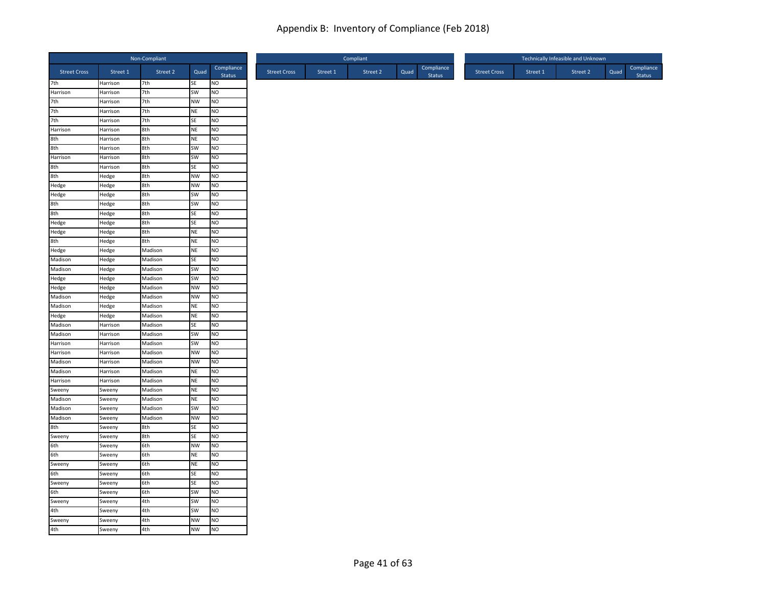|                     |          | Non-Compliant |           |                      |
|---------------------|----------|---------------|-----------|----------------------|
| <b>Street Cross</b> | Street 1 | Street 2      | Quad      | Compliance<br>Status |
| 7 <sup>th</sup>     | Harrison | 7th           | SE        | <b>NO</b>            |
| Harrison            | Harrison | 7th           | SW        | N <sub>O</sub>       |
|                     | Harrison | 7th           | <b>NW</b> | NO                   |
| 7th                 | Harrison | 7th           | <b>NE</b> | <b>NO</b>            |
| 7th                 | Harrison | 7th           | SE        | <b>NO</b>            |
| Harrison            | Harrison | 8th           | <b>NE</b> | N <sub>O</sub>       |
| 8th<br>8th          | Harrison | 8th           | <b>NE</b> | NO                   |
|                     | Harrison | 8th           | SW        | <b>NO</b>            |
| Harrison            | Harrison | 8th           | SW        | <b>NO</b>            |
| 8th                 | Harrison | 8th           | SE        | <b>NO</b>            |
| 8th                 | Hedge    | 8th           | <b>NW</b> | N <sub>O</sub>       |
| Hedge               | Hedge    | 8th           | <b>NW</b> | N <sub>O</sub>       |
| Hedge               | Hedge    | 8th           | SW        | <b>NO</b>            |
| 8th                 | Hedge    | 8th           | <b>SW</b> | N <sub>O</sub>       |
| 8th                 | Hedge    | 8th           | SE        | NO                   |
| Hedge               | Hedge    | 8th           | SE        | N <sub>O</sub>       |
| Hedge               | Hedge    | 8th           | <b>NE</b> | NO                   |
| 8th                 | Hedge    | 8th           | <b>NE</b> | <b>NO</b>            |
| Hedge               | Hedge    | Madison       | <b>NE</b> | N <sub>O</sub>       |
| Madison             | Hedge    | Madison       | SE        | NO                   |
| Madison             | Hedge    | Madison       | SW        | <b>NO</b>            |
| Hedge               | Hedge    | Madison       | SW        | <b>NO</b>            |
| Hedge               | Hedge    | Madison       | <b>NW</b> | <b>NO</b>            |
| Madison             | Hedge    | Madison       | <b>NW</b> | N <sub>O</sub>       |
| Madison             | Hedge    | Madison       | <b>NE</b> | <b>NO</b>            |
| Hedge               | Hedge    | Madison       | <b>NE</b> | <b>NO</b>            |
| Madison             | Harrison | Madison       | <b>SE</b> | <b>NO</b>            |
| Madison             | Harrison | Madison       | SW        | <b>NO</b>            |
| Harrison            | Harrison | Madison       | SW        | N <sub>O</sub>       |
| Harrison            | Harrison | Madison       | NW        | <b>NO</b>            |
| Madison             | Harrison | Madison       | <b>NW</b> | <b>NO</b>            |
| Madison             | Harrison | Madison       | <b>NE</b> | N <sub>O</sub>       |
| Harrison            | Harrison | Madison       | <b>NE</b> | NO                   |
| Sweeny              | Sweeny   | Madison       | <b>NE</b> | N <sub>O</sub>       |
| <b>Madison</b>      | Sweeny   | Madison       | <b>NE</b> | NO                   |
| Madison             | Sweeny   | Madison       | SW        | N <sub>O</sub>       |
| Madison             | Sweeny   | Madison       | <b>NW</b> | NO                   |
| 8th                 | Sweeny   | 8th           | SE        | NO                   |
| Sweeny              | Sweeny   | 8th           | <b>SE</b> | <b>NO</b>            |
| 6th                 | Sweeny   | 6th           | <b>NW</b> | <b>NO</b>            |
| 6th                 | Sweeny   | 6th           | <b>NE</b> | N <sub>O</sub>       |
| Sweeny              | Sweeny   | 6th           | <b>NE</b> | N <sub>O</sub>       |
| 6th                 | Sweeny   | 6th           | SE        | <b>NO</b>            |
| Sweeny              | Sweeny   | 6th           | SE        | N <sub>O</sub>       |
| 6th                 | Sweeny   | 6th           | SW        | <b>NO</b>            |
| Sweeny              | Sweeny   | 4th           | SW        | N <sub>O</sub>       |
| 4th                 | Sweeny   | 4th           | SW        | N <sub>O</sub>       |
| Sweeny              | Sweeny   | 4th           | <b>NW</b> | <b>NO</b>            |
| 4th                 | Sweeny   | 4th           | <b>NW</b> | N <sub>O</sub>       |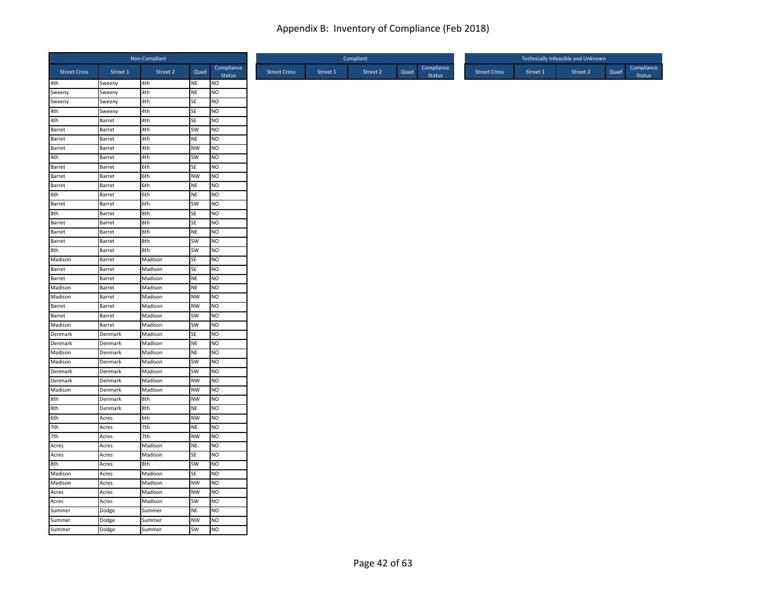|                     |                  | Non-Compliant |                 |                        |
|---------------------|------------------|---------------|-----------------|------------------------|
| <b>Street Cross</b> | Street 1         | Street 2      | Quad            | Compliance<br>Status   |
| 4th                 | Sweeny           | 4th           | NE              | <b>NO</b>              |
| Sweeny              | Sweeny           | 4th           | NE              | NO                     |
| Sweeny              | Sweeny           | 4th           | SE              | NO                     |
| 4th                 | Sweeny           | 4th           | SE              | NO                     |
| 4th                 | Barret           | 4th           | SE              | <b>NO</b>              |
| Barret              | Barret           | 4th           | SW              | N <sub>O</sub>         |
| Barret              | Barret           | 4th           | <b>NE</b>       | N <sub>O</sub>         |
| Barret<br>4th       | Barret<br>Barret | 4th<br>4th    | <b>NW</b><br>SW | <b>NO</b><br><b>NO</b> |
| Barret              | Barret           | 6th           | SE              | N <sub>O</sub>         |
| Barret              | Barret           | 6th           | <b>NW</b>       | NO                     |
| Barret              | Barret           | 6th           | <b>NE</b>       | N <sub>O</sub>         |
| 6th                 | Barret           | 6th           | NE              | <b>NO</b>              |
| Barret              | Barret           | 6th           | SW              | N <sub>O</sub>         |
| 8th                 | Barret           | 8th           | SE              | <b>NO</b>              |
| Barret              | Barret           | 8th           | SE              | N <sub>O</sub>         |
| Barret              | Barret           | 8th           | <b>NE</b>       | <b>NO</b>              |
| Barret              | Barret           | 8th           | SW              | <b>NO</b>              |
| 8th                 | Barret           | 8th           | SW              | NO                     |
| Madison             | Barret           | Madison       | SE              | NO                     |
| Barret              | Barret           | Madison       | SE              | <b>NO</b>              |
| Barret              | Barret           | Madison       | NE              | N <sub>O</sub>         |
| Madison             | Barret           | Madison       | <b>NE</b>       | <b>NO</b>              |
| Madison             | Barret           | Madison       | <b>NW</b>       | N <sub>O</sub>         |
| Barret              | Barret           | Madison       | <b>NW</b>       | <b>NO</b>              |
| Barret              | Barret           | Madison       | SW              | NO                     |
| Madison             | Barret           | Madison       | SW              | N <sub>O</sub>         |
| Denmark             | Denmark          | Madison       | SE              | N <sub>O</sub>         |
| Denmark             | Denmark          | Madison       | <b>NE</b>       | NO                     |
| Madison             | Denmark          | Madison       | NE              | <b>NO</b>              |
| Madison             | Denmark          | Madison       | SW              | <b>NO</b>              |
| Denmark             | Denmark          | Madison       | SW              | N <sub>O</sub>         |
| Denmark             | Denmark          | Madison       | <b>NW</b>       | <b>NO</b>              |
| Madison             | Denmark          | Madison       | <b>NW</b>       | N <sub>O</sub>         |
| 8th                 | Denmark          | 8th           | <b>NW</b>       | <b>NO</b>              |
| 8th                 | Denmark          | 8th           | NE              | N <sub>O</sub>         |
| 6th                 | Acres            | 6th           | <b>NW</b>       | NO                     |
| 7th                 | Acres            | 7th           | NE              | NO                     |
| 7th                 | Acres            | 7th           | <b>NW</b>       | <b>NO</b>              |
| Acres               | Acres            | Madison       | NE              | <b>NO</b>              |
| Acres               | Acres            | Madison       | SE              | N <sub>O</sub>         |
| 8th                 | Acres            | 8th           | SW              | N <sub>O</sub>         |
| Madison             | Acres            | Madison       | <b>SE</b>       | <b>NO</b>              |
| Madison             | Acres            | Madison       | <b>NW</b>       | N <sub>O</sub>         |
| Acres               | Acres            | Madison       | <b>NW</b>       | <b>NO</b>              |
| Acres               | Acres            | Madison       | SW              | NO                     |
| Summer              | Dodge            | Summer        | NE              | N <sub>O</sub>         |
| Summer              | Dodge            | Summer        | <b>NW</b>       | <b>NO</b>              |
| Summer              | Dodge            | Summer        | SW              | <b>NO</b>              |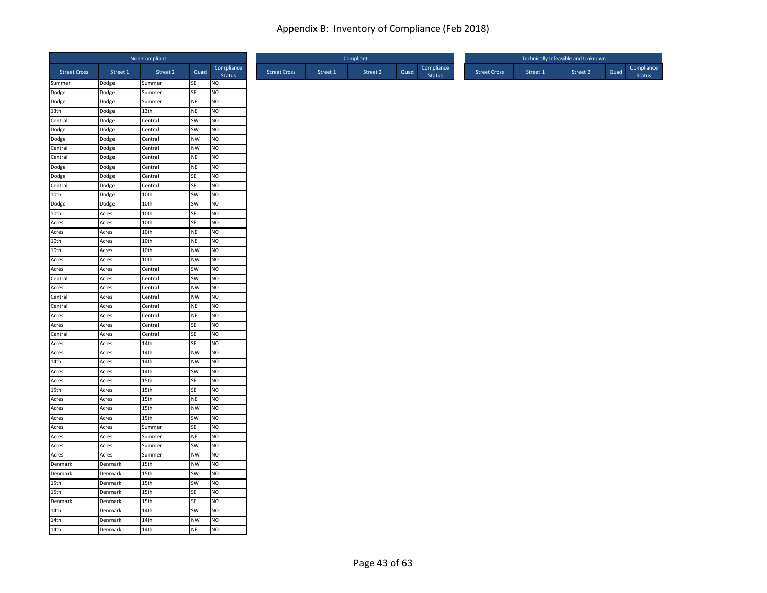|                     |                    | Non-Compliant      |           |                      |
|---------------------|--------------------|--------------------|-----------|----------------------|
| <b>Street Cross</b> | Street 1           | Street 2           | Quad      | Compliance<br>Status |
| Summer              | Dodge              | Summer             | SE        | <b>NO</b>            |
| Dodge               | Dodge              | Summer             | SE        | NO                   |
| Dodge               | Dodge              | Summer             | NE        | NO                   |
| 13th                | Dodge              | 13th               | NE<br>SW  | NO<br><b>NO</b>      |
| Central<br>Dodge    | Dodge<br>Dodge     | Central<br>Central | SW        | N <sub>O</sub>       |
| Dodge               | Dodge              | Central            | <b>NW</b> | N <sub>O</sub>       |
| Central             | Dodge              | Central            | <b>NW</b> | <b>NO</b>            |
| Central             | Dodge              | Central            | NE        | <b>NO</b>            |
| Dodge               | Dodge              | Central            | NE        | N <sub>O</sub>       |
| Dodge               | Dodge              | Central            | SE        | NO                   |
| Central             | Dodge              | Central            | SE        | N <sub>O</sub>       |
| 10th                | Dodge              | 10th               | SW        | <b>NO</b>            |
| Dodge               | Dodge              | 10th               | SW        | N <sub>O</sub>       |
| 10th                | Acres              | 10th               | SE        | <b>NO</b>            |
| Acres               | Acres              | 10th               | SE        | N <sub>O</sub>       |
| Acres               | Acres              | 10th               | <b>NE</b> | <b>NO</b>            |
| 10th                | Acres              | 10th               | <b>NE</b> | <b>NO</b>            |
| 10th                | Acres              | 10th               | <b>NW</b> | NO                   |
| Acres               | Acres              | 10th               | <b>NW</b> | NO                   |
| Acres               | Acres              | Central            | SW        | <b>NO</b>            |
| Central             | Acres              | Central            | SW        | NO                   |
| Acres               | Acres              | Central            | <b>NW</b> | <b>NO</b>            |
| Central             | Acres              | Central            | <b>NW</b> | NO                   |
| Central             | Acres              | Central            | NE        | <b>NO</b>            |
| Acres               | Acres              | Central            | NE        | NO                   |
| Acres               | Acres              | Central            | SE        | N <sub>O</sub>       |
| Central             | Acres              | Central            | SE        | N <sub>O</sub>       |
| Acres               | Acres              | 14th               | SE        | NO                   |
| Acres               | Acres              | 14th               | <b>NW</b> | <b>NO</b>            |
| 14th                | Acres              | 14th               | <b>NW</b> | <b>NO</b>            |
| Acres               | Acres              | 14th               | SW        | N <sub>O</sub>       |
| Acres               | Acres              | 15th               | SE        | <b>NO</b>            |
| 15th                | Acres              | 15th               | SE        | N <sub>O</sub>       |
| Acres               | Acres              | 15th               | <b>NE</b> | <b>NO</b>            |
| Acres               | Acres              | 15th               | <b>NW</b> | N <sub>O</sub>       |
| Acres               | Acres              | 15th               | SW        | NO                   |
| Acres               | Acres              | Summer             | SE        | NO                   |
| Acres               | Acres              | Summer             | <b>NE</b> | <b>NO</b>            |
| Acres               | Acres              | Summer             | SW        | <b>NO</b>            |
| Acres               | Acres              | Summer             | <b>NW</b> | N <sub>O</sub>       |
| Denmark             | Denmark            | 15th               | <b>NW</b> | N <sub>O</sub>       |
| Denmark             | Denmark            | 15th               | SW        | <b>NO</b>            |
| 15th<br>15th        | Denmark            | 15th               | SW        | NO                   |
| Denmark             | Denmark            | 15th               | SE<br>SE  | <b>NO</b><br>NO      |
| 14th                | Denmark            | 15th<br>14th       | SW        | N <sub>O</sub>       |
| 14th                | Denmark<br>Denmark | 14th               | <b>NW</b> | <b>NO</b>            |
| 14th                | Denmark            | 14th               | <b>NE</b> | <b>NO</b>            |
|                     |                    |                    |           |                      |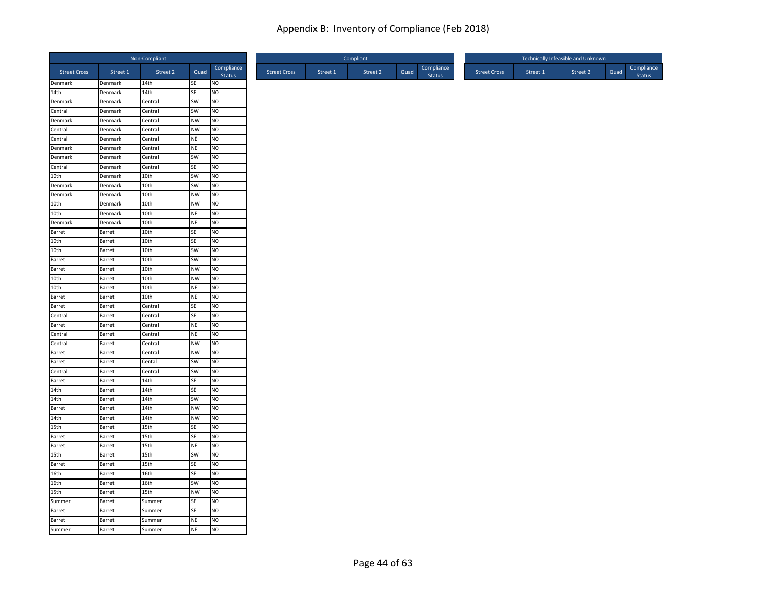|                     |                  | Non-Compliant |           |                      |
|---------------------|------------------|---------------|-----------|----------------------|
| <b>Street Cross</b> | Street 1         | Street 2      | Quad      | Compliance<br>Status |
| Denmark             | Denmark          | 14th          | SE        | <b>NO</b>            |
| 14th                | Denmark          | 14th          | SE        | NO                   |
| Denmark             | Denmark          | Central       | SW        | NO                   |
| Central             | Denmark          | Central       | SW        | NO                   |
| Denmark             | Denmark          | Central       | <b>NW</b> | <b>NO</b>            |
| Central             | Denmark          | Central       | <b>NW</b> | N <sub>O</sub>       |
| Central             | Denmark          | Central       | <b>NE</b> | N <sub>O</sub>       |
| Denmark             | Denmark          | Central       | <b>NE</b> | <b>NO</b>            |
| Denmark             | Denmark          | Central       | SW        | <b>NO</b>            |
| Central             | Denmark          | Central       | SE        | N <sub>O</sub>       |
| 10th                | Denmark          | 10th          | SW        | NO                   |
| Denmark             | Denmark          | 10th          | SW        | N <sub>O</sub>       |
| Denmark             | Denmark          | 10th          | <b>NW</b> | <b>NO</b>            |
| 10th                | Denmark          | 10th          | <b>NW</b> | N <sub>O</sub>       |
| 10th                | Denmark          | 10th          | NE        | <b>NO</b>            |
| Denmark             | Denmark          | 10th          | <b>NE</b> | N <sub>O</sub>       |
| Barret<br>10th      | Barret           | 10th          | SE        | <b>NO</b>            |
| 10th                | Barret           | 10th<br>10th  | SE<br>SW  | <b>NO</b><br>NO      |
| Barret              | Barret<br>Barret | 10th          | SW        | <b>NO</b>            |
| Barret              | Barret           | 10th          | <b>NW</b> | <b>NO</b>            |
| 10th                | Barret           | 10th          | <b>NW</b> | NO                   |
| 10th                | Barret           | 10th          | <b>NE</b> | <b>NO</b>            |
| Barret              | Barret           | 10th          | <b>NE</b> | NO                   |
| Barret              | Barret           | Central       | <b>SE</b> | <b>NO</b>            |
| Central             | Barret           | Central       | SE        | N <sub>O</sub>       |
| Barret              | Barret           | Central       | <b>NE</b> | N <sub>O</sub>       |
| Central             | Barret           | Central       | NE        | N <sub>O</sub>       |
| Central             | Barret           | Central       | <b>NW</b> | NO                   |
| Barret              | Barret           | Central       | <b>NW</b> | <b>NO</b>            |
| Barret              | Barret           | Cental        | SW        | <b>NO</b>            |
| Central             | Barret           | Central       | SW        | N <sub>O</sub>       |
| Barret              | Barret           | 14th          | SE        | <b>NO</b>            |
| 14th                | Barret           | 14th          | SE        | N <sub>O</sub>       |
| 14th                | Barret           | 14th          | SW        | <b>NO</b>            |
| Barret              | Barret           | 14th          | <b>NW</b> | N <sub>O</sub>       |
| 14th                | Barret           | 14th          | <b>NW</b> | NO                   |
| 15th                | Barret           | 15th          | SE        | NO                   |
| Barret              | Barret           | 15th          | SE        | <b>NO</b>            |
| Barret              | Barret           | 15th          | NE        | <b>NO</b>            |
| 15th                | Barret           | 15th          | SW        | N <sub>O</sub>       |
| Barret              | Barret           | 15th          | SE        | N <sub>O</sub>       |
| 16th                | Barret           | 16th          | <b>SE</b> | <b>NO</b>            |
| 16th                | Barret           | 16th          | SW        | N <sub>O</sub>       |
| 15th                | Barret           | 15th          | <b>NW</b> | <b>NO</b>            |
| Summer              | Barret           | Summer        | SE        | NO                   |
| Barret              | Barret           | Summer        | SE        | N <sub>O</sub>       |
| Barret              | Barret           | Summer        | <b>NE</b> | <b>NO</b>            |
| Summer              | Barret           | Summer        | <b>NE</b> | N <sub>O</sub>       |
|                     |                  |               |           |                      |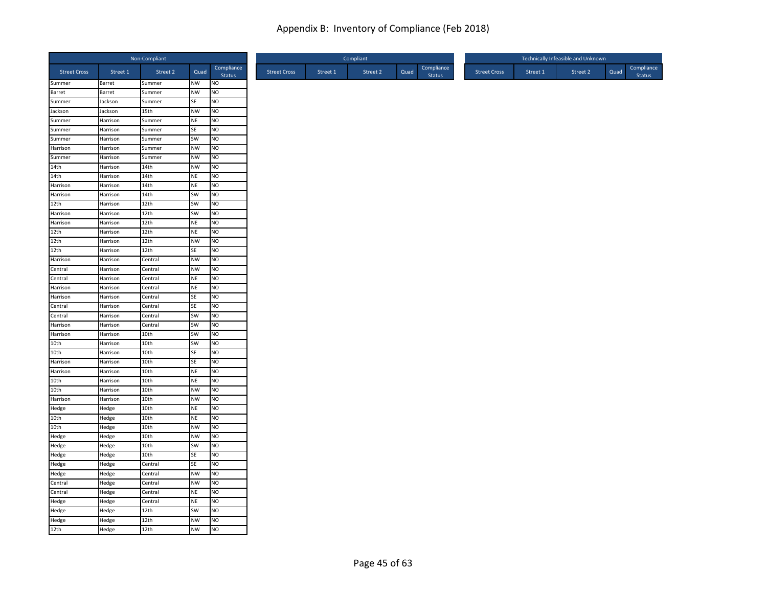|                     |                      | Non-Compliant    |                 |                        |
|---------------------|----------------------|------------------|-----------------|------------------------|
| <b>Street Cross</b> | Street 1             | Street 2         | Quad            | Compliance<br>Status   |
| Summer              | Barret               | Summer           | <b>NW</b>       | <b>NO</b>              |
| Barret              | Barret               | Summer           | <b>NW</b>       | NO                     |
| Summer              | Jackson              | Summer           | SE              | NO                     |
| Jackson             | Jackson              | 15th             | <b>NW</b>       | <b>NO</b>              |
| Summer              | Harrison             | Summer           | <b>NE</b>       | <b>NO</b>              |
| Summer              | Harrison             | Summer           | SE              | N <sub>O</sub>         |
| Summer<br>Harrison  | Harrison<br>Harrison | Summer           | SW<br><b>NW</b> | <b>NO</b><br><b>NO</b> |
| Summer              | Harrison             | Summer<br>Summer | <b>NW</b>       | <b>NO</b>              |
| 14th                | Harrison             | 14th             | <b>NW</b>       | <b>NO</b>              |
| 14th                | Harrison             | 14th             | <b>NE</b>       | N <sub>O</sub>         |
| Harrison            | Harrison             | 14th             | <b>NE</b>       | N <sub>O</sub>         |
| Harrison            | Harrison             | 14th             | SW              | <b>NO</b>              |
| 12th                | Harrison             | 12th             | <b>SW</b>       | N <sub>O</sub>         |
| Harrison            | Harrison             | 12th             | SW              | NO                     |
| Harrison            | Harrison             | 12th             | <b>NE</b>       | N <sub>O</sub>         |
| 12th                | Harrison             | 12th             | <b>NE</b>       | <b>NO</b>              |
| 12th                | Harrison             | 12th             | <b>NW</b>       | <b>NO</b>              |
| 12th                | Harrison             | 12th             | SE              | NO                     |
| Harrison            | Harrison             | Central          | <b>NW</b>       | NO                     |
| Central             | Harrison             | Central          | <b>NW</b>       | <b>NO</b>              |
| Central             | Harrison             | Central          | <b>NE</b>       | <b>NO</b>              |
| Harrison            | Harrison             | Central          | <b>NE</b>       | <b>NO</b>              |
| Harrison            | Harrison             | Central          | SE              | N <sub>O</sub>         |
| Central             | Harrison             | Central          | SE              | <b>NO</b>              |
| Central             | Harrison             | Central          | SW              | <b>NO</b>              |
| Harrison            | Harrison             | Central          | SW              | <b>NO</b>              |
| Harrison            | Harrison             | 10th             | SW              | <b>NO</b>              |
| 10th                | Harrison             | 10th             | SW              | N <sub>O</sub>         |
| 10th                | Harrison             | 10th             | SE              | <b>NO</b>              |
| Harrison            | Harrison             | 10th             | <b>SE</b>       | NO                     |
| Harrison            | Harrison             | 10th             | <b>NE</b>       | N <sub>O</sub>         |
| 10th                | Harrison             | 10th             | <b>NE</b>       | NO                     |
| 10th                | Harrison             | 10th             | <b>NW</b>       | N <sub>O</sub>         |
| Harrison            | Harrison             | 10th             | <b>NW</b>       | <b>NO</b>              |
| Hedge               | Hedge                | 10th             | <b>NE</b>       | N <sub>O</sub>         |
| 10th                | Hedge                | 10th             | <b>NE</b>       | NO                     |
| 10th                | Hedge                | 10th             | <b>NW</b>       | NO                     |
| Hedge               | Hedge                | 10th             | <b>NW</b>       | <b>NO</b>              |
| Hedge               | Hedge                | 10th             | SW              | <b>NO</b>              |
| Hedge               | Hedge                | 10th             | SE              | N <sub>O</sub>         |
| Hedge               | Hedge                | Central          | SE              | N <sub>O</sub>         |
| Hedge               | Hedge                | Central          | <b>NW</b>       | <b>NO</b>              |
| Central             | Hedge                | Central          | NW              | <b>NO</b>              |
| Central             | Hedge                | Central          | <b>NE</b>       | <b>NO</b>              |
| Hedge               | Hedge                | Central          | <b>NE</b>       | N <sub>O</sub>         |
| Hedge               | Hedge                | 12th             | SW              | NO                     |
| Hedge               | Hedge                | 12th             | <b>NW</b>       | <b>NO</b>              |
| 12th                | Hedge                | 12th             | <b>NW</b>       | NO                     |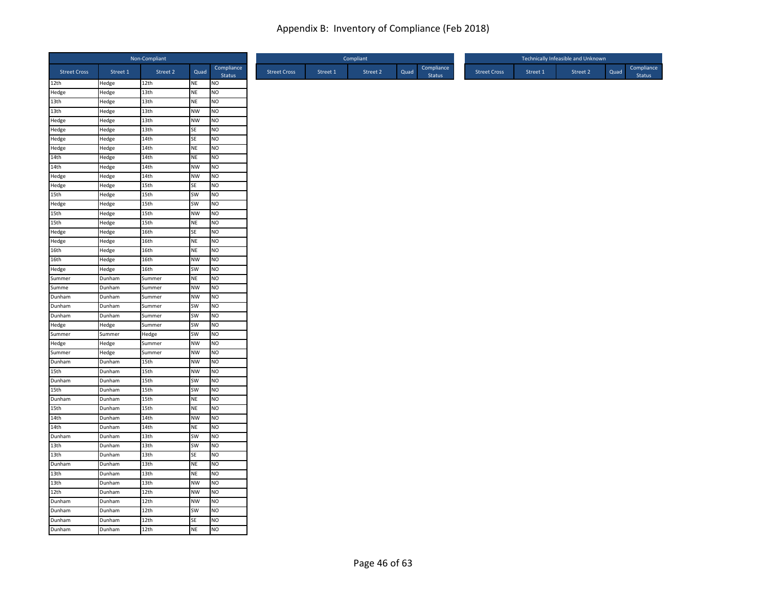|                     |          | Non-Compliant    |           |                      |                     |          | Compliant |      |                             |                     |          | Technically Infeasible and Unknown |      |                      |
|---------------------|----------|------------------|-----------|----------------------|---------------------|----------|-----------|------|-----------------------------|---------------------|----------|------------------------------------|------|----------------------|
| <b>Street Cross</b> | Street 1 | Street 2         | Quad      | Compliance<br>Status | <b>Street Cross</b> | Street 1 | Street 2  | Quad | Compliance<br><b>Status</b> | <b>Street Cross</b> | Street 1 | Street 2                           | Quad | Compliance<br>Status |
| 12th                | Hedge    | 12th             | <b>NE</b> | NO                   |                     |          |           |      |                             |                     |          |                                    |      |                      |
| Hedge               | Hedge    | 13 <sub>th</sub> | <b>NE</b> | NO                   |                     |          |           |      |                             |                     |          |                                    |      |                      |
| 13th                | Hedge    | 13th             | <b>NE</b> | NO                   |                     |          |           |      |                             |                     |          |                                    |      |                      |
| 13th                | Hedge    | 13 <sub>th</sub> | <b>NW</b> | NO                   |                     |          |           |      |                             |                     |          |                                    |      |                      |
| Hedge               | Hedge    | 13th             | <b>NW</b> | NO.                  |                     |          |           |      |                             |                     |          |                                    |      |                      |
| Hedge               | Hedge    | 13 <sub>th</sub> | SE        | NO                   |                     |          |           |      |                             |                     |          |                                    |      |                      |
| Hedge               | Hedge    | 14th             | SE        | N <sub>O</sub>       |                     |          |           |      |                             |                     |          |                                    |      |                      |
| Hedge               | Hedge    | 14th             | <b>NE</b> | NO                   |                     |          |           |      |                             |                     |          |                                    |      |                      |
| 14th                | Hedge    | 14th             | <b>NE</b> | NO.                  |                     |          |           |      |                             |                     |          |                                    |      |                      |
| 14th                | Hedge    | 14th             | <b>NW</b> | NO                   |                     |          |           |      |                             |                     |          |                                    |      |                      |
| Hedge               | Hedge    | 14th             | <b>NW</b> | NO                   |                     |          |           |      |                             |                     |          |                                    |      |                      |
| Hedge               | Hedge    | 15th             | SE        | N <sub>O</sub>       |                     |          |           |      |                             |                     |          |                                    |      |                      |
| 15th                | Hedge    | 15th             | SW        | NO                   |                     |          |           |      |                             |                     |          |                                    |      |                      |
| Hedge               | Hedge    | 15th             | SW        | NO                   |                     |          |           |      |                             |                     |          |                                    |      |                      |
| 15th                | Hedge    | 15th             | <b>NW</b> | NO                   |                     |          |           |      |                             |                     |          |                                    |      |                      |
| 15th                | Hedge    | 15th             | <b>NE</b> | NO                   |                     |          |           |      |                             |                     |          |                                    |      |                      |
| Hedge               | Hedge    | 16th             | <b>SE</b> | NO.                  |                     |          |           |      |                             |                     |          |                                    |      |                      |
| Hedge               | Hedge    | 16th             | <b>NE</b> | NO                   |                     |          |           |      |                             |                     |          |                                    |      |                      |
| 16th                | Hedge    | 16th             | <b>NE</b> | NO                   |                     |          |           |      |                             |                     |          |                                    |      |                      |
| 16th                | Hedge    | 16th             | <b>NW</b> | NO                   |                     |          |           |      |                             |                     |          |                                    |      |                      |
| Hedge               | Hedge    | 16th             | SW        | NO.                  |                     |          |           |      |                             |                     |          |                                    |      |                      |
| Summer              | Dunham   | Summer           | <b>NE</b> | NO                   |                     |          |           |      |                             |                     |          |                                    |      |                      |
| Summe               | Dunham   | Summer           | <b>NW</b> | NO.                  |                     |          |           |      |                             |                     |          |                                    |      |                      |
| Dunham              | Dunham   | Summer           | <b>NW</b> | NO                   |                     |          |           |      |                             |                     |          |                                    |      |                      |
| Dunham              | Dunham   | Summer           | SW        | NO                   |                     |          |           |      |                             |                     |          |                                    |      |                      |
| Dunham              | Dunham   | Summer           | SW        | NO                   |                     |          |           |      |                             |                     |          |                                    |      |                      |
| Hedge               | Hedge    | Summer           | SW        | NO.                  |                     |          |           |      |                             |                     |          |                                    |      |                      |
| Summer              | Summer   | Hedge            | SW        | NO                   |                     |          |           |      |                             |                     |          |                                    |      |                      |
| Hedge               | Hedge    | Summer           | <b>NW</b> | NO                   |                     |          |           |      |                             |                     |          |                                    |      |                      |
| Summer              | Hedge    | Summer           | <b>NW</b> | NO                   |                     |          |           |      |                             |                     |          |                                    |      |                      |
| Dunham              | Dunham   | 15th             | <b>NW</b> | <b>NO</b>            |                     |          |           |      |                             |                     |          |                                    |      |                      |
| 15th                | Dunham   | 15th             | <b>NW</b> | NO                   |                     |          |           |      |                             |                     |          |                                    |      |                      |
| Dunham              | Dunham   | 15th             | SW        | NO                   |                     |          |           |      |                             |                     |          |                                    |      |                      |
| 15th                | Dunham   | 15th             | SW        | N <sub>O</sub>       |                     |          |           |      |                             |                     |          |                                    |      |                      |
| Dunham              | Dunham   | 15th             | <b>NE</b> | NO.                  |                     |          |           |      |                             |                     |          |                                    |      |                      |
| 15th                | Dunham   | 15th             | <b>NE</b> | NO                   |                     |          |           |      |                             |                     |          |                                    |      |                      |
| 14th                | Dunham   | 14th             | <b>NW</b> | NO                   |                     |          |           |      |                             |                     |          |                                    |      |                      |
| 14th                | Dunham   | 14th             | <b>NE</b> | NO                   |                     |          |           |      |                             |                     |          |                                    |      |                      |
| Dunham              | Dunham   | 13th             | SW        | NO.                  |                     |          |           |      |                             |                     |          |                                    |      |                      |
| 13 <sub>th</sub>    | Dunham   | 13th             | SW        | NO                   |                     |          |           |      |                             |                     |          |                                    |      |                      |
| 13th                | Dunham   | 13 <sub>th</sub> | SE        | NO                   |                     |          |           |      |                             |                     |          |                                    |      |                      |
| Dunham              | Dunham   | 13 <sub>th</sub> | <b>NE</b> | NO                   |                     |          |           |      |                             |                     |          |                                    |      |                      |
| 13th                | Dunham   | 13th             | <b>NE</b> | NO                   |                     |          |           |      |                             |                     |          |                                    |      |                      |
| 13th                | Dunham   | 13th             | <b>NW</b> | NO                   |                     |          |           |      |                             |                     |          |                                    |      |                      |
| 12th                | Dunham   | 12th             | <b>NW</b> | NO                   |                     |          |           |      |                             |                     |          |                                    |      |                      |
| Dunham              | Dunham   | 12th             | <b>NW</b> | NO                   |                     |          |           |      |                             |                     |          |                                    |      |                      |
| Dunham              | Dunham   | 12th             | SW        | NO                   |                     |          |           |      |                             |                     |          |                                    |      |                      |
| Dunham              | Dunham   | 12th             | SE        | NO                   |                     |          |           |      |                             |                     |          |                                    |      |                      |
| Dunham              | Dunham   | 12th             | <b>NE</b> | N <sub>O</sub>       |                     |          |           |      |                             |                     |          |                                    |      |                      |
|                     |          |                  |           |                      |                     |          |           |      |                             |                     |          |                                    |      |                      |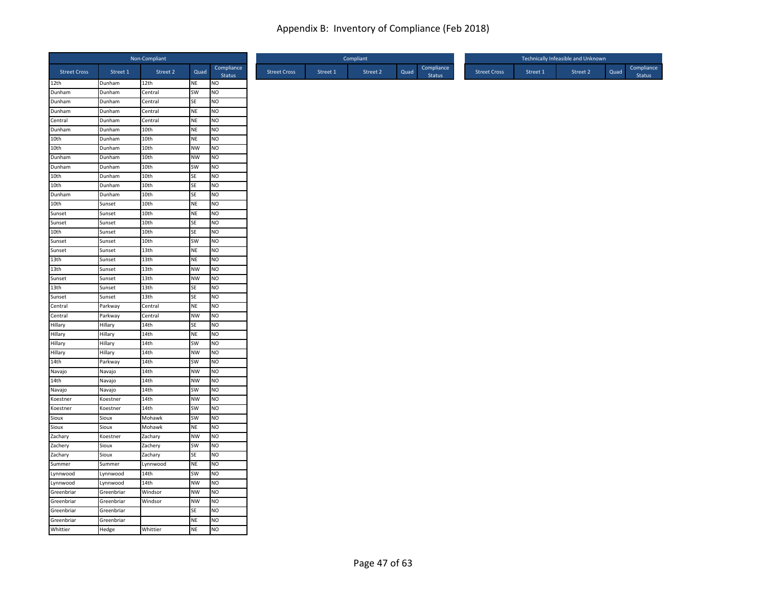|                     |            | Non-Compliant    |           |                     |
|---------------------|------------|------------------|-----------|---------------------|
| <b>Street Cross</b> | Street 1   | Street 2         | Quad      | Compliance          |
| 12th                | Dunham     | 12th             | <b>NE</b> | <b>Status</b><br>NO |
| Dunham              | Dunham     | Central          | SW        | NO                  |
| Dunham              | Dunham     | Central          | SE        | NO                  |
| Dunham              | Dunham     | Central          | <b>NE</b> | NO.                 |
| Central             | Dunham     | Central          | NE        | NO                  |
| Dunham              | Dunham     | 10th             | <b>NE</b> | NO                  |
| 10th                | Dunham     | 10th             | <b>NE</b> | N <sub>O</sub>      |
| 10th                | Dunham     | 10th             | <b>NW</b> | NO                  |
| Dunham              | Dunham     | 10th             | <b>NW</b> | NO                  |
| Dunham              | Dunham     | 10th             | SW        | NO                  |
| 10th                | Dunham     | 10 <sub>th</sub> | <b>SE</b> | NO.                 |
| 10th                | Dunham     | 10th             | SE        | NO.                 |
| Dunham              | Dunham     | 10th             | SE        | NO                  |
| 10th                | Sunset     | 10th             | <b>NE</b> | N <sub>O</sub>      |
| Sunset              | Sunset     | 10th             | <b>NE</b> | NO                  |
| Sunset              | Sunset     | 10th             | <b>SE</b> | NO.                 |
| 10th                | Sunset     | 10th             | SE        | NO                  |
| Sunset              | Sunset     | 10th             | SW        | NO                  |
| Sunset              | Sunset     | 13th             | <b>NE</b> | NO.                 |
| 13th                | Sunset     | 13th             | <b>NE</b> | NO                  |
| 13th                | Sunset     | 13 <sub>th</sub> | <b>NW</b> | NO                  |
| Sunset              | Sunset     | 13 <sub>th</sub> | <b>NW</b> | NO                  |
| 13th                | Sunset     | 13th             | <b>SE</b> | NO                  |
| Sunset              | Sunset     | 13th             | <b>SE</b> | NO.                 |
| Central             | Parkway    | Central          | <b>NE</b> | NO                  |
| Central             | Parkway    | Central          | <b>NW</b> | NO                  |
| Hillary             | Hillary    | 14th             | SE        | NO                  |
| Hillary             | Hillary    | 14th             | <b>NE</b> | NO.                 |
| Hillary             | Hillary    | 14th             | SW        | NO                  |
| Hillary             | Hillary    | 14th             | <b>NW</b> | NO                  |
| 14th                | Parkway    | 14th             | SW        | NO.                 |
| Navajo              | Navajo     | 14th             | <b>NW</b> | NO                  |
| 14th                | Navajo     | 14th             | <b>NW</b> | NO.                 |
| Navajo              | Navajo     | 14th             | SW        | NO                  |
| Koestner            | Koestner   | 14th             | <b>NW</b> | NO                  |
| Koestner            | Koestner   | 14th             | SW        | NO.                 |
| Sioux               | Sioux      | Mohawk           | SW        | NO                  |
| Sioux               | Sioux      | Mohawk           | <b>NE</b> | NO                  |
| Zachary             | Koestner   | Zachary          | <b>NW</b> | N <sub>O</sub>      |
| Zachery             | Sioux      | Zachery          | SW        | NO                  |
| Zachary             | Sioux      | Zachary          | SE        | NO                  |
| Summer              | Summer     | Lynnwood         | <b>NE</b> | NO                  |
| Lynnwood            | Lynnwood   | 14th             | SW        | NO                  |
| Lynnwood            | Lynnwood   | 14th             | <b>NW</b> | N <sub>O</sub>      |
| Greenbriar          | Greenbriar | Windsor          | <b>NW</b> | NO                  |
| Greenbriar          | Greenbriar | Windsor          | <b>NW</b> | NO                  |
| Greenbriar          | Greenbriar |                  | SE        | NO                  |
| Greenbriar          | Greenbriar |                  | <b>NE</b> | NO.                 |
| Whittier            | Hedge      | Whittier         | <b>NE</b> | N <sub>O</sub>      |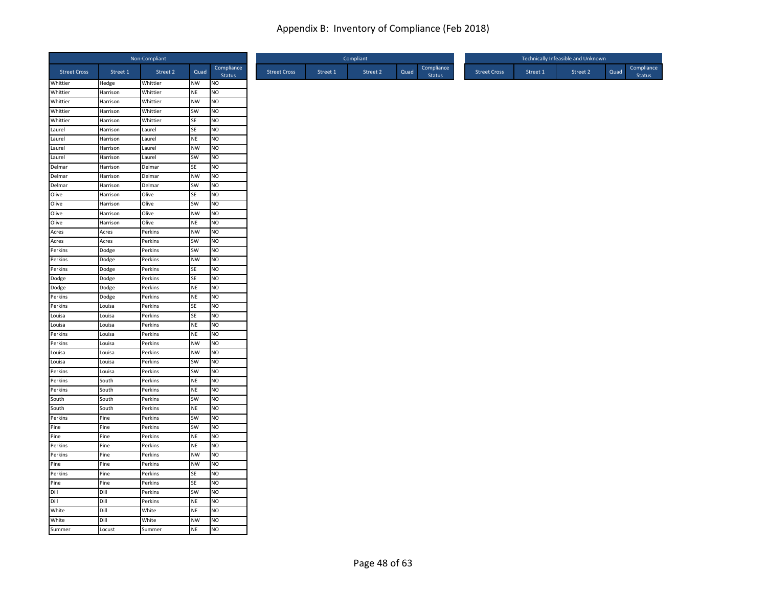|                     |                      | Non-Compliant    |           |                      |
|---------------------|----------------------|------------------|-----------|----------------------|
| <b>Street Cross</b> | Street 1             | Street 2         | Quad      | Compliance<br>Status |
| Whittier            | Hedge                | Whittier         | NW        | <b>NO</b>            |
| Whittier            | Harrison             | Whittier         | <b>NE</b> | Ю                    |
| Whittier            | Harrison             | Whittier         | <b>NW</b> | <b>NO</b>            |
| Whittier            | Harrison             | Whittier         | SW        | <b>NO</b>            |
| Whittier<br>Laurel  | Harrison             | Whittier         | SE<br>SE  | NO<br>NO             |
| Laurel              | Harrison<br>Harrison | Laurel<br>Laurel | <b>NE</b> | NO                   |
| Laurel              | Harrison             | Laurel           | <b>NW</b> | <b>NO</b>            |
| Laurel              | Harrison             | Laurel           | SW        | <b>NO</b>            |
| Delmar              | Harrison             | Delmar           | SE        | NO                   |
| Delmar              | Harrison             | Delmar           | <b>NW</b> | <b>NO</b>            |
| Delmar              | Harrison             | Delmar           | SW        | <b>NO</b>            |
| Olive               | Harrison             | Olive            | SE        | <b>NO</b>            |
| Olive               | Harrison             | Olive            | SW        | NO                   |
| Olive               | Harrison             | Olive            | <b>NW</b> | NO                   |
| Olive               | Harrison             | Olive            | <b>NE</b> | NO                   |
| Acres               | Acres                | Perkins          | <b>NW</b> | <b>NO</b>            |
| Acres               | Acres                | Perkins          | SW        | <b>NO</b>            |
| Perkins             | Dodge                | Perkins          | SW        | <b>NO</b>            |
| Perkins             | Dodge                | Perkins          | <b>NW</b> | <b>NO</b>            |
| Perkins             | Dodge                | Perkins          | <b>SE</b> | <b>NO</b>            |
| Dodge               | Dodge                | Perkins          | SE        | <b>NO</b>            |
| Dodge               | Dodge                | Perkins          | <b>NE</b> | NO                   |
| Perkins             | Dodge                | Perkins          | <b>NE</b> | NO                   |
| Perkins             | Louisa               | Perkins          | SE        | <b>NO</b>            |
| Louisa              | Louisa               | Perkins          | SE        | <b>NO</b>            |
| Louisa              | Louisa               | Perkins          | <b>NE</b> | <b>NO</b>            |
| Perkins             | Louisa               | Perkins          | <b>NE</b> | <b>NO</b>            |
| Perkins             | Louisa               | Perkins          | <b>NW</b> | <b>NO</b>            |
| Louisa              | Louisa               | Perkins          | <b>NW</b> | <b>NO</b>            |
| Louisa              | Louisa               | Perkins          | SW        | <b>NO</b>            |
| Perkins             | Louisa               | Perkins          | SW        | <b>NO</b>            |
| Perkins             | South                | Perkins          | <b>NE</b> | NO                   |
| Perkins             | South                | Perkins          | <b>NE</b> | NO                   |
| South               | South                | Perkins          | SW        | <b>NO</b>            |
| South               | South                | Perkins          | <b>NE</b> | <b>NO</b>            |
| Perkins             | Pine                 | Perkins          | SW        | <b>NO</b>            |
| Pine                | Pine                 | Perkins          | SW        | <b>NO</b>            |
| Pine                | Pine                 | Perkins          | <b>NE</b> | <b>NO</b>            |
| Perkins             | Pine                 | Perkins          | <b>NE</b> | <b>NO</b>            |
| Perkins             | Pine                 | Perkins          | <b>NW</b> | NO                   |
| Pine                | Pine                 | Perkins          | <b>NW</b> | NO                   |
| Perkins             | Pine                 | Perkins          | SE        | <b>NO</b>            |
| Pine                | Pine                 | Perkins          | SE        | <b>NO</b>            |
| Dill                | Dill                 | Perkins          | SW        | <b>NO</b>            |
| Dill                | Dill                 | Perkins          | <b>NE</b> | Ю                    |
| White               | Dill                 | White            | <b>NE</b> | <b>NO</b>            |
| White               | Dill                 | White            | <b>NW</b> | <b>NO</b>            |
| Summer              | Locust               | Summer           | <b>NE</b> | <b>NO</b>            |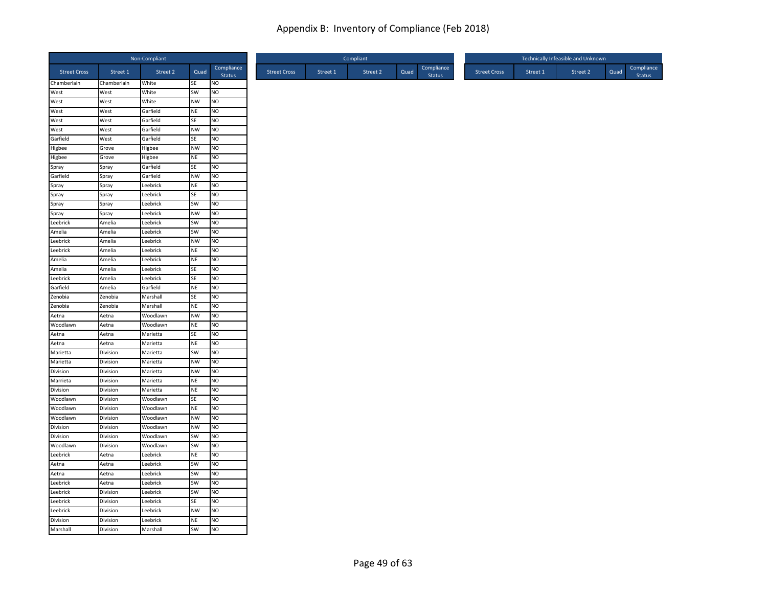|                         |                | Non-Compliant      |                        |                        |
|-------------------------|----------------|--------------------|------------------------|------------------------|
| <b>Street Cross</b>     | Street 1       | Street 2           | Quad                   | Compliance<br>Status   |
| Chamberlain             | Chamberlain    | White              | SE                     | <b>NO</b>              |
| West                    | West           | White              | SW                     | NO                     |
| West                    | West           | White              | <b>NW</b>              | NO                     |
| West                    | West           | Garfield           | <b>NE</b>              | NO                     |
| West                    | West           | Garfield           | <b>SE</b>              | <b>NO</b>              |
| West                    | West           | Garfield           | <b>NW</b>              | N <sub>O</sub>         |
| Garfield                | West           | Garfield           | SE                     | <b>NO</b>              |
| Higbee<br><b>Higbee</b> | Grove<br>Grove | Higbee             | <b>NW</b><br><b>NE</b> | <b>NO</b><br><b>NO</b> |
|                         | Spray          | Higbee<br>Garfield | SE                     | <b>NO</b>              |
| Spray<br>Garfield       | Spray          | Garfield           | <b>NW</b>              | NO                     |
| Spray                   | Spray          | Leebrick           | <b>NE</b>              | N <sub>O</sub>         |
| Spray                   |                | Leebrick           | <b>SE</b>              | <b>NO</b>              |
| Spray                   | Spray<br>Spray | Leebrick           | SW                     | N <sub>O</sub>         |
| Spray                   | Spray          | Leebrick           | <b>NW</b>              | NO                     |
| Leebrick                | Amelia         | Leebrick           | SW                     | N <sub>O</sub>         |
| Amelia                  | Amelia         | Leebrick           | SW                     | <b>NO</b>              |
| Leebrick                | Amelia         | Leebrick           | <b>NW</b>              | <b>NO</b>              |
| Leebrick                | Amelia         | Leebrick           | <b>NE</b>              | NO                     |
| Amelia                  | Amelia         | Leebrick           | <b>NE</b>              | NO                     |
| Amelia                  | Amelia         | Leebrick           | <b>SE</b>              | <b>NO</b>              |
| Leebrick                | Amelia         | Leebrick           | SE                     | NO                     |
| Garfield                | Amelia         | Garfield           | <b>NE</b>              | <b>NO</b>              |
| Zenobia                 | Zenobia        | Marshall           | SE                     | N <sub>O</sub>         |
| Zenobia                 | Zenobia        | Marshall           | <b>NE</b>              | <b>NO</b>              |
| Aetna                   | Aetna          | Woodlawn           | <b>NW</b>              | <b>NO</b>              |
| Woodlawn                | Aetna          | Woodlawn           | <b>NE</b>              | <b>NO</b>              |
| Aetna                   | Aetna          | Marietta           | SE                     | <b>NO</b>              |
| Aetna                   | Aetna          | Marietta           | <b>NE</b>              | NO                     |
| Marietta                | Division       | Marietta           | SW                     | <b>NO</b>              |
| Marietta                | Division       | Marietta           | <b>NW</b>              | NO                     |
| Division                | Division       | Marietta           | <b>NW</b>              | N <sub>O</sub>         |
| Marrieta                | Division       | Marietta           | <b>NE</b>              | NO                     |
| Division                | Division       | Marietta           | <b>NE</b>              | N <sub>O</sub>         |
| Woodlawn                | Division       | Woodlawn           | <b>SE</b>              | <b>NO</b>              |
| Woodlawn                | Division       | Woodlawn           | <b>NE</b>              | N <sub>O</sub>         |
| Woodlawn                | Division       | Woodlawn           | <b>NW</b>              | NO                     |
| Division                | Division       | Woodlawn           | <b>NW</b>              | <b>NO</b>              |
| Division                | Division       | Woodlawn           | SW                     | <b>NO</b>              |
| Woodlawn                | Division       | Woodlawn           | SW                     | NO                     |
| Leebrick                | Aetna          | Leebrick           | <b>NE</b>              | NO                     |
| Aetna                   | Aetna          | Leebrick           | SW                     | N <sub>O</sub>         |
| Aetna                   | Aetna          | Leebrick           | SW                     | <b>NO</b>              |
| Leebrick                | Aetna          | Leebrick           | SW                     | NO                     |
| Leebrick                | Division       | Leebrick           | SW                     | <b>NO</b>              |
| Leebrick                | Division       | Leebrick           | SE                     | N <sub>O</sub>         |
| Leebrick                | Division       | Leebrick           | <b>NW</b>              | NO                     |
| Division                | Division       | Leebrick           | <b>NE</b>              | <b>NO</b>              |
| Marshall                | Division       | Marshall           | SW                     | <b>NO</b>              |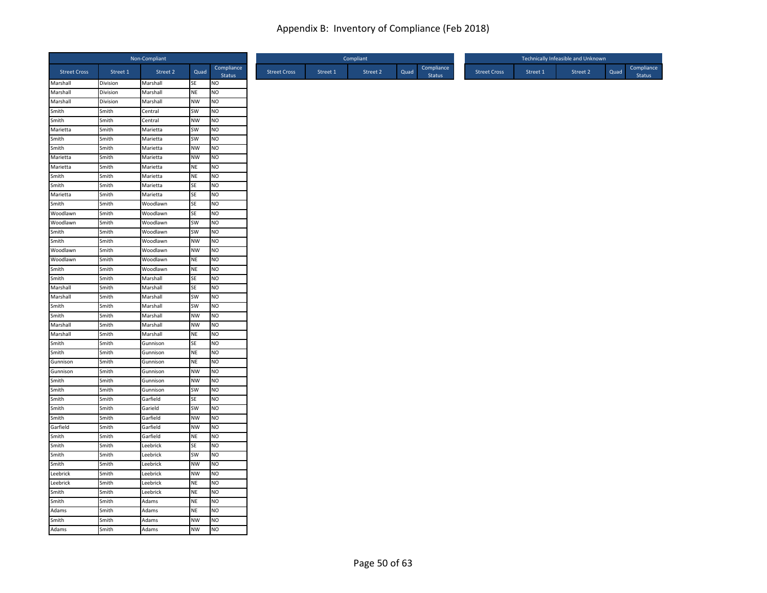|                     |                | Non-Compliant       |                 |                             |
|---------------------|----------------|---------------------|-----------------|-----------------------------|
| <b>Street Cross</b> | Street 1       | Street <sub>2</sub> | Quad            | Compliance<br><b>Status</b> |
| Marshall            | Division       | Marshall            | SE              | NO                          |
| Marshall            | Division       | Marshall            | <b>NE</b>       | NO                          |
| Marshall<br>Smith   | Division       | Marshall            | <b>NW</b>       | <b>NO</b><br>N <sub>O</sub> |
|                     | Smith          | Central             | SW              |                             |
| Smith<br>Marietta   | Smith<br>Smith | Central<br>Marietta | NW<br><b>SW</b> | NO<br>N <sub>O</sub>        |
| Smith               | Smith          | Marietta            | SW              | N <sub>O</sub>              |
| Smith               | Smith          | Marietta            | <b>NW</b>       | <b>NO</b>                   |
| Marietta            | Smith          | Marietta            | NW              | N <sub>O</sub>              |
| Marietta            | Smith          | Marietta            | NE              | NO                          |
| Smith               | Smith          | Marietta            | <b>NE</b>       | N <sub>O</sub>              |
| Smith               | Smith          | Marietta            | SE              | <b>NO</b>                   |
| Marietta            | Smith          | Marietta            | SE              | <b>NO</b>                   |
| Smith               | Smith          | Woodlawn            | SE              | N <sub>O</sub>              |
| Woodlawn            | Smith          | Woodlawn            | SE              | N <sub>O</sub>              |
| Woodlawn            | Smith          | Woodlawn            | SW              | N <sub>O</sub>              |
| Smith               | Smith          | Woodlawn            | SW              | N <sub>O</sub>              |
| Smith               | Smith          | Woodlawn            | <b>NW</b>       | N <sub>O</sub>              |
| Woodlawn            | Smith          | Woodlawn            | NW              | NO                          |
| Woodlawn            | Smith          | Woodlawn            | NE              | <b>NO</b>                   |
| Smith               | Smith          | Woodlawn            | NE              | N <sub>O</sub>              |
| Smith               | Smith          | Marshall            | SE              | <b>NO</b>                   |
| Marshall            | Smith          | Marshall            | SE              | NO                          |
| Marshall            | Smith          | Marshall            | SW              | N <sub>O</sub>              |
| Smith               | Smith          | Marshall            | SW              | <b>NO</b>                   |
| Smith               | Smith          | Marshall            | <b>NW</b>       | <b>NO</b>                   |
| Marshall            | Smith          | Marshall            | <b>NW</b>       | N <sub>O</sub>              |
| Marshall            | Smith          | Marshall            | NE              | NO                          |
| Smith               | Smith          | Gunnison            | SE              | N <sub>O</sub>              |
| Smith               | Smith          | Gunnison            | NE              | <b>NO</b>                   |
| Gunnison            | Smith          | Gunnison            | NE              | N <sub>O</sub>              |
| Gunnison            | Smith          | Gunnison            | <b>NW</b>       | N <sub>O</sub>              |
| Smith               | Smith          | Gunnison            | <b>NW</b>       | NO                          |
| Smith               | Smith          | Gunnison            | SW              | <b>NO</b>                   |
| Smith               | Smith          | Garfield            | <b>SE</b>       | NO                          |
| Smith               | Smith          | Garield             | SW              | N <sub>O</sub>              |
| Smith               | Smith          | Garfield            | <b>NW</b>       | NO                          |
| Garfield            | Smith          | Garfield            | <b>NW</b>       | NO                          |
| Smith               | Smith          | Garfield            | NE              | <b>NO</b>                   |
| Smith               | Smith          | Leebrick            | SE              | <b>NO</b>                   |
| Smith               | Smith          | Leebrick            | <b>SW</b>       | N <sub>O</sub>              |
| Smith               | Smith          | Leebrick            | <b>NW</b>       | N <sub>O</sub>              |
| Leebrick            | Smith          | Leebrick            | <b>NW</b>       | <b>NO</b>                   |
| Leebrick            | Smith          | Leebrick            | NE              | N <sub>O</sub>              |
| Smith               | Smith          | Leebrick            | <b>NE</b>       | <b>NO</b>                   |
| Smith               | Smith          | Adams               | <b>NE</b>       | N <sub>O</sub>              |
| Adams               | Smith          | Adams               | <b>NE</b>       | NO                          |
| Smith               | Smith          | Adams               | <b>NW</b>       | <b>NO</b>                   |
| Adams               | Smith          | Adams               | <b>NW</b>       | <b>NO</b>                   |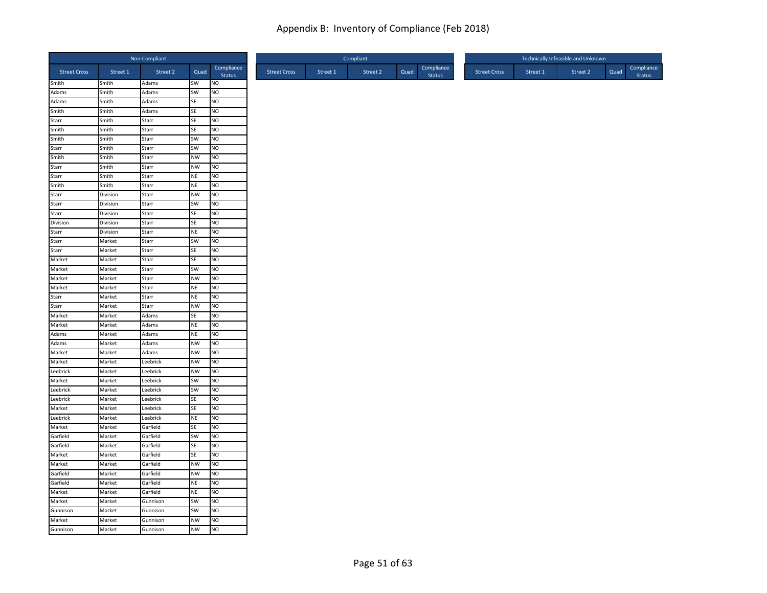| Compliance<br>Street 2<br><b>Street Cross</b><br>Street 1<br>Quad<br><b>Street Cross</b><br>Street 1<br>Status<br>Smith<br>SW<br>Smith<br>NO<br>Adams<br>Adams<br>SW<br>NO<br>Smith<br>Adams<br>Adams<br>SE<br>Smith<br>NO<br>Adams<br>Smith<br>SE<br>Smith<br>Adams<br>NO<br>Starr<br>SE<br>Smith<br>NO<br>Starr<br>Smith<br>SE<br>NO<br>Smith<br>Starr<br>Smith<br>SW<br>NO<br>Smith<br>Starr<br>Starr<br>SW<br><b>NO</b><br>Smith<br>Starr<br>Smith<br><b>NW</b><br>NO.<br>Smith<br>Starr<br>Starr<br>NW<br>NO<br>Smith<br>Starr<br>Starr<br>NE<br>NO<br>Smith<br>Starr<br>Smith<br><b>NE</b><br>N <sub>O</sub><br>Smith<br>Starr<br>Starr<br>Division<br>Starr<br><b>NW</b><br>NO.<br>Starr<br>SW<br>Division<br>NO<br>Starr<br>Starr<br>SE<br>Division<br>NO<br>Starr<br>Division<br>SE<br>N <sub>O</sub><br>Division<br>Starr<br>Starr<br>Division<br><b>NE</b><br>NO.<br>Starr<br>Starr<br>SW<br>NO<br>Market<br>Starr<br>Starr<br>SE<br>NO<br>Market<br>Starr<br>Market<br><b>SE</b><br>Market<br>NO<br>Starr<br>Market<br>Market<br>Starr<br>SW<br>NO.<br>Market<br><b>NW</b><br>Market<br>Starr<br>NO<br>Market<br>Market<br><b>NE</b><br>NO.<br>Starr<br>Starr<br><b>NE</b><br>NO<br>Market<br>Starr<br>Starr<br><b>NW</b><br>NO<br>Market<br>Starr<br>Market<br>Market<br>Adams<br><b>SE</b><br>NO<br>Market<br><b>NE</b><br>NO.<br>Market<br>Adams<br>Adams<br>NE<br>NO<br>Market<br>Adams<br>Adams<br><b>NW</b><br>NO<br>Market<br>Adams<br>Market<br>Market<br><b>NW</b><br>NO<br>Adams<br>Market<br><b>NW</b><br>Market<br>Leebrick<br><b>NO</b><br>Leebrick<br><b>NW</b><br>Market<br>NO<br>Leebrick<br>Market<br>SW<br>Market<br>NO<br>Leebrick<br>Leebrick<br>Market<br>SW<br>N <sub>O</sub><br>Leebrick<br>Leebrick<br>Market<br><b>SE</b><br>NO.<br>Leebrick<br>Market<br>SE<br>NO<br>Market<br>Leebrick<br>Leebrick<br><b>NE</b><br>Market<br>NO<br>Leebrick<br>Market<br><b>SE</b><br>Market<br>NO<br>Garfield<br>Garfield<br>Market<br>Garfield<br>SW<br>NO.<br>Garfield<br><b>SE</b><br>Market<br>NO<br>Garfield<br>Market<br>SE<br>NO<br>Market<br>Garfield<br>Market<br><b>NW</b><br>NO<br>Market<br>Garfield<br>Garfield<br><b>NW</b><br><b>NO</b><br>Market<br>Garfield<br>Garfield<br>Market<br>Garfield<br><b>NE</b><br>NO<br>Market<br>NO<br>Market<br><b>NE</b><br>Garfield<br>Market<br>SW<br>NO<br>Market<br>Gunnison<br>Gunnison<br>NO<br>Market<br>SW<br>Gunnison<br>Market<br>Market<br><b>NW</b><br><b>NO</b><br>Gunnison |          |        | Non-Compliant |           |           |
|------------------------------------------------------------------------------------------------------------------------------------------------------------------------------------------------------------------------------------------------------------------------------------------------------------------------------------------------------------------------------------------------------------------------------------------------------------------------------------------------------------------------------------------------------------------------------------------------------------------------------------------------------------------------------------------------------------------------------------------------------------------------------------------------------------------------------------------------------------------------------------------------------------------------------------------------------------------------------------------------------------------------------------------------------------------------------------------------------------------------------------------------------------------------------------------------------------------------------------------------------------------------------------------------------------------------------------------------------------------------------------------------------------------------------------------------------------------------------------------------------------------------------------------------------------------------------------------------------------------------------------------------------------------------------------------------------------------------------------------------------------------------------------------------------------------------------------------------------------------------------------------------------------------------------------------------------------------------------------------------------------------------------------------------------------------------------------------------------------------------------------------------------------------------------------------------------------------------------------------------------------------------------------------------------------------------------------------------------------------------------------------------------------------------------------------------------------------|----------|--------|---------------|-----------|-----------|
|                                                                                                                                                                                                                                                                                                                                                                                                                                                                                                                                                                                                                                                                                                                                                                                                                                                                                                                                                                                                                                                                                                                                                                                                                                                                                                                                                                                                                                                                                                                                                                                                                                                                                                                                                                                                                                                                                                                                                                                                                                                                                                                                                                                                                                                                                                                                                                                                                                                                  |          |        |               |           |           |
|                                                                                                                                                                                                                                                                                                                                                                                                                                                                                                                                                                                                                                                                                                                                                                                                                                                                                                                                                                                                                                                                                                                                                                                                                                                                                                                                                                                                                                                                                                                                                                                                                                                                                                                                                                                                                                                                                                                                                                                                                                                                                                                                                                                                                                                                                                                                                                                                                                                                  |          |        |               |           |           |
|                                                                                                                                                                                                                                                                                                                                                                                                                                                                                                                                                                                                                                                                                                                                                                                                                                                                                                                                                                                                                                                                                                                                                                                                                                                                                                                                                                                                                                                                                                                                                                                                                                                                                                                                                                                                                                                                                                                                                                                                                                                                                                                                                                                                                                                                                                                                                                                                                                                                  |          |        |               |           |           |
|                                                                                                                                                                                                                                                                                                                                                                                                                                                                                                                                                                                                                                                                                                                                                                                                                                                                                                                                                                                                                                                                                                                                                                                                                                                                                                                                                                                                                                                                                                                                                                                                                                                                                                                                                                                                                                                                                                                                                                                                                                                                                                                                                                                                                                                                                                                                                                                                                                                                  |          |        |               |           |           |
|                                                                                                                                                                                                                                                                                                                                                                                                                                                                                                                                                                                                                                                                                                                                                                                                                                                                                                                                                                                                                                                                                                                                                                                                                                                                                                                                                                                                                                                                                                                                                                                                                                                                                                                                                                                                                                                                                                                                                                                                                                                                                                                                                                                                                                                                                                                                                                                                                                                                  |          |        |               |           |           |
|                                                                                                                                                                                                                                                                                                                                                                                                                                                                                                                                                                                                                                                                                                                                                                                                                                                                                                                                                                                                                                                                                                                                                                                                                                                                                                                                                                                                                                                                                                                                                                                                                                                                                                                                                                                                                                                                                                                                                                                                                                                                                                                                                                                                                                                                                                                                                                                                                                                                  |          |        |               |           |           |
|                                                                                                                                                                                                                                                                                                                                                                                                                                                                                                                                                                                                                                                                                                                                                                                                                                                                                                                                                                                                                                                                                                                                                                                                                                                                                                                                                                                                                                                                                                                                                                                                                                                                                                                                                                                                                                                                                                                                                                                                                                                                                                                                                                                                                                                                                                                                                                                                                                                                  |          |        |               |           |           |
|                                                                                                                                                                                                                                                                                                                                                                                                                                                                                                                                                                                                                                                                                                                                                                                                                                                                                                                                                                                                                                                                                                                                                                                                                                                                                                                                                                                                                                                                                                                                                                                                                                                                                                                                                                                                                                                                                                                                                                                                                                                                                                                                                                                                                                                                                                                                                                                                                                                                  |          |        |               |           |           |
|                                                                                                                                                                                                                                                                                                                                                                                                                                                                                                                                                                                                                                                                                                                                                                                                                                                                                                                                                                                                                                                                                                                                                                                                                                                                                                                                                                                                                                                                                                                                                                                                                                                                                                                                                                                                                                                                                                                                                                                                                                                                                                                                                                                                                                                                                                                                                                                                                                                                  |          |        |               |           |           |
|                                                                                                                                                                                                                                                                                                                                                                                                                                                                                                                                                                                                                                                                                                                                                                                                                                                                                                                                                                                                                                                                                                                                                                                                                                                                                                                                                                                                                                                                                                                                                                                                                                                                                                                                                                                                                                                                                                                                                                                                                                                                                                                                                                                                                                                                                                                                                                                                                                                                  |          |        |               |           |           |
|                                                                                                                                                                                                                                                                                                                                                                                                                                                                                                                                                                                                                                                                                                                                                                                                                                                                                                                                                                                                                                                                                                                                                                                                                                                                                                                                                                                                                                                                                                                                                                                                                                                                                                                                                                                                                                                                                                                                                                                                                                                                                                                                                                                                                                                                                                                                                                                                                                                                  |          |        |               |           |           |
|                                                                                                                                                                                                                                                                                                                                                                                                                                                                                                                                                                                                                                                                                                                                                                                                                                                                                                                                                                                                                                                                                                                                                                                                                                                                                                                                                                                                                                                                                                                                                                                                                                                                                                                                                                                                                                                                                                                                                                                                                                                                                                                                                                                                                                                                                                                                                                                                                                                                  |          |        |               |           |           |
|                                                                                                                                                                                                                                                                                                                                                                                                                                                                                                                                                                                                                                                                                                                                                                                                                                                                                                                                                                                                                                                                                                                                                                                                                                                                                                                                                                                                                                                                                                                                                                                                                                                                                                                                                                                                                                                                                                                                                                                                                                                                                                                                                                                                                                                                                                                                                                                                                                                                  |          |        |               |           |           |
|                                                                                                                                                                                                                                                                                                                                                                                                                                                                                                                                                                                                                                                                                                                                                                                                                                                                                                                                                                                                                                                                                                                                                                                                                                                                                                                                                                                                                                                                                                                                                                                                                                                                                                                                                                                                                                                                                                                                                                                                                                                                                                                                                                                                                                                                                                                                                                                                                                                                  |          |        |               |           |           |
|                                                                                                                                                                                                                                                                                                                                                                                                                                                                                                                                                                                                                                                                                                                                                                                                                                                                                                                                                                                                                                                                                                                                                                                                                                                                                                                                                                                                                                                                                                                                                                                                                                                                                                                                                                                                                                                                                                                                                                                                                                                                                                                                                                                                                                                                                                                                                                                                                                                                  |          |        |               |           |           |
|                                                                                                                                                                                                                                                                                                                                                                                                                                                                                                                                                                                                                                                                                                                                                                                                                                                                                                                                                                                                                                                                                                                                                                                                                                                                                                                                                                                                                                                                                                                                                                                                                                                                                                                                                                                                                                                                                                                                                                                                                                                                                                                                                                                                                                                                                                                                                                                                                                                                  |          |        |               |           |           |
|                                                                                                                                                                                                                                                                                                                                                                                                                                                                                                                                                                                                                                                                                                                                                                                                                                                                                                                                                                                                                                                                                                                                                                                                                                                                                                                                                                                                                                                                                                                                                                                                                                                                                                                                                                                                                                                                                                                                                                                                                                                                                                                                                                                                                                                                                                                                                                                                                                                                  |          |        |               |           |           |
|                                                                                                                                                                                                                                                                                                                                                                                                                                                                                                                                                                                                                                                                                                                                                                                                                                                                                                                                                                                                                                                                                                                                                                                                                                                                                                                                                                                                                                                                                                                                                                                                                                                                                                                                                                                                                                                                                                                                                                                                                                                                                                                                                                                                                                                                                                                                                                                                                                                                  |          |        |               |           |           |
|                                                                                                                                                                                                                                                                                                                                                                                                                                                                                                                                                                                                                                                                                                                                                                                                                                                                                                                                                                                                                                                                                                                                                                                                                                                                                                                                                                                                                                                                                                                                                                                                                                                                                                                                                                                                                                                                                                                                                                                                                                                                                                                                                                                                                                                                                                                                                                                                                                                                  |          |        |               |           |           |
|                                                                                                                                                                                                                                                                                                                                                                                                                                                                                                                                                                                                                                                                                                                                                                                                                                                                                                                                                                                                                                                                                                                                                                                                                                                                                                                                                                                                                                                                                                                                                                                                                                                                                                                                                                                                                                                                                                                                                                                                                                                                                                                                                                                                                                                                                                                                                                                                                                                                  |          |        |               |           |           |
|                                                                                                                                                                                                                                                                                                                                                                                                                                                                                                                                                                                                                                                                                                                                                                                                                                                                                                                                                                                                                                                                                                                                                                                                                                                                                                                                                                                                                                                                                                                                                                                                                                                                                                                                                                                                                                                                                                                                                                                                                                                                                                                                                                                                                                                                                                                                                                                                                                                                  |          |        |               |           |           |
|                                                                                                                                                                                                                                                                                                                                                                                                                                                                                                                                                                                                                                                                                                                                                                                                                                                                                                                                                                                                                                                                                                                                                                                                                                                                                                                                                                                                                                                                                                                                                                                                                                                                                                                                                                                                                                                                                                                                                                                                                                                                                                                                                                                                                                                                                                                                                                                                                                                                  |          |        |               |           |           |
|                                                                                                                                                                                                                                                                                                                                                                                                                                                                                                                                                                                                                                                                                                                                                                                                                                                                                                                                                                                                                                                                                                                                                                                                                                                                                                                                                                                                                                                                                                                                                                                                                                                                                                                                                                                                                                                                                                                                                                                                                                                                                                                                                                                                                                                                                                                                                                                                                                                                  |          |        |               |           |           |
|                                                                                                                                                                                                                                                                                                                                                                                                                                                                                                                                                                                                                                                                                                                                                                                                                                                                                                                                                                                                                                                                                                                                                                                                                                                                                                                                                                                                                                                                                                                                                                                                                                                                                                                                                                                                                                                                                                                                                                                                                                                                                                                                                                                                                                                                                                                                                                                                                                                                  |          |        |               |           |           |
|                                                                                                                                                                                                                                                                                                                                                                                                                                                                                                                                                                                                                                                                                                                                                                                                                                                                                                                                                                                                                                                                                                                                                                                                                                                                                                                                                                                                                                                                                                                                                                                                                                                                                                                                                                                                                                                                                                                                                                                                                                                                                                                                                                                                                                                                                                                                                                                                                                                                  |          |        |               |           |           |
|                                                                                                                                                                                                                                                                                                                                                                                                                                                                                                                                                                                                                                                                                                                                                                                                                                                                                                                                                                                                                                                                                                                                                                                                                                                                                                                                                                                                                                                                                                                                                                                                                                                                                                                                                                                                                                                                                                                                                                                                                                                                                                                                                                                                                                                                                                                                                                                                                                                                  |          |        |               |           |           |
|                                                                                                                                                                                                                                                                                                                                                                                                                                                                                                                                                                                                                                                                                                                                                                                                                                                                                                                                                                                                                                                                                                                                                                                                                                                                                                                                                                                                                                                                                                                                                                                                                                                                                                                                                                                                                                                                                                                                                                                                                                                                                                                                                                                                                                                                                                                                                                                                                                                                  |          |        |               |           |           |
|                                                                                                                                                                                                                                                                                                                                                                                                                                                                                                                                                                                                                                                                                                                                                                                                                                                                                                                                                                                                                                                                                                                                                                                                                                                                                                                                                                                                                                                                                                                                                                                                                                                                                                                                                                                                                                                                                                                                                                                                                                                                                                                                                                                                                                                                                                                                                                                                                                                                  |          |        |               |           |           |
|                                                                                                                                                                                                                                                                                                                                                                                                                                                                                                                                                                                                                                                                                                                                                                                                                                                                                                                                                                                                                                                                                                                                                                                                                                                                                                                                                                                                                                                                                                                                                                                                                                                                                                                                                                                                                                                                                                                                                                                                                                                                                                                                                                                                                                                                                                                                                                                                                                                                  |          |        |               |           |           |
|                                                                                                                                                                                                                                                                                                                                                                                                                                                                                                                                                                                                                                                                                                                                                                                                                                                                                                                                                                                                                                                                                                                                                                                                                                                                                                                                                                                                                                                                                                                                                                                                                                                                                                                                                                                                                                                                                                                                                                                                                                                                                                                                                                                                                                                                                                                                                                                                                                                                  |          |        |               |           |           |
|                                                                                                                                                                                                                                                                                                                                                                                                                                                                                                                                                                                                                                                                                                                                                                                                                                                                                                                                                                                                                                                                                                                                                                                                                                                                                                                                                                                                                                                                                                                                                                                                                                                                                                                                                                                                                                                                                                                                                                                                                                                                                                                                                                                                                                                                                                                                                                                                                                                                  |          |        |               |           |           |
|                                                                                                                                                                                                                                                                                                                                                                                                                                                                                                                                                                                                                                                                                                                                                                                                                                                                                                                                                                                                                                                                                                                                                                                                                                                                                                                                                                                                                                                                                                                                                                                                                                                                                                                                                                                                                                                                                                                                                                                                                                                                                                                                                                                                                                                                                                                                                                                                                                                                  |          |        |               |           |           |
|                                                                                                                                                                                                                                                                                                                                                                                                                                                                                                                                                                                                                                                                                                                                                                                                                                                                                                                                                                                                                                                                                                                                                                                                                                                                                                                                                                                                                                                                                                                                                                                                                                                                                                                                                                                                                                                                                                                                                                                                                                                                                                                                                                                                                                                                                                                                                                                                                                                                  |          |        |               |           |           |
|                                                                                                                                                                                                                                                                                                                                                                                                                                                                                                                                                                                                                                                                                                                                                                                                                                                                                                                                                                                                                                                                                                                                                                                                                                                                                                                                                                                                                                                                                                                                                                                                                                                                                                                                                                                                                                                                                                                                                                                                                                                                                                                                                                                                                                                                                                                                                                                                                                                                  |          |        |               |           |           |
|                                                                                                                                                                                                                                                                                                                                                                                                                                                                                                                                                                                                                                                                                                                                                                                                                                                                                                                                                                                                                                                                                                                                                                                                                                                                                                                                                                                                                                                                                                                                                                                                                                                                                                                                                                                                                                                                                                                                                                                                                                                                                                                                                                                                                                                                                                                                                                                                                                                                  |          |        |               |           |           |
|                                                                                                                                                                                                                                                                                                                                                                                                                                                                                                                                                                                                                                                                                                                                                                                                                                                                                                                                                                                                                                                                                                                                                                                                                                                                                                                                                                                                                                                                                                                                                                                                                                                                                                                                                                                                                                                                                                                                                                                                                                                                                                                                                                                                                                                                                                                                                                                                                                                                  |          |        |               |           |           |
|                                                                                                                                                                                                                                                                                                                                                                                                                                                                                                                                                                                                                                                                                                                                                                                                                                                                                                                                                                                                                                                                                                                                                                                                                                                                                                                                                                                                                                                                                                                                                                                                                                                                                                                                                                                                                                                                                                                                                                                                                                                                                                                                                                                                                                                                                                                                                                                                                                                                  |          |        |               |           |           |
|                                                                                                                                                                                                                                                                                                                                                                                                                                                                                                                                                                                                                                                                                                                                                                                                                                                                                                                                                                                                                                                                                                                                                                                                                                                                                                                                                                                                                                                                                                                                                                                                                                                                                                                                                                                                                                                                                                                                                                                                                                                                                                                                                                                                                                                                                                                                                                                                                                                                  |          |        |               |           |           |
|                                                                                                                                                                                                                                                                                                                                                                                                                                                                                                                                                                                                                                                                                                                                                                                                                                                                                                                                                                                                                                                                                                                                                                                                                                                                                                                                                                                                                                                                                                                                                                                                                                                                                                                                                                                                                                                                                                                                                                                                                                                                                                                                                                                                                                                                                                                                                                                                                                                                  |          |        |               |           |           |
|                                                                                                                                                                                                                                                                                                                                                                                                                                                                                                                                                                                                                                                                                                                                                                                                                                                                                                                                                                                                                                                                                                                                                                                                                                                                                                                                                                                                                                                                                                                                                                                                                                                                                                                                                                                                                                                                                                                                                                                                                                                                                                                                                                                                                                                                                                                                                                                                                                                                  |          |        |               |           |           |
|                                                                                                                                                                                                                                                                                                                                                                                                                                                                                                                                                                                                                                                                                                                                                                                                                                                                                                                                                                                                                                                                                                                                                                                                                                                                                                                                                                                                                                                                                                                                                                                                                                                                                                                                                                                                                                                                                                                                                                                                                                                                                                                                                                                                                                                                                                                                                                                                                                                                  |          |        |               |           |           |
|                                                                                                                                                                                                                                                                                                                                                                                                                                                                                                                                                                                                                                                                                                                                                                                                                                                                                                                                                                                                                                                                                                                                                                                                                                                                                                                                                                                                                                                                                                                                                                                                                                                                                                                                                                                                                                                                                                                                                                                                                                                                                                                                                                                                                                                                                                                                                                                                                                                                  |          |        |               |           |           |
|                                                                                                                                                                                                                                                                                                                                                                                                                                                                                                                                                                                                                                                                                                                                                                                                                                                                                                                                                                                                                                                                                                                                                                                                                                                                                                                                                                                                                                                                                                                                                                                                                                                                                                                                                                                                                                                                                                                                                                                                                                                                                                                                                                                                                                                                                                                                                                                                                                                                  |          |        |               |           |           |
|                                                                                                                                                                                                                                                                                                                                                                                                                                                                                                                                                                                                                                                                                                                                                                                                                                                                                                                                                                                                                                                                                                                                                                                                                                                                                                                                                                                                                                                                                                                                                                                                                                                                                                                                                                                                                                                                                                                                                                                                                                                                                                                                                                                                                                                                                                                                                                                                                                                                  |          |        |               |           |           |
|                                                                                                                                                                                                                                                                                                                                                                                                                                                                                                                                                                                                                                                                                                                                                                                                                                                                                                                                                                                                                                                                                                                                                                                                                                                                                                                                                                                                                                                                                                                                                                                                                                                                                                                                                                                                                                                                                                                                                                                                                                                                                                                                                                                                                                                                                                                                                                                                                                                                  |          |        |               |           |           |
|                                                                                                                                                                                                                                                                                                                                                                                                                                                                                                                                                                                                                                                                                                                                                                                                                                                                                                                                                                                                                                                                                                                                                                                                                                                                                                                                                                                                                                                                                                                                                                                                                                                                                                                                                                                                                                                                                                                                                                                                                                                                                                                                                                                                                                                                                                                                                                                                                                                                  |          |        |               |           |           |
|                                                                                                                                                                                                                                                                                                                                                                                                                                                                                                                                                                                                                                                                                                                                                                                                                                                                                                                                                                                                                                                                                                                                                                                                                                                                                                                                                                                                                                                                                                                                                                                                                                                                                                                                                                                                                                                                                                                                                                                                                                                                                                                                                                                                                                                                                                                                                                                                                                                                  |          |        |               |           |           |
|                                                                                                                                                                                                                                                                                                                                                                                                                                                                                                                                                                                                                                                                                                                                                                                                                                                                                                                                                                                                                                                                                                                                                                                                                                                                                                                                                                                                                                                                                                                                                                                                                                                                                                                                                                                                                                                                                                                                                                                                                                                                                                                                                                                                                                                                                                                                                                                                                                                                  |          |        |               |           |           |
|                                                                                                                                                                                                                                                                                                                                                                                                                                                                                                                                                                                                                                                                                                                                                                                                                                                                                                                                                                                                                                                                                                                                                                                                                                                                                                                                                                                                                                                                                                                                                                                                                                                                                                                                                                                                                                                                                                                                                                                                                                                                                                                                                                                                                                                                                                                                                                                                                                                                  | Gunnison | Market | Gunnison      | <b>NW</b> | <b>NO</b> |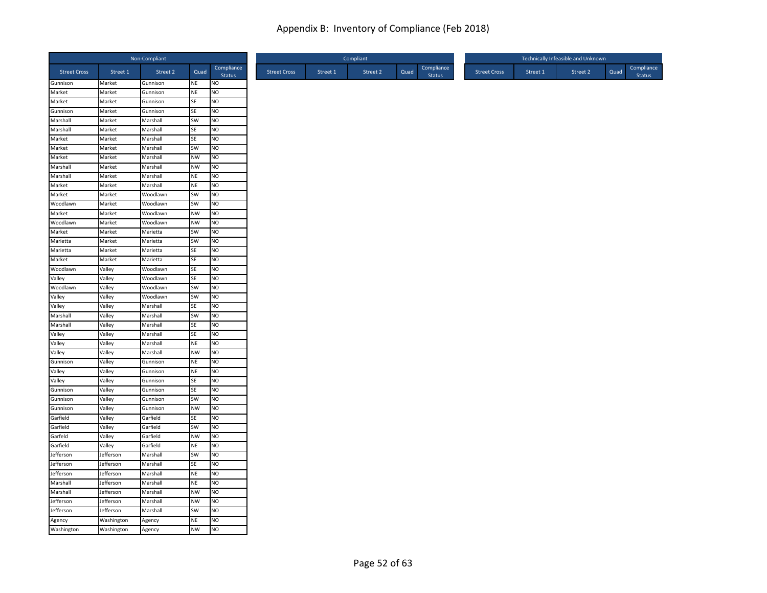|                      |                  | Non-Compliant        |                 |                        |
|----------------------|------------------|----------------------|-----------------|------------------------|
| <b>Street Cross</b>  | Street 1         | Street 2             | Quad            | Compliance<br>Status   |
| Gunnison             | Market           | Gunnison             | NE              | NO                     |
| Market               | Market           | Gunnison             | <b>NE</b>       | NO                     |
| Market               | Market           | Gunnison             | SE              | NO                     |
| Gunnison             | Market           | Gunnison             | SE              | <b>NO</b>              |
| Marshall<br>Marshall | Market<br>Market | Marshall<br>Marshall | SW<br>SE        | NO<br>N <sub>O</sub>   |
| Market               | Market           | Marshall             | <b>SE</b>       | NO                     |
| Market               | Market           | Marshall             | SW              | <b>NO</b>              |
| Market               | Market           | Marshall             | <b>NW</b>       | <b>NO</b>              |
| Marshall             | Market           | Marshall             | NW              | <b>NO</b>              |
| Marshall             | Market           | Marshall             | <b>NE</b>       | <b>NO</b>              |
| Market               | Market           | Marshall             | <b>NE</b>       | N <sub>O</sub>         |
| Market               | Market           | Woodlawn             | SW              | <b>NO</b>              |
| Woodlawn             | Market           | Woodlawn             | SW              | N <sub>O</sub>         |
| Market               | Market           | Woodlawn             | <b>NW</b>       | NO                     |
| Woodlawn             | Market           | Woodlawn             | <b>NW</b>       | N <sub>O</sub>         |
| Market               | Market           | Marietta             | SW              | <b>NO</b>              |
| Marietta             | Market           | Marietta             | SW              | NO                     |
| Marietta             | Market           | Marietta             | SE              | NO                     |
| Market               | Market           | Marietta             | SE              | NO                     |
| Woodlawn             | Valley           | Woodlawn             | <b>SE</b>       | <b>NO</b>              |
| Valley               | Valley           | Woodlawn             | <b>SE</b>       | <b>NO</b>              |
| Woodlawn             | Valley           | Woodlawn             | SW              | NO                     |
| Valley               | Valley           | Woodlawn             | SW              | N <sub>O</sub>         |
| Valley               | Valley           | Marshall             | SE              | <b>NO</b>              |
| Marshall             | Valley           | Marshall             | SW              | <b>NO</b>              |
| Marshall             | Valley           | Marshall             | <b>SE</b>       | <b>NO</b>              |
| Valley               | Valley           | Marshall             | SE              | NO                     |
| Valley               | Valley           | Marshall             | <b>NE</b>       | <b>NO</b>              |
| Valley               | Valley           | Marshall             | <b>NW</b>       | <b>NO</b>              |
| Gunnison             | Valley           | Gunnison             | <b>NE</b>       | <b>NO</b>              |
| Valley               | Valley           | Gunnison             | <b>NE</b>       | NO                     |
| Valley               | Valley           | Gunnison             | SE              | NO                     |
| Gunnison             | Valley           | Gunnison             | SE              | N <sub>O</sub>         |
| Gunnison<br>Gunnison | Valley<br>Valley | Gunnison             | SW<br><b>NW</b> | <b>NO</b><br><b>NO</b> |
| Garfield             | Valley           | Gunnison<br>Garfield | SE              | NO                     |
| Garfield             | Valley           | Garfield             | SW              | NO                     |
| Garfeld              | Valley           | Garfield             | <b>NW</b>       | <b>NO</b>              |
| Garfield             | Valley           | Garfield             | <b>NE</b>       | <b>NO</b>              |
| Jefferson            | Jefferson        | Marshall             | SW              | NO                     |
| Jefferson            | Jefferson        | Marshall             | SE              | N <sub>O</sub>         |
| Jefferson            | Jefferson        | Marshall             | <b>NE</b>       | <b>NO</b>              |
| Marshall             | Jefferson        | Marshall             | <b>NE</b>       | <b>NO</b>              |
| Marshall             | Jefferson        | Marshall             | <b>NW</b>       | NO                     |
| Jefferson            | Jefferson        | Marshall             | <b>NW</b>       | NO                     |
| Jefferson            | Jefferson        | Marshall             | SW              | NO                     |
| Agency               | Washington       | Agency               | <b>NE</b>       | <b>NO</b>              |
| Washington           | Washington       | Agency               | <b>NW</b>       | <b>NO</b>              |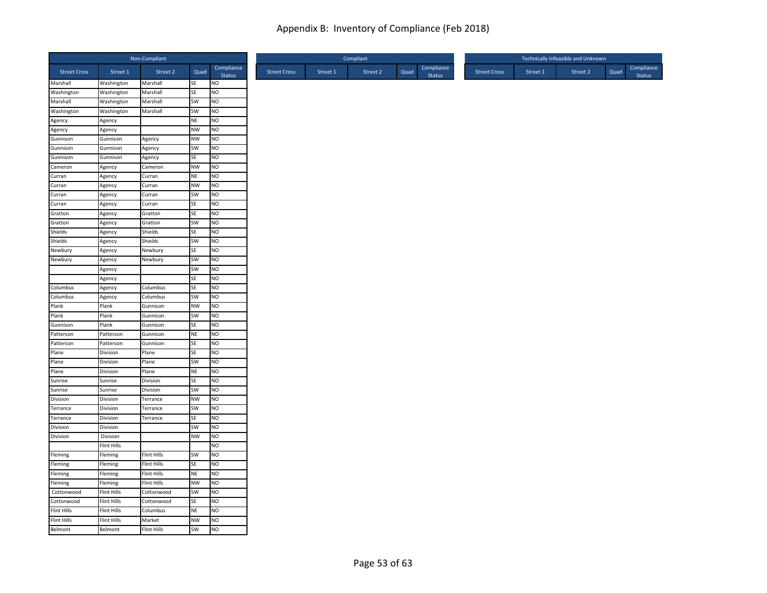|                      |                    | Non-Compliant      |                        |                             |
|----------------------|--------------------|--------------------|------------------------|-----------------------------|
| <b>Street Cross</b>  | Street 1           | Street 2           | Quad                   | Compliance<br>Status        |
| Marshall             | Washington         | Marshall           | SE                     | NO                          |
| <b>Washington</b>    | Washington         | Marshall           | SE                     | NO                          |
| Marshall             | Washington         | Marshall           | SW                     | <b>NO</b>                   |
| Washington           | Washington         | Marshall           | SW                     | <b>NO</b>                   |
| Agency               | Agency             |                    | <b>NE</b>              | NO                          |
| Agency               | Agency             |                    | <b>NW</b>              | NO                          |
| Gunnison             | Gunnison           | Agency             | <b>NW</b>              | NO                          |
| Gunnison<br>Gunnison | Gunnison           | Agency             | SW                     | <b>NO</b>                   |
| Cameron              | Gunnison           | Agency             | <b>SE</b>              | <b>NO</b>                   |
| Curran               | Agency             | Cameron            | <b>NW</b><br><b>NE</b> | <b>NO</b><br><b>NO</b>      |
|                      | Agency             | Curran             |                        | N <sub>O</sub>              |
| Curran<br>Curran     | Agency             | Curran             | <b>NW</b>              |                             |
|                      | Agency             | Curran             | SW<br>SE               | <b>NO</b><br>N <sub>O</sub> |
| Curran<br>Gratton    | Agency             | Curran             | SE                     |                             |
|                      | Agency             | Gratton            | SW                     | NO<br>N <sub>O</sub>        |
| Gratton<br>Shields   | Agency<br>Agency   | Gratton<br>Shields | SE                     | <b>NO</b>                   |
| Shields              | Agency             | Shields            | SW                     | NO                          |
| Newbury              | Agency             | Newbury            | SE                     | NO                          |
| Newbury              | Agency             | Newbury            | SW                     | <b>NO</b>                   |
|                      | Agency             |                    | SW                     | <b>NO</b>                   |
|                      | Agency             |                    | SE                     | <b>NO</b>                   |
| Columbus             | Agency             | Columbus           | SE                     | NO                          |
| Columbus             | Agency             | Columbus           | SW                     | NO                          |
| Plank                | Plank              | Gunnison           | <b>NW</b>              | <b>NO</b>                   |
| Plank                | Plank              | Gunnison           | SW                     | <b>NO</b>                   |
| Gunnison             | Plank              | Gunnison           | SE                     | <b>NO</b>                   |
| Patterson            | Patterson          | Gunnison           | <b>NE</b>              | <b>NO</b>                   |
| Patterson            | Patterson          | Gunnison           | SE                     | <b>NO</b>                   |
| Plane                | Division           | Plane              | SE                     | NO                          |
| Plane                | Division           | Plane              | SW                     | <b>NO</b>                   |
| Plane                | Division           | Plane              | <b>NE</b>              | N <sub>O</sub>              |
| Sunrise              | Sunrise            | Division           | SE                     | NO                          |
| Sunrise              | Sunrise            | Division           | SW                     | N <sub>O</sub>              |
| Division             | Division           | Terrance           | <b>NW</b>              | <b>NO</b>                   |
| Terrance             | Division           | Terrance           | SW                     | <b>NO</b>                   |
| Terrance             | Division           | Terrance           | SE                     | NO                          |
| Division             | Division           |                    | SW                     | <b>NO</b>                   |
| Division             | Division           |                    | <b>NW</b>              | <b>NO</b>                   |
|                      | <b>Flint Hills</b> |                    |                        | NO                          |
| Fleming              | Fleming            | Flint Hills        | SW                     | N <sub>O</sub>              |
| Fleming              | Fleming            | Flint Hills        | SE                     | N <sub>O</sub>              |
| Fleming              | Fleming            | Flint Hills        | <b>NE</b>              | <b>NO</b>                   |
| Fleming              | Fleming            | Flint Hills        | <b>NW</b>              | <b>NO</b>                   |
| Cottonwood           | <b>Flint Hills</b> | Cottonwood         | SW                     | <b>NO</b>                   |
| Cottonwood           | Flint Hills        | Cottonwood         | SE                     | NO                          |
| <b>Flint Hills</b>   | Flint Hills        | Columbus           | NE                     | NO                          |
| <b>Flint Hills</b>   | <b>Flint Hills</b> | Market             | <b>NW</b>              | <b>NO</b>                   |
| Belmont              | Belmont            | <b>Flint Hills</b> | <b>SW</b>              | <b>NO</b>                   |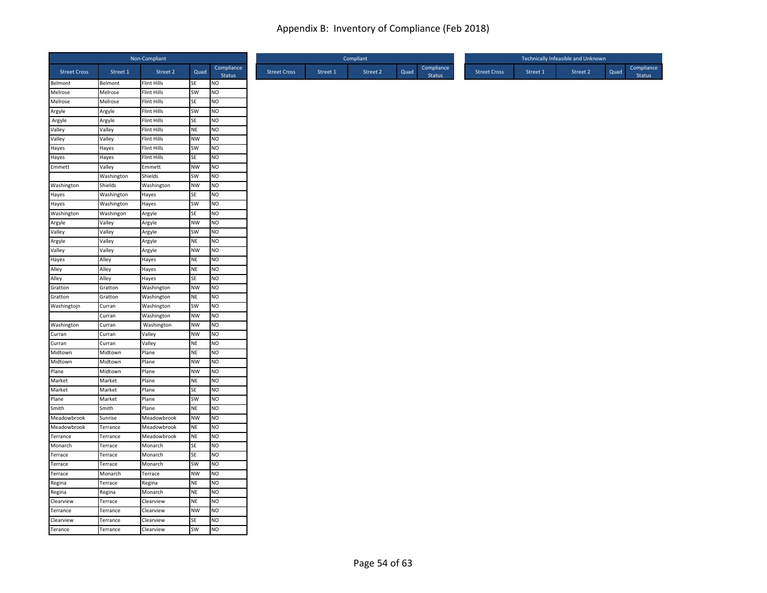|                     |                  | Non-Compliant                     |           |                      |
|---------------------|------------------|-----------------------------------|-----------|----------------------|
| <b>Street Cross</b> | Street 1         | Street 2                          | Quad      | Compliance<br>Status |
| Belmont             | Belmont          | Flint Hills                       | SE        | NO                   |
| Melrose             | Melrose          | <b>Flint Hills</b>                | SW        | NO                   |
| Melrose             | Melrose          | Flint Hills                       | SE        | NO                   |
| Argyle              | Argyle           | <b>Flint Hills</b>                | SW<br>SE  | NO                   |
| Argyle<br>Valley    | Argyle<br>Valley | <b>Flint Hills</b><br>Flint Hills | <b>NE</b> | NO<br>NO             |
| Valley              | Valley           | Flint Hills                       | <b>NW</b> | NO                   |
| Hayes               | Hayes            | Flint Hills                       | SW        | <b>NO</b>            |
| Hayes               | Hayes            | <b>Flint Hills</b>                | SE        | NO.                  |
| Emmett              | Valley           | Emmett                            | NW        | NO                   |
|                     | Washington       | Shields                           | SW        | NO                   |
| Washington          | Shields          | Washington                        | <b>NW</b> | NO                   |
| Hayes               | Washington       | Hayes                             | SE        | NO.                  |
| Hayes               | Washington       | Hayes                             | SW        | NO                   |
| Washington          | Washingon        | Argyle                            | SE        | NO                   |
| Argyle              | Valley           | Argyle                            | <b>NW</b> | N <sub>O</sub>       |
| Valley              | Valley           | Argyle                            | SW        | NO.                  |
| Argyle              | Valley           | Argyle                            | <b>NE</b> | NO                   |
| Valley              | Valley           | Argyle                            | <b>NW</b> | NO                   |
| Hayes               | Alley            | Hayes                             | <b>NE</b> | NO                   |
| Alley               | Alley            | Hayes                             | <b>NE</b> | NO.                  |
| Alley               | Alley            | Hayes                             | SE        | NO                   |
| Gratton             | Gratton          | Washington                        | <b>NW</b> | NO                   |
| Gratton             | Gratton          | Washington                        | <b>NE</b> | NO                   |
| Washingtojn         | Curran           | Washington                        | SW        | NO                   |
|                     | Curran           | Washington                        | <b>NW</b> | NO                   |
| Washington          | Curran           | Washington                        | <b>NW</b> | NO.                  |
| Curran              | Curran           | Valley                            | NW        | <b>NO</b>            |
| Curran              | Curran           | Valley                            | <b>NE</b> | NO                   |
| Midtown             | Midtown          | Plane                             | <b>NE</b> | NO                   |
| Midtown             | Midtown          | Plane                             | <b>NW</b> | <b>NO</b>            |
| Plane               | Midtown          | Plane                             | <b>NW</b> | NO                   |
| Market              | Market           | Plane                             | NE        | NO                   |
| Market              | Market           | Plane                             | <b>SE</b> | N <sub>O</sub>       |
| Plane               | Market           | Plane                             | SW        | NO.                  |
| Smith               | Smith            | Plane                             | NE        | NO                   |
| Meadowbrook         | Sunrise          | Meadowbrook                       | <b>NW</b> | NO                   |
| Meadowbrook         | Terrance         | Meadowbrook                       | <b>NE</b> | NO                   |
| Terrance            | Terrance         | Meadowbrook                       | <b>NE</b> | NO.                  |
| Monarch             | Terrace          | Monarch                           | SE        | NO                   |
| Terrace             | Terrace          | Monarch                           | SE        | N <sub>O</sub>       |
| Terrace             | Terrace          | Monarch                           | SW        | NO                   |
| Terrace             | Monarch          | Terrace                           | NW        | NO                   |
| Regina              | Terrace          | Regina                            | <b>NE</b> | NO                   |
| Regina              | Regina           | Monarch                           | <b>NE</b> | NO                   |
| Clearview           | Terrace          | Clearview                         | <b>NE</b> | NO                   |
| Terrance            | Terrance         | Clearview                         | <b>NW</b> | NO                   |
| Clearview           | Terrance         | Clearview                         | SE        | NO                   |
| Terance             | Terrance         | Clearview                         | <b>SW</b> | N <sub>O</sub>       |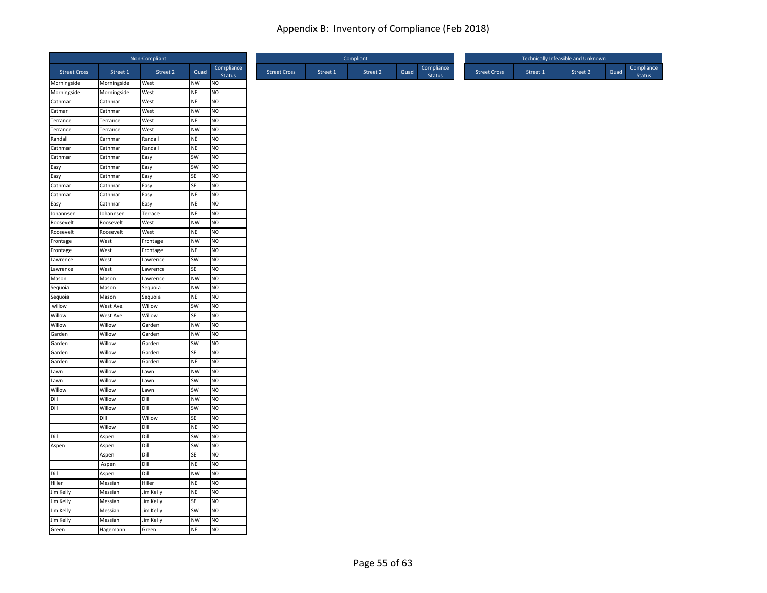|                     |             | Non-Compliant |           |                      |
|---------------------|-------------|---------------|-----------|----------------------|
| <b>Street Cross</b> | Street 1    | Street 2      | Quad      | Compliance<br>Status |
| Morningside         | Morningside | West          | <b>NW</b> | <b>NO</b>            |
| Morningside         | Morningside | West          | <b>NE</b> | Ю                    |
| Cathmar             | Cathmar     | West          | <b>NE</b> | <b>NO</b>            |
| Catmar              | Cathmar     | West          | <b>NW</b> | <b>NO</b>            |
| Terrance            | Terrance    | West          | <b>NE</b> | NO                   |
| Terrance            | Terrance    | West          | <b>NW</b> | NO                   |
| Randall             | Carhmar     | Randall       | <b>NE</b> | NO                   |
| Cathmar             | Cathmar     | Randall       | <b>NE</b> | <b>NO</b>            |
| Cathmar             | Cathmar     | Easy          | SW        | <b>NO</b>            |
| Easy                | Cathmar     | Easy          | SW        | <b>NO</b>            |
| Easy                | Cathmar     | Easy          | SE        | <b>NO</b>            |
| Cathmar             | Cathmar     | Easy          | SE        | NO                   |
| Cathmar             | Cathmar     | Easy          | <b>NE</b> | <b>NO</b>            |
| Easy                | Cathmar     | Easy          | <b>NE</b> | N <sub>O</sub>       |
| Johannsen           | Johannsen   | Terrace       | <b>NE</b> | NO                   |
| Roosevelt           | Roosevelt   | West          | <b>NW</b> | NO                   |
| Roosevelt           | Roosevelt   | West          | <b>NE</b> | <b>NO</b>            |
| Frontage            | West        | Frontage      | <b>NW</b> | <b>NO</b>            |
| Frontage            | West        | Frontage      | <b>NE</b> | <b>NO</b>            |
| Lawrence            | West        | Lawrence      | SW        | <b>NO</b>            |
| Lawrence            | West        | Lawrence      | <b>SE</b> | <b>NO</b>            |
| Mason               | Mason       | Lawrence      | <b>NW</b> | <b>NO</b>            |
| Sequoia             | Mason       | Sequoia       | <b>NW</b> | NO                   |
| Sequoia             | Mason       | Sequoia       | <b>NE</b> | NO                   |
| willow              | West Ave.   | Willow        | SW        | <b>NO</b>            |
| Willow              | West Ave.   | Willow        | SE        | NO                   |
| Willow              | Willow      | Garden        | <b>NW</b> | <b>NO</b>            |
| Garden              | Willow      | Garden        | <b>NW</b> | <b>NO</b>            |
| Garden              | Willow      | Garden        | SW        | <b>NO</b>            |
| Garden              | Willow      | Garden        | SE        | <b>NO</b>            |
| Garden              | Willow      | Garden        | <b>NE</b> | <b>NO</b>            |
| Lawn                | Willow      | Lawn          | <b>NW</b> | N <sub>O</sub>       |
| Lawn                | Willow      | Lawn          | SW        | NO                   |
| Willow              | Willow      | Lawn          | SW        | NO                   |
| Dill                | Willow      | Dill          | <b>NW</b> | <b>NO</b>            |
| Dill                | Willow      | Dill          | SW        | <b>NO</b>            |
|                     | Dill        | <b>Willow</b> | SE        | <b>NO</b>            |
|                     | Willow      | Dill          | <b>NE</b> | <b>NO</b>            |
| Dill                | Aspen       | Dill          | SW        | <b>NO</b>            |
| Aspen               | Aspen       | Dill          | SW        | <b>NO</b>            |
|                     | Aspen       | Dill          | SE        | N <sub>O</sub>       |
|                     | Aspen       | Dill          | <b>NE</b> | NO                   |
| Dill                | Aspen       | Dill          | <b>NW</b> | <b>NO</b>            |
| Hiller              | Messiah     | Hiller        | <b>NE</b> | <b>NO</b>            |
| Jim Kelly           | Messiah     | Jim Kelly     | <b>NE</b> | <b>NO</b>            |
| Jim Kelly           | Messiah     | Jim Kelly     | SE        | NO                   |
| Jim Kelly           | Messiah     | Jim Kelly     | SW        | <b>NO</b>            |
| Jim Kelly           | Messiah     | Jim Kelly     | <b>NW</b> | <b>NO</b>            |
| Green               | Hagemann    | Green         | <b>NE</b> | <b>NO</b>            |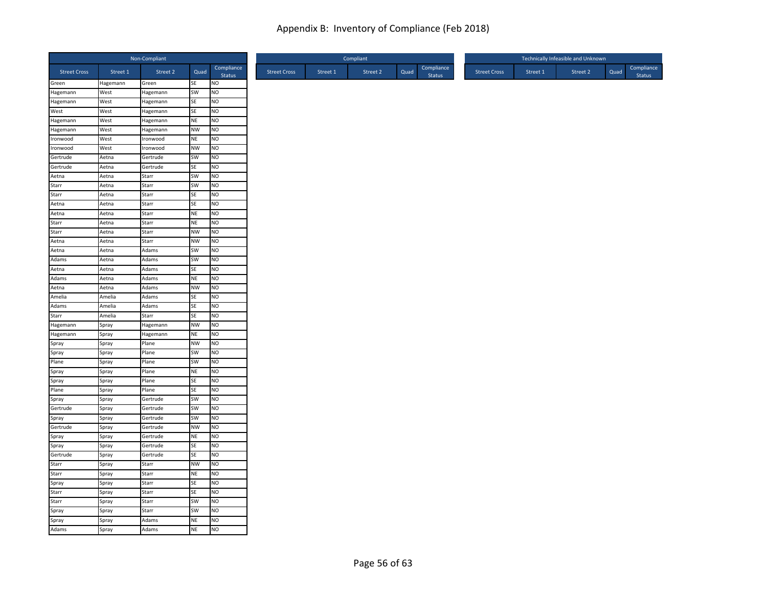|                     |                | Non-Compliant  |                        |                      |
|---------------------|----------------|----------------|------------------------|----------------------|
| <b>Street Cross</b> | Street 1       | Street 2       | Quad                   | Compliance<br>Status |
| Green               | Hagemann       | Green          | SE                     | NO                   |
| Hagemann            | West           | Hagemann       | SW                     | NO                   |
| Hagemann            | West           | Hagemann       | SE                     | NO                   |
| West                | West           | Hagemann       | SE                     | NO                   |
| Hagemann            | West           | Hagemann       | <b>NE</b>              | NO                   |
| Hagemann            | West           | Hagemann       | <b>NW</b>              | NO                   |
| Ironwood            | West           | Ironwood       | <b>NE</b>              | NO                   |
| Ironwood            | West           | Ironwood       | <b>NW</b>              | <b>NO</b>            |
| Gertrude            | Aetna          | Gertrude       | SW                     | NO.                  |
| Gertrude            | Aetna          | Gertrude       | SE                     | NO                   |
| Aetna               | Aetna          | Starr          | SW                     | NO                   |
| Starr<br>Starr      | Aetna          | Starr          | SW                     | NO                   |
|                     | Aetna          | Starr          | SE                     | NO.                  |
| Aetna               | Aetna          | Starr          | SE                     | NO                   |
| Aetna               | Aetna          | Starr          | <b>NE</b>              | NO                   |
| Starr<br>Starr      | Aetna<br>Aetna | Starr<br>Starr | <b>NE</b><br><b>NW</b> | NO<br>NO.            |
| Aetna               |                | Starr          | <b>NW</b>              | NO                   |
| Aetna               | Aetna          | Adams          | SW                     | NO                   |
| Adams               | Aetna<br>Aetna | Adams          | <b>SW</b>              | NO                   |
| Aetna               | Aetna          | Adams          | SE                     | NO.                  |
| Adams               | Aetna          | Adams          | <b>NE</b>              | NO                   |
| Aetna               | Aetna          | Adams          | <b>NW</b>              | NO.                  |
| Amelia              | Amelia         | Adams          | SE                     | NO                   |
| Adams               | Amelia         | Adams          | SE                     | NO                   |
| Starr               | Amelia         | Starr          | <b>SE</b>              | NO                   |
| Hagemann            | Spray          | Hagemann       | <b>NW</b>              | NO.                  |
| Hagemann            | Spray          | Hagemann       | NE                     | NO                   |
| Spray               | Spray          | Plane          | <b>NW</b>              | NO                   |
| Spray               | Spray          | Plane          | SW                     | NO                   |
| $P$ lane            | Spray          | Plane          | SW                     | <b>NO</b>            |
| Spray               | Spray          | Plane          | <b>NE</b>              | NO                   |
|                     | Spray          | Plane          | SE                     | NO                   |
| Spray<br>Plane      | Spray          | Plane          | <b>SE</b>              | N <sub>O</sub>       |
| Spray               | Spray          | Gertrude       | SW                     | NO.                  |
| Gertrude            | Spray          | Gertrude       | SW                     | NO                   |
|                     | Spray          | Gertrude       | SW                     | NO                   |
| Spray<br>Gertrude   | Spray          | Gertrude       | <b>NW</b>              | NO                   |
| Spray               | Spray          | Gertrude       | <b>NE</b>              | NO.                  |
| Spray               | Spray          | Gertrude       | <b>SE</b>              | NO                   |
| Gertrude            | Spray          | Gertrude       | SE                     | NO                   |
| Starr               | Spray          | Starr          | <b>NW</b>              | NO                   |
| Starr               | Spray          | Starr          | <b>NE</b>              | <b>NO</b>            |
|                     | Spray          | Starr          | SE                     | NO                   |
| Spray<br>Starr      | Spray          | Starr          | <b>SE</b>              | NO                   |
| Starr               | Spray          | Starr          | SW                     | NO                   |
| Spray               | Spray          | Starr          | SW                     | NO                   |
| Spray               | Spray          | Adams          | <b>NE</b>              | NO                   |
| Adams               | Spray          | Adams          | <b>NE</b>              | N <sub>O</sub>       |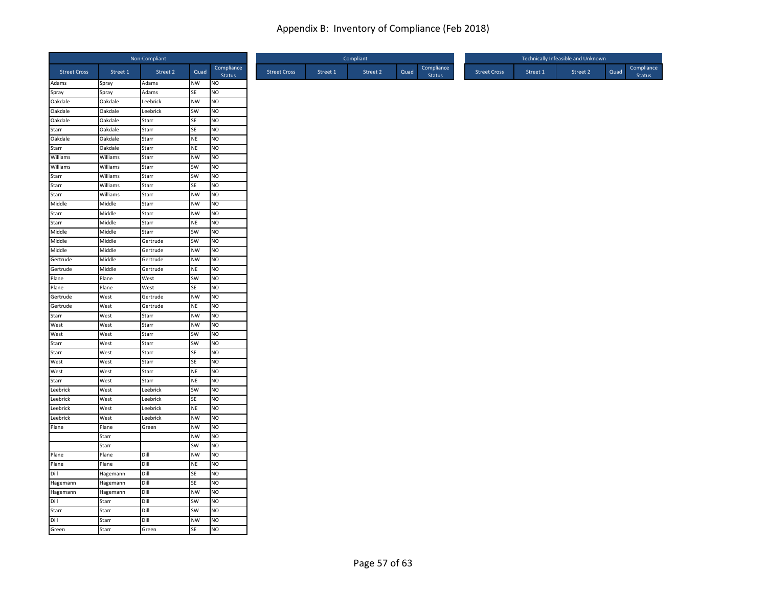|                      |                    | Non-Compliant     |           |                             |
|----------------------|--------------------|-------------------|-----------|-----------------------------|
| <b>Street Cross</b>  | Street 1           | Street 2          | Quad      | Compliance<br>Status        |
| Adams                | Spray              | Adams             | NW        | <b>NO</b>                   |
| Spray                | Spray              | Adams             | SE        | NO                          |
| Oakdale<br>Oakdale   | Oakdale<br>Oakdale | Leebrick          | <b>NW</b> | NO<br>NO                    |
| Oakdale              | Oakdale            | Leebrick<br>Starr | SW<br>SE  | <b>NO</b>                   |
| Starr                | Oakdale            | Starr             | SE        | N <sub>O</sub>              |
| Oakdale              | Oakdale            | Starr             | <b>NE</b> | N <sub>O</sub>              |
| Starr                | Oakdale            | Starr             | <b>NE</b> | NO                          |
| Williams             | Williams           | Starr             | <b>NW</b> | <b>NO</b>                   |
| Williams             | Williams           | Starr             | SW        | N <sub>O</sub>              |
| Starr                | Williams           | Starr             | SW        | NO                          |
| Starr                | Williams           | Starr             | SE        | N <sub>O</sub>              |
| Starr                | Williams           | Starr             | <b>NW</b> | <b>NO</b>                   |
| Middle               | Middle             | Starr             | <b>NW</b> | N <sub>O</sub>              |
| Starr                | Middle             | Starr             | <b>NW</b> | <b>NO</b>                   |
| Starr                | Middle             | Starr             | <b>NE</b> | N <sub>O</sub>              |
| Middle               | Middle             | Starr             | SW        | <b>NO</b>                   |
| Middle               | Middle             | Gertrude          | SW        | N <sub>O</sub>              |
| Middle               | Middle             | Gertrude          | <b>NW</b> | NO                          |
| Gertrude             | Middle             | Gertrude          | <b>NW</b> | NO                          |
| Gertrude             | Middle             | Gertrude          | NE        | <b>NO</b>                   |
| Plane                | Plane              | West              | SW        | N <sub>O</sub>              |
| Plane                | Plane              | West              | SE        | NO                          |
| Gertrude             | West               | Gertrude          | <b>NW</b> | N <sub>O</sub>              |
| Gertrude             | West               | Gertrude          | NE        | <b>NO</b>                   |
| Starr                | West               | Starr             | <b>NW</b> | NO                          |
| West                 | West               | Starr             | <b>NW</b> | N <sub>O</sub>              |
| West                 | West               | Starr             | SW        | N <sub>O</sub>              |
| Starr                | West               | Starr             | SW        | NO                          |
| Starr<br>West        | West               | Starr             | SE        | <b>NO</b>                   |
|                      | West               | Starr             | <b>SE</b> | <b>NO</b>                   |
| West                 | West               | Starr             | NE        | N <sub>O</sub>              |
| Starr<br>Leebrick    | West<br>West       | Starr<br>Leebrick | NE<br>SW  | <b>NO</b><br>N <sub>O</sub> |
| Leebrick             | West               | Leebrick          | SE        | <b>NO</b>                   |
| Leebrick             | West               | Leebrick          | <b>NE</b> | N <sub>O</sub>              |
| Leebrick             | West               | Leebrick          | <b>NW</b> | NO                          |
| Plane                | Plane              | Green             | <b>NW</b> | NO                          |
|                      | Starr              |                   | <b>NW</b> | <b>NO</b>                   |
|                      | Starr              |                   | SW        | <b>NO</b>                   |
| Plane                | Plane              | Dill              | <b>NW</b> | N <sub>O</sub>              |
| Plane                | Plane              | Dill              | <b>NE</b> | N <sub>O</sub>              |
| Dill                 | Hagemann           | Dill              | <b>SE</b> | <b>NO</b>                   |
|                      | Hagemann           | Dill              | SE        | N <sub>O</sub>              |
| Hagemann<br>Hagemann | Hagemann           | Dill              | <b>NW</b> | <b>NO</b>                   |
| Dill                 | Starr              | Dill              | SW        | NO                          |
| Starr                | Starr              | Dill              | SW        | N <sub>O</sub>              |
|                      | Starr              | Dill              | <b>NW</b> | <b>NO</b>                   |
| Dill<br>Green        | Starr              | Green             | <b>SE</b> | N <sub>O</sub>              |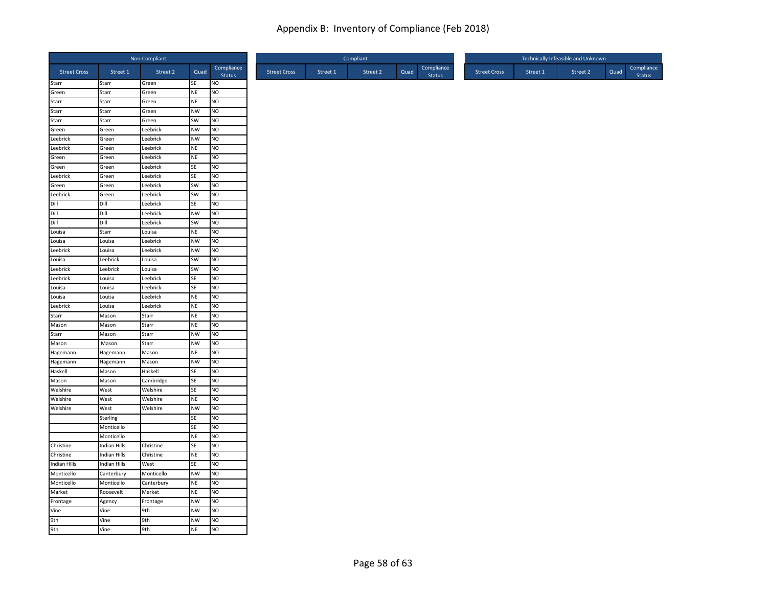|                     |                | Non-Compliant        |                 |                      |
|---------------------|----------------|----------------------|-----------------|----------------------|
| <b>Street Cross</b> | Street 1       | Street 2             | Quad            | Compliance<br>Status |
| Starr               | Starr          | Green                | SE              | <b>NO</b>            |
| Green               | Starr          | Green                | NE              | NO                   |
| Starr               | Starr          | Green                | NE              | NO                   |
| Starr               | Starr          | Green                | <b>NW</b>       | NO                   |
| Starr               | Starr          | Green                | SW<br><b>NW</b> | <b>NO</b>            |
| Green               | Green          | Leebrick             |                 | N <sub>O</sub>       |
| Leebrick            | Green          | Leebrick             | <b>NW</b>       | N <sub>O</sub>       |
| Leebrick<br>Green   | Green          | Leebrick             | NE              | NO<br><b>NO</b>      |
| Green               | Green          | Leebrick             | <b>NE</b><br>SE | N <sub>O</sub>       |
| Leebrick            | Green<br>Green | Leebrick<br>Leebrick | SE              | NO                   |
| Green               | Green          | Leebrick             | SW              | N <sub>O</sub>       |
| Leebrick            | Green          | Leebrick             | SW              | <b>NO</b>            |
| Dill                | Dill           | Leebrick             | SE              | N <sub>O</sub>       |
| Dill                | Dill           | Leebrick             | <b>NW</b>       | <b>NO</b>            |
| Dill                | Dill           | Leebrick             | SW              | N <sub>O</sub>       |
| Louisa              | Starr          | Louisa               | <b>NE</b>       | <b>NO</b>            |
| Louisa              | Louisa         | Leebrick             | <b>NW</b>       | <b>NO</b>            |
| Leebrick            | Louisa         | Leebrick             | <b>NW</b>       | NO                   |
| Louisa              | Leebrick       | Louisa               | SW              | NO                   |
| Leebrick            | Leebrick       | Louisa               | SW              | <b>NO</b>            |
| Leebrick            | Louisa         | Leebrick             | SE              | N <sub>O</sub>       |
| Louisa              | Louisa         | Leebrick             | SE              | <b>NO</b>            |
| Louisa              | Louisa         | Leebrick             | <b>NE</b>       | N <sub>O</sub>       |
| Leebrick            | Louisa         | Leebrick             | <b>NE</b>       | <b>NO</b>            |
| Starr               | Mason          | Starr                | NE              | N <sub>O</sub>       |
| Mason               | Mason          | Starr                | <b>NE</b>       | N <sub>O</sub>       |
| Starr               | Mason          | Starr                | <b>NW</b>       | N <sub>O</sub>       |
| Mason               | Mason          | Starr                | <b>NW</b>       | NO                   |
| Hagemann            | Hagemann       | Mason                | NE              | <b>NO</b>            |
| Hagemann            | Hagemann       | Mason                | <b>NW</b>       | <b>NO</b>            |
| Haskell             | Mason          | Haskell              | SE              | N <sub>O</sub>       |
| Mason               | Mason          | Cambridge            | SE              | <b>NO</b>            |
| Welshire            | West           | Welshire             | SE              | N <sub>O</sub>       |
| Welshire            | West           | Welshire             | <b>NE</b>       | NO                   |
| Welshire            | West           | Welshire             | <b>NW</b>       | N <sub>O</sub>       |
|                     | Sterling       |                      | SE              | NO                   |
|                     | Monticello     |                      | SE              | NO                   |
|                     | Monticello     |                      | <b>NE</b>       | <b>NO</b>            |
| Christine           | Indian Hills   | Christine            | SE              | <b>NO</b>            |
| Christine           | Indian Hills   | Christine            | <b>NE</b>       | N <sub>O</sub>       |
| <b>Indian Hills</b> | Indian Hills   | West                 | SE              | NO                   |
| Monticello          | Canterbury     | Monticello           | <b>NW</b>       | <b>NO</b>            |
| Monticello          | Monticello     | Canterbury           | NE              | N <sub>O</sub>       |
| Market              | Roosevelt      | Market               | <b>NE</b>       | <b>NO</b>            |
| Frontage            | Agency         | Frontage             | <b>NW</b>       | NO                   |
| Vine                | Vine           | 9th                  | <b>NW</b>       | N <sub>O</sub>       |
| 9th<br>9th          | Vine           | 9th                  | <b>NW</b>       | <b>NO</b>            |
|                     | Vine           | 9th                  | <b>NE</b>       | N <sub>O</sub>       |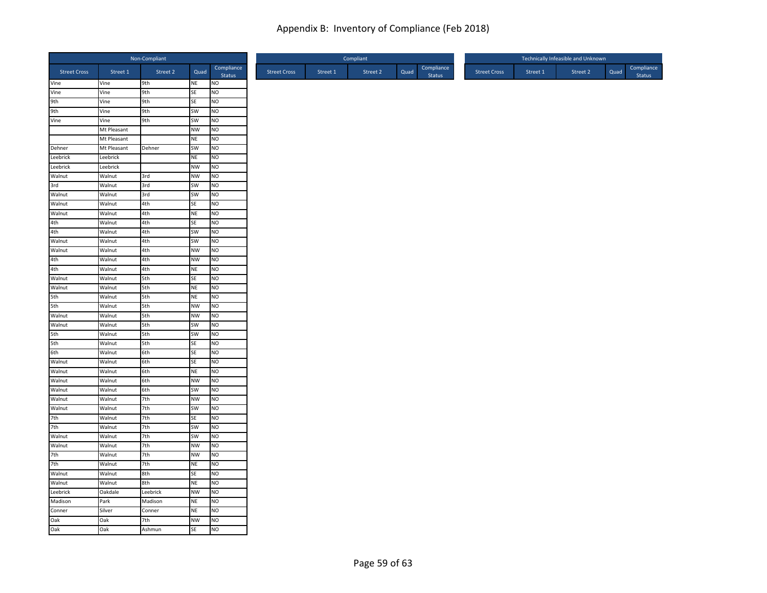|                     |             | Non-Compliant |           |                      |                     |          | Compliant |      | Technically Infeasible and Unknown |                     |          |          |      |                      |  |
|---------------------|-------------|---------------|-----------|----------------------|---------------------|----------|-----------|------|------------------------------------|---------------------|----------|----------|------|----------------------|--|
| <b>Street Cross</b> | Street 1    | Street 2      | Quad      | Compliance<br>Status | <b>Street Cross</b> | Street 1 | Street 2  | Quad | Compliance<br><b>Status</b>        | <b>Street Cross</b> | Street 1 | Street 2 | Quad | Compliance<br>Status |  |
| Vine                | Vine        | 9th           | NE        | <b>NO</b>            |                     |          |           |      |                                    |                     |          |          |      |                      |  |
| Vine                | Vine        | 9th           | SE        | N <sub>O</sub>       |                     |          |           |      |                                    |                     |          |          |      |                      |  |
| 9th                 | Vine        | 9th           | SE        | NO                   |                     |          |           |      |                                    |                     |          |          |      |                      |  |
| 9th                 | Vine        | 9th           | SW        | N <sub>O</sub>       |                     |          |           |      |                                    |                     |          |          |      |                      |  |
| Vine                | Vine        | 9th           | SW        | <b>NO</b>            |                     |          |           |      |                                    |                     |          |          |      |                      |  |
|                     | Mt Pleasant |               | <b>NW</b> | NO                   |                     |          |           |      |                                    |                     |          |          |      |                      |  |
|                     | Mt Pleasant |               | <b>NE</b> | N <sub>O</sub>       |                     |          |           |      |                                    |                     |          |          |      |                      |  |
| Dehner              | Mt Pleasant | Dehner        | SW        | NO                   |                     |          |           |      |                                    |                     |          |          |      |                      |  |
| Leebrick            | Leebrick    |               | <b>NE</b> | NO.                  |                     |          |           |      |                                    |                     |          |          |      |                      |  |
| Leebrick            | Leebrick    |               | <b>NW</b> | NO                   |                     |          |           |      |                                    |                     |          |          |      |                      |  |
| Walnut              | Walnut      | 3rd           | <b>NW</b> | NO                   |                     |          |           |      |                                    |                     |          |          |      |                      |  |
| 3rd                 | Walnut      | 3rd           | SW        | NO                   |                     |          |           |      |                                    |                     |          |          |      |                      |  |
| Walnut              | Walnut      | 3rd           | <b>SW</b> | <b>NO</b>            |                     |          |           |      |                                    |                     |          |          |      |                      |  |
| Walnut              | Walnut      | 4th           | SE        | N <sub>O</sub>       |                     |          |           |      |                                    |                     |          |          |      |                      |  |
| Walnut              | Walnut      | 4th           | <b>NE</b> | NO                   |                     |          |           |      |                                    |                     |          |          |      |                      |  |
| 4th                 | Walnut      | 4th           | SE        | N <sub>O</sub>       |                     |          |           |      |                                    |                     |          |          |      |                      |  |
| 4th                 | Walnut      | 4th           | SW        | NO.                  |                     |          |           |      |                                    |                     |          |          |      |                      |  |
| Walnut              | Walnut      | 4th           | <b>SW</b> | <b>NO</b>            |                     |          |           |      |                                    |                     |          |          |      |                      |  |
| Walnut              | Walnut      | 4th           | <b>NW</b> | N <sub>O</sub>       |                     |          |           |      |                                    |                     |          |          |      |                      |  |
| 4th                 | Walnut      | 4th           | <b>NW</b> | NO                   |                     |          |           |      |                                    |                     |          |          |      |                      |  |
| 4th                 | Walnut      | 4th           | <b>NE</b> | NO                   |                     |          |           |      |                                    |                     |          |          |      |                      |  |
| Walnut              | Walnut      | 5th           | SE        | NO                   |                     |          |           |      |                                    |                     |          |          |      |                      |  |
| Walnut              | Walnut      | 5th           | NE        | <b>NO</b>            |                     |          |           |      |                                    |                     |          |          |      |                      |  |
| 5th                 | Walnut      | 5th           | <b>NE</b> | NO                   |                     |          |           |      |                                    |                     |          |          |      |                      |  |
| 5th                 | Walnut      | 5th           | <b>NW</b> | NO                   |                     |          |           |      |                                    |                     |          |          |      |                      |  |
| Walnut              | Walnut      | 5th           | <b>NW</b> | N <sub>O</sub>       |                     |          |           |      |                                    |                     |          |          |      |                      |  |
| Walnut              | Walnut      | 5th           | SW        | N <sub>O</sub>       |                     |          |           |      |                                    |                     |          |          |      |                      |  |
| 5th                 | Walnut      | 5th           | <b>SW</b> | NO                   |                     |          |           |      |                                    |                     |          |          |      |                      |  |
| 5th                 | Walnut      | 5th           | SE        | NO                   |                     |          |           |      |                                    |                     |          |          |      |                      |  |
| 6th                 | Walnut      | 6th           | SE        | <b>NO</b>            |                     |          |           |      |                                    |                     |          |          |      |                      |  |
| Walnut              | Walnut      | 6th           | <b>SE</b> | <b>NO</b>            |                     |          |           |      |                                    |                     |          |          |      |                      |  |
| Walnut              | Walnut      | 6th           | <b>NE</b> | N <sub>O</sub>       |                     |          |           |      |                                    |                     |          |          |      |                      |  |
| Walnut              | Walnut      | 6th           | <b>NW</b> | NO                   |                     |          |           |      |                                    |                     |          |          |      |                      |  |
| Walnut              | Walnut      | 6th           | SW        | N <sub>O</sub>       |                     |          |           |      |                                    |                     |          |          |      |                      |  |
| Walnut              | Walnut      | 7th           | <b>NW</b> | NO                   |                     |          |           |      |                                    |                     |          |          |      |                      |  |
| Walnut              | Walnut      | 7th           | SW        | N <sub>O</sub>       |                     |          |           |      |                                    |                     |          |          |      |                      |  |
| 7th                 | Walnut      | 7th           | SE        | N <sub>O</sub>       |                     |          |           |      |                                    |                     |          |          |      |                      |  |
| 7th                 | Walnut      | 7th           | <b>SW</b> | NO                   |                     |          |           |      |                                    |                     |          |          |      |                      |  |
| Walnut              | Walnut      | 7th           | SW        | NO.                  |                     |          |           |      |                                    |                     |          |          |      |                      |  |
| Walnut              | Walnut      | 7th           | <b>NW</b> | <b>NO</b>            |                     |          |           |      |                                    |                     |          |          |      |                      |  |
| 7th                 | Walnut      | 7th           | <b>NW</b> | N <sub>O</sub>       |                     |          |           |      |                                    |                     |          |          |      |                      |  |
| 7th                 | Walnut      | 7th           | <b>NE</b> | NO                   |                     |          |           |      |                                    |                     |          |          |      |                      |  |
| Walnut              | Walnut      | 8th           | SE        | NO                   |                     |          |           |      |                                    |                     |          |          |      |                      |  |
| Walnut              | Walnut      | 8th           | <b>NE</b> | NO                   |                     |          |           |      |                                    |                     |          |          |      |                      |  |
| Leebrick            | Oakdale     | Leebrick      | <b>NW</b> | NO                   |                     |          |           |      |                                    |                     |          |          |      |                      |  |
| Madison             | Park        | Madison       | <b>NE</b> | NO                   |                     |          |           |      |                                    |                     |          |          |      |                      |  |
| Conner              | Silver      | Conner        | <b>NE</b> | NO                   |                     |          |           |      |                                    |                     |          |          |      |                      |  |
| Oak                 | Oak         | 7th           | <b>NW</b> | NO                   |                     |          |           |      |                                    |                     |          |          |      |                      |  |
| Oak                 | Oak         | Ashmun        | <b>SE</b> | <b>NO</b>            |                     |          |           |      |                                    |                     |          |          |      |                      |  |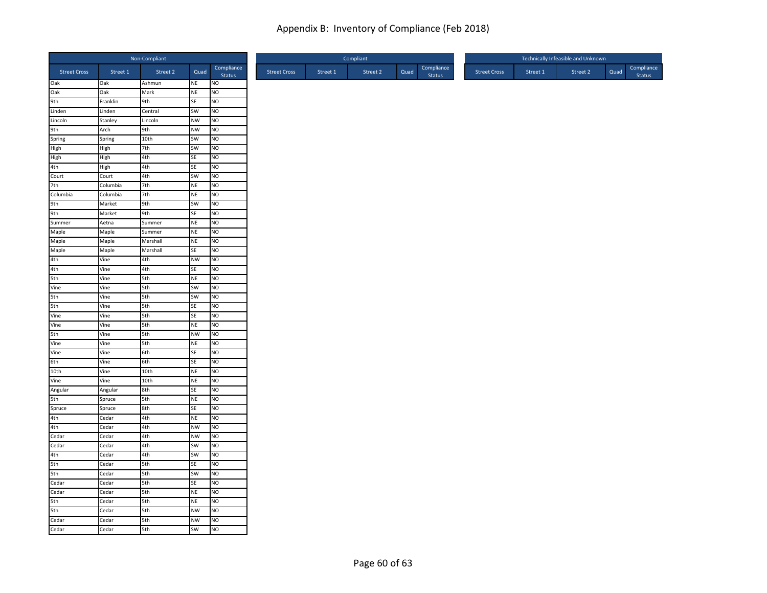|                     |          | Non-Compliant |           |                      |                     |          | Compliant |      | Technically Infeasible and Unknown |                     |  |          |          |      |                      |
|---------------------|----------|---------------|-----------|----------------------|---------------------|----------|-----------|------|------------------------------------|---------------------|--|----------|----------|------|----------------------|
| <b>Street Cross</b> | Street 1 | Street 2      | Quad      | Compliance<br>Status | <b>Street Cross</b> | Street 1 | Street 2  | Quad | Compliance<br><b>Status</b>        | <b>Street Cross</b> |  | Street 1 | Street 2 | Quad | Compliance<br>Status |
| Oak                 | Oak      | Ashmun        | <b>NE</b> | <b>NO</b>            |                     |          |           |      |                                    |                     |  |          |          |      |                      |
| Oak                 | Oak      | Mark          | <b>NE</b> | NO                   |                     |          |           |      |                                    |                     |  |          |          |      |                      |
| 9th                 | Franklin | 9th           | SE        | NO                   |                     |          |           |      |                                    |                     |  |          |          |      |                      |
| Linden              | Linden   | Central       | SW        | NO                   |                     |          |           |      |                                    |                     |  |          |          |      |                      |
| Lincoln             | Stanley  | Lincoln       | <b>NW</b> | NO                   |                     |          |           |      |                                    |                     |  |          |          |      |                      |
| 9th                 | Arch     | 9th           | <b>NW</b> | NO                   |                     |          |           |      |                                    |                     |  |          |          |      |                      |
| Spring              | Spring   | 10th          | SW        | NO                   |                     |          |           |      |                                    |                     |  |          |          |      |                      |
| High                | High     | 7th           | SW        | NO                   |                     |          |           |      |                                    |                     |  |          |          |      |                      |
| High                | High     | 4th           | <b>SE</b> | NO.                  |                     |          |           |      |                                    |                     |  |          |          |      |                      |
| 4th                 | High     | 4th           | SE        | NO                   |                     |          |           |      |                                    |                     |  |          |          |      |                      |
| Court               | Court    | 4th           | SW        | NO                   |                     |          |           |      |                                    |                     |  |          |          |      |                      |
| 7th                 | Columbia | 7th           | <b>NE</b> | NO                   |                     |          |           |      |                                    |                     |  |          |          |      |                      |
| Columbia            | Columbia | 7th           | <b>NE</b> | NO                   |                     |          |           |      |                                    |                     |  |          |          |      |                      |
| 9th                 | Market   | 9th           | SW        | N <sub>O</sub>       |                     |          |           |      |                                    |                     |  |          |          |      |                      |
| 9th                 | Market   | 9th           | SE        | NO                   |                     |          |           |      |                                    |                     |  |          |          |      |                      |
| Summer              | Aetna    | Summer        | <b>NE</b> | NO                   |                     |          |           |      |                                    |                     |  |          |          |      |                      |
| Maple               | Maple    | Summer        | <b>NE</b> | N <sub>O</sub>       |                     |          |           |      |                                    |                     |  |          |          |      |                      |
| Maple               | Maple    | Marshall      | <b>NE</b> | <b>NO</b>            |                     |          |           |      |                                    |                     |  |          |          |      |                      |
| Maple               | Maple    | Marshall      | SE        | NO                   |                     |          |           |      |                                    |                     |  |          |          |      |                      |
| 4th                 | Vine     | 4th           | <b>NW</b> | NO                   |                     |          |           |      |                                    |                     |  |          |          |      |                      |
| 4th                 | Vine     | 4th           | SE        | NO                   |                     |          |           |      |                                    |                     |  |          |          |      |                      |
| 5th                 | Vine     | 5th           | <b>NE</b> | NO                   |                     |          |           |      |                                    |                     |  |          |          |      |                      |
| Vine                | Vine     | 5th           | SW        | NO                   |                     |          |           |      |                                    |                     |  |          |          |      |                      |
| 5th                 | Vine     | 5th           | <b>SW</b> | NO                   |                     |          |           |      |                                    |                     |  |          |          |      |                      |
| 5th                 | Vine     | 5th           | SE        | NO                   |                     |          |           |      |                                    |                     |  |          |          |      |                      |
| Vine                | Vine     | 5th           | SE        | NO                   |                     |          |           |      |                                    |                     |  |          |          |      |                      |
| Vine                | Vine     | 5th           | <b>NE</b> | NO.                  |                     |          |           |      |                                    |                     |  |          |          |      |                      |
| 5th                 | Vine     | 5th           | <b>NW</b> | NO                   |                     |          |           |      |                                    |                     |  |          |          |      |                      |
| Vine                | Vine     | 5th           | <b>NE</b> | NO                   |                     |          |           |      |                                    |                     |  |          |          |      |                      |
| Vine                | Vine     | 6th           | SE        | NO                   |                     |          |           |      |                                    |                     |  |          |          |      |                      |
| 6th                 | Vine     | 6th           | <b>SE</b> | <b>NO</b>            |                     |          |           |      |                                    |                     |  |          |          |      |                      |
| 10th                | Vine     | 10th          | <b>NE</b> | N <sub>O</sub>       |                     |          |           |      |                                    |                     |  |          |          |      |                      |
| Vine                | Vine     | 10th          | <b>NE</b> | NO                   |                     |          |           |      |                                    |                     |  |          |          |      |                      |
| Angular             | Angular  | 8th           | <b>SE</b> | NO                   |                     |          |           |      |                                    |                     |  |          |          |      |                      |
| 5th                 | Spruce   | 5th           | <b>NE</b> | NO                   |                     |          |           |      |                                    |                     |  |          |          |      |                      |
| Spruce              | Spruce   | 8th           | SE        | NO                   |                     |          |           |      |                                    |                     |  |          |          |      |                      |
| 4th                 | Cedar    | 4th           | <b>NE</b> | NO                   |                     |          |           |      |                                    |                     |  |          |          |      |                      |
| 4th                 | Cedar    | 4th           | <b>NW</b> | NO                   |                     |          |           |      |                                    |                     |  |          |          |      |                      |
| Cedar               | Cedar    | 4th           | <b>NW</b> | NO.                  |                     |          |           |      |                                    |                     |  |          |          |      |                      |
| Cedar               | Cedar    | 4th           | <b>SW</b> | <b>NO</b>            |                     |          |           |      |                                    |                     |  |          |          |      |                      |
| 4th                 | Cedar    | 4th           | SW        | NO                   |                     |          |           |      |                                    |                     |  |          |          |      |                      |
| 5th                 | Cedar    | 5th           | SE        | NO                   |                     |          |           |      |                                    |                     |  |          |          |      |                      |
| 5th                 | Cedar    | 5th           | SW        | <b>NO</b>            |                     |          |           |      |                                    |                     |  |          |          |      |                      |
| Cedar               | Cedar    | 5th           | SE        | NO                   |                     |          |           |      |                                    |                     |  |          |          |      |                      |
| Cedar               | Cedar    | 5th           | <b>NE</b> | NO                   |                     |          |           |      |                                    |                     |  |          |          |      |                      |
| 5th                 | Cedar    | 5th           | <b>NE</b> | NO                   |                     |          |           |      |                                    |                     |  |          |          |      |                      |
| 5th                 | Cedar    | 5th           | <b>NW</b> | NO                   |                     |          |           |      |                                    |                     |  |          |          |      |                      |
| Cedar               | Cedar    | 5th           | <b>NW</b> | <b>NO</b>            |                     |          |           |      |                                    |                     |  |          |          |      |                      |
| Cedar               | Cedar    | 5th           | <b>SW</b> | <b>NO</b>            |                     |          |           |      |                                    |                     |  |          |          |      |                      |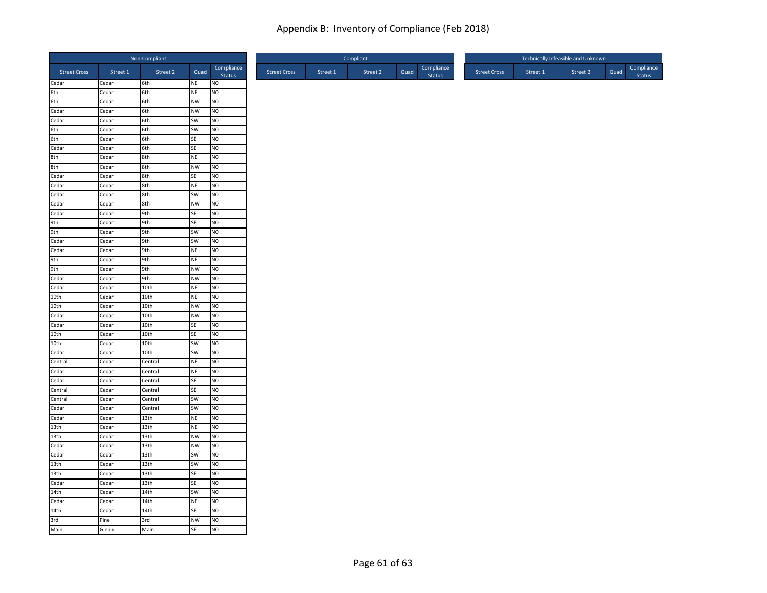| Non-Compliant       |          |                  |           |                      |  |  |
|---------------------|----------|------------------|-----------|----------------------|--|--|
| <b>Street Cross</b> | Street 1 | Street 2         | Quad      | Compliance<br>Status |  |  |
| Cedar               | Cedar    | 6th              | NE        | <b>NO</b>            |  |  |
|                     | Cedar    | 6th              | NE        | NO                   |  |  |
|                     | Cedar    | 6th              | <b>NW</b> | <b>NO</b>            |  |  |
| Cedar               | Cedar    | 6th              | <b>NW</b> | <b>NO</b>            |  |  |
| Cedar               | Cedar    | 6th              | SW        | <b>NO</b>            |  |  |
| 6th                 | Cedar    | 6th              | SW        | NO                   |  |  |
| 6th                 | Cedar    | 6th              | SE        | N <sub>O</sub>       |  |  |
| Cedar<br>8th        | Cedar    | 6th              | SE        | <b>NO</b>            |  |  |
|                     | Cedar    | 8th              | <b>NE</b> | <b>NO</b>            |  |  |
| 8th<br>Cedar        | Cedar    | 8th              | <b>NW</b> | <b>NO</b>            |  |  |
|                     | Cedar    | 8th              | SE        | NO                   |  |  |
| Cedar               | Cedar    | 8th              | NE        | N <sub>O</sub>       |  |  |
| Cedar               | Cedar    | 8th              | SW        | <b>NO</b>            |  |  |
| Cedar               | Cedar    | 8th              | <b>NW</b> | N <sub>O</sub>       |  |  |
| Cedar               | Cedar    | 9th              | SE        | <b>NO</b>            |  |  |
| 9th                 | Cedar    | 9th              | SE        | N <sub>O</sub>       |  |  |
| 9th<br>Cedar        | Cedar    | 9th              | SW        | NO                   |  |  |
|                     | Cedar    | 9th              | SW        | <b>NO</b>            |  |  |
| Cedar               | Cedar    | 9th              | <b>NE</b> | NO                   |  |  |
| 9th                 | Cedar    | 9th              | NE        | <b>NO</b>            |  |  |
| 9th                 | Cedar    | 9th              | <b>NW</b> | <b>NO</b>            |  |  |
| Cedar               | Cedar    | 9th              | <b>NW</b> | <b>NO</b>            |  |  |
| Cedar               | Cedar    | 10th             | NE        | <b>NO</b>            |  |  |
| 10th                | Cedar    | 10th             | <b>NE</b> | NO                   |  |  |
| 10th                | Cedar    | 10th             | <b>NW</b> | <b>NO</b>            |  |  |
| Cedar               | Cedar    | 10th             | <b>NW</b> | NO                   |  |  |
| Cedar               | Cedar    | 10th             | SE        | N <sub>O</sub>       |  |  |
| 10th                | Cedar    | 10th             | <b>SE</b> | N <sub>O</sub>       |  |  |
| 10th                | Cedar    | 10th             | SW        | NO                   |  |  |
| Cedar               | Cedar    | 10th             | SW        | <b>NO</b>            |  |  |
| Central             | Cedar    | Central          | <b>NE</b> | <b>NO</b>            |  |  |
| Cedar               | Cedar    | Central          | NE        | N <sub>O</sub>       |  |  |
| Cedar               | Cedar    | Central          | SE        | <b>NO</b>            |  |  |
| Central             | Cedar    | Central          | SE        | N <sub>O</sub>       |  |  |
| Central             | Cedar    | Central          | SW        | <b>NO</b>            |  |  |
| Cedar               | Cedar    | Central          | SW        | NO                   |  |  |
| Cedar               | Cedar    | 13th             | <b>NE</b> | NO                   |  |  |
| 13th                | Cedar    | 13th             | <b>NE</b> | NO                   |  |  |
| 13th                | Cedar    | 13th             | <b>NW</b> | <b>NO</b>            |  |  |
| Cedar               | Cedar    | 13th             | <b>NW</b> | <b>NO</b>            |  |  |
| Cedar               | Cedar    | 13 <sub>th</sub> | SW        | N <sub>O</sub>       |  |  |
| 13th                | Cedar    | 13th             | SW        | NO                   |  |  |
| 13th                | Cedar    | 13th             | SE        | <b>NO</b>            |  |  |
| Cedar               | Cedar    | 13th             | SE        | NO                   |  |  |
| 14th                | Cedar    | 14th             | SW        | <b>NO</b>            |  |  |
| Cedar               | Cedar    | 14th             | NE        | NO                   |  |  |
| 14th                | Cedar    | 14th             | SE        | NO                   |  |  |
| 3rd<br>Main         | Pine     | 3rd              | <b>NW</b> | Ю                    |  |  |
|                     | Glenn    | Main             | <b>SE</b> | <b>NO</b>            |  |  |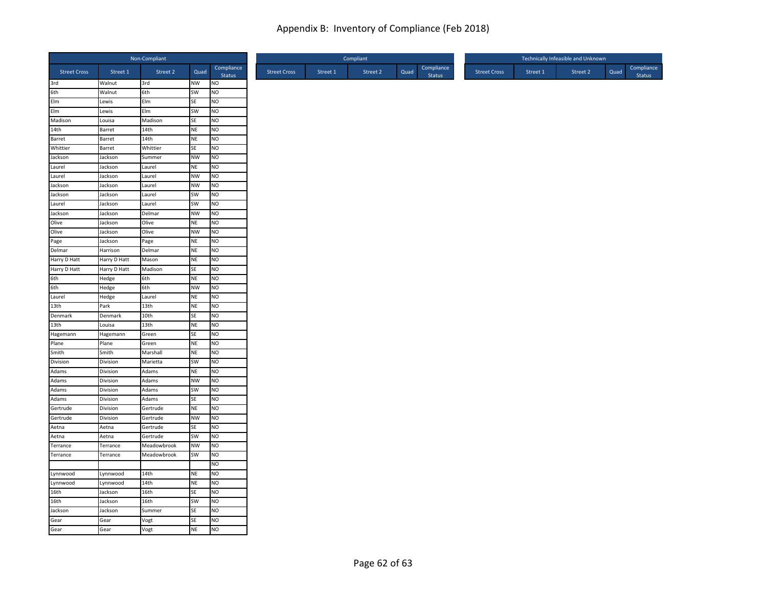| Non-Compliant       |              |                      |           |                      |  |
|---------------------|--------------|----------------------|-----------|----------------------|--|
| <b>Street Cross</b> | Street 1     | Street 2             | Quad      | Compliance<br>Status |  |
| 3rd                 | Walnut       | 3rd                  | NW        | NO                   |  |
| 6th                 | Walnut       | 6th                  | SW        | NO                   |  |
| Elm                 | Lewis        | Elm                  | SE        | NO                   |  |
| EIm                 | Lewis        | Elm                  | SW        | N <sub>O</sub>       |  |
| Madison             | Louisa       | Madison              | SE        | NO                   |  |
| 14th                | Barret       | 14th                 | <b>NE</b> | NO                   |  |
| Barret              | Barret       | 14th                 | NE        | N <sub>O</sub>       |  |
| Whittier            | Barret       | Whittier             | SE        | NO                   |  |
| Jackson             | Jackson      | Summer               | <b>NW</b> | NO.                  |  |
| Laurel              | Jackson      | Laurel               | <b>NE</b> | NO                   |  |
| Laurel              | Jackson      | Laurel               | <b>NW</b> | NO                   |  |
| Jackson             | Jackson      | Laurel               | <b>NW</b> | NO                   |  |
| Jackson             | Jackson      | Laurel               | <b>SW</b> | NO.                  |  |
| Laurel              | Jackson      | Laurel               | SW        | N <sub>O</sub>       |  |
| Jackson             | Jackson      | Delmar               | <b>NW</b> | NO                   |  |
| Olive               | Jackson      | Olive                | <b>NE</b> | N <sub>O</sub>       |  |
| Olive               | Jackson      | Olive                | <b>NW</b> | NO                   |  |
| Page                | Jackson      | Page                 | <b>NE</b> | <b>NO</b>            |  |
| Delmar              | Harrison     | Delmar               | <b>NE</b> | N <sub>O</sub>       |  |
| Harry D Hatt        | Harry D Hatt | Mason                | NE        | NO                   |  |
| Harry D Hatt        | Harry D Hatt | Madison              | SE        | NO.                  |  |
| 6th                 | Hedge        | 6th                  | <b>NE</b> | NO                   |  |
| 6th                 | Hedge        | 6th                  | <b>NW</b> | NO                   |  |
| Laurel              | Hedge        | Laurel               | <b>NE</b> | NO                   |  |
| 13th                | Park         | 13th                 | <b>NE</b> | NO                   |  |
| Denmark             | Denmark      | 10th                 | SE        | N <sub>O</sub>       |  |
| 13th                | Louisa       | 13th                 | <b>NE</b> | NO                   |  |
| Hagemann            | Hagemann     | Green                | SE        | NO                   |  |
| Plane               | Plane        | Green                | <b>NE</b> | NO                   |  |
| Smith               | Smith        | Marshall             | <b>NE</b> | NO                   |  |
| Division            | Division     | Marietta             | <b>SW</b> | <b>NO</b>            |  |
| Adams               | Division     | Adams                | NE        | N <sub>O</sub>       |  |
| Adams               | Division     | Adams                | <b>NW</b> | NO                   |  |
| Adams               | Division     | Adams                | SW        | N <sub>O</sub>       |  |
| Adams               | Division     | Adams                | SE        | NO                   |  |
| Gertrude            | Division     | Gertrude             | <b>NE</b> | NO                   |  |
| Gertrude            | Division     | Gertrude             | <b>NW</b> | N <sub>O</sub>       |  |
| Aetna               | Aetna        |                      | SE        | NO                   |  |
| Aetna               | Aetna        | Gertrude<br>Gertrude | SW        | NO.                  |  |
|                     |              |                      | <b>NW</b> | <b>NO</b>            |  |
| Terrance            | Terrance     | Meadowbrook          |           |                      |  |
| Terrance            | Terrance     | Meadowbrook          | SW        | N <sub>O</sub>       |  |
|                     |              |                      |           | N <sub>O</sub>       |  |
| Lynnwood            | Lynnwood     | 14th                 | <b>NE</b> | NO                   |  |
| Lynnwood            | Lynnwood     | 14th                 | <b>NE</b> | N <sub>O</sub>       |  |
| 16th                | Jackson      | 16th                 | <b>SE</b> | NO                   |  |
| 16th                | Jackson      | 16th                 | SW        | NO                   |  |
| Jackson             | Jackson      | Summer               | SE        | NO                   |  |
| Gear                | Gear         | Vogt                 | SE        | <b>NO</b>            |  |
| Gear                | Gear         | Vogt                 | <b>NE</b> | N <sub>O</sub>       |  |